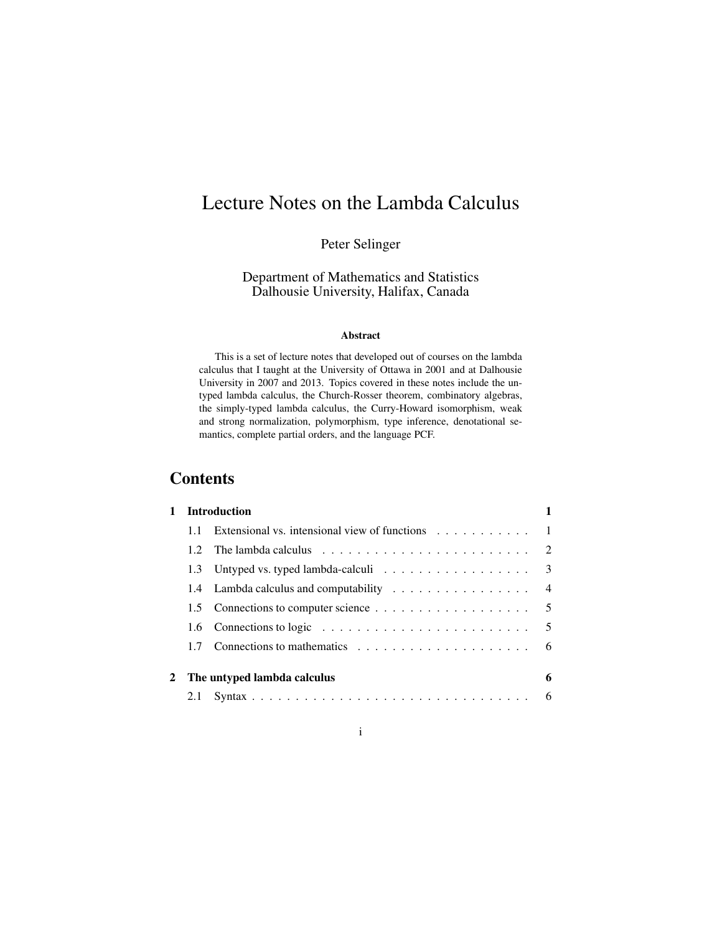# Lecture Notes on the Lambda Calculus

Peter Selinger

Department of Mathematics and Statistics Dalhousie University, Halifax, Canada

#### Abstract

This is a set of lecture notes that developed out of courses on the lambda calculus that I taught at the University of Ottawa in 2001 and at Dalhousie University in 2007 and 2013. Topics covered in these notes include the untyped lambda calculus, the Church-Rosser theorem, combinatory algebras, the simply-typed lambda calculus, the Curry-Howard isomorphism, weak and strong normalization, polymorphism, type inference, denotational semantics, complete partial orders, and the language PCF.

## **Contents**

| 1 Introduction |                                                                                             |   |
|----------------|---------------------------------------------------------------------------------------------|---|
| 1.1            | Extensional vs. intensional view of functions $\dots \dots \dots \dots$                     |   |
|                | 1.2 The lambda calculus $\ldots \ldots \ldots \ldots \ldots \ldots \ldots \ldots$           |   |
|                |                                                                                             |   |
|                | 1.4 Lambda calculus and computability 4                                                     |   |
|                |                                                                                             |   |
|                | 1.6 Connections to logic $\ldots \ldots \ldots \ldots \ldots \ldots \ldots \ldots \ldots 5$ |   |
|                |                                                                                             |   |
|                |                                                                                             |   |
|                | 2 The untyped lambda calculus                                                               | 6 |
|                |                                                                                             |   |

## i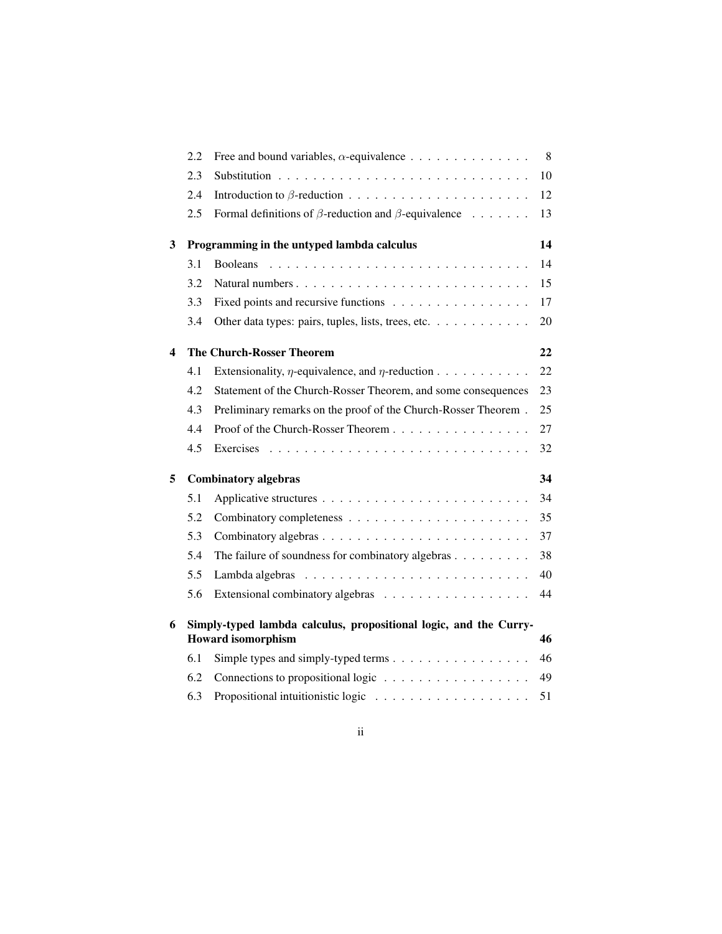|     | Free and bound variables, $\alpha$ -equivalence                                                | 8                                                                              |
|-----|------------------------------------------------------------------------------------------------|--------------------------------------------------------------------------------|
| 2.3 |                                                                                                | 10                                                                             |
| 2.4 |                                                                                                | 12                                                                             |
| 2.5 | Formal definitions of $\beta$ -reduction and $\beta$ -equivalence                              | 13                                                                             |
|     |                                                                                                | 14                                                                             |
| 3.1 | <b>Booleans</b>                                                                                | 14                                                                             |
| 3.2 | Natural numbers                                                                                | 15                                                                             |
| 3.3 | Fixed points and recursive functions                                                           | 17                                                                             |
| 3.4 | Other data types: pairs, tuples, lists, trees, etc.                                            | 20                                                                             |
|     |                                                                                                | 22                                                                             |
| 4.1 | Extensionality, $\eta$ -equivalence, and $\eta$ -reduction                                     | 22                                                                             |
| 4.2 | Statement of the Church-Rosser Theorem, and some consequences                                  | 23                                                                             |
| 4.3 | Preliminary remarks on the proof of the Church-Rosser Theorem.                                 | 25                                                                             |
| 4.4 | Proof of the Church-Rosser Theorem                                                             | 27                                                                             |
| 4.5 |                                                                                                | 32                                                                             |
|     |                                                                                                |                                                                                |
|     | <b>Combinatory algebras</b>                                                                    | 34                                                                             |
| 5.1 |                                                                                                | 34                                                                             |
| 5.2 |                                                                                                | 35                                                                             |
| 5.3 |                                                                                                | 37                                                                             |
| 5.4 | The failure of soundness for combinatory algebras $\dots \dots \dots$                          | 38                                                                             |
| 5.5 |                                                                                                | 40                                                                             |
| 5.6 | Extensional combinatory algebras                                                               | 44                                                                             |
|     | Simply-typed lambda calculus, propositional logic, and the Curry-<br><b>Howard</b> isomorphism | 46                                                                             |
| 6.1 | Simple types and simply-typed terms                                                            | 46                                                                             |
| 6.2 |                                                                                                | 49                                                                             |
|     |                                                                                                | Programming in the untyped lambda calculus<br><b>The Church-Rosser Theorem</b> |

ii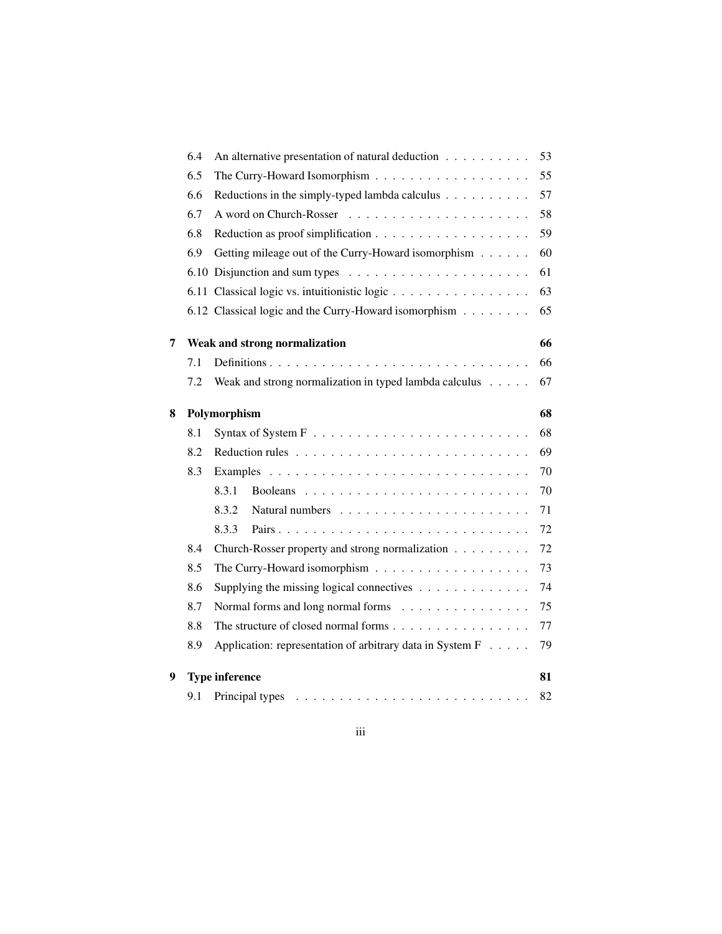|   | 6.4 | An alternative presentation of natural deduction                                  | 53 |
|---|-----|-----------------------------------------------------------------------------------|----|
|   | 6.5 |                                                                                   | 55 |
|   | 6.6 | Reductions in the simply-typed lambda calculus                                    | 57 |
|   | 6.7 |                                                                                   | 58 |
|   | 6.8 |                                                                                   | 59 |
|   | 6.9 | Getting mileage out of the Curry-Howard isomorphism                               | 60 |
|   |     | 6.10 Disjunction and sum types $\ldots \ldots \ldots \ldots \ldots \ldots \ldots$ | 61 |
|   |     | 6.11 Classical logic vs. intuitionistic logic                                     | 63 |
|   |     | 6.12 Classical logic and the Curry-Howard isomorphism                             | 65 |
| 7 |     | Weak and strong normalization                                                     | 66 |
|   | 7.1 | Definitions                                                                       | 66 |
|   | 7.2 | Weak and strong normalization in typed lambda calculus                            | 67 |
| 8 |     | Polymorphism                                                                      | 68 |
|   | 8.1 | Syntax of System F                                                                | 68 |
|   | 8.2 |                                                                                   | 69 |
|   | 8.3 |                                                                                   | 70 |
|   |     | 8.3.1                                                                             | 70 |
|   |     | 8.3.2                                                                             | 71 |
|   |     | 8.3.3                                                                             | 72 |
|   | 8.4 | Church-Rosser property and strong normalization                                   | 72 |
|   | 8.5 |                                                                                   | 73 |
|   | 8.6 | Supplying the missing logical connectives                                         | 74 |
|   | 8.7 | Normal forms and long normal forms                                                | 75 |
|   | 8.8 | The structure of closed normal forms                                              | 77 |
|   | 8.9 | Application: representation of arbitrary data in System $F \dots$ .               | 79 |
| 9 |     | <b>Type inference</b>                                                             | 81 |
|   | 9.1 | Principal types                                                                   | 82 |

iii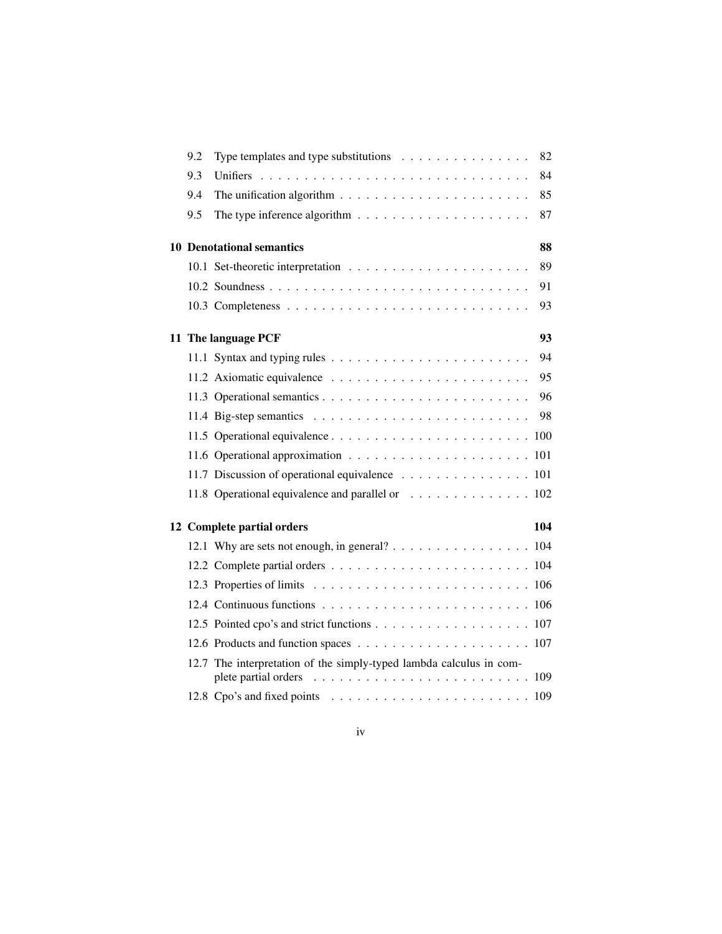| 9.2 | Type templates and type substitutions $\dots \dots \dots \dots \dots$        | 82  |
|-----|------------------------------------------------------------------------------|-----|
| 9.3 | <b>Unifiers</b>                                                              | 84  |
| 9.4 | The unification algorithm $\ldots \ldots \ldots \ldots \ldots \ldots \ldots$ | 85  |
| 9.5 |                                                                              | 87  |
|     | <b>10 Denotational semantics</b>                                             | 88  |
|     |                                                                              | 89  |
|     |                                                                              | 91  |
|     |                                                                              | 93  |
|     |                                                                              |     |
|     | 11 The language PCF                                                          | 93  |
|     |                                                                              | 94  |
|     |                                                                              | 95  |
|     |                                                                              | 96  |
|     |                                                                              | 98  |
|     |                                                                              |     |
|     |                                                                              |     |
|     | 11.7 Discussion of operational equivalence 101                               |     |
|     | 11.8 Operational equivalence and parallel or 102                             |     |
|     | 12 Complete partial orders                                                   | 104 |
|     | 12.1 Why are sets not enough, in general? 104                                |     |
|     |                                                                              |     |
|     |                                                                              |     |
|     |                                                                              |     |
|     |                                                                              |     |
|     |                                                                              |     |
|     |                                                                              |     |
|     | 12.7 The interpretation of the simply-typed lambda calculus in com-          |     |
|     |                                                                              |     |

## iv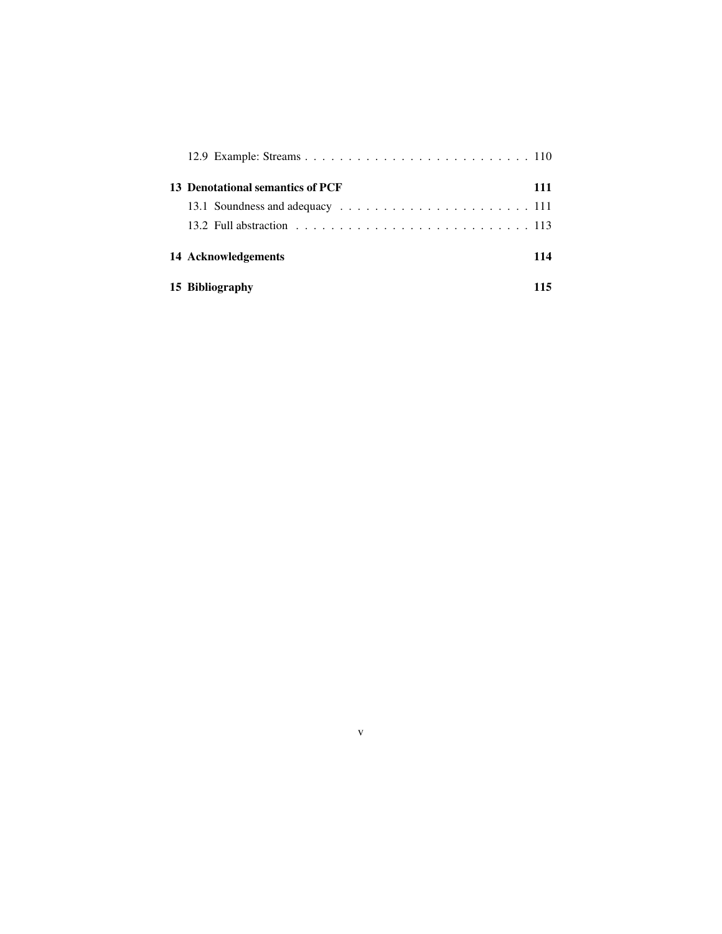| 15 Bibliography                                                                                             | 115 |
|-------------------------------------------------------------------------------------------------------------|-----|
| 14 Acknowledgements                                                                                         | 114 |
|                                                                                                             |     |
| 13.1 Soundness and adequacy $\dots \dots \dots \dots \dots \dots \dots \dots \dots \dots \dots \dots \dots$ |     |
| 13 Denotational semantics of PCF                                                                            | 111 |
|                                                                                                             |     |

v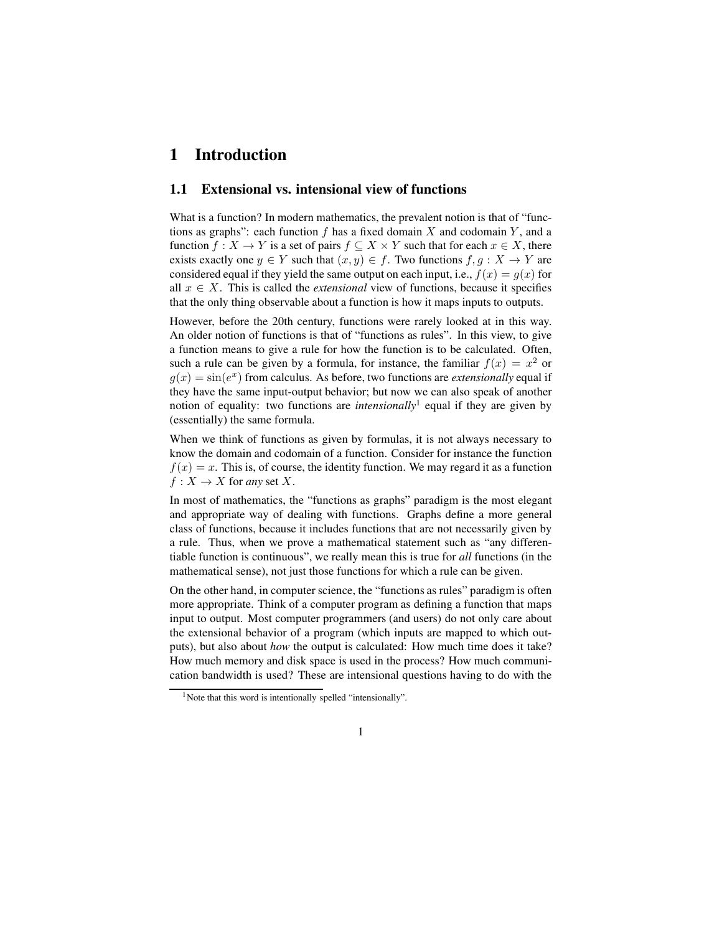## 1 Introduction

### 1.1 Extensional vs. intensional view of functions

What is a function? In modern mathematics, the prevalent notion is that of "functions as graphs": each function  $f$  has a fixed domain  $X$  and codomain  $Y$ , and a function  $f : X \to Y$  is a set of pairs  $f \subseteq X \times Y$  such that for each  $x \in X$ , there exists exactly one  $y \in Y$  such that  $(x, y) \in f$ . Two functions  $f, g: X \to Y$  are considered equal if they yield the same output on each input, i.e.,  $f(x) = q(x)$  for all  $x \in X$ . This is called the *extensional* view of functions, because it specifies that the only thing observable about a function is how it maps inputs to outputs.

However, before the 20th century, functions were rarely looked at in this way. An older notion of functions is that of "functions as rules". In this view, to give a function means to give a rule for how the function is to be calculated. Often, such a rule can be given by a formula, for instance, the familiar  $f(x) = x^2$  or  $g(x) = \sin(e^x)$  from calculus. As before, two functions are *extensionally* equal if they have the same input-output behavior; but now we can also speak of another notion of equality: two functions are *intensionally*<sup>1</sup> equal if they are given by (essentially) the same formula.

When we think of functions as given by formulas, it is not always necessary to know the domain and codomain of a function. Consider for instance the function  $f(x) = x$ . This is, of course, the identity function. We may regard it as a function  $f: X \to X$  for *any* set X.

In most of mathematics, the "functions as graphs" paradigm is the most elegant and appropriate way of dealing with functions. Graphs define a more general class of functions, because it includes functions that are not necessarily given by a rule. Thus, when we prove a mathematical statement such as "any differentiable function is continuous", we really mean this is true for *all* functions (in the mathematical sense), not just those functions for which a rule can be given.

On the other hand, in computer science, the "functions as rules" paradigm is often more appropriate. Think of a computer program as defining a function that maps input to output. Most computer programmers (and users) do not only care about the extensional behavior of a program (which inputs are mapped to which outputs), but also about *how* the output is calculated: How much time does it take? How much memory and disk space is used in the process? How much communication bandwidth is used? These are intensional questions having to do with the

<sup>&</sup>lt;sup>1</sup>Note that this word is intentionally spelled "intensionally".

<sup>1</sup>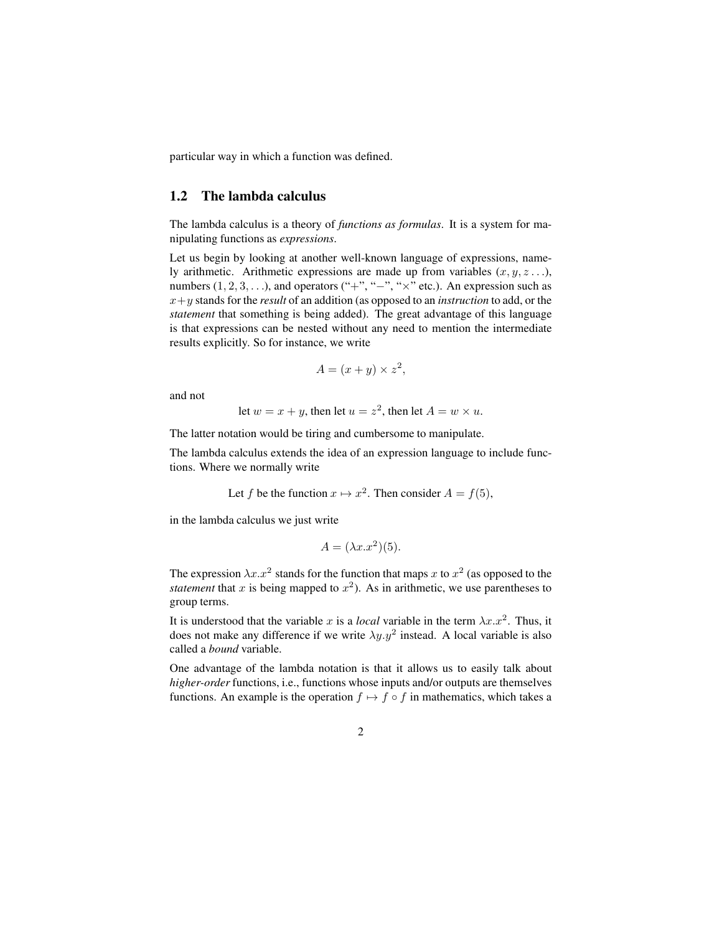particular way in which a function was defined.

### 1.2 The lambda calculus

The lambda calculus is a theory of *functions as formulas*. It is a system for manipulating functions as *expressions*.

Let us begin by looking at another well-known language of expressions, namely arithmetic. Arithmetic expressions are made up from variables  $(x, y, z \ldots)$ , numbers  $(1, 2, 3, \ldots)$ , and operators ("+", "-", " $\times$ " etc.). An expression such as x+y stands for the *result* of an addition (as opposed to an *instruction* to add, or the *statement* that something is being added). The great advantage of this language is that expressions can be nested without any need to mention the intermediate results explicitly. So for instance, we write

$$
A = (x + y) \times z^2,
$$

and not

let 
$$
w = x + y
$$
, then let  $u = z^2$ , then let  $A = w \times u$ .

The latter notation would be tiring and cumbersome to manipulate.

The lambda calculus extends the idea of an expression language to include functions. Where we normally write

Let f be the function 
$$
x \mapsto x^2
$$
. Then consider  $A = f(5)$ ,

in the lambda calculus we just write

$$
A = (\lambda x.x^2)(5).
$$

The expression  $\lambda x . x^2$  stands for the function that maps x to  $x^2$  (as opposed to the *statement* that x is being mapped to  $x^2$ ). As in arithmetic, we use parentheses to group terms.

It is understood that the variable x is a *local* variable in the term  $\lambda x.x^2$ . Thus, it does not make any difference if we write  $\lambda y \cdot y^2$  instead. A local variable is also called a *bound* variable.

One advantage of the lambda notation is that it allows us to easily talk about *higher-order* functions, i.e., functions whose inputs and/or outputs are themselves functions. An example is the operation  $f \mapsto f \circ f$  in mathematics, which takes a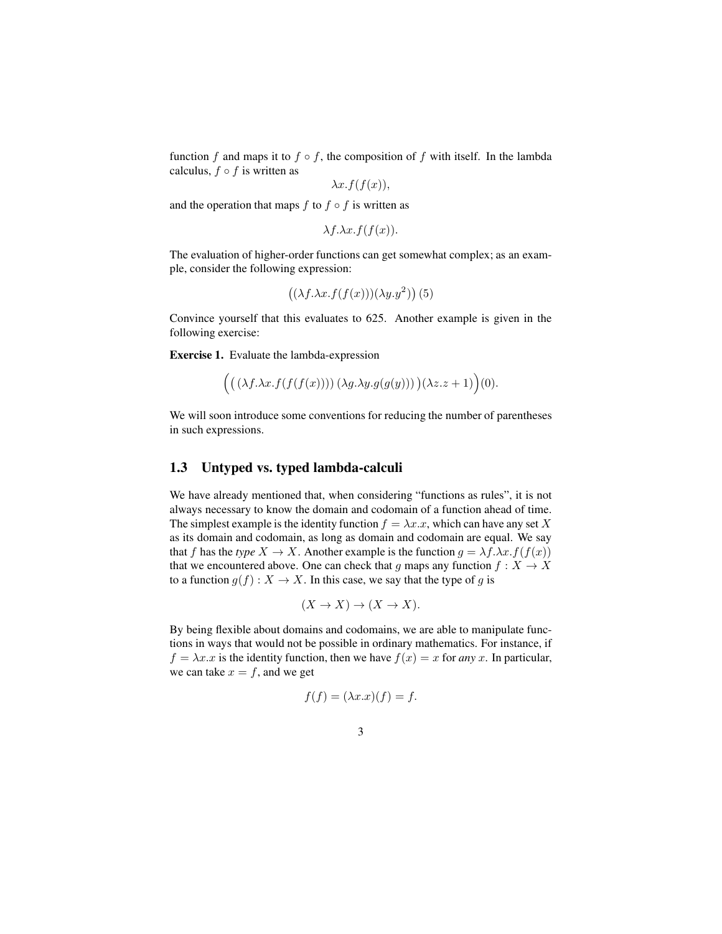function f and maps it to  $f \circ f$ , the composition of f with itself. In the lambda calculus,  $f \circ f$  is written as

$$
\lambda x.f(f(x)),
$$

and the operation that maps  $f$  to  $f \circ f$  is written as

$$
\lambda f. \lambda x. f(f(x)).
$$

The evaluation of higher-order functions can get somewhat complex; as an example, consider the following expression:

$$
((\lambda f. \lambda x. f(f(x)))(\lambda y. y^2)) (5)
$$

Convince yourself that this evaluates to 625. Another example is given in the following exercise:

Exercise 1. Evaluate the lambda-expression

$$
\Big(\big(\left(\lambda f.\lambda x.f(f(f(x)))\right)\left(\lambda g.\lambda y.g(g(y))\right)\big)\big(\lambda z.z + 1\big)\Big)(0).
$$

We will soon introduce some conventions for reducing the number of parentheses in such expressions.

## 1.3 Untyped vs. typed lambda-calculi

We have already mentioned that, when considering "functions as rules", it is not always necessary to know the domain and codomain of a function ahead of time. The simplest example is the identity function  $f = \lambda x.x$ , which can have any set X as its domain and codomain, as long as domain and codomain are equal. We say that f has the *type*  $X \to X$ . Another example is the function  $g = \lambda f \cdot \lambda x \cdot f(f(x))$ that we encountered above. One can check that q maps any function  $f: X \to X$ to a function  $g(f)$ :  $X \to X$ . In this case, we say that the type of g is

$$
(X \to X) \to (X \to X).
$$

By being flexible about domains and codomains, we are able to manipulate functions in ways that would not be possible in ordinary mathematics. For instance, if  $f = \lambda x \cdot x$  is the identity function, then we have  $f(x) = x$  for *any* x. In particular, we can take  $x = f$ , and we get

$$
f(f) = (\lambda x.x)(f) = f.
$$

| i |   | ٦       |   |
|---|---|---------|---|
|   |   |         |   |
|   |   |         | I |
| × | ٠ | I<br>۰. |   |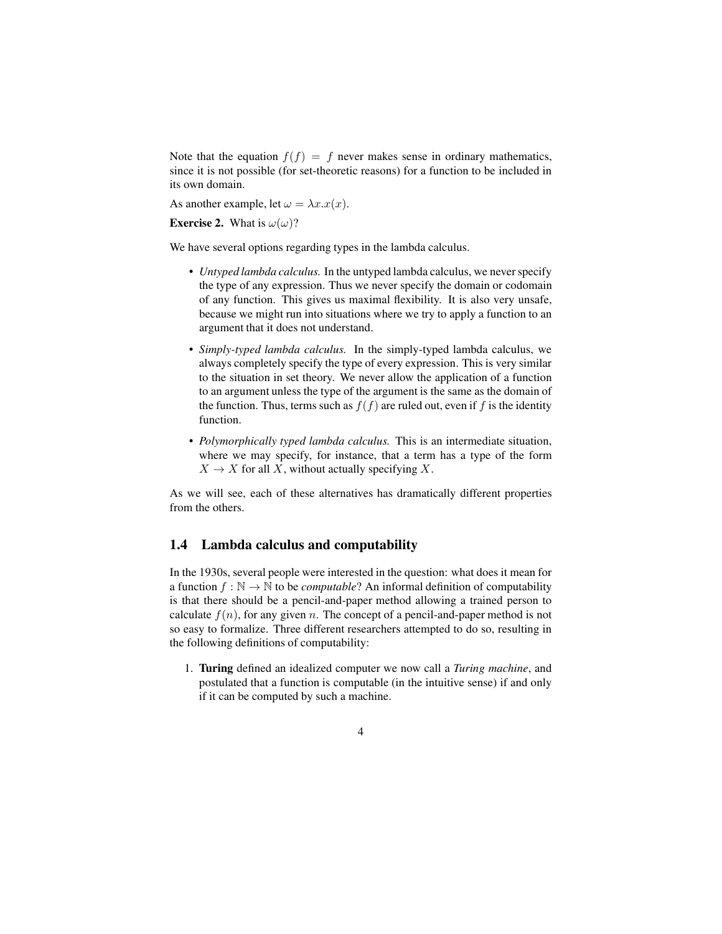Note that the equation  $f(f) = f$  never makes sense in ordinary mathematics, since it is not possible (for set-theoretic reasons) for a function to be included in its own domain.

As another example, let  $\omega = \lambda x.x(x)$ .

**Exercise 2.** What is  $\omega(\omega)$ ?

We have several options regarding types in the lambda calculus.

- *Untyped lambda calculus.* In the untyped lambda calculus, we never specify the type of any expression. Thus we never specify the domain or codomain of any function. This gives us maximal flexibility. It is also very unsafe, because we might run into situations where we try to apply a function to an argument that it does not understand.
- *Simply-typed lambda calculus.* In the simply-typed lambda calculus, we always completely specify the type of every expression. This is very similar to the situation in set theory. We never allow the application of a function to an argument unless the type of the argument is the same as the domain of the function. Thus, terms such as  $f(f)$  are ruled out, even if f is the identity function.
- *Polymorphically typed lambda calculus.* This is an intermediate situation, where we may specify, for instance, that a term has a type of the form  $X \to X$  for all X, without actually specifying X.

As we will see, each of these alternatives has dramatically different properties from the others.

## 1.4 Lambda calculus and computability

In the 1930s, several people were interested in the question: what does it mean for a function  $f : \mathbb{N} \to \mathbb{N}$  to be *computable*? An informal definition of computability is that there should be a pencil-and-paper method allowing a trained person to calculate  $f(n)$ , for any given n. The concept of a pencil-and-paper method is not so easy to formalize. Three different researchers attempted to do so, resulting in the following definitions of computability:

1. Turing defined an idealized computer we now call a *Turing machine*, and postulated that a function is computable (in the intuitive sense) if and only if it can be computed by such a machine.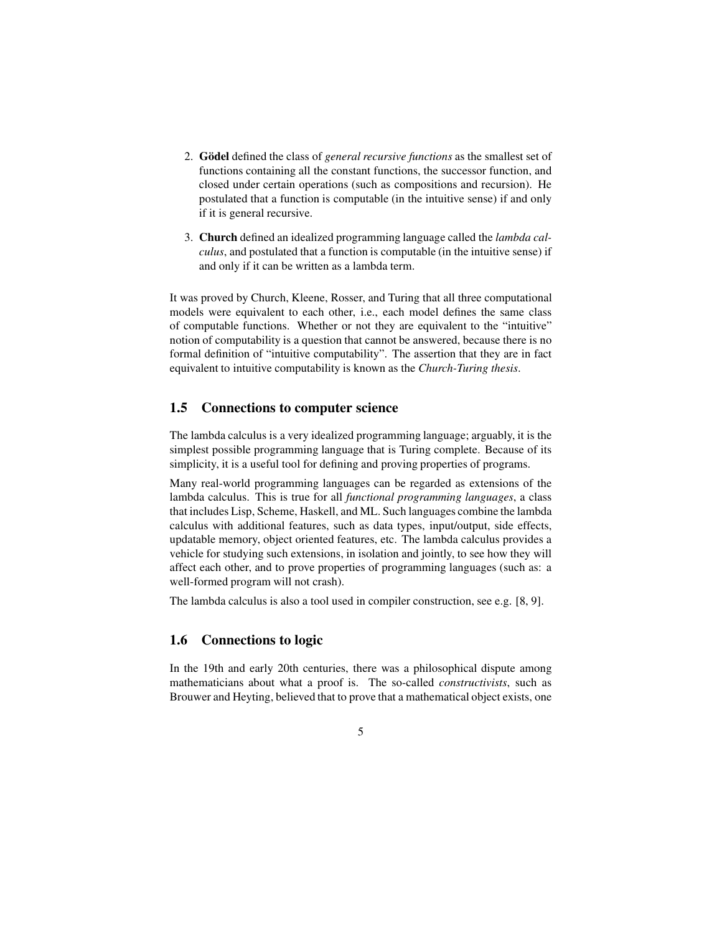- 2. Gödel defined the class of *general recursive functions* as the smallest set of functions containing all the constant functions, the successor function, and closed under certain operations (such as compositions and recursion). He postulated that a function is computable (in the intuitive sense) if and only if it is general recursive.
- 3. Church defined an idealized programming language called the *lambda calculus*, and postulated that a function is computable (in the intuitive sense) if and only if it can be written as a lambda term.

It was proved by Church, Kleene, Rosser, and Turing that all three computational models were equivalent to each other, i.e., each model defines the same class of computable functions. Whether or not they are equivalent to the "intuitive" notion of computability is a question that cannot be answered, because there is no formal definition of "intuitive computability". The assertion that they are in fact equivalent to intuitive computability is known as the *Church-Turing thesis*.

## 1.5 Connections to computer science

The lambda calculus is a very idealized programming language; arguably, it is the simplest possible programming language that is Turing complete. Because of its simplicity, it is a useful tool for defining and proving properties of programs.

Many real-world programming languages can be regarded as extensions of the lambda calculus. This is true for all *functional programming languages*, a class that includes Lisp, Scheme, Haskell, and ML. Such languages combine the lambda calculus with additional features, such as data types, input/output, side effects, updatable memory, object oriented features, etc. The lambda calculus provides a vehicle for studying such extensions, in isolation and jointly, to see how they will affect each other, and to prove properties of programming languages (such as: a well-formed program will not crash).

The lambda calculus is also a tool used in compiler construction, see e.g. [8, 9].

## 1.6 Connections to logic

In the 19th and early 20th centuries, there was a philosophical dispute among mathematicians about what a proof is. The so-called *constructivists*, such as Brouwer and Heyting, believed that to prove that a mathematical object exists, one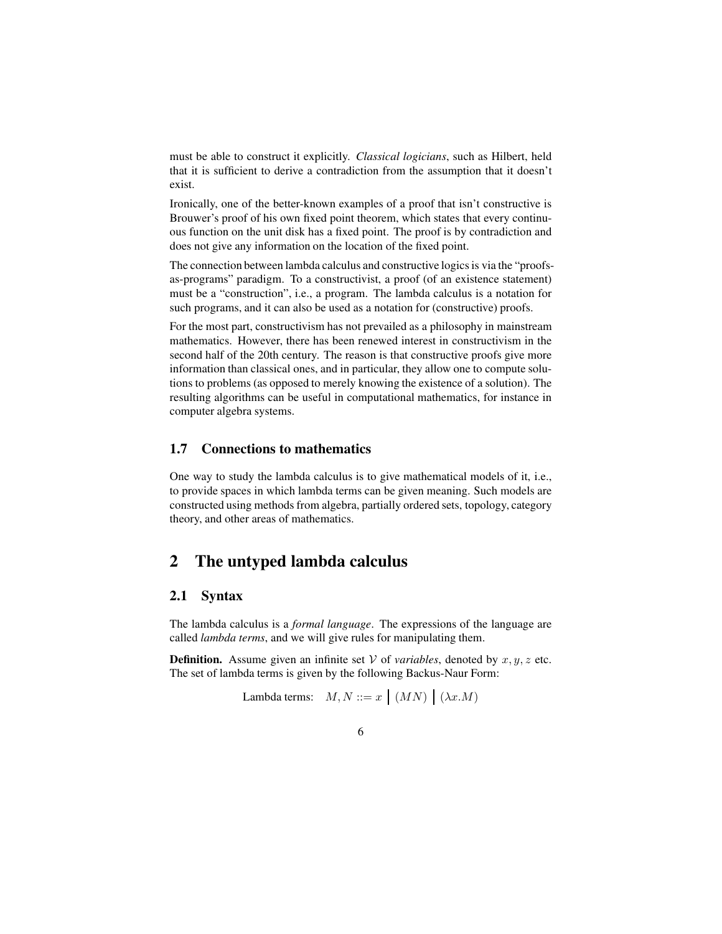must be able to construct it explicitly. *Classical logicians*, such as Hilbert, held that it is sufficient to derive a contradiction from the assumption that it doesn't exist.

Ironically, one of the better-known examples of a proof that isn't constructive is Brouwer's proof of his own fixed point theorem, which states that every continuous function on the unit disk has a fixed point. The proof is by contradiction and does not give any information on the location of the fixed point.

The connection between lambda calculus and constructive logics is via the "proofsas-programs" paradigm. To a constructivist, a proof (of an existence statement) must be a "construction", i.e., a program. The lambda calculus is a notation for such programs, and it can also be used as a notation for (constructive) proofs.

For the most part, constructivism has not prevailed as a philosophy in mainstream mathematics. However, there has been renewed interest in constructivism in the second half of the 20th century. The reason is that constructive proofs give more information than classical ones, and in particular, they allow one to compute solutions to problems (as opposed to merely knowing the existence of a solution). The resulting algorithms can be useful in computational mathematics, for instance in computer algebra systems.

## 1.7 Connections to mathematics

One way to study the lambda calculus is to give mathematical models of it, i.e., to provide spaces in which lambda terms can be given meaning. Such models are constructed using methods from algebra, partially ordered sets, topology, category theory, and other areas of mathematics.

## 2 The untyped lambda calculus

## 2.1 Syntax

The lambda calculus is a *formal language*. The expressions of the language are called *lambda terms*, and we will give rules for manipulating them.

**Definition.** Assume given an infinite set V of *variables*, denoted by  $x, y, z$  etc. The set of lambda terms is given by the following Backus-Naur Form:

Lambda terms:  $M, N ::= x \mid (MN) \mid (\lambda x.M)$ 

6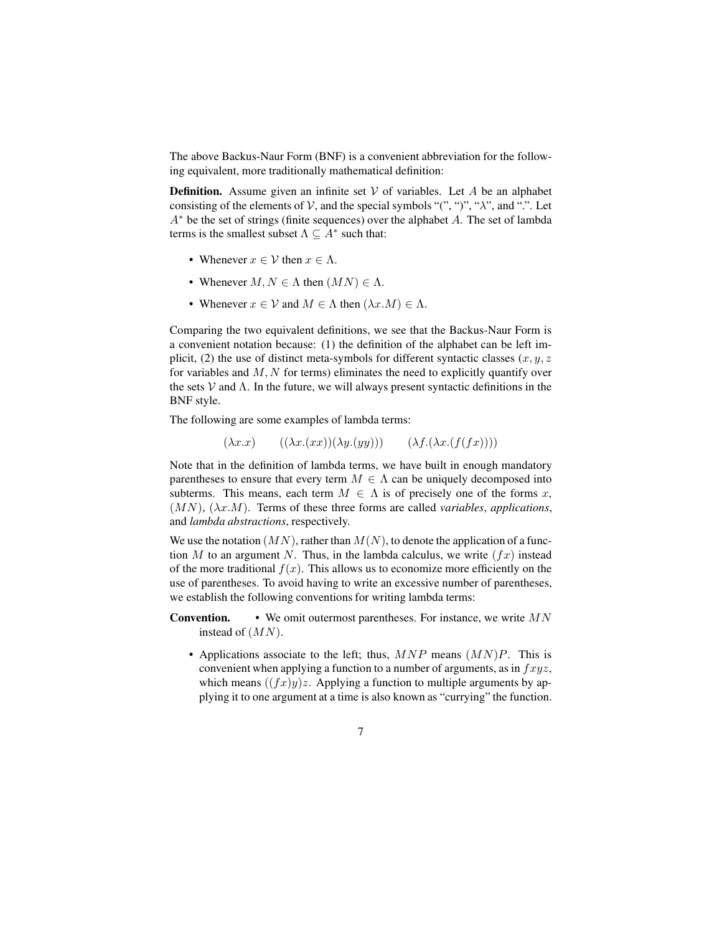The above Backus-Naur Form (BNF) is a convenient abbreviation for the following equivalent, more traditionally mathematical definition:

**Definition.** Assume given an infinite set V of variables. Let A be an alphabet consisting of the elements of  $V$ , and the special symbols " $($ ", " $)$ ", " $\lambda$ ", and ".". Let  $A^*$  be the set of strings (finite sequences) over the alphabet  $A$ . The set of lambda terms is the smallest subset  $\Lambda \subseteq A^*$  such that:

- Whenever  $x \in V$  then  $x \in \Lambda$ .
- Whenever  $M, N \in \Lambda$  then  $(MN) \in \Lambda$ .
- Whenever  $x \in V$  and  $M \in \Lambda$  then  $(\lambda x.M) \in \Lambda$ .

Comparing the two equivalent definitions, we see that the Backus-Naur Form is a convenient notation because: (1) the definition of the alphabet can be left implicit, (2) the use of distinct meta-symbols for different syntactic classes  $(x, y, z)$ for variables and  $M, N$  for terms) eliminates the need to explicitly quantify over the sets  $V$  and  $\Lambda$ . In the future, we will always present syntactic definitions in the BNF style.

The following are some examples of lambda terms:

 $(\lambda x.x)$   $((\lambda x.(xx))(\lambda y.(yy)))$   $(\lambda f.(\lambda x.(f(fx))))$ 

Note that in the definition of lambda terms, we have built in enough mandatory parentheses to ensure that every term  $M \in \Lambda$  can be uniquely decomposed into subterms. This means, each term  $M \in \Lambda$  is of precisely one of the forms x,  $(MN)$ ,  $(\lambda x.M)$ . Terms of these three forms are called *variables*, *applications*, and *lambda abstractions*, respectively.

We use the notation  $(MN)$ , rather than  $M(N)$ , to denote the application of a function M to an argument N. Thus, in the lambda calculus, we write  $(fx)$  instead of the more traditional  $f(x)$ . This allows us to economize more efficiently on the use of parentheses. To avoid having to write an excessive number of parentheses, we establish the following conventions for writing lambda terms:

- **Convention.** We omit outermost parentheses. For instance, we write  $MN$ instead of  $(MN)$ .
	- Applications associate to the left; thus,  $MNP$  means  $(MN)P$ . This is convenient when applying a function to a number of arguments, as in  $fxyz$ , which means  $((fx)y)z$ . Applying a function to multiple arguments by applying it to one argument at a time is also known as "currying" the function.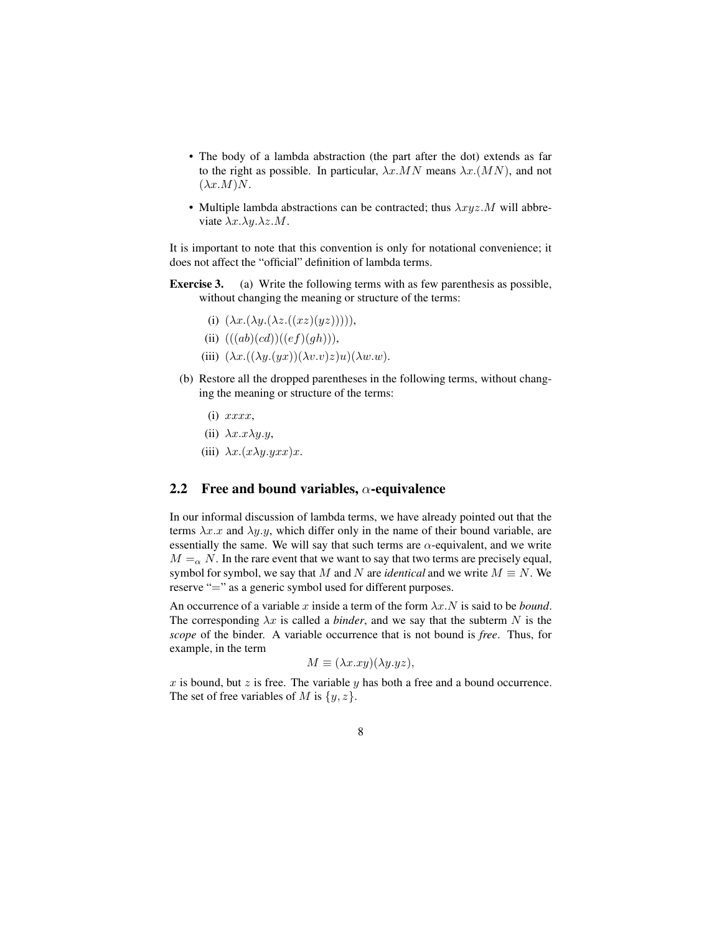- The body of a lambda abstraction (the part after the dot) extends as far to the right as possible. In particular,  $\lambda x. MN$  means  $\lambda x. (MN)$ , and not  $(\lambda x.M)N$ .
- Multiple lambda abstractions can be contracted; thus  $\lambda xyz.M$  will abbreviate  $\lambda x.\lambda y.\lambda z.M$ .

It is important to note that this convention is only for notational convenience; it does not affect the "official" definition of lambda terms.

- Exercise 3. (a) Write the following terms with as few parenthesis as possible, without changing the meaning or structure of the terms:
	- (i)  $(\lambda x.(\lambda y.(\lambda z.((xz)(yz))))),$
	- (ii)  $(((ab)(cd))((ef)(qh))),$
	- (iii)  $(\lambda x.((\lambda y.(yx))(\lambda v.v)z)u)(\lambda w.w).$
	- (b) Restore all the dropped parentheses in the following terms, without changing the meaning or structure of the terms:
		- $(i)$   $xxxx$ ,
		- (ii)  $\lambda x.x\lambda y.y$ ,
		- (iii)  $\lambda x.(x\lambda y.yxx)x$ .

## 2.2 Free and bound variables,  $\alpha$ -equivalence

In our informal discussion of lambda terms, we have already pointed out that the terms  $\lambda x.x$  and  $\lambda y.y$ , which differ only in the name of their bound variable, are essentially the same. We will say that such terms are  $\alpha$ -equivalent, and we write  $M = \alpha N$ . In the rare event that we want to say that two terms are precisely equal, symbol for symbol, we say that M and N are *identical* and we write  $M \equiv N$ . We reserve "=" as a generic symbol used for different purposes.

An occurrence of a variable x inside a term of the form  $\lambda x.N$  is said to be *bound*. The corresponding  $\lambda x$  is called a *binder*, and we say that the subterm N is the *scope* of the binder. A variable occurrence that is not bound is *free*. Thus, for example, in the term

$$
M \equiv (\lambda x. xy)(\lambda y. yz),
$$

 $x$  is bound, but  $z$  is free. The variable  $y$  has both a free and a bound occurrence. The set of free variables of M is  $\{y, z\}$ .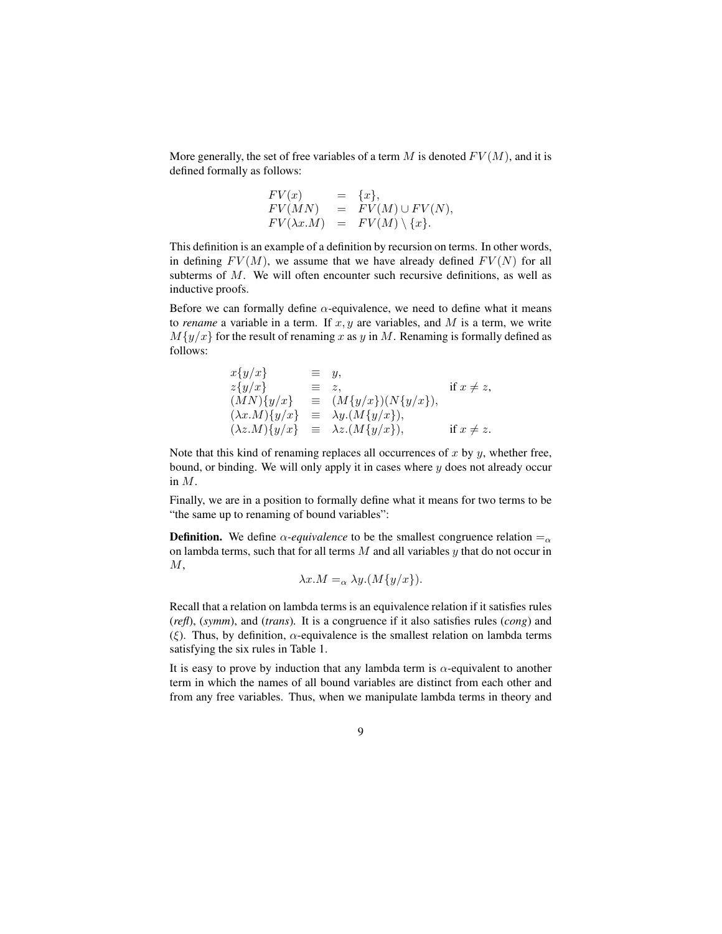More generally, the set of free variables of a term  $M$  is denoted  $FV(M)$ , and it is defined formally as follows:

$$
FV(x) = \{x\},
$$
  
\n
$$
FV(MN) = FV(M) \cup FV(N),
$$
  
\n
$$
FV(\lambda x.M) = FV(M) \setminus \{x\}.
$$

This definition is an example of a definition by recursion on terms. In other words, in defining  $FV(M)$ , we assume that we have already defined  $FV(N)$  for all subterms of  $M$ . We will often encounter such recursive definitions, as well as inductive proofs.

Before we can formally define  $\alpha$ -equivalence, we need to define what it means to *rename* a variable in a term. If  $x, y$  are variables, and  $M$  is a term, we write  $M\{y/x\}$  for the result of renaming x as y in M. Renaming is formally defined as follows:

$$
x\{y/x\} \equiv y,
$$
  
\n
$$
z\{y/x\} \equiv z,
$$
  
\n
$$
(MN)\{y/x\} \equiv (M\{y/x\})(N\{y/x\}),
$$
  
\n
$$
(\lambda x.M)\{y/x\} \equiv \lambda y.(M\{y/x\}),
$$
  
\n
$$
(\lambda z.M)\{y/x\} \equiv \lambda z.(M\{y/x\}),
$$
  
\nif  $x \neq z$ .

Note that this kind of renaming replaces all occurrences of  $x$  by  $y$ , whether free, bound, or binding. We will only apply it in cases where  $y$  does not already occur in M.

Finally, we are in a position to formally define what it means for two terms to be "the same up to renaming of bound variables":

**Definition.** We define  $\alpha$ -equivalence to be the smallest congruence relation =  $\alpha$ on lambda terms, such that for all terms  $M$  and all variables  $y$  that do not occur in  $M$ ,

$$
\lambda x.M =_{\alpha} \lambda y.(M\{y/x\}).
$$

Recall that a relation on lambda terms is an equivalence relation if it satisfies rules (*refl*), (*symm*), and (*trans*). It is a congruence if it also satisfies rules (*cong*) and (ξ). Thus, by definition,  $\alpha$ -equivalence is the smallest relation on lambda terms satisfying the six rules in Table 1.

It is easy to prove by induction that any lambda term is  $\alpha$ -equivalent to another term in which the names of all bound variables are distinct from each other and from any free variables. Thus, when we manipulate lambda terms in theory and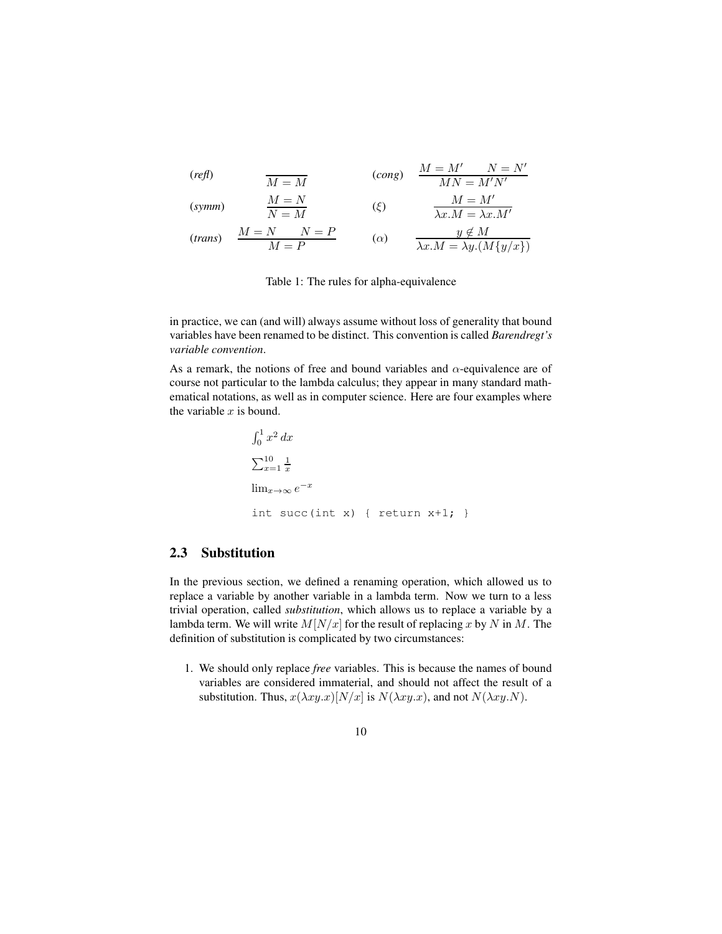(*refl*) <sup>M</sup> <sup>=</sup> <sup>M</sup> (*cong*) M = M′ N = N′ MN = M′N′

$$
(symm) \quad \frac{M=N}{N=M} \quad (\xi) \quad \frac{M=M'}{\lambda x.M = \lambda x.M'}
$$
\n
$$
M = N \quad N = P \quad \text{and} \quad M \neq M
$$

$$
(trans) \quad \frac{M=N \quad N=P}{M=P} \qquad \qquad (\alpha) \qquad \frac{y \notin M}{\lambda x.M = \lambda y.(M\{y/x\})}
$$

Table 1: The rules for alpha-equivalence

in practice, we can (and will) always assume without loss of generality that bound variables have been renamed to be distinct. This convention is called *Barendregt's variable convention*.

As a remark, the notions of free and bound variables and  $\alpha$ -equivalence are of course not particular to the lambda calculus; they appear in many standard mathematical notations, as well as in computer science. Here are four examples where the variable  $x$  is bound.

$$
\int_0^1 x^2 dx
$$
  

$$
\sum_{x=1}^{10} \frac{1}{x}
$$
  

$$
\lim_{x \to \infty} e^{-x}
$$
  
int succ(int x) { return x+1; }

## 2.3 Substitution

In the previous section, we defined a renaming operation, which allowed us to replace a variable by another variable in a lambda term. Now we turn to a less trivial operation, called *substitution*, which allows us to replace a variable by a lambda term. We will write  $M[N/x]$  for the result of replacing x by N in M. The definition of substitution is complicated by two circumstances:

1. We should only replace *free* variables. This is because the names of bound variables are considered immaterial, and should not affect the result of a substitution. Thus,  $x(\lambda xy.x)[N/x]$  is  $N(\lambda xy.x)$ , and not  $N(\lambda xy.N)$ .

10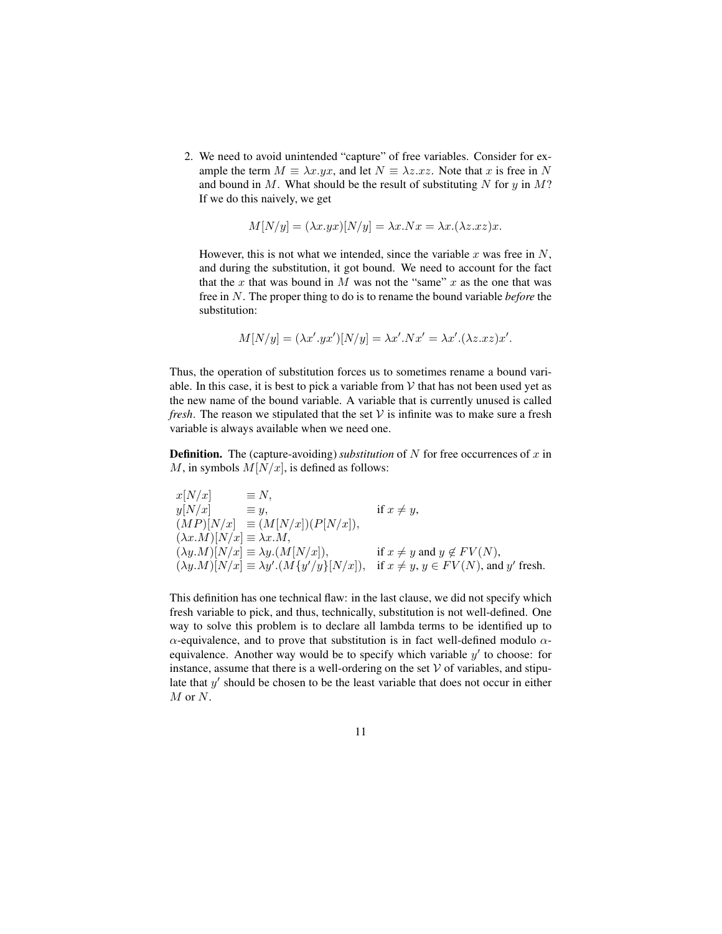2. We need to avoid unintended "capture" of free variables. Consider for example the term  $M \equiv \lambda x.yx$ , and let  $N \equiv \lambda z.xz$ . Note that x is free in N and bound in  $M$ . What should be the result of substituting  $N$  for  $y$  in  $M$ ? If we do this naively, we get

$$
M[N/y] = (\lambda x.yx)[N/y] = \lambda x.Nx = \lambda x.(\lambda z.xz)x.
$$

However, this is not what we intended, since the variable  $x$  was free in  $N$ , and during the substitution, it got bound. We need to account for the fact that the x that was bound in M was not the "same"  $x$  as the one that was free in N. The proper thing to do is to rename the bound variable *before* the substitution:

$$
M[N/y] = (\lambda x'.yx')[N/y] = \lambda x'.Nx' = \lambda x'.(\lambda z.xz)x'.
$$

Thus, the operation of substitution forces us to sometimes rename a bound variable. In this case, it is best to pick a variable from  $V$  that has not been used yet as the new name of the bound variable. A variable that is currently unused is called *fresh*. The reason we stipulated that the set  $V$  is infinite was to make sure a fresh variable is always available when we need one.

**Definition.** The (capture-avoiding) *substitution* of  $N$  for free occurrences of  $x$  in M, in symbols  $M[N/x]$ , is defined as follows:

$$
\begin{array}{ll} x[N/x] & \equiv N, \\ y[N/x] & \equiv y, \\ (MP)[N/x] & \equiv (M[N/x])(P[N/x]), \\ (\lambda x.M)[N/x] & \equiv \lambda x.M, \\ (\lambda y.M)[N/x] & \equiv \lambda y.(M[N/x]), \\ (\lambda y.M)[N/x] & \equiv \lambda y'.(M\{y'/y\}[N/x]), \quad \text{if } x \neq y, y \in FV(N), \text{ and } y' \text{ fresh}. \end{array}
$$

This definition has one technical flaw: in the last clause, we did not specify which fresh variable to pick, and thus, technically, substitution is not well-defined. One way to solve this problem is to declare all lambda terms to be identified up to  $\alpha$ -equivalence, and to prove that substitution is in fact well-defined modulo  $\alpha$ equivalence. Another way would be to specify which variable  $y'$  to choose: for instance, assume that there is a well-ordering on the set  $V$  of variables, and stipulate that  $y'$  should be chosen to be the least variable that does not occur in either  $M$  or  $N$ .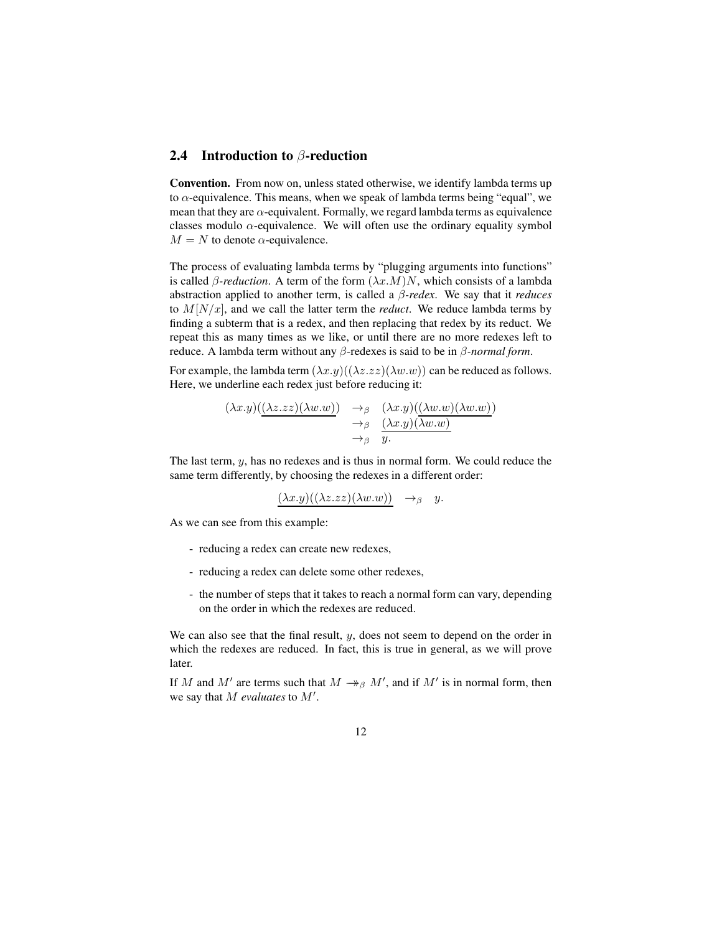## 2.4 Introduction to  $\beta$ -reduction

Convention. From now on, unless stated otherwise, we identify lambda terms up to  $\alpha$ -equivalence. This means, when we speak of lambda terms being "equal", we mean that they are  $\alpha$ -equivalent. Formally, we regard lambda terms as equivalence classes modulo  $\alpha$ -equivalence. We will often use the ordinary equality symbol  $M = N$  to denote  $\alpha$ -equivalence.

The process of evaluating lambda terms by "plugging arguments into functions" is called  $\beta$ -reduction. A term of the form  $(\lambda x.M)N$ , which consists of a lambda abstraction applied to another term, is called a β*-redex*. We say that it *reduces* to  $M[N/x]$ , and we call the latter term the *reduct*. We reduce lambda terms by finding a subterm that is a redex, and then replacing that redex by its reduct. We repeat this as many times as we like, or until there are no more redexes left to reduce. A lambda term without any β-redexes is said to be in β*-normal form*.

For example, the lambda term  $(\lambda x.y)((\lambda z.zz)(\lambda w.w))$  can be reduced as follows. Here, we underline each redex just before reducing it:

$$
(\lambda x.y)((\lambda z.zz)(\lambda w.w)) \rightarrow_{\beta} (\lambda x.y)((\lambda w.w)(\lambda w.w)) \rightarrow_{\beta} (\lambda x.y)(\lambda w.w) \rightarrow_{\beta} y.
$$

The last term, y, has no redexes and is thus in normal form. We could reduce the same term differently, by choosing the redexes in a different order:

 $(\lambda x.y)((\lambda z.zz)(\lambda w.w)) \rightarrow_{\beta} y.$ 

As we can see from this example:

- reducing a redex can create new redexes,
- reducing a redex can delete some other redexes,
- the number of steps that it takes to reach a normal form can vary, depending on the order in which the redexes are reduced.

We can also see that the final result,  $y$ , does not seem to depend on the order in which the redexes are reduced. In fact, this is true in general, as we will prove later.

If M and M' are terms such that  $M \rightarrow_{\beta} M'$ , and if M' is in normal form, then we say that M *evaluates* to M′ .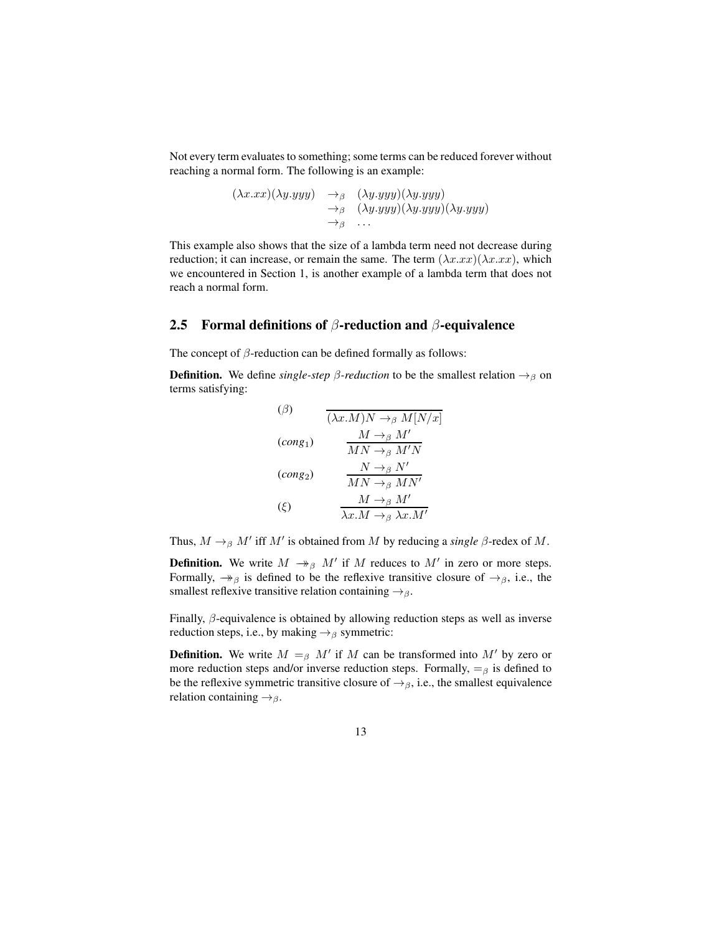Not every term evaluates to something; some terms can be reduced forever without reaching a normal form. The following is an example:

$$
(\lambda x.xx)(\lambda y.yyy) \rightarrow_{\beta} (\lambda y.yyy)(\lambda y.yyy)
$$
  
\n
$$
\rightarrow_{\beta} (\lambda y.yyy)(\lambda y.yyy)(\lambda y.yyy)
$$
  
\n
$$
\rightarrow_{\beta} ...
$$

This example also shows that the size of a lambda term need not decrease during reduction; it can increase, or remain the same. The term  $(\lambda x.xx)(\lambda x.xx)$ , which we encountered in Section 1, is another example of a lambda term that does not reach a normal form.

## 2.5 Formal definitions of  $\beta$ -reduction and  $\beta$ -equivalence

The concept of  $\beta$ -reduction can be defined formally as follows:

**Definition.** We define *single-step*  $\beta$ -reduction to be the smallest relation  $\rightarrow_{\beta}$  on terms satisfying:

$$
\frac{(\beta)}{(\lambda x.M)N \to_{\beta} M[N/x]}\n(cong1) \qquad \frac{M \to_{\beta} M'}{MN \to_{\beta} M'N}\n(cong2) \qquad \frac{N \to_{\beta} N'}{MN \to_{\beta} MN'}\n(\xi) \qquad \frac{M \to_{\beta} M'}{\lambda x.M \to_{\beta} \lambda x.M'}
$$

Thus,  $M \to_{\beta} M'$  iff  $M'$  is obtained from M by reducing a *single*  $\beta$ -redex of M.

**Definition.** We write  $M \rightarrow_{\beta} M'$  if M reduces to M' in zero or more steps. Formally,  $\rightarrow_{\beta}$  is defined to be the reflexive transitive closure of  $\rightarrow_{\beta}$ , i.e., the smallest reflexive transitive relation containing  $\rightarrow$ <sub>β</sub>.

Finally,  $\beta$ -equivalence is obtained by allowing reduction steps as well as inverse reduction steps, i.e., by making  $\rightarrow$ <sub>β</sub> symmetric:

**Definition.** We write  $M =_{\beta} M'$  if M can be transformed into M' by zero or more reduction steps and/or inverse reduction steps. Formally,  $=_\beta$  is defined to be the reflexive symmetric transitive closure of  $\rightarrow$ <sub>β</sub>, i.e., the smallest equivalence relation containing  $\rightarrow$ <sub>β</sub>.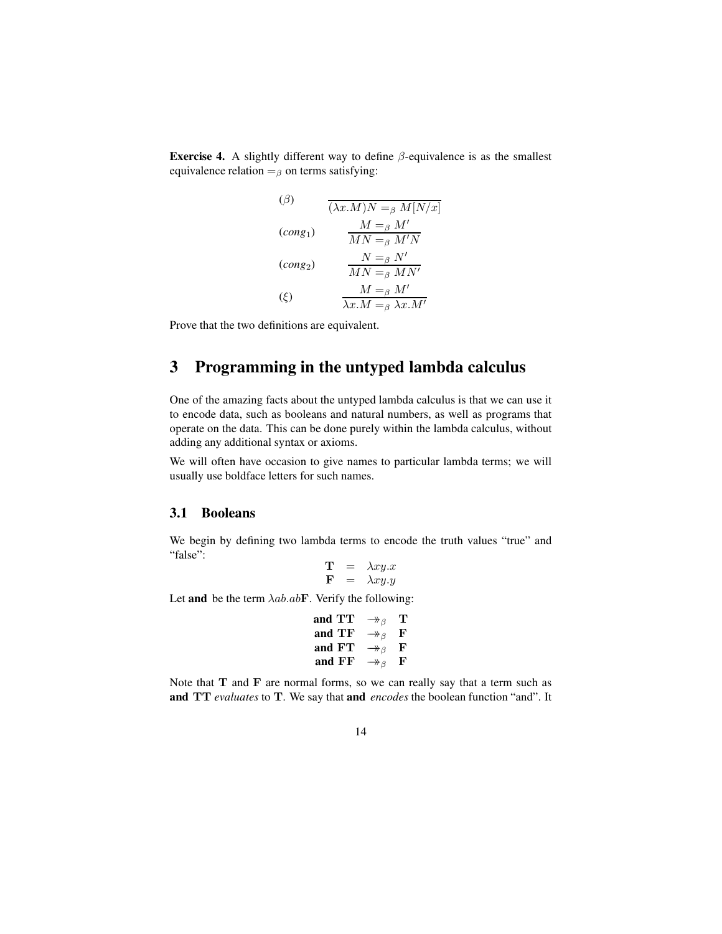**Exercise 4.** A slightly different way to define  $\beta$ -equivalence is as the smallest equivalence relation  $=_\beta$  on terms satisfying:

$$
\frac{(3)}{(\lambda x.M)N} =_{\beta} M[N/x]
$$
  
\n
$$
\frac{M}{MN} =_{\beta} M'
$$
  
\n
$$
\frac{N}{MN} =_{\beta} M'N
$$
  
\n
$$
\frac{N}{MN} =_{\beta} N'
$$
  
\n
$$
\frac{N}{MN} =_{\beta} M''
$$
  
\n
$$
\frac{M}{\lambda x.M} =_{\beta} \lambda x.M'
$$

Prove that the two definitions are equivalent.

## 3 Programming in the untyped lambda calculus

One of the amazing facts about the untyped lambda calculus is that we can use it to encode data, such as booleans and natural numbers, as well as programs that operate on the data. This can be done purely within the lambda calculus, without adding any additional syntax or axioms.

We will often have occasion to give names to particular lambda terms; we will usually use boldface letters for such names.

## 3.1 Booleans

We begin by defining two lambda terms to encode the truth values "true" and "false":

$$
\begin{array}{rcl}\n\mathbf{T} & = & \lambda xy.x \\
\mathbf{F} & = & \lambda xy.y\n\end{array}
$$

Let and be the term  $\lambda ab.ab$ F. Verify the following:

and TT 
$$
\rightarrow_{\beta}
$$
 T  
and TF  $\rightarrow_{\beta}$  F  
and FT  $\rightarrow_{\beta}$  F  
and FF  $\rightarrow_{\beta}$  F

Note that  $T$  and  $F$  are normal forms, so we can really say that a term such as and TT *evaluates* to T. We say that and *encodes* the boolean function "and". It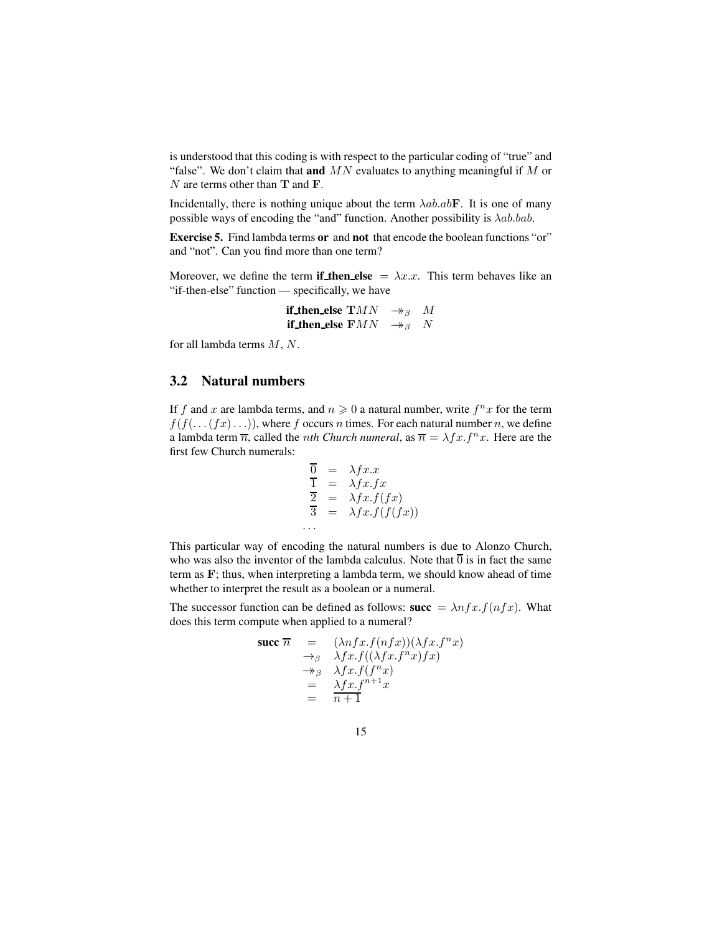is understood that this coding is with respect to the particular coding of "true" and "false". We don't claim that and  $MN$  evaluates to anything meaningful if M or  $N$  are terms other than  $T$  and  $F$ .

Incidentally, there is nothing unique about the term  $\lambda ab.ab$ F. It is one of many possible ways of encoding the "and" function. Another possibility is  $\lambda ab. bab.$ 

Exercise 5. Find lambda terms or and not that encode the boolean functions "or" and "not". Can you find more than one term?

Moreover, we define the term **if then else** =  $\lambda x.x$ . This term behaves like an "if-then-else" function — specifically, we have

| if_then_else $\mathrm{T}MN$ | $\rightarrow$ <sub>B</sub> | М |
|-----------------------------|----------------------------|---|
| if then else $FMN$          | $\rightarrow$ $\beta$      | N |

for all lambda terms M, N.

## 3.2 Natural numbers

If f and x are lambda terms, and  $n \geq 0$  a natural number, write  $f^n x$  for the term  $f(f(\ldots(fx)\ldots))$ , where f occurs n times. For each natural number n, we define a lambda term  $\overline{n}$ , called the *nth Church numeral*, as  $\overline{n} = \lambda f x . f^n x$ . Here are the first few Church numerals:

$$
\begin{array}{rcl}\n\overline{0} & = & \lambda fx.x \\
\overline{1} & = & \lambda fx.fx \\
\overline{2} & = & \lambda fx.f(fx) \\
\overline{3} & = & \lambda fx.f(f(fx))\n\end{array}
$$

This particular way of encoding the natural numbers is due to Alonzo Church, who was also the inventor of the lambda calculus. Note that  $\overline{0}$  is in fact the same term as F; thus, when interpreting a lambda term, we should know ahead of time whether to interpret the result as a boolean or a numeral.

The successor function can be defined as follows:  $succ = \lambda n f x.f(nfx)$ . What does this term compute when applied to a numeral?

$$
\begin{array}{rcl}\n\textbf{succ} \ \overline{n} & = & (\lambda nfx.f(nfx))(\lambda fx.f^nx) \\
\rightarrow & \lambda fx.f((\lambda fx.f^nx)fx) \\
\rightarrow & \lambda fx.f(f^nx) \\
& = & \lambda fx.f^{n+1}x \\
& = & \overline{n+1}\n\end{array}
$$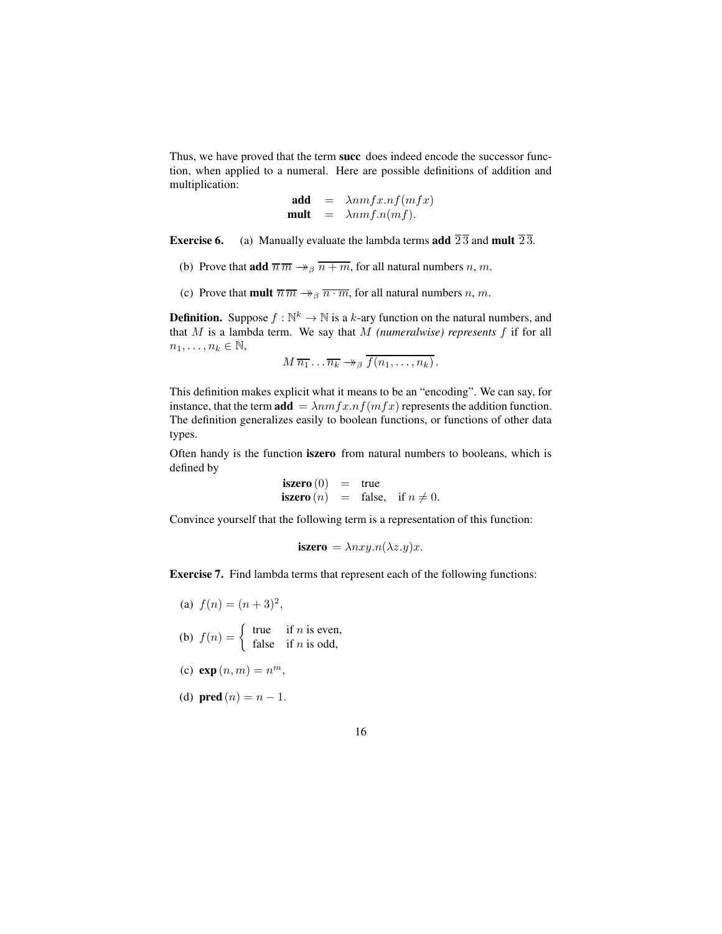Thus, we have proved that the term succ does indeed encode the successor function, when applied to a numeral. Here are possible definitions of addition and multiplication:

> add =  $\lambda nmfx.nf(mfx)$ mult  $= \lambda n m f.n(m f).$

**Exercise 6.** (a) Manually evaluate the lambda terms **add**  $\overline{2}3\overline{3}$  and **mult**  $\overline{2}3\overline{3}$ .

- (b) Prove that **add**  $\overline{n} \overline{m} \rightarrow_{\beta} \overline{n+m}$ , for all natural numbers *n*, *m*.
- (c) Prove that **mult**  $\overline{n} \overline{m} \rightarrow_{\beta} \overline{n \cdot m}$ , for all natural numbers *n*, *m*.

**Definition.** Suppose  $f : \mathbb{N}^k \to \mathbb{N}$  is a k-ary function on the natural numbers, and that  $M$  is a lambda term. We say that  $M$  *(numeralwise) represents*  $f$  if for all  $n_1, \ldots, n_k \in \mathbb{N}$ ,

$$
M\overline{n_1}\dots\overline{n_k}\rightarrow_{\beta}\overline{f(n_1,\dots,n_k)}.
$$

This definition makes explicit what it means to be an "encoding". We can say, for instance, that the term  $\mathbf{add} = \lambda nmfx.nf(mfx)$  represents the addition function. The definition generalizes easily to boolean functions, or functions of other data types.

Often handy is the function iszero from natural numbers to booleans, which is defined by

> **iszero**  $(0)$  = true **iszero**  $(n)$  = false, if  $n \neq 0$ .

Convince yourself that the following term is a representation of this function:

$$
iszero = \lambda nxy.n(\lambda z.y)x.
$$

Exercise 7. Find lambda terms that represent each of the following functions:

- (a)  $f(n) = (n+3)^2$ ,
- (b)  $f(n) = \begin{cases}$  true if n is even, false if  $n$  is odd,
- (c)  $exp(n, m) = n^m$ ,
- (d) **pred**  $(n) = n 1$ .
- 16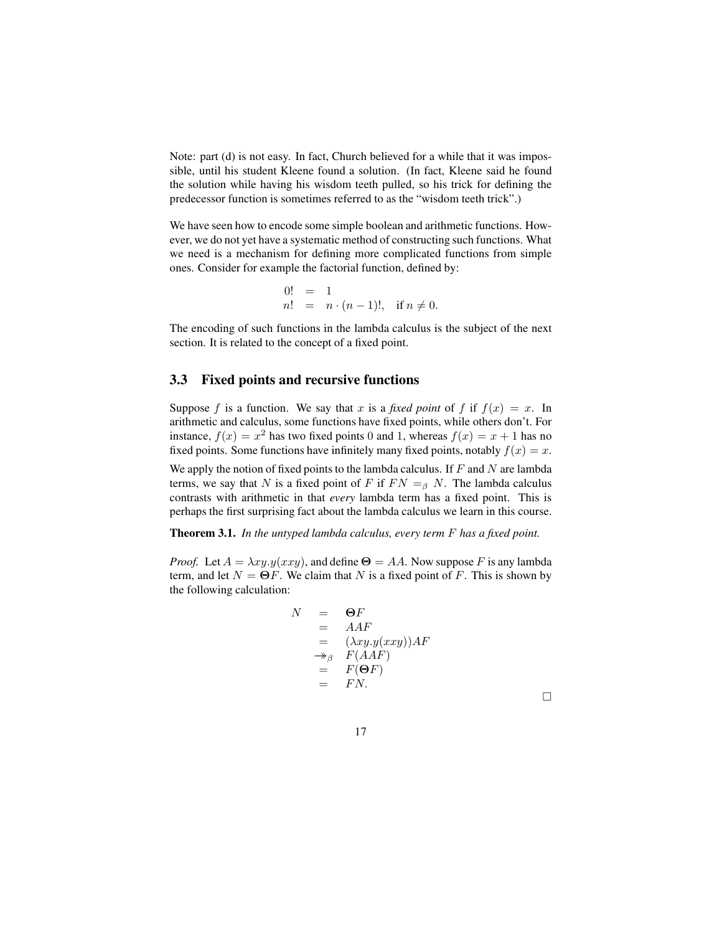Note: part (d) is not easy. In fact, Church believed for a while that it was impossible, until his student Kleene found a solution. (In fact, Kleene said he found the solution while having his wisdom teeth pulled, so his trick for defining the predecessor function is sometimes referred to as the "wisdom teeth trick".)

We have seen how to encode some simple boolean and arithmetic functions. However, we do not yet have a systematic method of constructing such functions. What we need is a mechanism for defining more complicated functions from simple ones. Consider for example the factorial function, defined by:

0! = 1  
n! = 
$$
n \cdot (n-1)!
$$
, if  $n \neq 0$ .

The encoding of such functions in the lambda calculus is the subject of the next section. It is related to the concept of a fixed point.

## 3.3 Fixed points and recursive functions

Suppose f is a function. We say that x is a fixed point of f if  $f(x) = x$ . In arithmetic and calculus, some functions have fixed points, while others don't. For instance,  $f(x) = x^2$  has two fixed points 0 and 1, whereas  $f(x) = x + 1$  has no fixed points. Some functions have infinitely many fixed points, notably  $f(x) = x$ .

We apply the notion of fixed points to the lambda calculus. If  $F$  and  $N$  are lambda terms, we say that N is a fixed point of F if  $FN = g N$ . The lambda calculus contrasts with arithmetic in that *every* lambda term has a fixed point. This is perhaps the first surprising fact about the lambda calculus we learn in this course.

Theorem 3.1. *In the untyped lambda calculus, every term* F *has a fixed point.*

*Proof.* Let  $A = \lambda xy. y(xxy)$ , and define  $\Theta = AA$ . Now suppose F is any lambda term, and let  $N = \Theta F$ . We claim that N is a fixed point of F. This is shown by the following calculation:

$$
N = \Theta F
$$
  
=  $AAF$   
=  $(\lambda xy.y(xxy))AF$   
 $\rightarrow_{\beta} F(AAF)$   
=  $F(\Theta F)$   
=  $FN$ .

 $\Box$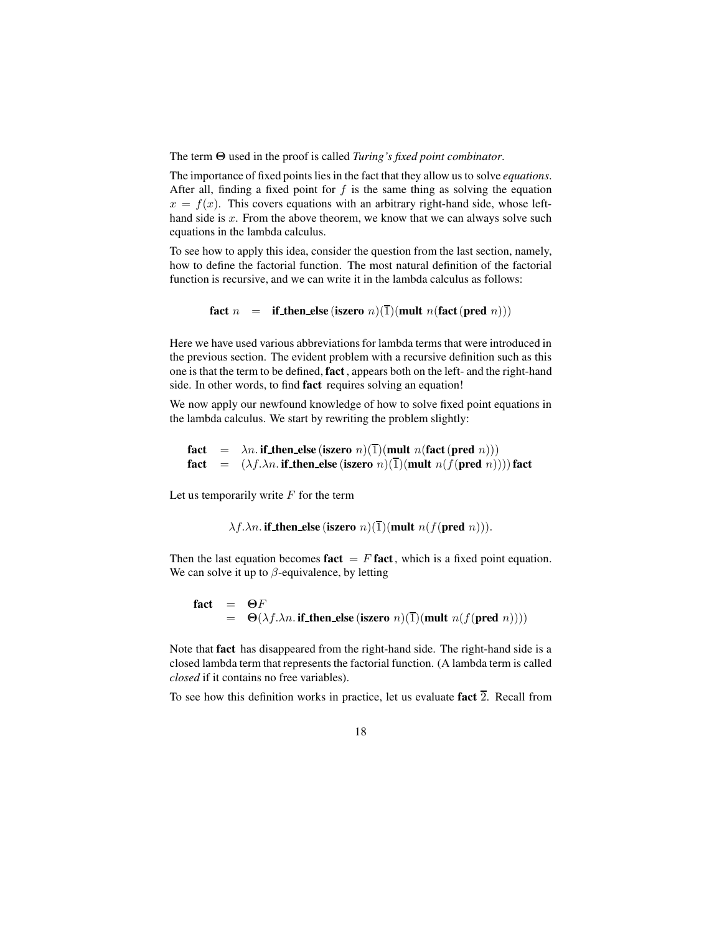The term Θ used in the proof is called *Turing's fixed point combinator*.

The importance of fixed points lies in the fact that they allow us to solve *equations*. After all, finding a fixed point for  $f$  is the same thing as solving the equation  $x = f(x)$ . This covers equations with an arbitrary right-hand side, whose lefthand side is x. From the above theorem, we know that we can always solve such equations in the lambda calculus.

To see how to apply this idea, consider the question from the last section, namely, how to define the factorial function. The most natural definition of the factorial function is recursive, and we can write it in the lambda calculus as follows:

fact  $n =$  if then else (iszero  $n(\overline{1})($  mult  $n$ (fact (pred n)))

Here we have used various abbreviations for lambda terms that were introduced in the previous section. The evident problem with a recursive definition such as this one is that the term to be defined, fact, appears both on the left- and the right-hand side. In other words, to find fact requires solving an equation!

We now apply our newfound knowledge of how to solve fixed point equations in the lambda calculus. We start by rewriting the problem slightly:

fact  $= \lambda n$ . if then else (iszero  $n(\overline{1})($ mult  $n$ (fact(pred n))) fact  $= (\lambda f \cdot \lambda n \cdot \text{if\_then\_else}$  (iszero  $n)(\overline{1})(\text{mult } n(f(\text{pred } n))))$  fact

Let us temporarily write  $F$  for the term

 $\lambda f \cdot \lambda n$ . if then else (iszero n)(1)(mult n(f(pred n))).

Then the last equation becomes **fact**  $=$  **F fact**, which is a fixed point equation. We can solve it up to  $\beta$ -equivalence, by letting

fact =  $\Theta F$  $= \Theta(\lambda f \cdot \lambda n \cdot \text{if } \text{then } \text{else } (\text{iszero } n)(\overline{1})(\text{mult } n(f(\text{pred } n))))$ 

Note that fact has disappeared from the right-hand side. The right-hand side is a closed lambda term that represents the factorial function. (A lambda term is called *closed* if it contains no free variables).

To see how this definition works in practice, let us evaluate fact  $\overline{2}$ . Recall from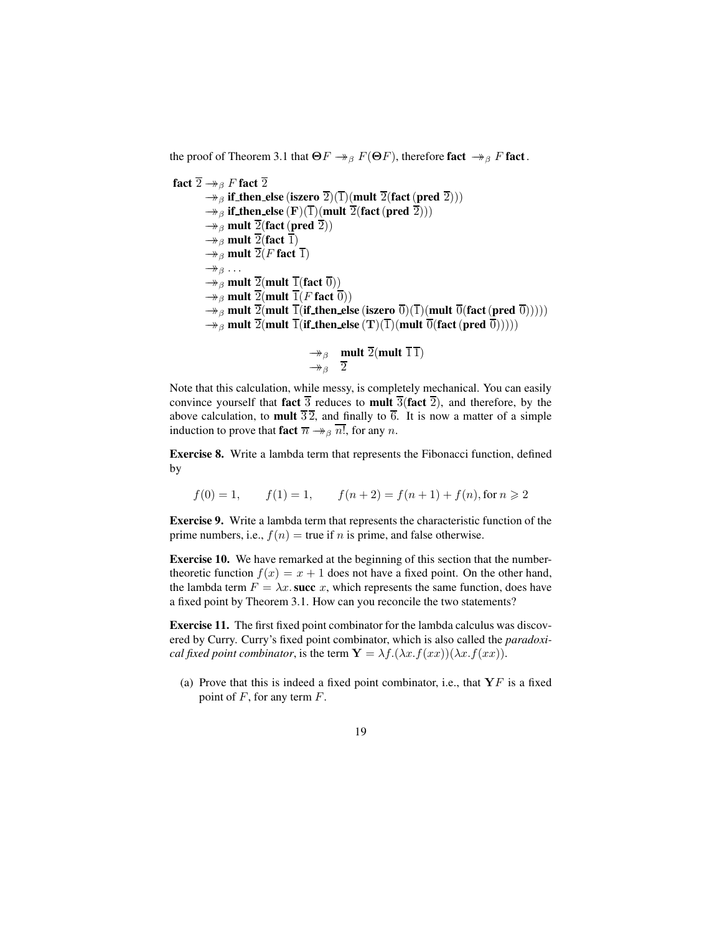the proof of Theorem 3.1 that  $\Theta F \rightarrow_{\beta} F(\Theta F)$ , therefore fact  $\rightarrow_{\beta} F$  fact.

fact  $\overline{2} \rightarrow_{\beta} F$  fact  $\overline{2}$  $\rightarrow$ <sub>β</sub> if then else (iszero  $\overline{2}$ )( $\overline{1}$ )(mult  $\overline{2}$ (fact(pred  $\overline{2}$ )))  $\rightarrow$ <sub>β</sub> if then else (F)(1)(mult 2(fact (pred 2)))  $\rightarrow$ <sub>β</sub> mult 2(fact (pred 2))  $\rightarrow$ <sub>β</sub> mult 2(fact 1)  $\rightarrow$ <sub>β</sub> mult  $\overline{2}(F$  fact  $\overline{1})$  $\rightarrow$ <sub>β</sub> ...  $\rightarrow$ <sub>β</sub> mult  $\overline{2}$ (mult  $\overline{1}$ (fact  $\overline{0}$ ))  $\rightarrow$ <sub>β</sub> mult  $2$ (mult  $1$ (*F* fact  $0$ ))  $\rightarrow$ <sub>β</sub> mult  $\overline{2}$ (mult  $\overline{1}$ (if then else (iszero  $\overline{0}$ )( $\overline{1}$ )(mult  $\overline{0}$ (fact(pred  $\overline{0}$ )))))  $\rightarrow$ <sub>β</sub> mult  $\overline{2}$ (mult  $\overline{1}$ (if\_then\_else (T)( $\overline{1}$ )(mult  $\overline{0}$ (fact (pred  $\overline{0}$ )))))

> $\rightarrow$ <sub>β</sub> mult 2(mult 11)  $\rightarrow$ <sub>β</sub> 2

Note that this calculation, while messy, is completely mechanical. You can easily convince yourself that fact  $\overline{3}$  reduces to **mult**  $\overline{3}$ (fact  $\overline{2}$ ), and therefore, by the above calculation, to **mult**  $\overline{3}\overline{2}$ , and finally to  $\overline{6}$ . It is now a matter of a simple induction to prove that fact  $\overline{n} \rightarrow_{\beta} \overline{n!}$ , for any n.

Exercise 8. Write a lambda term that represents the Fibonacci function, defined by

 $f(0) = 1,$   $f(1) = 1,$   $f(n+2) = f(n+1) + f(n)$ , for  $n \ge 2$ 

Exercise 9. Write a lambda term that represents the characteristic function of the prime numbers, i.e.,  $f(n) =$  true if n is prime, and false otherwise.

Exercise 10. We have remarked at the beginning of this section that the numbertheoretic function  $f(x) = x + 1$  does not have a fixed point. On the other hand, the lambda term  $F = \lambda x$ . succ x, which represents the same function, does have a fixed point by Theorem 3.1. How can you reconcile the two statements?

Exercise 11. The first fixed point combinator for the lambda calculus was discovered by Curry. Curry's fixed point combinator, which is also called the *paradoxical fixed point combinator*, is the term  $\mathbf{Y} = \lambda f.(\lambda x.f(xx))(\lambda x.f(xx)).$ 

(a) Prove that this is indeed a fixed point combinator, i.e., that  $YF$  is a fixed point of  $F$ , for any term  $F$ .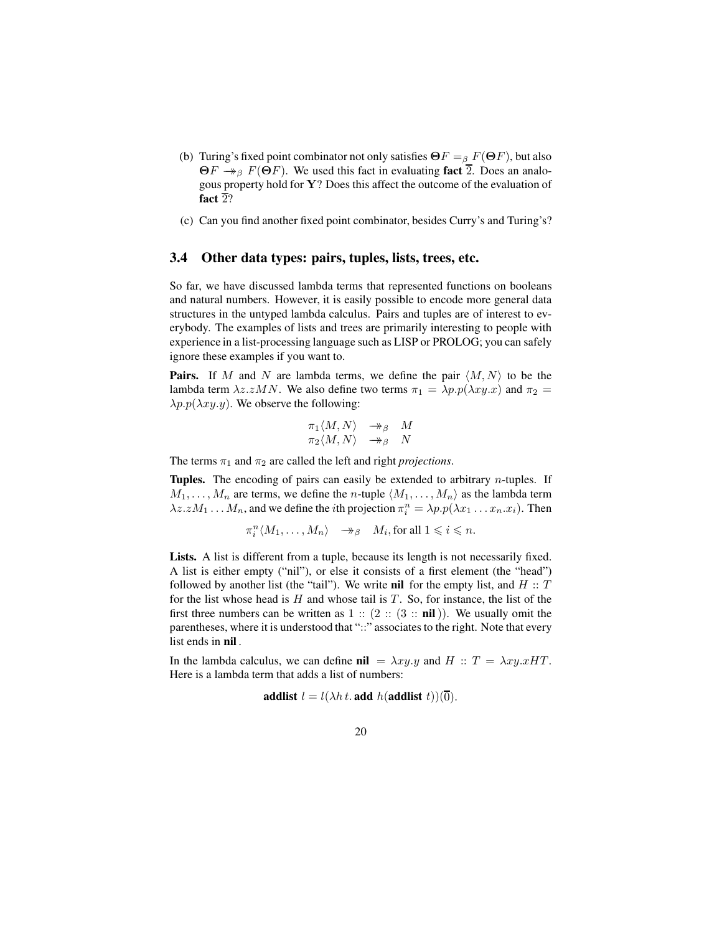- (b) Turing's fixed point combinator not only satisfies  $\Theta F = \beta F(\Theta F)$ , but also  $\Theta F \rightarrow_{\beta} F(\Theta F)$ . We used this fact in evaluating fact  $\overline{2}$ . Does an analogous property hold for  $Y$ ? Does this affect the outcome of the evaluation of fact 2?
- (c) Can you find another fixed point combinator, besides Curry's and Turing's?

## 3.4 Other data types: pairs, tuples, lists, trees, etc.

So far, we have discussed lambda terms that represented functions on booleans and natural numbers. However, it is easily possible to encode more general data structures in the untyped lambda calculus. Pairs and tuples are of interest to everybody. The examples of lists and trees are primarily interesting to people with experience in a list-processing language such as LISP or PROLOG; you can safely ignore these examples if you want to.

**Pairs.** If M and N are lambda terms, we define the pair  $\langle M, N \rangle$  to be the lambda term  $\lambda z. zMN$ . We also define two terms  $\pi_1 = \lambda p. p(\lambda xy.x)$  and  $\pi_2 =$  $\lambda p.p(\lambda xy.y)$ . We observe the following:

$$
\begin{array}{ccc}\n\pi_1 \langle M, N \rangle & \twoheadrightarrow_{\beta} & M \\
\pi_2 \langle M, N \rangle & \twoheadrightarrow_{\beta} & N\n\end{array}
$$

The terms  $\pi_1$  and  $\pi_2$  are called the left and right *projections*.

Tuples. The encoding of pairs can easily be extended to arbitrary  $n$ -tuples. If  $M_1, \ldots, M_n$  are terms, we define the *n*-tuple  $\langle M_1, \ldots, M_n \rangle$  as the lambda term  $\lambda z.zM_1 \ldots M_n$ , and we define the *i*th projection  $\pi_i^n = \lambda p.p(\lambda x_1 \ldots x_n.x_i)$ . Then

$$
\pi_i^n\langle M_1,\ldots,M_n\rangle\quad \twoheadrightarrow_{\beta} \quad M_i, \text{for all $1\leqslant i\leqslant n$.}
$$

Lists. A list is different from a tuple, because its length is not necessarily fixed. A list is either empty ("nil"), or else it consists of a first element (the "head") followed by another list (the "tail"). We write **nil** for the empty list, and  $H :: T$ for the list whose head is  $H$  and whose tail is  $T$ . So, for instance, the list of the first three numbers can be written as  $1$  ::  $(2::(3::\nmid \mathbf{nil}))$ . We usually omit the parentheses, where it is understood that "::" associates to the right. Note that every list ends in nil .

In the lambda calculus, we can define nil =  $\lambda xy.y$  and H ::  $T = \lambda xy.xHT$ . Here is a lambda term that adds a list of numbers:

addlist 
$$
l = l(\lambda h t. \text{ add } h(\text{addlist } t))(\overline{0}).
$$

20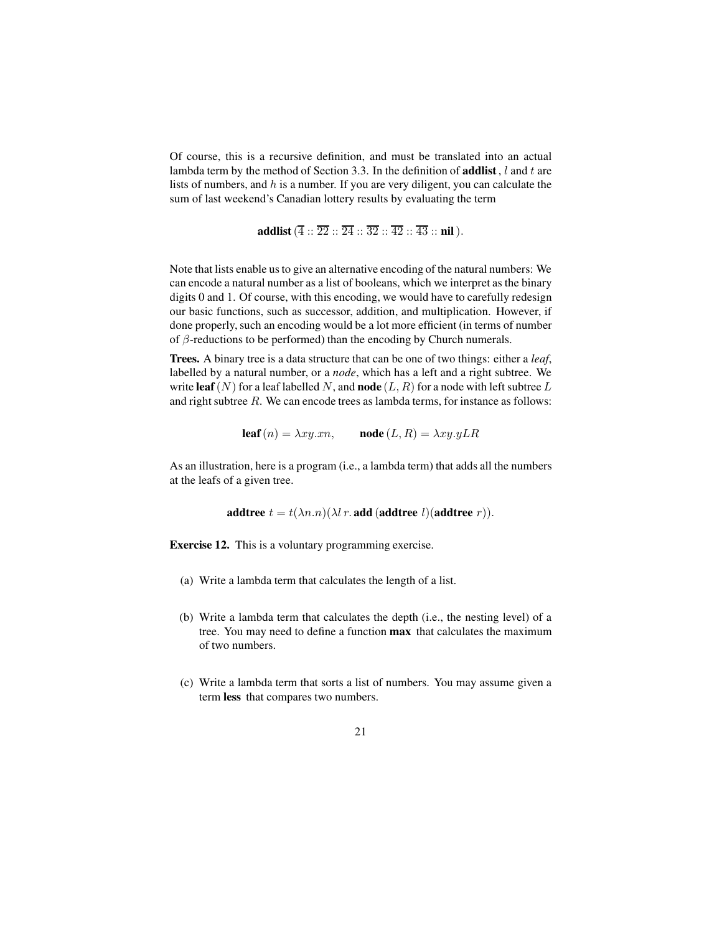Of course, this is a recursive definition, and must be translated into an actual lambda term by the method of Section 3.3. In the definition of **addlist**,  $l$  and  $t$  are lists of numbers, and  $h$  is a number. If you are very diligent, you can calculate the sum of last weekend's Canadian lottery results by evaluating the term

addlist  $(\overline{4} :: \overline{22} :: \overline{24} :: \overline{32} :: \overline{42} :: \overline{43} :: \textbf{nil}).$ 

Note that lists enable us to give an alternative encoding of the natural numbers: We can encode a natural number as a list of booleans, which we interpret as the binary digits 0 and 1. Of course, with this encoding, we would have to carefully redesign our basic functions, such as successor, addition, and multiplication. However, if done properly, such an encoding would be a lot more efficient (in terms of number of  $\beta$ -reductions to be performed) than the encoding by Church numerals.

Trees. A binary tree is a data structure that can be one of two things: either a *leaf*, labelled by a natural number, or a *node*, which has a left and a right subtree. We write leaf (N) for a leaf labelled N, and node (L, R) for a node with left subtree L and right subtree  $R$ . We can encode trees as lambda terms, for instance as follows:

$$
leaf(n) = \lambda xy.xn, \qquad node(L, R) = \lambda xy.yLR
$$

As an illustration, here is a program (i.e., a lambda term) that adds all the numbers at the leafs of a given tree.

addtree 
$$
t = t(\lambda n.n)(\lambda l r)
$$
. add (addtree  $l$ )(addtree  $r$ )).

Exercise 12. This is a voluntary programming exercise.

- (a) Write a lambda term that calculates the length of a list.
- (b) Write a lambda term that calculates the depth (i.e., the nesting level) of a tree. You may need to define a function max that calculates the maximum of two numbers.
- (c) Write a lambda term that sorts a list of numbers. You may assume given a term less that compares two numbers.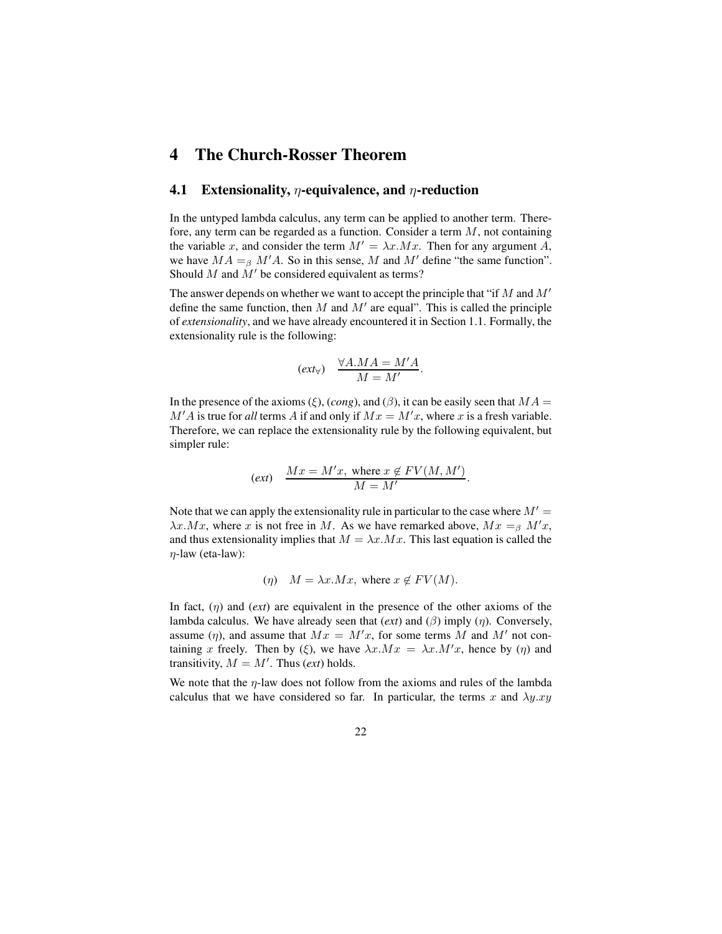## 4 The Church-Rosser Theorem

#### 4.1 Extensionality,  $\eta$ -equivalence, and  $\eta$ -reduction

In the untyped lambda calculus, any term can be applied to another term. Therefore, any term can be regarded as a function. Consider a term M, not containing the variable x, and consider the term  $M' = \lambda x.Mx$ . Then for any argument A, we have  $MA =_{\beta} M'A$ . So in this sense, M and M' define "the same function". Should  $M$  and  $M'$  be considered equivalent as terms?

The answer depends on whether we want to accept the principle that "if M and M' define the same function, then  $M$  and  $M'$  are equal". This is called the principle of *extensionality*, and we have already encountered it in Section 1.1. Formally, the extensionality rule is the following:

$$
(ext_{\forall}) \quad \frac{\forall A.M.A = M'A}{M = M'}.
$$

In the presence of the axioms ( $\xi$ ), (*cong*), and ( $\beta$ ), it can be easily seen that  $MA =$  $M'A$  is true for *all* terms A if and only if  $Mx = M'x$ , where x is a fresh variable. Therefore, we can replace the extensionality rule by the following equivalent, but simpler rule:

$$
(ext) \quad \frac{Mx = M'x, \text{ where } x \notin FV(M, M')}{M = M'}.
$$

Note that we can apply the extensionality rule in particular to the case where  $M' =$  $\lambda x.Mx$ , where x is not free in M. As we have remarked above,  $Mx =_{\beta} M'x$ , and thus extensionality implies that  $M = \lambda x.Mx$ . This last equation is called the  $\eta$ -law (eta-law):

$$
(\eta) \quad M = \lambda x.Mx, \text{ where } x \notin FV(M).
$$

In fact, (η) and (*ext*) are equivalent in the presence of the other axioms of the lambda calculus. We have already seen that  $(ext)$  and  $(\beta)$  imply  $(\eta)$ . Conversely, assume  $(\eta)$ , and assume that  $Mx = M'x$ , for some terms M and M' not containing x freely. Then by (ξ), we have  $\lambda x.Mx = \lambda x.M'x$ , hence by (η) and transitivity,  $M = M'$ . Thus *(ext)* holds.

We note that the  $\eta$ -law does not follow from the axioms and rules of the lambda calculus that we have considered so far. In particular, the terms x and  $\lambda y.xy$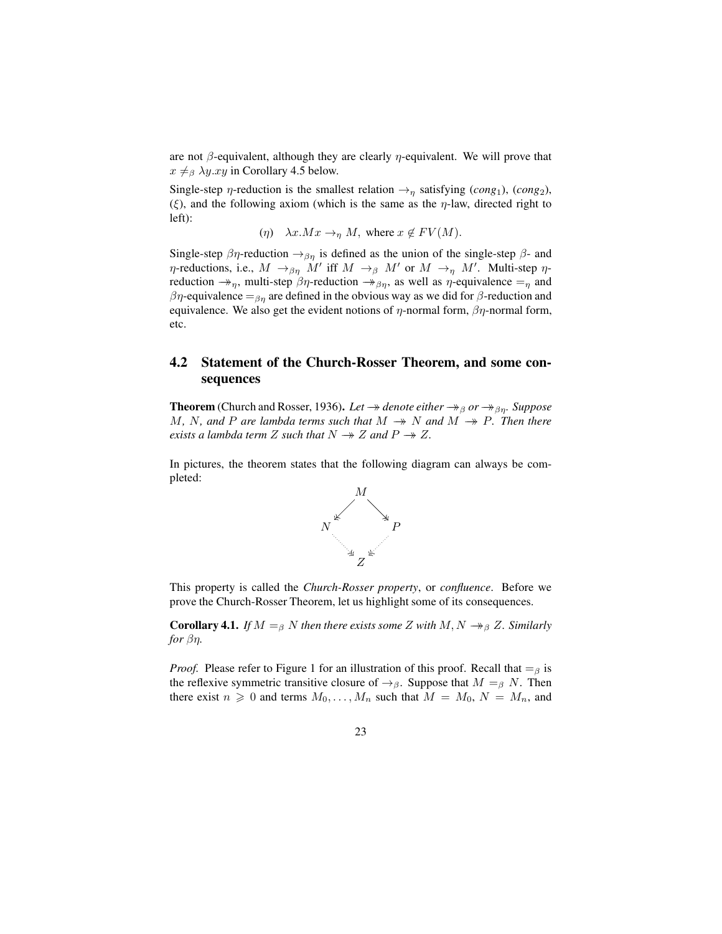are not  $\beta$ -equivalent, although they are clearly  $\eta$ -equivalent. We will prove that  $x \neq_{\beta} \lambda y.xy$  in Corollary 4.5 below.

Single-step  $\eta$ -reduction is the smallest relation  $\rightarrow_{\eta}$  satisfying (*cong*<sub>1</sub>), (*cong*<sub>2</sub>), (ξ), and the following axiom (which is the same as the  $\eta$ -law, directed right to left):

$$
(\eta)
$$
  $\lambda x.Mx \rightarrow_{\eta} M$ , where  $x \notin FV(M)$ .

Single-step  $\beta\eta$ -reduction  $\rightarrow_{\beta\eta}$  is defined as the union of the single-step  $\beta$ - and *η*-reductions, i.e.,  $M \to_{\beta\eta} M'$  iff  $M \to_{\beta} M'$  or  $M \to_{\eta} M'$ . Multi-step *η*reduction  $\rightarrow_{\eta}$ , multi-step  $\beta\eta$ -reduction  $\rightarrow_{\beta\eta}$ , as well as  $\eta$ -equivalence  $=_\eta$  and  $βη$ -equivalence  $=βη$  are defined in the obvious way as we did for  $β$ -reduction and equivalence. We also get the evident notions of  $\eta$ -normal form,  $\beta\eta$ -normal form, etc.

## 4.2 Statement of the Church-Rosser Theorem, and some consequences

Theorem (Church and Rosser, 1936). *Let* →→ *denote either* →→<sup>β</sup> *or* →→βη*. Suppose* M, N, and P are lambda terms such that  $M \rightarrow N$  and  $M \rightarrow P$ . Then there *exists a lambda term* Z *such that*  $N \rightarrow Z$  *and*  $P \rightarrow Z$ *.* 

In pictures, the theorem states that the following diagram can always be completed:



This property is called the *Church-Rosser property*, or *confluence*. Before we prove the Church-Rosser Theorem, let us highlight some of its consequences.

**Corollary 4.1.** *If*  $M =_{\beta} N$  *then there exists some* Z *with*  $M, N \rightarrow_{\beta} Z$ *. Similarly for* βη*.*

*Proof.* Please refer to Figure 1 for an illustration of this proof. Recall that  $=_\beta$  is the reflexive symmetric transitive closure of  $\rightarrow_{\beta}$ . Suppose that  $M =_{\beta} N$ . Then there exist  $n \geq 0$  and terms  $M_0, \ldots, M_n$  such that  $M = M_0, N = M_n$ , and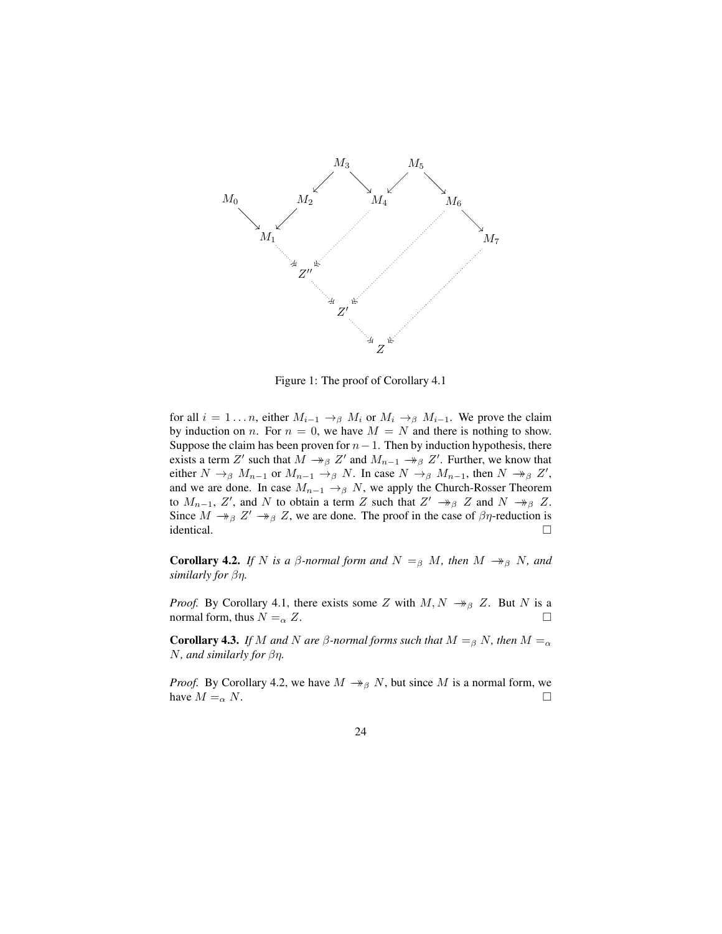

Figure 1: The proof of Corollary 4.1

for all  $i = 1 \dots n$ , either  $M_{i-1} \rightarrow \beta M_i$  or  $M_i \rightarrow \beta M_{i-1}$ . We prove the claim by induction on n. For  $n = 0$ , we have  $M = N$  and there is nothing to show. Suppose the claim has been proven for  $n-1$ . Then by induction hypothesis, there exists a term Z' such that  $M \to_{\beta} Z'$  and  $M_{n-1} \to_{\beta} Z'$ . Further, we know that either  $N \to_{\beta} M_{n-1}$  or  $M_{n-1} \to_{\beta} N$ . In case  $N \to_{\beta} M_{n-1}$ , then  $N \to_{\beta} Z'$ , and we are done. In case  $M_{n-1} \rightarrow \beta N$ , we apply the Church-Rosser Theorem to  $M_{n-1}$ , Z', and N to obtain a term Z such that  $Z' \to_{\beta} Z$  and  $N \to_{\beta} Z$ . Since  $M \to_{\beta} Z' \to_{\beta} Z$ , we are done. The proof in the case of  $\beta \eta$ -reduction is identical.

**Corollary 4.2.** *If* N *is a*  $\beta$ *-normal form and*  $N =_{\beta} M$ *, then*  $M \rightarrow_{\beta} N$ *, and similarly for* βη*.*

*Proof.* By Corollary 4.1, there exists some Z with  $M, N \rightarrow_{\beta} Z$ . But N is a normal form, thus  $N =_{\alpha} Z$ .

**Corollary 4.3.** *If* M and N are  $\beta$ -normal forms such that  $M =_{\beta} N$ , then  $M =_{\alpha} N$ N*, and similarly for* βη*.*

*Proof.* By Corollary 4.2, we have  $M \rightarrow_{\beta} N$ , but since M is a normal form, we have  $M = \alpha N$ .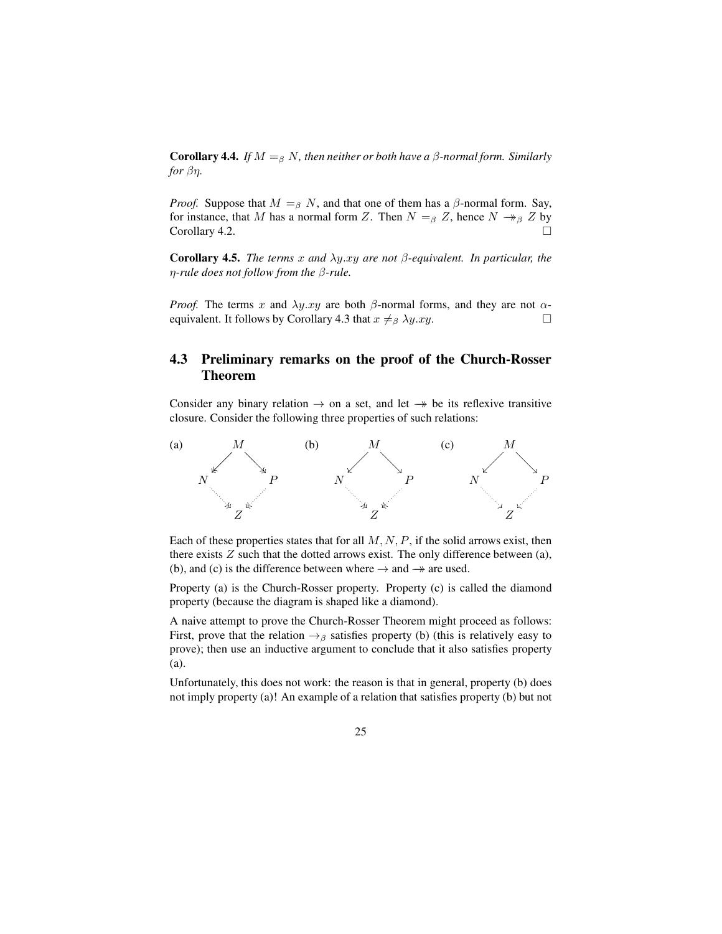**Corollary 4.4.** *If*  $M =_B N$ , then neither or both have a  $\beta$ -normal form. Similarly *for* βη*.*

*Proof.* Suppose that  $M =_{\beta} N$ , and that one of them has a  $\beta$ -normal form. Say, for instance, that M has a normal form Z. Then  $N =_{\beta} Z$ , hence  $N \rightarrow_{\beta} Z$  by Corollary 4.2. □

Corollary 4.5. *The terms* x *and* λy.xy *are not* β*-equivalent. In particular, the* η*-rule does not follow from the* β*-rule.*

*Proof.* The terms x and  $\lambda y . xy$  are both  $\beta$ -normal forms, and they are not  $\alpha$ equivalent. It follows by Corollary 4.3 that  $x \neq_{\beta} \lambda y.xy$ .

## 4.3 Preliminary remarks on the proof of the Church-Rosser Theorem

Consider any binary relation  $\rightarrow$  on a set, and let  $\rightarrow$  be its reflexive transitive closure. Consider the following three properties of such relations:



Each of these properties states that for all  $M, N, P$ , if the solid arrows exist, then there exists  $Z$  such that the dotted arrows exist. The only difference between (a), (b), and (c) is the difference between where  $\rightarrow$  and  $\rightarrow \rightarrow$  are used.

Property (a) is the Church-Rosser property. Property (c) is called the diamond property (because the diagram is shaped like a diamond).

A naive attempt to prove the Church-Rosser Theorem might proceed as follows: First, prove that the relation  $\rightarrow$ <sub>β</sub> satisfies property (b) (this is relatively easy to prove); then use an inductive argument to conclude that it also satisfies property (a).

Unfortunately, this does not work: the reason is that in general, property (b) does not imply property (a)! An example of a relation that satisfies property (b) but not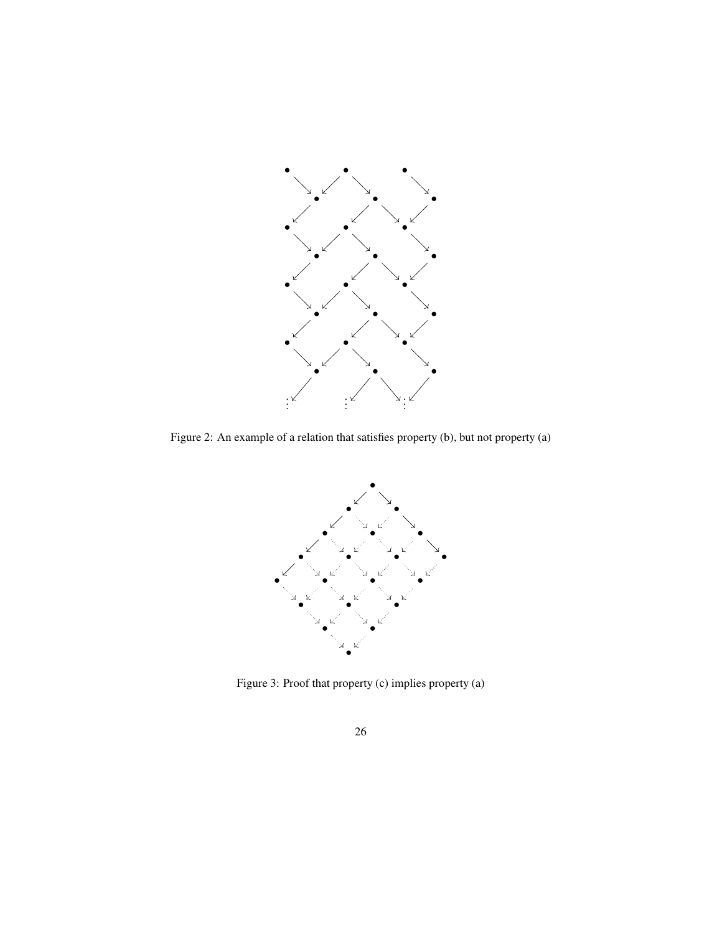

Figure 2: An example of a relation that satisfies property (b), but not property (a)



Figure 3: Proof that property (c) implies property (a)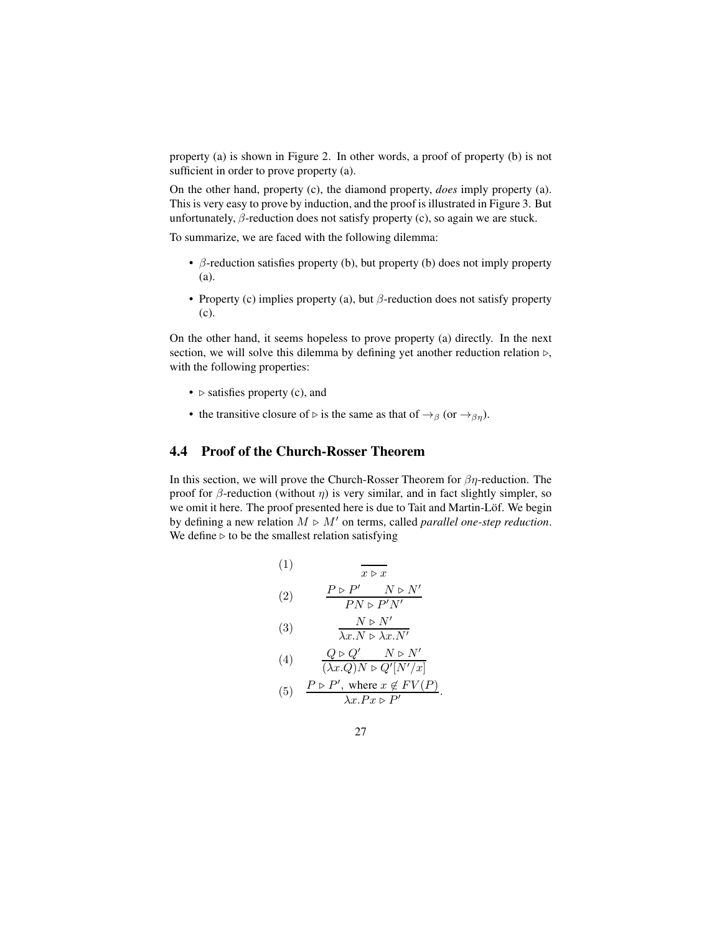property (a) is shown in Figure 2. In other words, a proof of property (b) is not sufficient in order to prove property (a).

On the other hand, property (c), the diamond property, *does* imply property (a). This is very easy to prove by induction, and the proof is illustrated in Figure 3. But unfortunately,  $\beta$ -reduction does not satisfy property (c), so again we are stuck.

To summarize, we are faced with the following dilemma:

- $\beta$ -reduction satisfies property (b), but property (b) does not imply property (a).
- Property (c) implies property (a), but  $\beta$ -reduction does not satisfy property (c).

On the other hand, it seems hopeless to prove property (a) directly. In the next section, we will solve this dilemma by defining yet another reduction relation ⊳, with the following properties:

- $\triangleright$  satisfies property (c), and
- the transitive closure of  $\triangleright$  is the same as that of  $\rightarrow_{\beta}$  (or  $\rightarrow_{\beta\eta}$ ).

## 4.4 Proof of the Church-Rosser Theorem

In this section, we will prove the Church-Rosser Theorem for  $\beta\eta$ -reduction. The proof for  $\beta$ -reduction (without  $\eta$ ) is very similar, and in fact slightly simpler, so we omit it here. The proof presented here is due to Tait and Martin-Löf. We begin by defining a new relation  $M \triangleright M'$  on terms, called *parallel one-step reduction*. We define  $\triangleright$  to be the smallest relation satisfying

(1)  
\n
$$
\frac{P \triangleright P'}{x \triangleright x}
$$
\n(2)  
\n
$$
\frac{P \triangleright P' \quad N \triangleright N'}{PN \triangleright P'N'}
$$
\n(3)  
\n
$$
\frac{N \triangleright N'}{N \cdot N' \cdot N'}
$$

(4) 
$$
\lambda x.N \triangleright \lambda x.N'
$$
  

$$
(4) \qquad \frac{Q \triangleright Q' \qquad N \triangleright N'}{(\lambda x.Q)N \triangleright Q'[N'/x]}
$$

(5) 
$$
\frac{P \triangleright P', \text{ where } x \notin FV(P)}{\lambda x.Px \triangleright P'}.
$$

27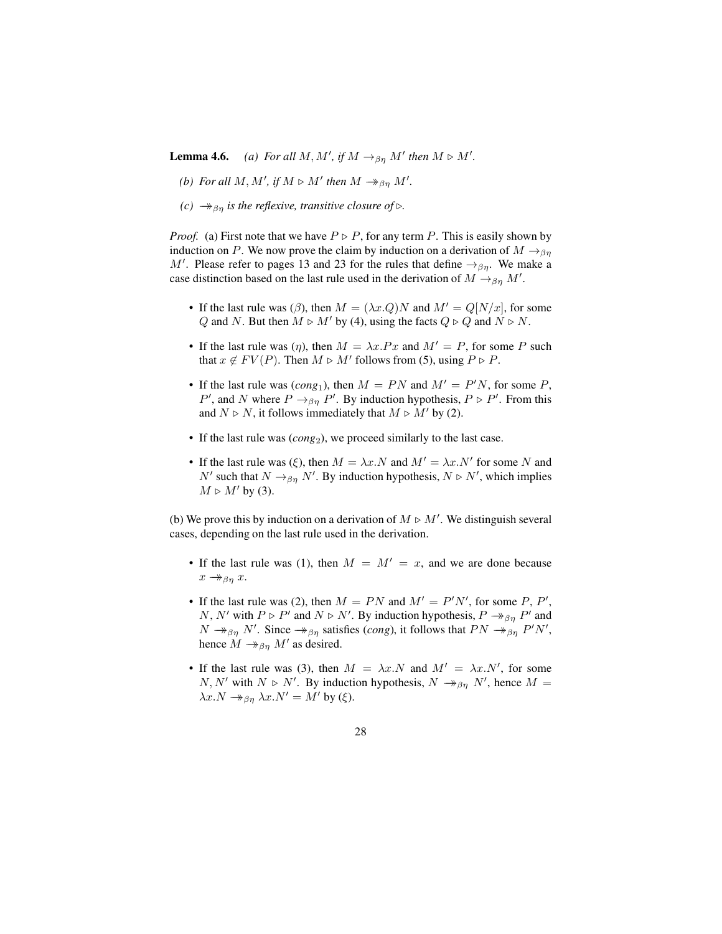**Lemma 4.6.** *(a)* For all M, M', if  $M \rightarrow_{\beta\eta} M'$  then  $M \triangleright M'$ .

- *(b)* For all  $M, M'$ , if  $M \triangleright M'$  then  $M \rightarrow_{\beta\eta} M'$ .
- *(c)*  $\rightarrow$   $\beta_{\eta}$  *is the reflexive, transitive closure of*  $\triangleright$ *.*

*Proof.* (a) First note that we have  $P \triangleright P$ , for any term P. This is easily shown by induction on P. We now prove the claim by induction on a derivation of  $M \rightarrow_{\beta\eta}$ M'. Please refer to pages 13 and 23 for the rules that define  $\rightarrow_{\beta\eta}$ . We make a case distinction based on the last rule used in the derivation of  $M \to_{\beta\eta} M'$ .

- If the last rule was ( $\beta$ ), then  $M = (\lambda x . Q)N$  and  $M' = Q[N/x]$ , for some Q and N. But then  $M \triangleright M'$  by (4), using the facts  $Q \triangleright Q$  and  $N \triangleright N$ .
- If the last rule was  $(\eta)$ , then  $M = \lambda x.Px$  and  $M' = P$ , for some P such that  $x \notin FV(P)$ . Then  $M \triangleright M'$  follows from (5), using  $P \triangleright P$ .
- If the last rule was  $(cong_1)$ , then  $M = PN$  and  $M' = P'N$ , for some P, P', and N where  $P \rightarrow_{\beta\eta} P'$ . By induction hypothesis,  $P \triangleright P'$ . From this and  $N \triangleright N$ , it follows immediately that  $M \triangleright M'$  by (2).
- If the last rule was (*cong*<sub>2</sub>), we proceed similarly to the last case.
- If the last rule was ( $\xi$ ), then  $M = \lambda x.N$  and  $M' = \lambda x.N'$  for some N and N' such that  $N \to_{\beta\eta} N'$ . By induction hypothesis,  $N \triangleright N'$ , which implies  $M \triangleright M'$  by (3).

(b) We prove this by induction on a derivation of  $M \triangleright M'$ . We distinguish several cases, depending on the last rule used in the derivation.

- If the last rule was (1), then  $M = M' = x$ , and we are done because  $x \rightarrow_{\beta\eta} x$ .
- If the last rule was (2), then  $M = PN$  and  $M' = P'N'$ , for some P, P', N, N' with  $P \triangleright P'$  and  $N \triangleright N'$ . By induction hypothesis,  $P \rightarrow_{\beta\eta} P'$  and  $N \rightarrow_{\beta\eta} N'$ . Since  $\rightarrow_{\beta\eta}$  satisfies (*cong*), it follows that  $PN \rightarrow_{\beta\eta} P'N'$ , hence  $M \rightarrow_{\beta\eta} M'$  as desired.
- If the last rule was (3), then  $M = \lambda x.N$  and  $M' = \lambda x.N'$ , for some N, N' with  $N \triangleright N'$ . By induction hypothesis,  $N \rightarrow_{\beta\eta} N'$ , hence  $M =$  $\lambda x.N \rightarrow_{\beta\eta} \lambda x.N' = M'$  by (ξ).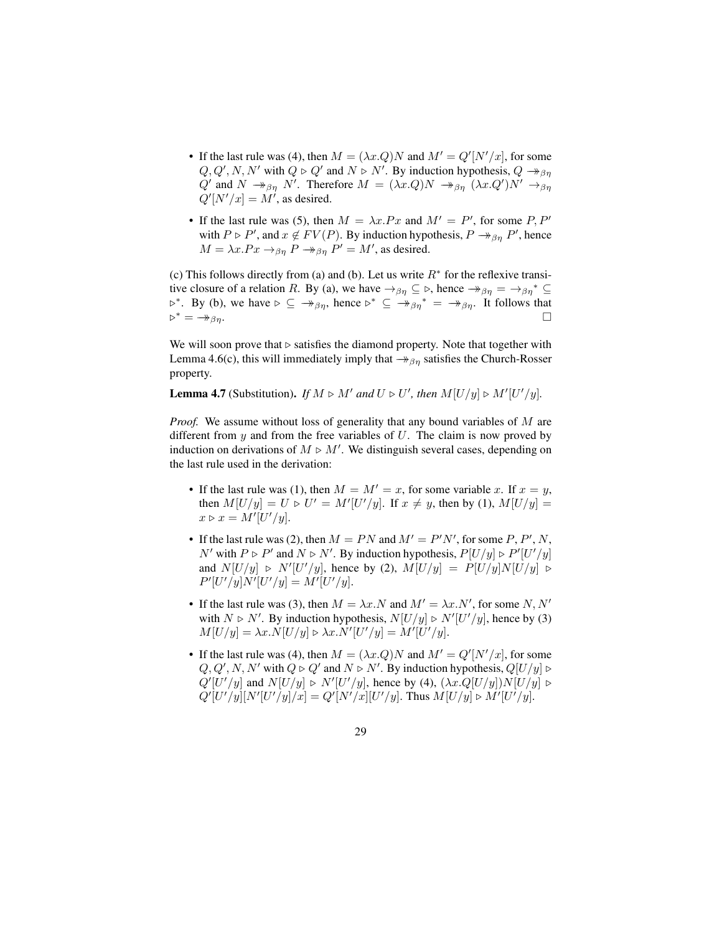- If the last rule was (4), then  $M = (\lambda x.Q)N$  and  $M' = Q'[N'/x]$ , for some  $Q, Q', N, N'$  with  $Q \triangleright Q'$  and  $N \triangleright N'$ . By induction hypothesis,  $Q \rightarrow_{\beta\eta}$ Q' and  $N \to_{\beta\eta} N'$ . Therefore  $M = (\lambda x.Q)N \to_{\beta\eta} (\lambda x.Q')N' \to_{\beta\eta}$  $Q'[N'/x] = M'$ , as desired.
- If the last rule was (5), then  $M = \lambda x.Px$  and  $M' = P'$ , for some P, P' with  $P \triangleright P'$ , and  $x \notin FV(P)$ . By induction hypothesis,  $P \rightarrow_{\beta\eta} P'$ , hence  $M = \lambda x.Px \rightarrow_{\beta\eta} P \rightarrow_{\beta\eta} P' = M'$ , as desired.

(c) This follows directly from (a) and (b). Let us write  $R^*$  for the reflexive transitive closure of a relation R. By (a), we have  $\rightarrow_{\beta\eta} \subseteq \triangleright$ , hence  $\rightarrow_{\beta\eta} = \rightarrow_{\beta\eta}^* \subseteq$  $\triangleright^*$ . By (b), we have  $\triangleright \subseteq \rightarrow_{\beta\eta}$ , hence  $\triangleright^* \subseteq \rightarrow_{\beta\eta}^* = \rightarrow_{\beta\eta}$ . It follows that  $\rho^* = \rightarrow_{\beta\eta}$ .

We will soon prove that ⊳ satisfies the diamond property. Note that together with Lemma 4.6(c), this will immediately imply that  $\rightarrow_{\beta\eta}$  satisfies the Church-Rosser property.

**Lemma 4.7** (Substitution). *If*  $M \triangleright M'$  *and*  $U \triangleright U'$ *, then*  $M[U/y] \triangleright M'[U'/y]$ *.* 

*Proof.* We assume without loss of generality that any bound variables of M are different from  $y$  and from the free variables of U. The claim is now proved by induction on derivations of  $M \triangleright M'$ . We distinguish several cases, depending on the last rule used in the derivation:

- If the last rule was (1), then  $M = M' = x$ , for some variable x. If  $x = y$ , then  $M[U/y] = U \triangleright U' = M'[U'/y]$ . If  $x \neq y$ , then by (1),  $M[U/y] =$  $x \triangleright x = M'[U'/y].$
- If the last rule was (2), then  $M = PN$  and  $M' = P'N'$ , for some P, P', N, *N'* with *P* ⊳ *P'* and *N* ⊳ *N'*. By induction hypothesis,  $P[U/y] \triangleright P'[U'/y]$ and  $N[U/y] \triangleright N'[U'/y]$ , hence by (2),  $M[U/y] = P[U/y]N[U/y] \triangleright N'[U/y]$  $P'[U'/y]N'[U'/y] = M'[U'/y].$
- If the last rule was (3), then  $M = \lambda x.N$  and  $M' = \lambda x.N'$ , for some N, N' with  $N \triangleright N'$ . By induction hypothesis,  $N[U/y] \triangleright N'[U'/y]$ , hence by (3)  $M[U/y] = \lambda x. N[U/y] \triangleright \lambda x. N'[U'/y] = M'[U'/y].$
- If the last rule was (4), then  $M = (\lambda x.Q)N$  and  $M' = Q'[N'/x]$ , for some  $Q, Q', N, N'$  with  $Q \triangleright Q'$  and  $N \triangleright N'$ . By induction hypothesis,  $Q[U/y] \triangleright$  $Q'[U'/y]$  and  $N[U/y] \triangleright N'[U'/y]$ , hence by (4),  $(\lambda x.Q[U/y])N[U/y] \triangleright$  $Q'[U'/y][N'[U'/y]/x] = Q'[N'/x][U'/y]$ . Thus  $M[U/y] \triangleright M'[U'/y]$ .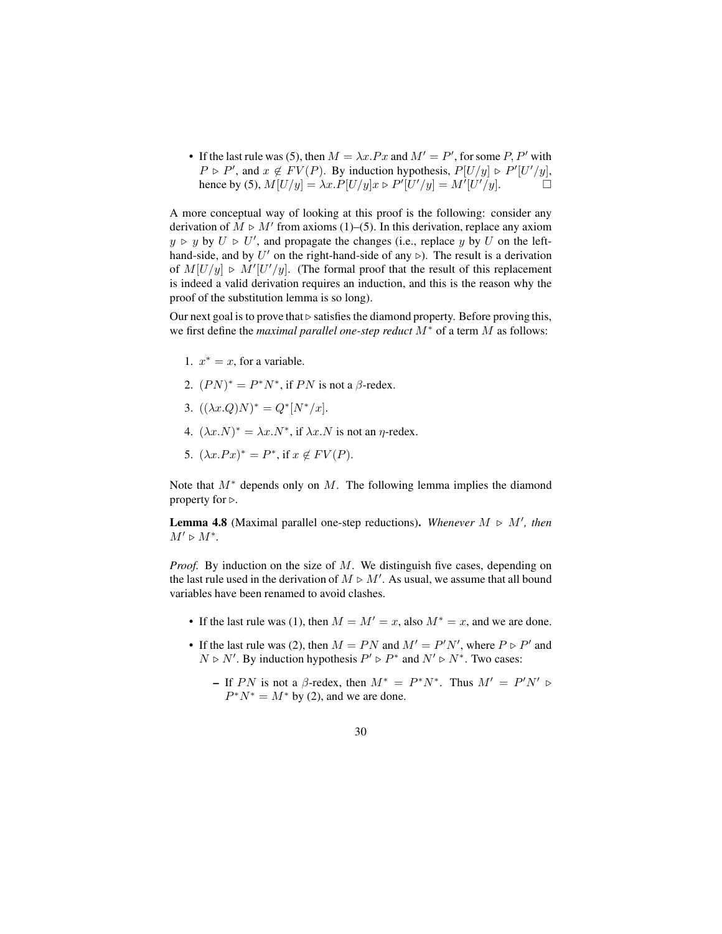• If the last rule was (5), then  $M = \lambda x.Px$  and  $M' = P'$ , for some P, P' with  $P \triangleright P'$ , and  $x \notin FV(P)$ . By induction hypothesis,  $P[U/y] \triangleright P'[U'/y]$ , hence by (5),  $M[U/y] = \lambda x.P[U/y] x \triangleright P'[U'/y] = M'[U'/y].$ 

A more conceptual way of looking at this proof is the following: consider any derivation of  $M \triangleright M'$  from axioms (1)–(5). In this derivation, replace any axiom  $y \triangleright y$  by  $U \triangleright U'$ , and propagate the changes (i.e., replace y by U on the lefthand-side, and by  $U'$  on the right-hand-side of any  $\triangleright$ ). The result is a derivation of  $M[U/y] \triangleright M'[U'/y]$ . (The formal proof that the result of this replacement is indeed a valid derivation requires an induction, and this is the reason why the proof of the substitution lemma is so long).

Our next goal is to prove that  $\triangleright$  satisfies the diamond property. Before proving this, we first define the *maximal parallel one-step reduct* M<sup>∗</sup> of a term M as follows:

- 1.  $x^* = x$ , for a variable.
- 2.  $(PN)^* = P^*N^*$ , if PN is not a  $\beta$ -redex.
- 3.  $((\lambda x.Q)N)^* = Q^*[N^*/x].$
- 4.  $(\lambda x.N)^* = \lambda x.N^*$ , if  $\lambda x.N$  is not an  $\eta$ -redex.
- 5.  $(\lambda x.Px)^* = P^*$ , if  $x \notin FV(P)$ .

Note that  $M^*$  depends only on M. The following lemma implies the diamond property for  $\triangleright$ .

**Lemma 4.8** (Maximal parallel one-step reductions). Whenever  $M \triangleright M'$ , then  $M' \triangleright M^*$ .

*Proof.* By induction on the size of M. We distinguish five cases, depending on the last rule used in the derivation of  $M \triangleright M'$ . As usual, we assume that all bound variables have been renamed to avoid clashes.

- If the last rule was (1), then  $M = M' = x$ , also  $M^* = x$ , and we are done.
- If the last rule was (2), then  $M = PN$  and  $M' = P'N'$ , where  $P \triangleright P'$  and  $N$  ⊳  $N'$ . By induction hypothesis  $P'$  ⊳  $P^*$  and  $N'$  ⊳  $N^*$ . Two cases:
	- If PN is not a  $\beta$ -redex, then  $M^* = P^*N^*$ . Thus  $M' = P'N' \triangleright$  $P^*N^* = M^*$  by (2), and we are done.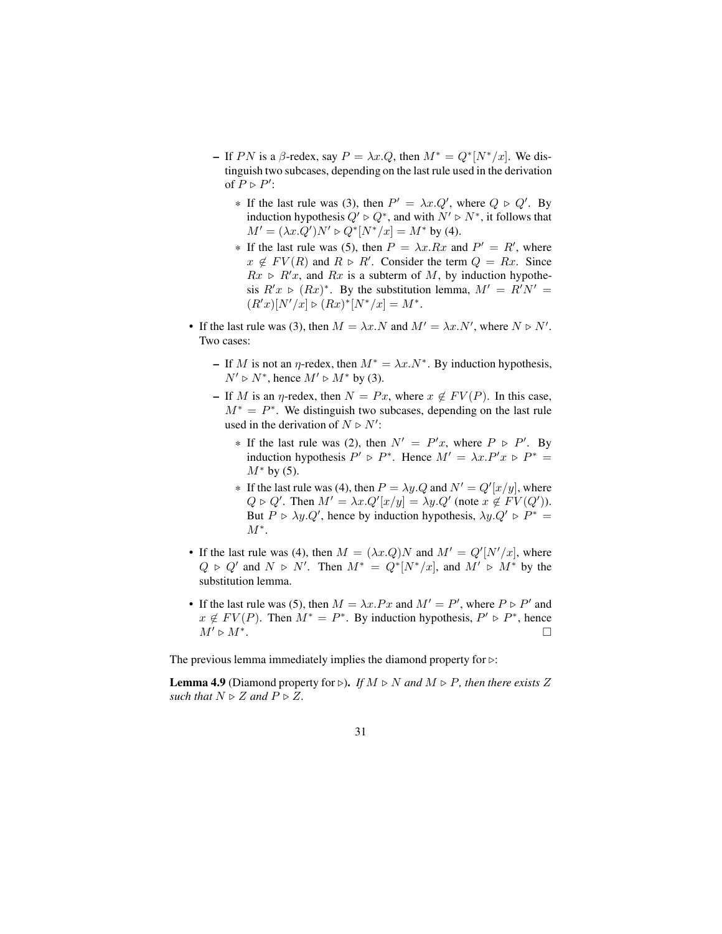- If PN is a  $\beta$ -redex, say  $P = \lambda x.Q$ , then  $M^* = Q^*[N^*/x]$ . We distinguish two subcases, depending on the last rule used in the derivation of  $P \triangleright P'$ :
	- \* If the last rule was (3), then  $P' = \lambda x.Q'$ , where  $Q \triangleright Q'$ . By induction hypothesis  $Q' \triangleright Q^*$ , and with  $N' \triangleright N^*$ , it follows that  $M' = (\lambda x . Q')N' \triangleright Q^*[N^*/x] = M^*$  by (4).
	- \* If the last rule was (5), then  $P = \lambda x.Rx$  and  $P' = R'$ , where  $x \notin FV(R)$  and  $R \triangleright R'$ . Consider the term  $Q = Rx$ . Since  $Rx \triangleright R'x$ , and  $Rx$  is a subterm of M, by induction hypothesis  $R'x \triangleright (Rx)^*$ . By the substitution lemma,  $M' = R'N' =$  $(R'x)[N'/x] \triangleright (Rx)^*[N^*/x] = M^*.$
- If the last rule was (3), then  $M = \lambda x.N$  and  $M' = \lambda x.N'$ , where  $N \triangleright N'$ . Two cases:
	- $-$  If *M* is not an *η*-redex, then  $M^* = \lambda x.N^*$ . By induction hypothesis,  $N' \triangleright N^*$ , hence  $M' \triangleright M^*$  by (3).
	- If M is an  $\eta$ -redex, then  $N = Px$ , where  $x \notin FV(P)$ . In this case,  $M^* = P^*$ . We distinguish two subcases, depending on the last rule used in the derivation of  $N \triangleright N'$ :
		- \* If the last rule was (2), then  $N' = P'x$ , where  $P \triangleright P'$ . By induction hypothesis  $P' \triangleright P^*$ . Hence  $M' = \lambda x.P'x \triangleright P^* =$  $M^*$  by (5).
		- \* If the last rule was (4), then  $P = \lambda y.Q$  and  $N' = Q'[x/y]$ , where  $Q \triangleright Q'$ . Then  $M' = \lambda x. Q'[x/y] = \lambda y. Q'$  (note  $x \notin FV(Q')$ ). But  $P \triangleright \lambda y. Q'$ , hence by induction hypothesis,  $\lambda y. Q' \triangleright P^* =$  $M^*$ .
- If the last rule was (4), then  $M = (\lambda x.Q)N$  and  $M' = Q'[N'/x]$ , where  $Q \supset Q'$  and  $N \supset N'$ . Then  $M^* = Q^*[N^*/x]$ , and  $M' \supset M^*$  by the substitution lemma.
- If the last rule was (5), then  $M = \lambda x.Px$  and  $M' = P'$ , where  $P \triangleright P'$  and  $x \notin FV(P)$ . Then  $M^* = P^*$ . By induction hypothesis,  $P' \triangleright P^*$ , hence  $M' \triangleright M^*$ . .

The previous lemma immediately implies the diamond property for  $\triangleright$ :

**Lemma 4.9** (Diamond property for ⊳). *If*  $M \triangleright N$  *and*  $M \triangleright P$ *, then there exists*  $Z$ *such that*  $N \triangleright Z$  *and*  $P \triangleright Z$ *.*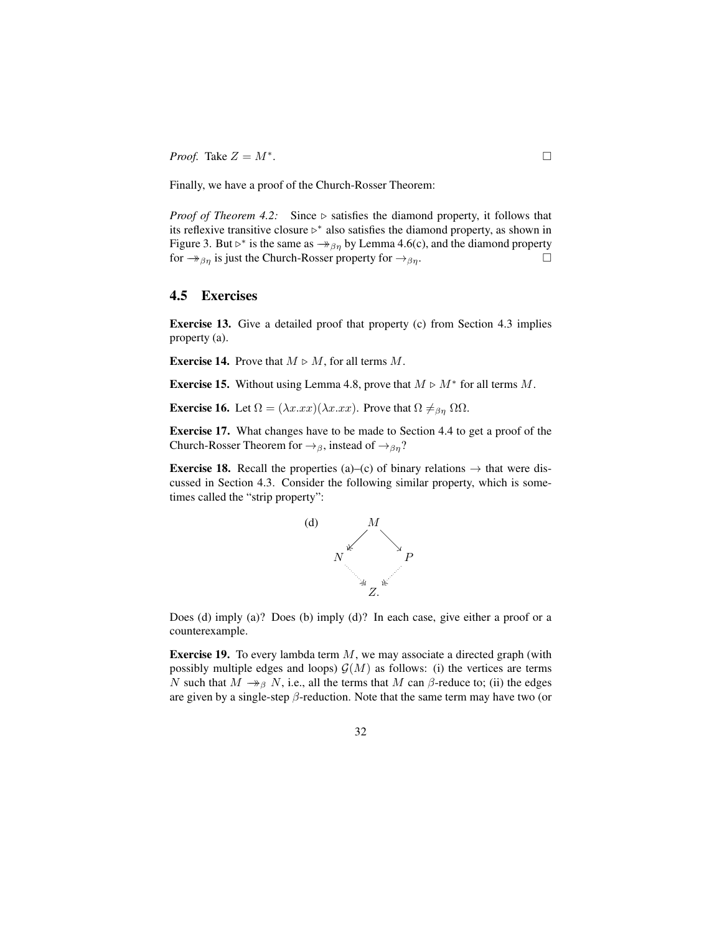*Proof.* Take  $Z = M^*$ .

Finally, we have a proof of the Church-Rosser Theorem:

*Proof of Theorem 4.2:* Since ⊳ satisfies the diamond property, it follows that its reflexive transitive closure ⊳\* also satisfies the diamond property, as shown in Figure 3. But  $\triangleright^*$  is the same as  $\rightarrow_{\beta\eta}$  by Lemma 4.6(c), and the diamond property for  $\rightarrow_{\beta\eta}$  is just the Church-Rosser property for  $\rightarrow_{\beta\eta}$ .

#### 4.5 Exercises

Exercise 13. Give a detailed proof that property (c) from Section 4.3 implies property (a).

**Exercise 14.** Prove that  $M \triangleright M$ , for all terms M.

**Exercise 15.** Without using Lemma 4.8, prove that  $M \triangleright M^*$  for all terms M.

**Exercise 16.** Let  $\Omega = (\lambda x . xx)(\lambda x . xx)$ . Prove that  $\Omega \neq_{\beta\eta} \Omega \Omega$ .

Exercise 17. What changes have to be made to Section 4.4 to get a proof of the Church-Rosser Theorem for  $\rightarrow_{\beta}$ , instead of  $\rightarrow_{\beta\eta}$ ?

**Exercise 18.** Recall the properties (a)–(c) of binary relations  $\rightarrow$  that were discussed in Section 4.3. Consider the following similar property, which is sometimes called the "strip property":



Does (d) imply (a)? Does (b) imply (d)? In each case, give either a proof or a counterexample.

**Exercise 19.** To every lambda term  $M$ , we may associate a directed graph (with possibly multiple edges and loops)  $\mathcal{G}(M)$  as follows: (i) the vertices are terms N such that  $M \rightarrow_{\beta} N$ , i.e., all the terms that M can  $\beta$ -reduce to; (ii) the edges are given by a single-step  $\beta$ -reduction. Note that the same term may have two (or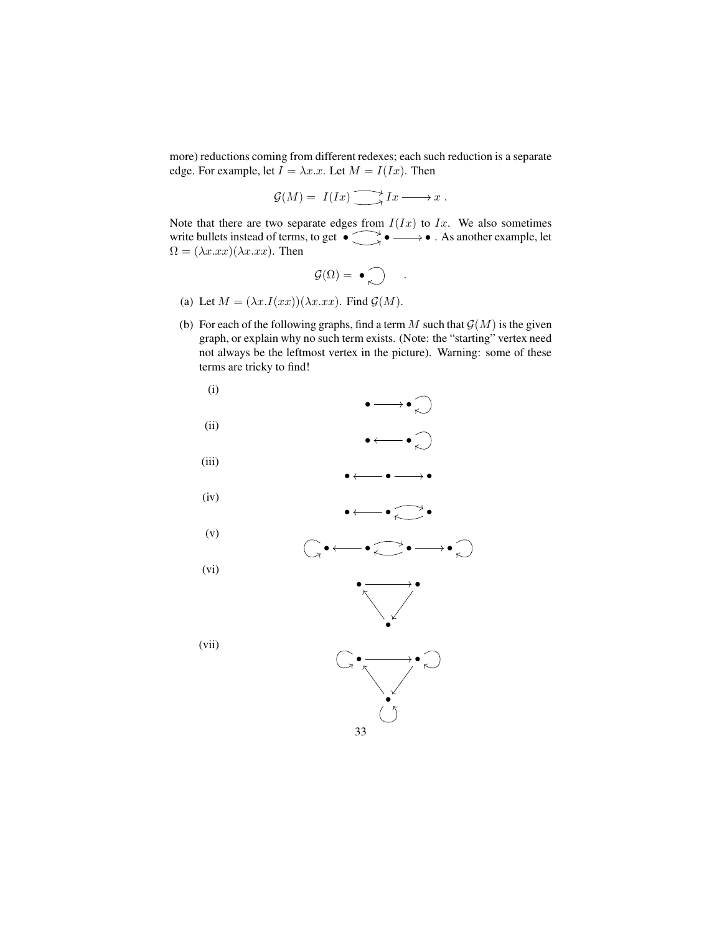more) reductions coming from different redexes; each such reduction is a separate edge. For example, let  $I = \lambda x.x$ . Let  $M = I(Ix)$ . Then

$$
\mathcal{G}(M) = I(Ix) \longrightarrow Ix \longrightarrow x .
$$

Note that there are two separate edges from  $I(Ix)$  to  $Ix$ . We also sometimes write bullets instead of terms, to get  $\bullet \subseteq \mathbb{R} \bullet \longrightarrow \bullet$ . As another example, let  $\Omega = (\lambda x . xx)(\lambda x . xx)$ . Then

$$
\mathcal{G}(\Omega) = \bullet \bigcirc_{\kappa} \qquad .
$$

- (a) Let  $M = (\lambda x. I(xx))(\lambda x.xx)$ . Find  $\mathcal{G}(M)$ .
- (b) For each of the following graphs, find a term  $M$  such that  $\mathcal{G}(M)$  is the given graph, or explain why no such term exists. (Note: the "starting" vertex need not always be the leftmost vertex in the picture). Warning: some of these terms are tricky to find!



$$
\bullet \longleftarrow \bullet \check{\bullet}
$$

$$
\bullet \longleftarrow \bullet \longrightarrow \bullet
$$
 (iv)

$$
\bullet \longleftarrow \bullet \overbrace{\longleftarrow} \bullet
$$

(v) • • • •

$$
(vi)
$$

$$
\overrightarrow{a}
$$

(vii)

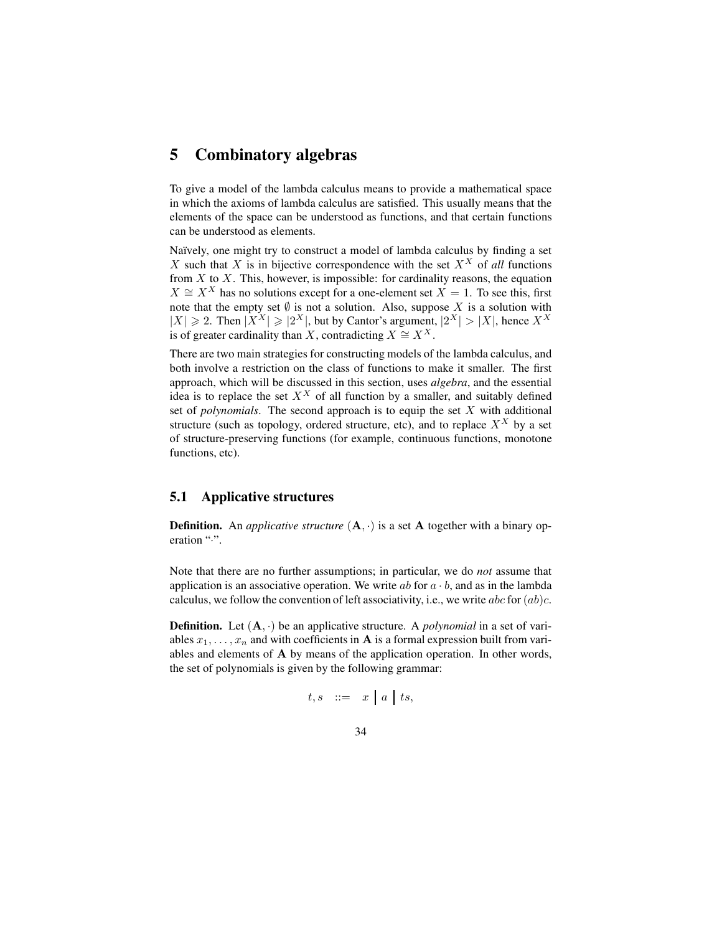# 5 Combinatory algebras

To give a model of the lambda calculus means to provide a mathematical space in which the axioms of lambda calculus are satisfied. This usually means that the elements of the space can be understood as functions, and that certain functions can be understood as elements.

Naïvely, one might try to construct a model of lambda calculus by finding a set X such that X is in bijective correspondence with the set  $X^X$  of *all* functions from  $X$  to  $X$ . This, however, is impossible: for cardinality reasons, the equation  $X \cong X^X$  has no solutions except for a one-element set  $X = 1$ . To see this, first note that the empty set  $\emptyset$  is not a solution. Also, suppose X is a solution with  $|X| \ge 2$ . Then  $|X^X| \ge |2^X|$ , but by Cantor's argument,  $|2^X| > |X|$ , hence  $X^X$ is of greater cardinality than X, contradicting  $X \cong X^X$ .

There are two main strategies for constructing models of the lambda calculus, and both involve a restriction on the class of functions to make it smaller. The first approach, which will be discussed in this section, uses *algebra*, and the essential idea is to replace the set  $X^X$  of all function by a smaller, and suitably defined set of *polynomials*. The second approach is to equip the set X with additional structure (such as topology, ordered structure, etc), and to replace  $X^X$  by a set of structure-preserving functions (for example, continuous functions, monotone functions, etc).

#### 5.1 Applicative structures

**Definition.** An *applicative structure*  $(A, \cdot)$  is a set A together with a binary operation ".".

Note that there are no further assumptions; in particular, we do *not* assume that application is an associative operation. We write ab for  $a \cdot b$ , and as in the lambda calculus, we follow the convention of left associativity, i.e., we write abc for  $(ab)c$ .

**Definition.** Let  $(A, \cdot)$  be an applicative structure. A *polynomial* in a set of variables  $x_1, \ldots, x_n$  and with coefficients in **A** is a formal expression built from variables and elements of A by means of the application operation. In other words, the set of polynomials is given by the following grammar:

$$
t,s \quad ::= \quad x \quad a \quad ts,
$$

34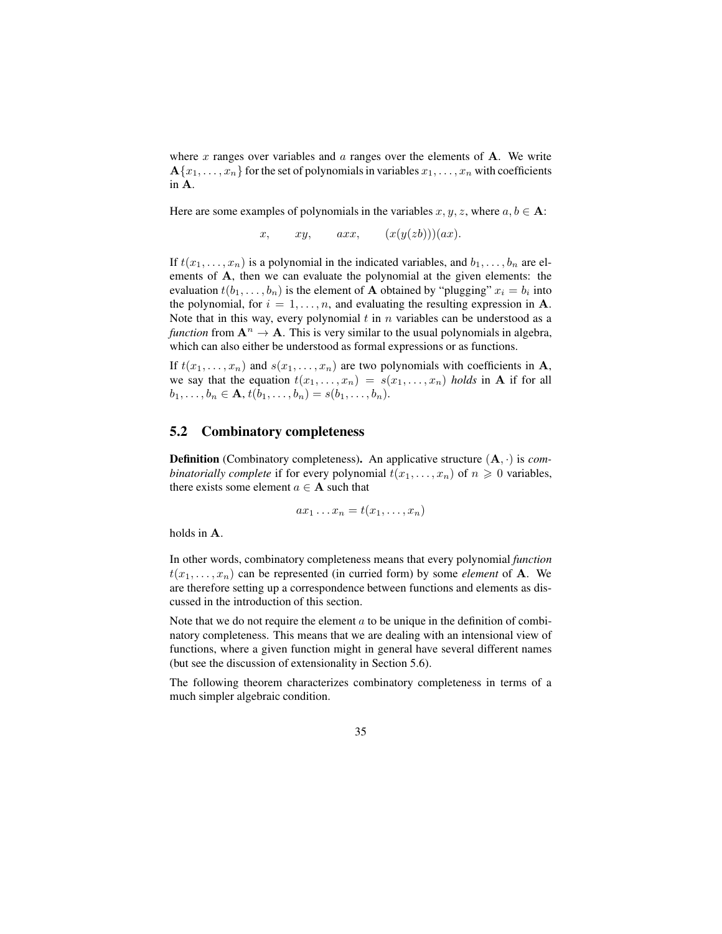where  $x$  ranges over variables and  $a$  ranges over the elements of  $A$ . We write  ${\bf A}\{x_1,\ldots,x_n\}$  for the set of polynomials in variables  $x_1,\ldots,x_n$  with coefficients in A.

Here are some examples of polynomials in the variables  $x, y, z$ , where  $a, b \in \mathbf{A}$ :

x, xy,  $axx$ ,  $(x(y(zb)))(ax)$ .

If  $t(x_1, \ldots, x_n)$  is a polynomial in the indicated variables, and  $b_1, \ldots, b_n$  are elements of A, then we can evaluate the polynomial at the given elements: the evaluation  $t(b_1, \ldots, b_n)$  is the element of **A** obtained by "plugging"  $x_i = b_i$  into the polynomial, for  $i = 1, \ldots, n$ , and evaluating the resulting expression in A. Note that in this way, every polynomial  $t$  in  $n$  variables can be understood as a *function* from  $A^n \to A$ . This is very similar to the usual polynomials in algebra, which can also either be understood as formal expressions or as functions.

If  $t(x_1, \ldots, x_n)$  and  $s(x_1, \ldots, x_n)$  are two polynomials with coefficients in A, we say that the equation  $t(x_1, \ldots, x_n) = s(x_1, \ldots, x_n)$  *holds* in **A** if for all  $b_1, \ldots, b_n \in \mathbf{A}, t(b_1, \ldots, b_n) = s(b_1, \ldots, b_n).$ 

### 5.2 Combinatory completeness

**Definition** (Combinatory completeness). An applicative structure  $(A, \cdot)$  is *combinatorially complete* if for every polynomial  $t(x_1, \ldots, x_n)$  of  $n \geq 0$  variables, there exists some element  $a \in A$  such that

$$
ax_1 \ldots x_n = t(x_1, \ldots, x_n)
$$

holds in A.

In other words, combinatory completeness means that every polynomial *function*  $t(x_1, \ldots, x_n)$  can be represented (in curried form) by some *element* of **A**. We are therefore setting up a correspondence between functions and elements as discussed in the introduction of this section.

Note that we do not require the element  $a$  to be unique in the definition of combinatory completeness. This means that we are dealing with an intensional view of functions, where a given function might in general have several different names (but see the discussion of extensionality in Section 5.6).

The following theorem characterizes combinatory completeness in terms of a much simpler algebraic condition.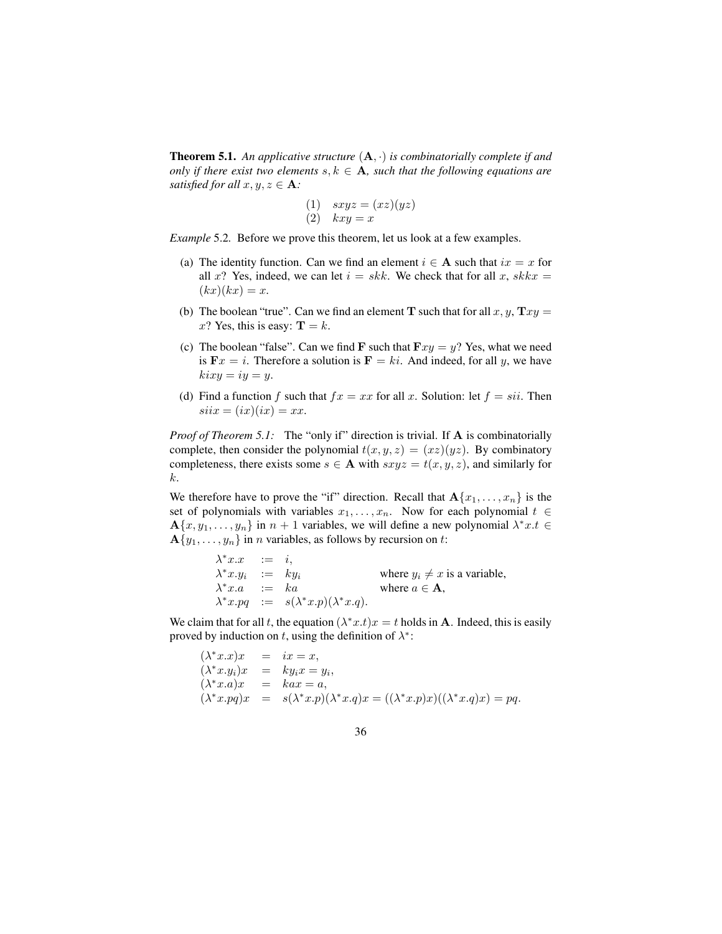Theorem 5.1. *An applicative structure* (A, ·) *is combinatorially complete if and only if there exist two elements*  $s, k \in \mathbf{A}$ , such that the following equations are *satisfied for all*  $x, y, z \in \mathbf{A}$ *:* 

(1) 
$$
sxyz = (xz)(yz)
$$
  
(2)  $kxy = x$ 

*Example* 5.2*.* Before we prove this theorem, let us look at a few examples.

- (a) The identity function. Can we find an element  $i \in A$  such that  $ix = x$  for all x? Yes, indeed, we can let  $i = skk$ . We check that for all x,  $skkx =$  $(kx)(kx) = x.$
- (b) The boolean "true". Can we find an element T such that for all  $x, y, Txy =$ x? Yes, this is easy:  $\mathbf{T} = k$ .
- (c) The boolean "false". Can we find F such that  $Fxy = y$ ? Yes, what we need is  $\mathbf{F}x = i$ . Therefore a solution is  $\mathbf{F} = ki$ . And indeed, for all y, we have  $kixy = iy = y.$
- (d) Find a function f such that  $fx = xx$  for all x. Solution: let  $f = sii$ . Then  $siix = (ix)(ix) = xx.$

*Proof of Theorem 5.1:* The "only if" direction is trivial. If **A** is combinatorially complete, then consider the polynomial  $t(x, y, z) = (xz)(yz)$ . By combinatory completeness, there exists some  $s \in A$  with  $sxyz = t(x, y, z)$ , and similarly for k.

We therefore have to prove the "if" direction. Recall that  $A\{x_1, \ldots, x_n\}$  is the set of polynomials with variables  $x_1, \ldots, x_n$ . Now for each polynomial  $t \in$  $\mathbf{A}\{x, y_1, \ldots, y_n\}$  in  $n+1$  variables, we will define a new polynomial  $\lambda^* x.t \in$  $A{y_1, \ldots, y_n}$  in *n* variables, as follows by recursion on *t*:

| $\lambda^* x . x = i$             |                                                            |                                   |
|-----------------------------------|------------------------------------------------------------|-----------------------------------|
| $\lambda^* x.y_i := ky_i$         |                                                            | where $y_i \neq x$ is a variable, |
| $\lambda^* x.a \quad := \quad ka$ |                                                            | where $a \in \mathbf{A}$ ,        |
|                                   | $\lambda^* x.pq \; := \; s(\lambda^* x.p)(\lambda^* x.q).$ |                                   |

We claim that for all t, the equation  $(\lambda^* x.t)x = t$  holds in **A**. Indeed, this is easily proved by induction on t, using the definition of  $\lambda^*$ :

$$
(\lambda^* x.x)x = ix = x,
$$
  
\n
$$
(\lambda^* x.y_i)x = ky_ix = y_i,
$$
  
\n
$$
(\lambda^* x.a)x = kax = a,
$$
  
\n
$$
(\lambda^* x.pq)x = s(\lambda^* x.p)(\lambda^* x.q)x = ((\lambda^* x.p)x)((\lambda^* x.q)x) = pq.
$$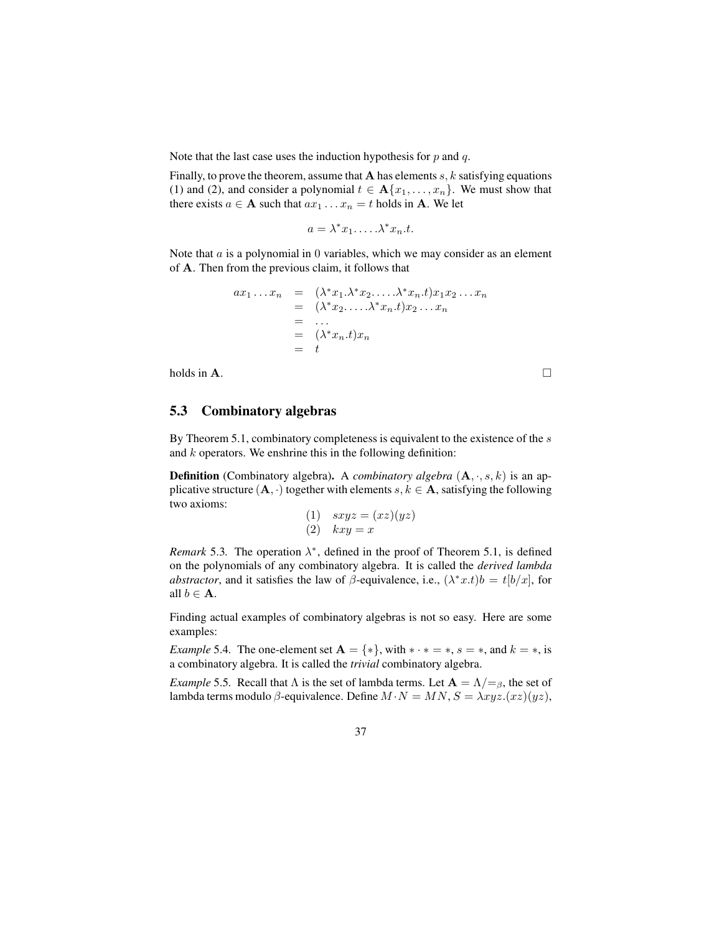Note that the last case uses the induction hypothesis for  $p$  and  $q$ .

Finally, to prove the theorem, assume that  $A$  has elements  $s, k$  satisfying equations (1) and (2), and consider a polynomial  $t \in \mathbf{A}\{x_1, \ldots, x_n\}$ . We must show that there exists  $a \in A$  such that  $ax_1 \ldots x_n = t$  holds in A. We let

$$
a = \lambda^* x_1 \dots \lambda^* x_n \dots
$$

Note that  $a$  is a polynomial in  $0$  variables, which we may consider as an element of A. Then from the previous claim, it follows that

$$
ax_1 \dots x_n = (\lambda^* x_1 \cdot \lambda^* x_2 \dots \cdot \lambda^* x_n \cdot t) x_1 x_2 \dots x_n
$$
  
=  $(\lambda^* x_2 \dots \lambda^* x_n \cdot t) x_2 \dots x_n$   
=  $\dots$   
=  $(\lambda^* x_n \cdot t) x_n$   
= t

holds in  $A$ .

#### 5.3 Combinatory algebras

By Theorem 5.1, combinatory completeness is equivalent to the existence of the s and  $k$  operators. We enshrine this in the following definition:

**Definition** (Combinatory algebra). A *combinatory algebra*  $(A, \cdot, s, k)$  is an applicative structure  $(A, \cdot)$  together with elements  $s, k \in A$ , satisfying the following two axioms:

(1) 
$$
sxyz = (xz)(yz)
$$
  
(2)  $kxy = x$ 

*Remark* 5.3. The operation  $\lambda^*$ , defined in the proof of Theorem 5.1, is defined on the polynomials of any combinatory algebra. It is called the *derived lambda abstractor*, and it satisfies the law of  $\beta$ -equivalence, i.e.,  $(\lambda^* x.t)b = t[b/x]$ , for all  $b \in \mathbf{A}$ .

Finding actual examples of combinatory algebras is not so easy. Here are some examples:

*Example* 5.4. The one-element set  $A = \{*\}$ , with  $*\cdot* = *, s = *,$  and  $k = *,$  is a combinatory algebra. It is called the *trivial* combinatory algebra.

*Example* 5.5. Recall that  $\Lambda$  is the set of lambda terms. Let  $\mathbf{A} = \Lambda / =_B$ , the set of lambda terms modulo  $\beta$ -equivalence. Define  $M \cdot N = MN$ ,  $S = \lambda xyz.(xz)(yz)$ ,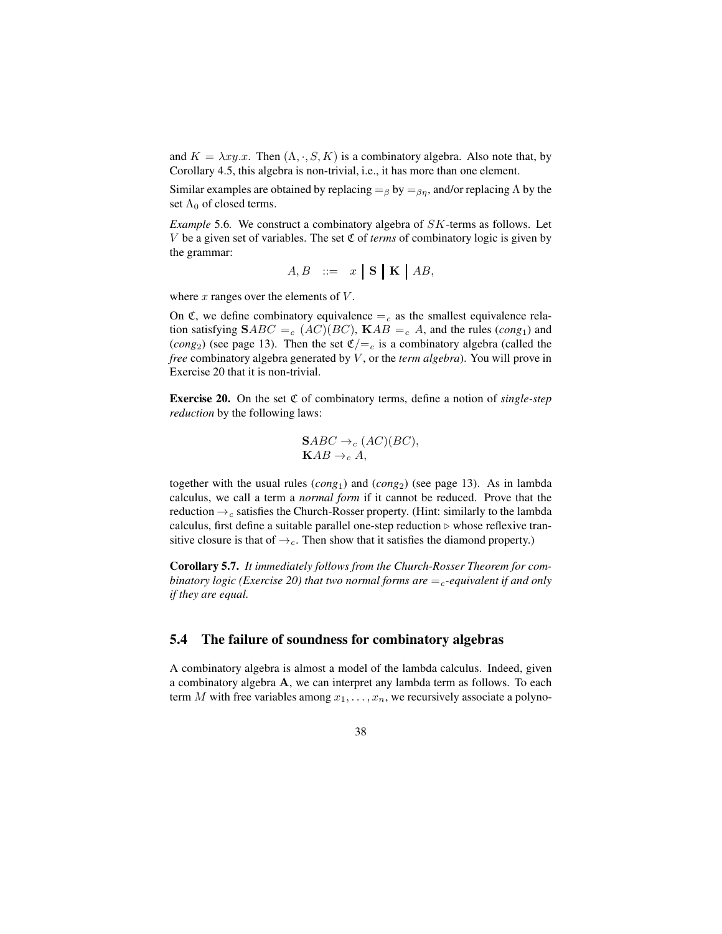and  $K = \lambda xy.x$ . Then  $(\Lambda, \cdot, S, K)$  is a combinatory algebra. Also note that, by Corollary 4.5, this algebra is non-trivial, i.e., it has more than one element.

Similar examples are obtained by replacing  $=_\beta$  by  $=_{\beta\eta}$ , and/or replacing  $\Lambda$  by the set  $\Lambda_0$  of closed terms.

*Example* 5.6*.* We construct a combinatory algebra of SK-terms as follows. Let V be a given set of variables. The set  $\mathfrak C$  of *terms* of combinatory logic is given by the grammar:

$$
A, B \quad ::= \quad x \mid \mathbf{S} \mid \mathbf{K} \mid AB,
$$

where  $x$  ranges over the elements of  $V$ .

On  $\mathfrak{C}$ , we define combinatory equivalence  $e$  as the smallest equivalence relation satisfying  $SABC =_{c} (AC)(BC)$ ,  $KAB =_{c} A$ , and the rules (*cong*<sub>1</sub>) and (*cong*<sub>2</sub>) (see page 13). Then the set  $\mathfrak{C}/\mathfrak{=}_c$  is a combinatory algebra (called the *free* combinatory algebra generated by V , or the *term algebra*). You will prove in Exercise 20 that it is non-trivial.

Exercise 20. On the set C of combinatory terms, define a notion of *single-step reduction* by the following laws:

$$
\mathbf{S}ABC \to_c (AC)(BC),
$$
  

$$
\mathbf{K}AB \to_c A,
$$

together with the usual rules (*cong*1) and (*cong*2) (see page 13). As in lambda calculus, we call a term a *normal form* if it cannot be reduced. Prove that the reduction  $\rightarrow_c$  satisfies the Church-Rosser property. (Hint: similarly to the lambda calculus, first define a suitable parallel one-step reduction  $\triangleright$  whose reflexive transitive closure is that of  $\rightarrow_c$ . Then show that it satisfies the diamond property.)

Corollary 5.7. *It immediately follows from the Church-Rosser Theorem for combinatory logic (Exercise 20) that two normal forms are*  $=$ <sub>c</sub>-equivalent if and only *if they are equal.*

## 5.4 The failure of soundness for combinatory algebras

A combinatory algebra is almost a model of the lambda calculus. Indeed, given a combinatory algebra A, we can interpret any lambda term as follows. To each term M with free variables among  $x_1, \ldots, x_n$ , we recursively associate a polyno-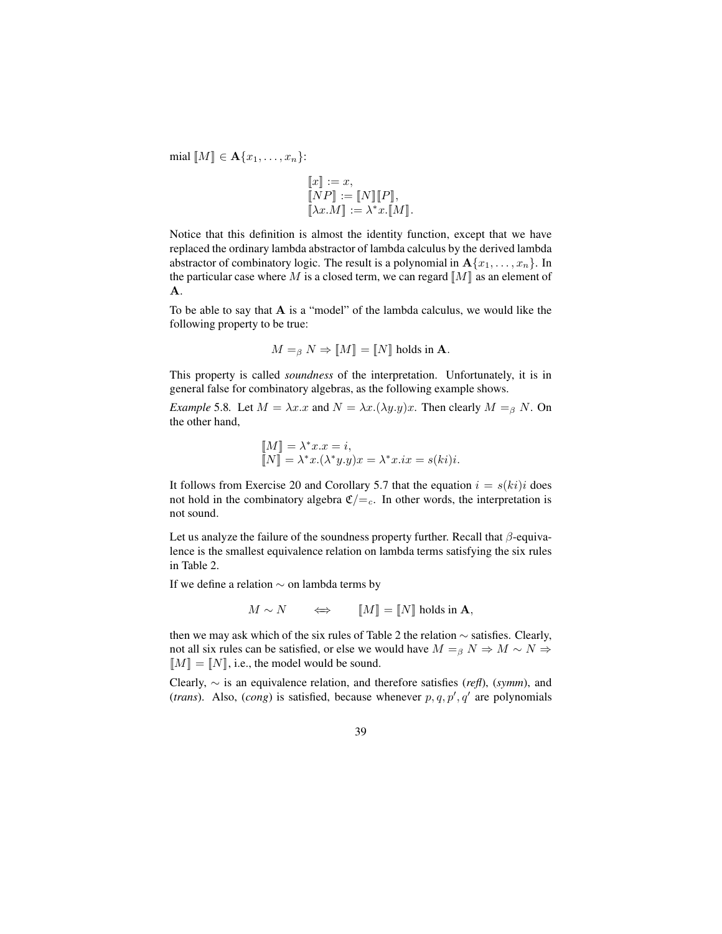mial  $[M] \in \mathbf{A}\{x_1,\ldots,x_n\}$ :

$$
\begin{array}{l} [\![x]\!] := x, \\ [\![NP]\!] := [\![N]\!] [\![P]\!], \\ [\![\lambda x. M]\!] := \lambda^* x. [\![M]\!]. \end{array}
$$

Notice that this definition is almost the identity function, except that we have replaced the ordinary lambda abstractor of lambda calculus by the derived lambda abstractor of combinatory logic. The result is a polynomial in  $A\{x_1, \ldots, x_n\}$ . In the particular case where M is a closed term, we can regard  $\llbracket M \rrbracket$  as an element of A.

To be able to say that A is a "model" of the lambda calculus, we would like the following property to be true:

$$
M =_{\beta} N \Rightarrow [M] = [N]
$$
 holds in **A**.

This property is called *soundness* of the interpretation. Unfortunately, it is in general false for combinatory algebras, as the following example shows.

*Example* 5.8*.* Let  $M = \lambda x \cdot x$  and  $N = \lambda x \cdot (\lambda y \cdot y) x$ . Then clearly  $M = \beta N$ . On the other hand,

$$
M \rbrack \rbrack X \rbrack = \lambda^* x. x = i,
$$
  

$$
N \rbrack \rbrack = \lambda^* x. (\lambda^* y. y) x = \lambda^* x. ix = s(ki)i.
$$

It follows from Exercise 20 and Corollary 5.7 that the equation  $i = s(ki)i$  does not hold in the combinatory algebra  $\mathfrak{C}/\mathfrak{C}_c$ . In other words, the interpretation is not sound.

Let us analyze the failure of the soundness property further. Recall that  $\beta$ -equivalence is the smallest equivalence relation on lambda terms satisfying the six rules in Table 2.

If we define a relation ∼ on lambda terms by

 $M \sim N \qquad \Longleftrightarrow \qquad [M] = [N]$  holds in **A**,

then we may ask which of the six rules of Table 2 the relation ∼ satisfies. Clearly, not all six rules can be satisfied, or else we would have  $M =_B N \Rightarrow M \sim N \Rightarrow$  $\llbracket M \rrbracket = \llbracket N \rrbracket$ , i.e., the model would be sound.

Clearly, ∼ is an equivalence relation, and therefore satisfies (*refl*), (*symm*), and (*trans*). Also, (*cong*) is satisfied, because whenever  $p, q, p', q'$  are polynomials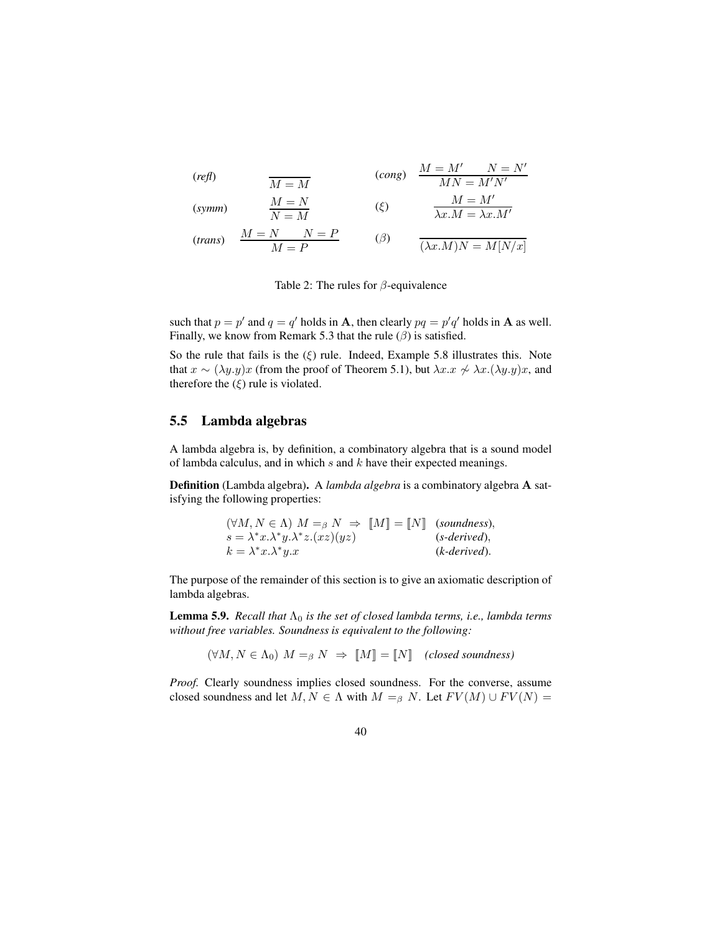(*refl*) <sup>M</sup> <sup>=</sup> <sup>M</sup> (*cong*) M = M′ N = N′ MN = M′N′

(*symm*)  $M = N$  $N = M$ (ξ)  $M = M'$  $\lambda x.M = \lambda x.M'$ 

$$
(trans) \quad \frac{M=N \quad N=P}{M=P} \qquad (\beta) \qquad \frac{}{(\lambda x.M)N = M[N/x]}
$$

Table 2: The rules for  $\beta$ -equivalence

such that  $p = p'$  and  $q = q'$  holds in **A**, then clearly  $pq = p'q'$  holds in **A** as well. Finally, we know from Remark 5.3 that the rule  $(\beta)$  is satisfied.

So the rule that fails is the  $(\xi)$  rule. Indeed, Example 5.8 illustrates this. Note that  $x \sim (\lambda y.y)x$  (from the proof of Theorem 5.1), but  $\lambda x.x \nsim \lambda x.(\lambda y.y)x$ , and therefore the  $(\xi)$  rule is violated.

## 5.5 Lambda algebras

A lambda algebra is, by definition, a combinatory algebra that is a sound model of lambda calculus, and in which s and k have their expected meanings.

Definition (Lambda algebra). A *lambda algebra* is a combinatory algebra A satisfying the following properties:

$$
(\forall M, N \in \Lambda) \ M =_{\beta} N \Rightarrow [M] = [N] \quad (soundness),s = \lambda^* x. \lambda^* y. \lambda^* z. (xz)(yz) \quad (s-derived),k = \lambda^* x. \lambda^* y. x \quad (k-derived).
$$

The purpose of the remainder of this section is to give an axiomatic description of lambda algebras.

**Lemma 5.9.** *Recall that*  $\Lambda_0$  *is the set of closed lambda terms, i.e., lambda terms without free variables. Soundness is equivalent to the following:*

 $(\forall M, N \in \Lambda_0)$   $M =_{\beta} N \Rightarrow [M] = [N]$  *(closed soundness)* 

*Proof.* Clearly soundness implies closed soundness. For the converse, assume closed soundness and let  $M, N \in \Lambda$  with  $M =_{\beta} N$ . Let  $FV(M) \cup FV(N) =$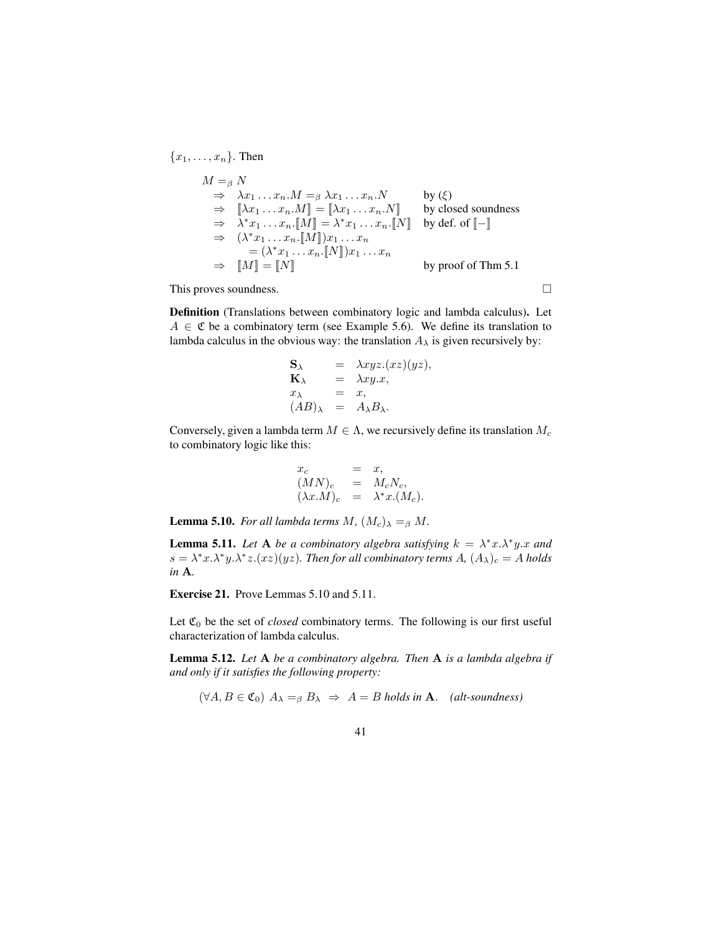${x_1, \ldots, x_n}$ . Then  $M = \beta N$  $\Rightarrow \lambda x_1 \dots x_n M =_\beta \lambda x_1 \dots x_n N$  by (ξ)  $\Rightarrow \[\![\lambda x_1 \dots x_n.M]\!] = [\![\lambda x_1 \dots x_n.N]\!]$  by closed soundness  $\Rightarrow \lambda^* x_1 \dots x_n$ .  $\llbracket M \rrbracket = \lambda^* x_1 \dots x_n$ .  $\llbracket N \rrbracket$  by def. of  $\llbracket - \rrbracket$  $\Rightarrow (\lambda^* x_1 \dots x_n. [\![M]\!]) x_1 \dots x_n$  $= (\lambda^* x_1 \ldots x_n. [\![N]\!]) x_1 \ldots x_n$  $\Rightarrow$   $\llbracket M \rrbracket = \llbracket N \rrbracket$  by proof of Thm 5.1

This proves soundness.

Definition (Translations between combinatory logic and lambda calculus). Let  $A \in \mathfrak{C}$  be a combinatory term (see Example 5.6). We define its translation to lambda calculus in the obvious way: the translation  $A_{\lambda}$  is given recursively by:

$$
\begin{array}{rcl}\n\mathbf{S}_{\lambda} & = & \lambda xyz.(xz)(yz), \\
\mathbf{K}_{\lambda} & = & \lambda xy.x, \\
x_{\lambda} & = & x, \\
(AB)_{\lambda} & = & A_{\lambda}B_{\lambda}.\n\end{array}
$$

Conversely, given a lambda term  $M \in \Lambda$ , we recursively define its translation  $M_c$ to combinatory logic like this:

$$
\begin{array}{rcl}\nx_c & = & x, \\
(MN)_c & = & M_cN_c, \\
(\lambda x.M)_c & = & \lambda^* x.(M_c).\n\end{array}
$$

**Lemma 5.10.** *For all lambda terms*  $M$ *,*  $(M_c)_{\lambda} = \beta M$ *.* 

**Lemma 5.11.** Let **A** be a combinatory algebra satisfying  $k = \lambda^* x . \lambda^* y . x$  and  $s = \lambda^* x \cdot \lambda^* y \cdot \lambda^* z \cdot (xz)(yz)$ . Then for all combinatory terms  $A$ ,  $(A_\lambda)_c = A$  holds *in* A*.*

Exercise 21. Prove Lemmas 5.10 and 5.11.

Let  $\mathfrak{C}_0$  be the set of *closed* combinatory terms. The following is our first useful characterization of lambda calculus.

Lemma 5.12. *Let* A *be a combinatory algebra. Then* A *is a lambda algebra if and only if it satisfies the following property:*

 $(\forall A, B \in \mathfrak{C}_0)$   $A_{\lambda} =_{\beta} B_{\lambda} \Rightarrow A = B$  *holds in* **A**. *(alt-soundness)* 

41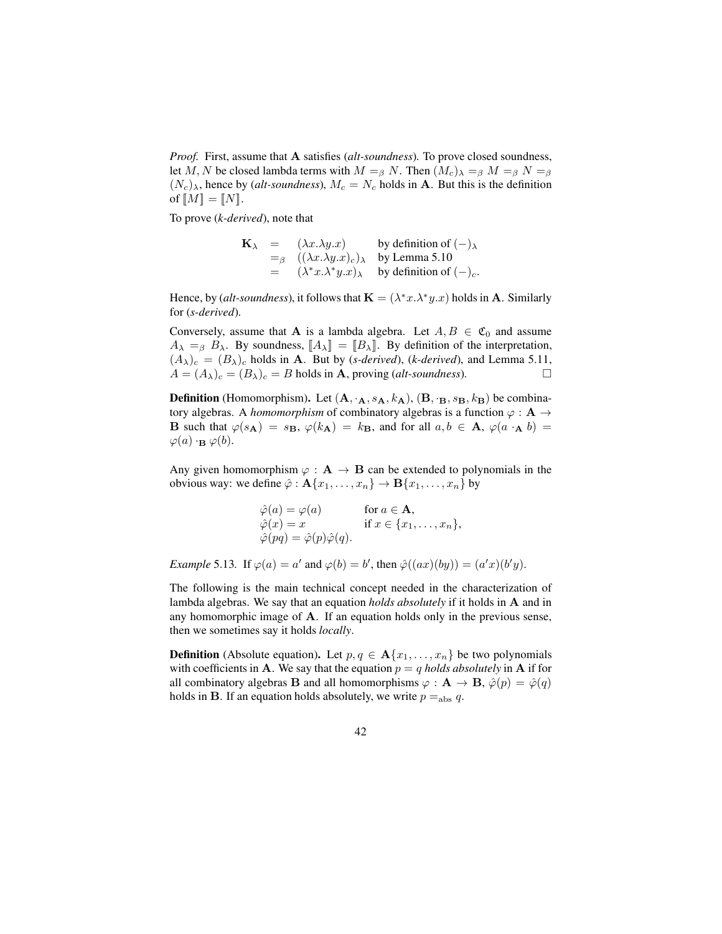*Proof.* First, assume that A satisfies (*alt-soundness*). To prove closed soundness, let M, N be closed lambda terms with  $M =_B N$ . Then  $(M_c)_{\lambda} =_B M =_B N =_B$  $(N_c)_{\lambda}$ , hence by *(alt-soundness)*,  $M_c = N_c$  holds in A. But this is the definition of  $\llbracket M \rrbracket = \llbracket N \rrbracket$ .

To prove (*k-derived*), note that

$$
\mathbf{K}_{\lambda} = (\lambda x.\lambda y.x) \qquad \text{by definition of } (-)_{\lambda} \n=_{\beta} ((\lambda x.\lambda y.x)_{c})_{\lambda} \qquad \text{by Lemma 5.10} \n= (\lambda^* x.\lambda^* y.x)_{\lambda} \qquad \text{by definition of } (-)_{c}.
$$

Hence, by (*alt-soundness*), it follows that  $\mathbf{K} = (\lambda^* x . \lambda^* y . x)$  holds in A. Similarly for (*s-derived*).

Conversely, assume that **A** is a lambda algebra. Let  $A, B \in \mathfrak{C}_0$  and assume  $A_{\lambda} =_{\beta} B_{\lambda}$ . By soundness,  $[A_{\lambda}] = [B_{\lambda}]$ . By definition of the interpretation,  $(A_{\lambda})_c = (B_{\lambda})_c$  holds in A. But by (*s-derived*), (*k-derived*), and Lemma 5.11,  $A = (A_{\lambda})_c = (B_{\lambda})_c = B$  holds in **A**, proving *(alt-soundness)*.

**Definition** (Homomorphism). Let  $(A, \cdot_A, s_A, k_A)$ ,  $(B, \cdot_B, s_B, k_B)$  be combinatory algebras. A *homomorphism* of combinatory algebras is a function  $\varphi : \mathbf{A} \to$ **B** such that  $\varphi(s_{\mathbf{A}}) = s_{\mathbf{B}}, \varphi(k_{\mathbf{A}}) = k_{\mathbf{B}},$  and for all  $a, b \in \mathbf{A}, \varphi(a \cdot_{\mathbf{A}} b) =$  $\varphi(a) \cdot \mathbf{B} \varphi(b).$ 

Any given homomorphism  $\varphi : \mathbf{A} \to \mathbf{B}$  can be extended to polynomials in the obvious way: we define  $\hat{\varphi}$  :  $\mathbf{A}\{x_1,\ldots,x_n\} \to \mathbf{B}\{x_1,\ldots,x_n\}$  by

$$
\hat{\varphi}(a) = \varphi(a) \quad \text{for } a \in \mathbf{A}, \n\hat{\varphi}(x) = x \quad \text{if } x \in \{x_1, \dots, x_n\}, \n\hat{\varphi}(pq) = \hat{\varphi}(p)\hat{\varphi}(q).
$$

*Example* 5.13. If  $\varphi(a) = a'$  and  $\varphi(b) = b'$ , then  $\hat{\varphi}((ax)(by)) = (a'x)(b'y)$ .

The following is the main technical concept needed in the characterization of lambda algebras. We say that an equation *holds absolutely* if it holds in A and in any homomorphic image of A. If an equation holds only in the previous sense, then we sometimes say it holds *locally*.

**Definition** (Absolute equation). Let  $p, q \in \mathbf{A}\{x_1, \dots, x_n\}$  be two polynomials with coefficients in A. We say that the equation  $p = q$  *holds absolutely* in A if for all combinatory algebras **B** and all homomorphisms  $\varphi : \mathbf{A} \to \mathbf{B}$ ,  $\hat{\varphi}(p) = \hat{\varphi}(q)$ holds in B. If an equation holds absolutely, we write  $p =_{\text{abs}} q$ .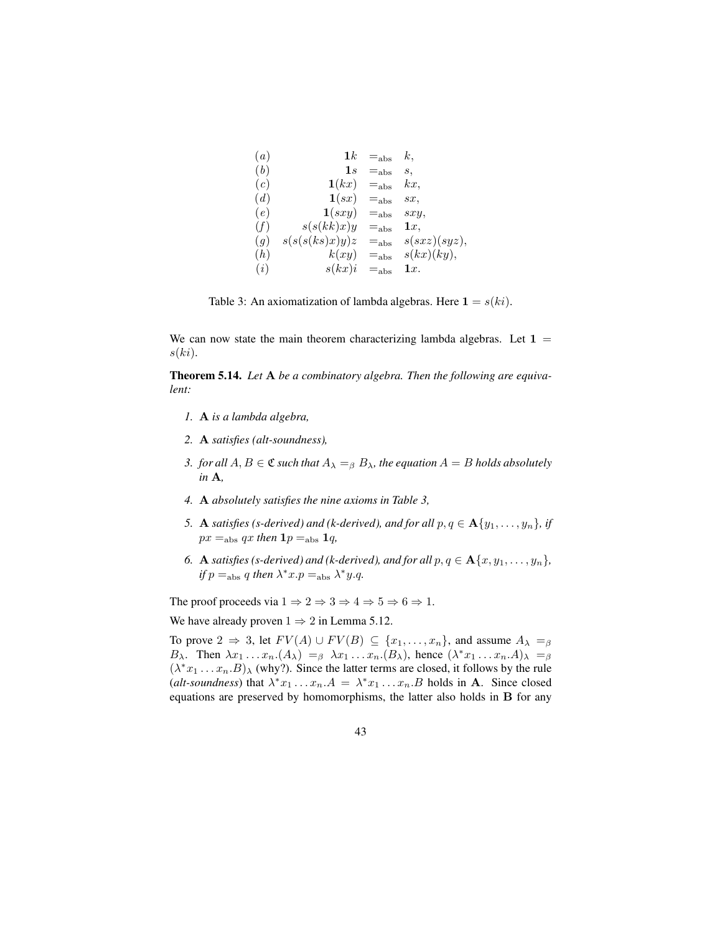| $\left( a\right)$ | 1k             | $=_{\rm abs}$      | k.           |
|-------------------|----------------|--------------------|--------------|
| (b)               | 1s             | $=$ <sub>abs</sub> | s,           |
| (c)               | 1(kx)          | $=_{\rm abs}$      | kx,          |
| (d)               | 1(sx)          | $=_{\rm abs}$      | sx,          |
| (e)               | 1(sxy)         | $=$ abs            | sxy,         |
| (f)               | s(s(kk)x)y     | $=$ <sub>abs</sub> | 1x           |
| (g)               | s(s(s(ks)x)y)z | $=$ abs            | s(sxz)(syz), |
| (h)               | k(xy)          | $=$ <sub>abs</sub> | s(kx)(ky),   |
| (i)               | s(kx)i         | $=$ <sub>abs</sub> | $1x$ .       |

Table 3: An axiomatization of lambda algebras. Here  $1 = s(ki)$ .

We can now state the main theorem characterizing lambda algebras. Let  $1 =$  $s(ki)$ .

Theorem 5.14. *Let* A *be a combinatory algebra. Then the following are equivalent:*

- *1.* A *is a lambda algebra,*
- *2.* A *satisfies (alt-soundness),*
- *3. for all*  $A, B \in \mathfrak{C}$  *such that*  $A_{\lambda} = B_{\lambda}$ *, the equation*  $A = B$  *holds absolutely in* A*,*
- *4.* A *absolutely satisfies the nine axioms in Table 3,*
- *5.* **A** *satisfies* (*s-derived*) and (*k-derived*), and for all  $p, q \in \mathbf{A}\{y_1, \ldots, y_n\}$ , if  $px =_{\text{abs}} qx$  *then*  $1p =_{\text{abs}} 1q$ *,*
- *6.* **A** *satisfies* (*s*-derived) and (*k*-derived), and for all  $p, q \in \mathbf{A}\{x, y_1, \ldots, y_n\}$ , *if*  $p =$ <sub>abs</sub> q *then*  $\lambda^* x . p =$ <sub>abs</sub>  $\lambda^* y . q$ .

The proof proceeds via  $1 \Rightarrow 2 \Rightarrow 3 \Rightarrow 4 \Rightarrow 5 \Rightarrow 6 \Rightarrow 1$ .

We have already proven  $1 \Rightarrow 2$  in Lemma 5.12.

To prove  $2 \Rightarrow 3$ , let  $FV(A) \cup FV(B) \subseteq \{x_1, \ldots, x_n\}$ , and assume  $A_{\lambda} =_{\beta}$ B<sub>λ</sub>. Then  $\lambda x_1 \ldots x_n \cdot (A_\lambda) =_\beta \lambda x_1 \ldots x_n \cdot (B_\lambda)$ , hence  $(\lambda^* x_1 \ldots x_n \cdot A)_\lambda =_\beta$  $(\lambda^* x_1 \dots x_n B)_\lambda$  (why?). Since the latter terms are closed, it follows by the rule (*alt-soundness*) that  $\lambda^* x_1 \dots x_n A = \lambda^* x_1 \dots x_n B$  holds in **A**. Since closed equations are preserved by homomorphisms, the latter also holds in B for any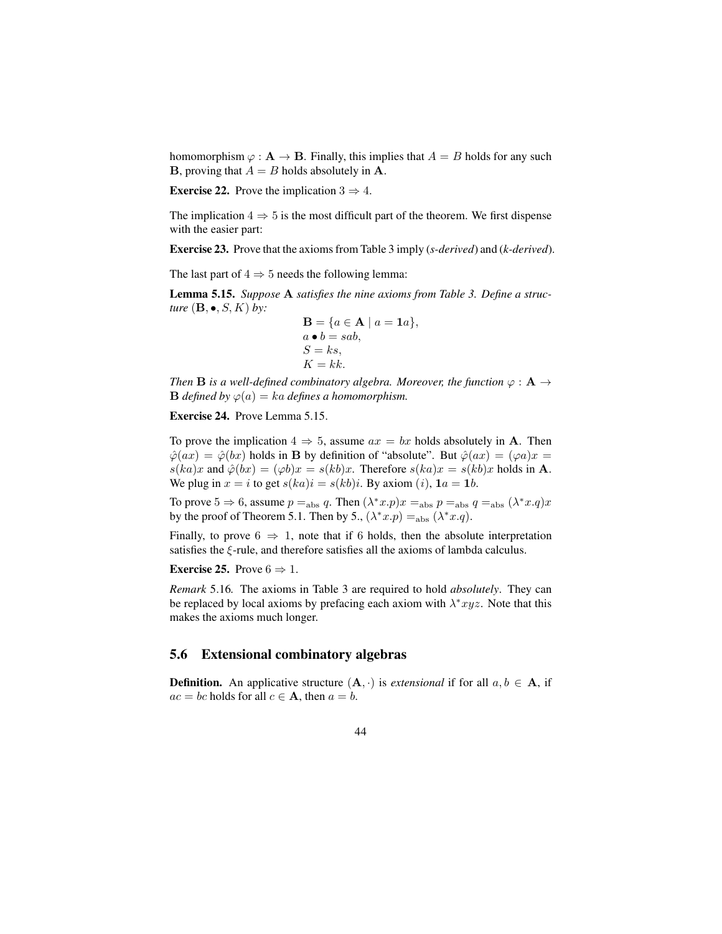homomorphism  $\varphi : \mathbf{A} \to \mathbf{B}$ . Finally, this implies that  $A = B$  holds for any such **B**, proving that  $A = B$  holds absolutely in **A**.

**Exercise 22.** Prove the implication  $3 \Rightarrow 4$ .

The implication  $4 \Rightarrow 5$  is the most difficult part of the theorem. We first dispense with the easier part:

Exercise 23. Prove that the axioms from Table 3 imply (*s-derived*) and (*k-derived*).

The last part of  $4 \Rightarrow 5$  needs the following lemma:

Lemma 5.15. *Suppose* A *satisfies the nine axioms from Table 3. Define a structure*  $(\mathbf{B}, \bullet, S, K)$  *by:* 

$$
B = \{a \in A \mid a = 1a\},\
$$
  
\n $a \bullet b = sab,$   
\n $S = ks,$   
\n $K = kk.$ 

*Then* **B** *is a well-defined combinatory algebra. Moreover, the function*  $\varphi$  : **A**  $\rightarrow$ **B** *defined by*  $\varphi(a) = ka$  *defines a homomorphism.* 

Exercise 24. Prove Lemma 5.15.

To prove the implication  $4 \Rightarrow 5$ , assume  $ax = bx$  holds absolutely in A. Then  $\hat{\varphi}(ax) = \hat{\varphi}(bx)$  holds in **B** by definition of "absolute". But  $\hat{\varphi}(ax) = (\varphi a)x =$  $s(ka)x$  and  $\hat{\varphi}(bx) = (\varphi b)x = s(kb)x$ . Therefore  $s(ka)x = s(kb)x$  holds in **A**. We plug in  $x = i$  to get  $s(ka)i = s(kb)i$ . By axiom (i),  $1a = 1b$ .

To prove  $5 \Rightarrow 6$ , assume  $p =_{\text{abs}} q$ . Then  $(\lambda^* x \cdot p)x =_{\text{abs}} p =_{\text{abs}} q =_{\text{abs}} (\lambda^* x \cdot q)x$ by the proof of Theorem 5.1. Then by 5.,  $(\lambda^* x.p) =_{\text{abs}} (\lambda^* x.q)$ .

Finally, to prove  $6 \Rightarrow 1$ , note that if 6 holds, then the absolute interpretation satisfies the  $\xi$ -rule, and therefore satisfies all the axioms of lambda calculus.

**Exercise 25.** Prove  $6 \Rightarrow 1$ .

*Remark* 5.16*.* The axioms in Table 3 are required to hold *absolutely*. They can be replaced by local axioms by prefacing each axiom with  $\lambda^*xyz$ . Note that this makes the axioms much longer.

## 5.6 Extensional combinatory algebras

**Definition.** An applicative structure  $(A, \cdot)$  is *extensional* if for all  $a, b \in A$ , if  $ac = bc$  holds for all  $c \in A$ , then  $a = b$ .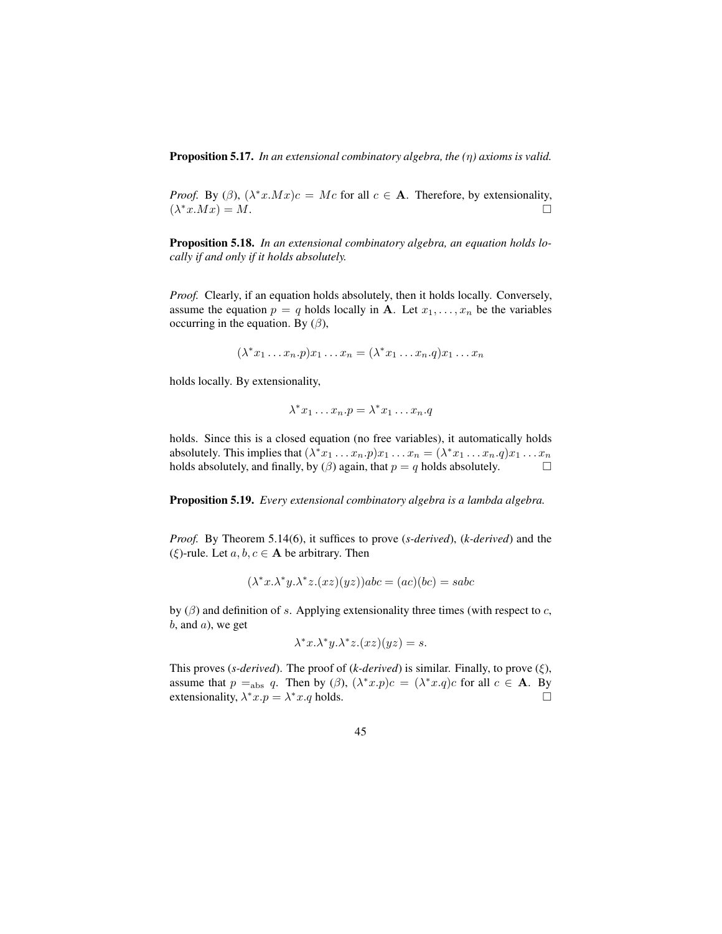Proposition 5.17. *In an extensional combinatory algebra, the (*η*) axioms is valid.*

*Proof.* By ( $\beta$ ),  $(\lambda^* x.Mx)c = Mc$  for all  $c \in A$ . Therefore, by extensionality,  $(\lambda^* x.Mx) = M.$ 

Proposition 5.18. *In an extensional combinatory algebra, an equation holds locally if and only if it holds absolutely.*

*Proof.* Clearly, if an equation holds absolutely, then it holds locally. Conversely, assume the equation  $p = q$  holds locally in A. Let  $x_1, \ldots, x_n$  be the variables occurring in the equation. By  $(\beta)$ ,

$$
(\lambda^* x_1 \dots x_n.p)x_1 \dots x_n = (\lambda^* x_1 \dots x_n.q)x_1 \dots x_n
$$

holds locally. By extensionality,

$$
\lambda^* x_1 \dots x_n \cdot p = \lambda^* x_1 \dots x_n \cdot q
$$

holds. Since this is a closed equation (no free variables), it automatically holds absolutely. This implies that  $(\lambda^*x_1 \ldots x_n \cdot p)x_1 \ldots x_n = (\lambda^*x_1 \ldots x_n \cdot q)x_1 \ldots x_n$ holds absolutely, and finally, by  $(\beta)$  again, that  $p = q$  holds absolutely.

Proposition 5.19. *Every extensional combinatory algebra is a lambda algebra.*

*Proof.* By Theorem 5.14(6), it suffices to prove (*s-derived*), (*k-derived*) and the (ξ)-rule. Let  $a, b, c \in A$  be arbitrary. Then

$$
(\lambda^* x . \lambda^* y . \lambda^* z . (xz)(yz))abc = (ac)(bc) = sabc
$$

by  $(\beta)$  and definition of s. Applying extensionality three times (with respect to c,  $b$ , and  $a$ ), we get

$$
\lambda^* x . \lambda^* y . \lambda^* z . (xz)(yz) = s.
$$

This proves (*s-derived*). The proof of (*k-derived*) is similar. Finally, to prove (ξ), assume that  $p =_{\text{abs}} q$ . Then by ( $\beta$ ),  $(\lambda^* x.p)c = (\lambda^* x.q)c$  for all  $c \in A$ . By extensionality,  $\lambda^* x.p = \lambda^* x.q$  holds.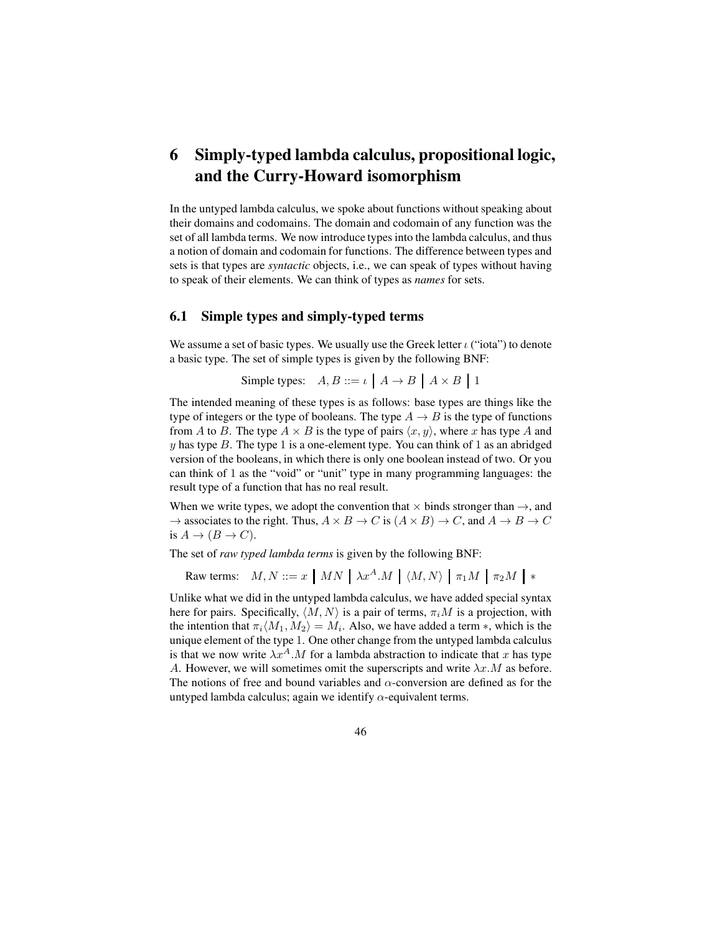# 6 Simply-typed lambda calculus, propositional logic, and the Curry-Howard isomorphism

In the untyped lambda calculus, we spoke about functions without speaking about their domains and codomains. The domain and codomain of any function was the set of all lambda terms. We now introduce types into the lambda calculus, and thus a notion of domain and codomain for functions. The difference between types and sets is that types are *syntactic* objects, i.e., we can speak of types without having to speak of their elements. We can think of types as *names* for sets.

## 6.1 Simple types and simply-typed terms

We assume a set of basic types. We usually use the Greek letter  $\iota$  ("iota") to denote a basic type. The set of simple types is given by the following BNF:

Simple types:  $A, B ::= \iota \mid A \rightarrow B \mid A \times B \mid 1$ 

The intended meaning of these types is as follows: base types are things like the type of integers or the type of booleans. The type  $A \rightarrow B$  is the type of functions from A to B. The type  $A \times B$  is the type of pairs  $\langle x, y \rangle$ , where x has type A and  $y$  has type  $B$ . The type 1 is a one-element type. You can think of 1 as an abridged version of the booleans, in which there is only one boolean instead of two. Or you can think of 1 as the "void" or "unit" type in many programming languages: the result type of a function that has no real result.

When we write types, we adopt the convention that  $\times$  binds stronger than  $\rightarrow$ , and  $\rightarrow$  associates to the right. Thus,  $A \times B \rightarrow C$  is  $(A \times B) \rightarrow C$ , and  $A \rightarrow B \rightarrow C$ is  $A \to (B \to C)$ .

The set of *raw typed lambda terms* is given by the following BNF:

Raw terms:  $M, N ::= x \mid MN \mid \lambda x^A.M \mid \langle M, N \rangle \mid \pi_1M \mid \pi_2M \mid *$ 

Unlike what we did in the untyped lambda calculus, we have added special syntax here for pairs. Specifically,  $\langle M, N \rangle$  is a pair of terms,  $\pi_i M$  is a projection, with the intention that  $\pi_i \langle M_1, M_2 \rangle = M_i$ . Also, we have added a term  $*$ , which is the unique element of the type 1. One other change from the untyped lambda calculus is that we now write  $\lambda x^A \cdot M$  for a lambda abstraction to indicate that x has type A. However, we will sometimes omit the superscripts and write  $\lambda x.M$  as before. The notions of free and bound variables and  $\alpha$ -conversion are defined as for the untyped lambda calculus; again we identify  $\alpha$ -equivalent terms.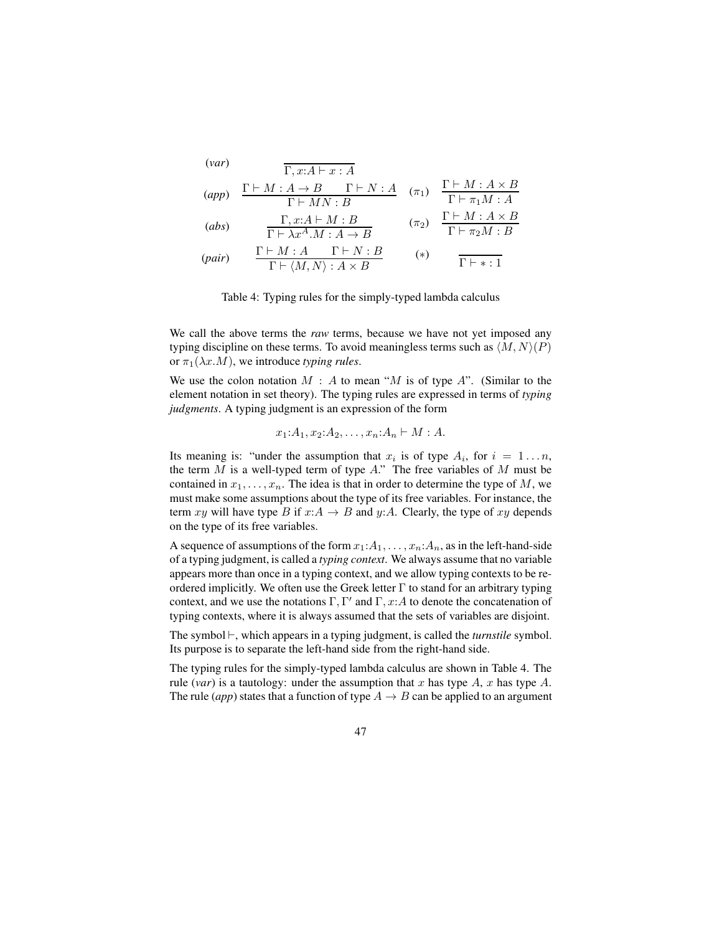(*var*)  $\overline{\Gamma, x:A \vdash x:A}$ 

$$
(app) \quad \frac{\Gamma \vdash M : A \to B \qquad \Gamma \vdash N : A}{\Gamma \vdash MN : B} \quad (\pi_1) \quad \frac{\Gamma \vdash M : A \times B}{\Gamma \vdash \pi_1 M : A}
$$

(*abs*) 
$$
\frac{\Gamma, x:A \vdash M:B}{\Gamma \vdash \lambda x^A.M:A \to B} \qquad (\pi_2) \quad \frac{\Gamma \vdash M:A \times B}{\Gamma \vdash \pi_2 M:B}
$$

$$
(pair) \qquad \frac{\Gamma \vdash M : A \qquad \Gamma \vdash N : B}{\Gamma \vdash \langle M, N \rangle : A \times B} \qquad (*) \qquad \frac{\Gamma \vdash \cdots \Gamma}{\Gamma \vdash * : 1}
$$

Table 4: Typing rules for the simply-typed lambda calculus

We call the above terms the *raw* terms, because we have not yet imposed any typing discipline on these terms. To avoid meaningless terms such as  $\langle M, N \rangle (P)$ or  $\pi_1(\lambda x.M)$ , we introduce *typing rules*.

We use the colon notation  $M : A$  to mean "M is of type  $A$ ". (Similar to the element notation in set theory). The typing rules are expressed in terms of *typing judgments*. A typing judgment is an expression of the form

$$
x_1:A_1, x_2:A_2, \ldots, x_n:A_n \vdash M:A.
$$

Its meaning is: "under the assumption that  $x_i$  is of type  $A_i$ , for  $i = 1...n$ , the term  $M$  is a well-typed term of type  $A$ ." The free variables of  $M$  must be contained in  $x_1, \ldots, x_n$ . The idea is that in order to determine the type of M, we must make some assumptions about the type of its free variables. For instance, the term xy will have type B if  $x:A \rightarrow B$  and y:A. Clearly, the type of xy depends on the type of its free variables.

A sequence of assumptions of the form  $x_1:A_1,\ldots,x_n:A_n$ , as in the left-hand-side of a typing judgment, is called a *typing context*. We always assume that no variable appears more than once in a typing context, and we allow typing contexts to be reordered implicitly. We often use the Greek letter  $\Gamma$  to stand for an arbitrary typing context, and we use the notations  $\Gamma, \Gamma'$  and  $\Gamma, x:A$  to denote the concatenation of typing contexts, where it is always assumed that the sets of variables are disjoint.

The symbol ⊢, which appears in a typing judgment, is called the *turnstile* symbol. Its purpose is to separate the left-hand side from the right-hand side.

The typing rules for the simply-typed lambda calculus are shown in Table 4. The rule (*var*) is a tautology: under the assumption that x has type A, x has type A. The rule (*app*) states that a function of type  $A \rightarrow B$  can be applied to an argument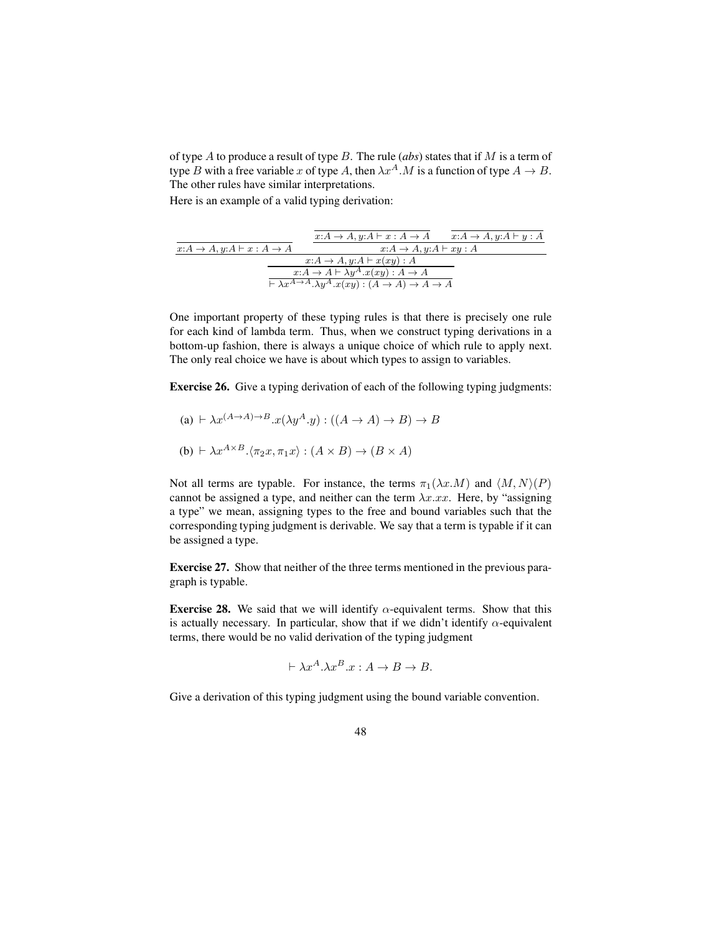of type A to produce a result of type B. The rule (*abs*) states that if M is a term of type B with a free variable x of type A, then  $\lambda x^A$ . M is a function of type  $A \rightarrow B$ . The other rules have similar interpretations.

Here is an example of a valid typing derivation:

$$
\begin{array}{c|c}\n\hline x:A \rightarrow A, y:A \vdash x:A \rightarrow A & x:A \rightarrow A & x:A \rightarrow A, y:A \vdash y:A \\
\hline x:A \rightarrow A, y:A \vdash x:A \rightarrow A, y:A \vdash xy:A \\
x:A \rightarrow A, y:A \vdash x(xy): A \\
\hline x:A \rightarrow A \vdash \lambda yA \cdot x(xy): A \rightarrow A \\
\hline \vdash \lambda x^{A \rightarrow A} \cdot \lambda y^{A} \cdot x(xy): (A \rightarrow A) \rightarrow A \rightarrow A\n\end{array}
$$

One important property of these typing rules is that there is precisely one rule for each kind of lambda term. Thus, when we construct typing derivations in a bottom-up fashion, there is always a unique choice of which rule to apply next. The only real choice we have is about which types to assign to variables.

Exercise 26. Give a typing derivation of each of the following typing judgments:

(a) 
$$
\vdash \lambda x^{(A \to A) \to B} . x(\lambda y^A . y) : ((A \to A) \to B) \to B
$$

(b) 
$$
\vdash \lambda x^{A \times B} . \langle \pi_2 x, \pi_1 x \rangle : (A \times B) \to (B \times A)
$$

Not all terms are typable. For instance, the terms  $\pi_1(\lambda x.M)$  and  $\langle M, N \rangle(P)$ cannot be assigned a type, and neither can the term  $\lambda x.xx$ . Here, by "assigning a type" we mean, assigning types to the free and bound variables such that the corresponding typing judgment is derivable. We say that a term is typable if it can be assigned a type.

Exercise 27. Show that neither of the three terms mentioned in the previous paragraph is typable.

**Exercise 28.** We said that we will identify  $\alpha$ -equivalent terms. Show that this is actually necessary. In particular, show that if we didn't identify  $\alpha$ -equivalent terms, there would be no valid derivation of the typing judgment

$$
\vdash \lambda x^A . \lambda x^B . x : A \to B \to B.
$$

Give a derivation of this typing judgment using the bound variable convention.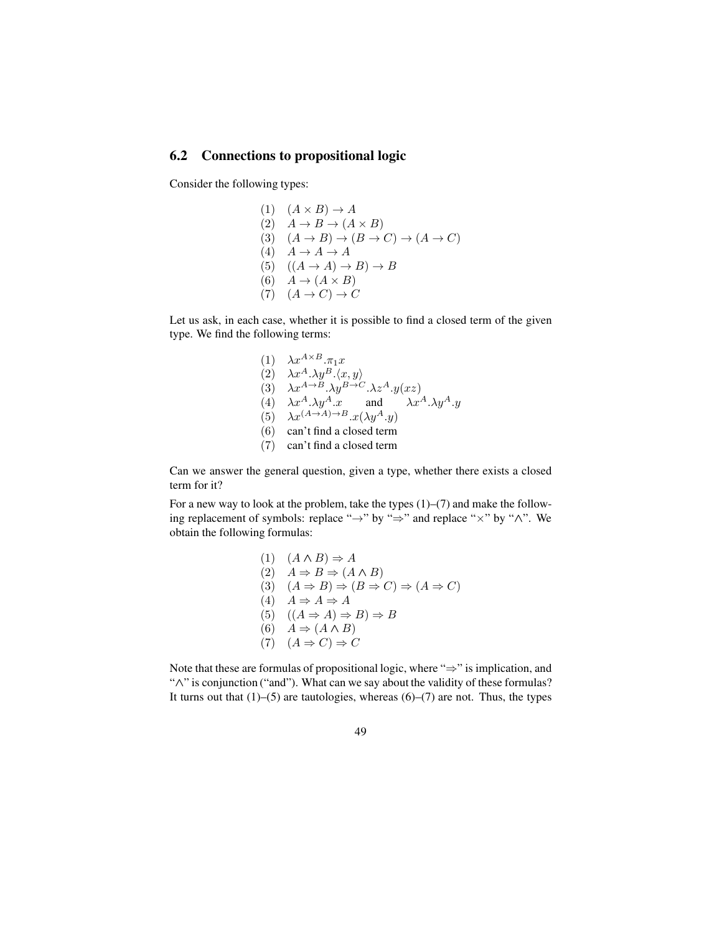## 6.2 Connections to propositional logic

Consider the following types:

(1) 
$$
(A \times B) \rightarrow A
$$
  
\n(2)  $A \rightarrow B \rightarrow (A \times B)$   
\n(3)  $(A \rightarrow B) \rightarrow (B \rightarrow C) \rightarrow (A \rightarrow C)$   
\n(4)  $A \rightarrow A \rightarrow A$   
\n(5)  $((A \rightarrow A) \rightarrow B) \rightarrow B$   
\n(6)  $A \rightarrow (A \times B)$   
\n(7)  $(A \rightarrow C) \rightarrow C$ 

Let us ask, in each case, whether it is possible to find a closed term of the given type. We find the following terms:

(1) 
$$
\lambda x^{A \times B}.\pi_1 x
$$
  
\n(2)  $\lambda x^A.\lambda y^B. \langle x, y \rangle$   
\n(3)  $\lambda x^{A \to B}.\lambda y^{B \to C}.\lambda z^A.y(xz)$   
\n(4)  $\lambda x^A.\lambda y^A.x$  and  $\lambda x^A.\lambda y^A.y$   
\n(5)  $\lambda x^{(A \to A) \to B}.\mathcal{x}(\lambda y^A.y)$   
\n(6) can't find a closed term  
\n(7) can't find a closed term

Can we answer the general question, given a type, whether there exists a closed term for it?

For a new way to look at the problem, take the types  $(1)$ – $(7)$  and make the following replacement of symbols: replace "→" by "⇒" and replace "×" by "∧". We obtain the following formulas:

(1) 
$$
(A \wedge B) \Rightarrow A
$$
  
\n(2)  $A \Rightarrow B \Rightarrow (A \wedge B)$   
\n(3)  $(A \Rightarrow B) \Rightarrow (B \Rightarrow C) \Rightarrow (A \Rightarrow C)$   
\n(4)  $A \Rightarrow A \Rightarrow A$   
\n(5)  $((A \Rightarrow A) \Rightarrow B) \Rightarrow B$   
\n(6)  $A \Rightarrow (A \wedge B)$   
\n(7)  $(A \Rightarrow C) \Rightarrow C$ 

Note that these are formulas of propositional logic, where "⇒" is implication, and "∧" is conjunction ("and"). What can we say about the validity of these formulas? It turns out that  $(1)$ – $(5)$  are tautologies, whereas  $(6)$ – $(7)$  are not. Thus, the types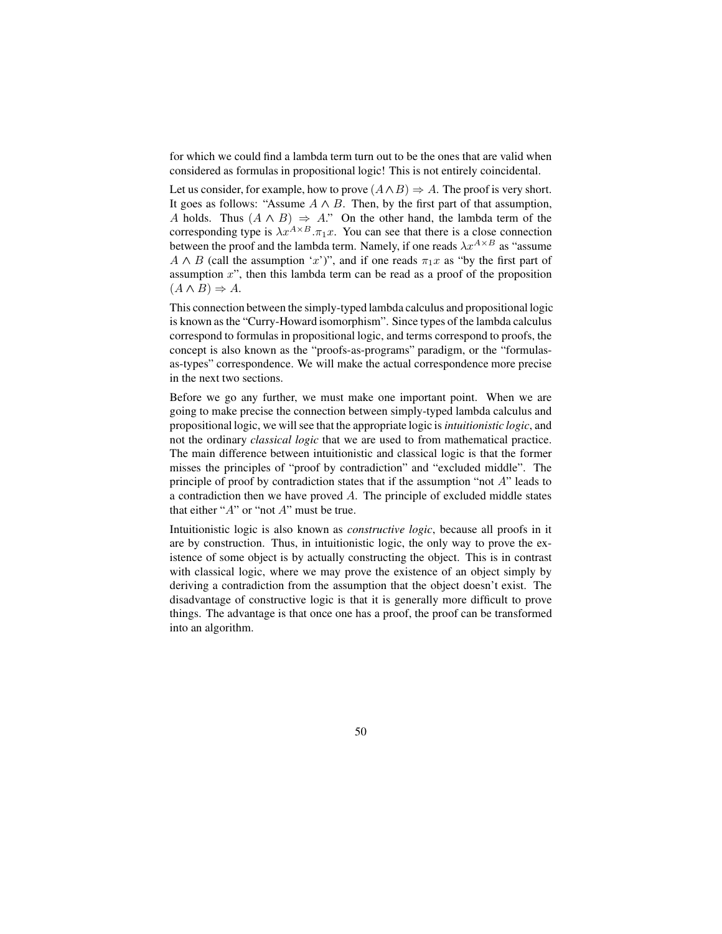for which we could find a lambda term turn out to be the ones that are valid when considered as formulas in propositional logic! This is not entirely coincidental.

Let us consider, for example, how to prove  $(A \wedge B) \Rightarrow A$ . The proof is very short. It goes as follows: "Assume  $A \wedge B$ . Then, by the first part of that assumption, A holds. Thus  $(A \wedge B) \Rightarrow A$ ." On the other hand, the lambda term of the corresponding type is  $\lambda x^{A \times B} \cdot \pi_1 x$ . You can see that there is a close connection between the proof and the lambda term. Namely, if one reads  $\lambda x^{A \times B}$  as "assume  $A \wedge B$  (call the assumption 'x')", and if one reads  $\pi_1 x$  as "by the first part of assumption  $x$ ", then this lambda term can be read as a proof of the proposition  $(A \wedge B) \Rightarrow A$ .

This connection between the simply-typed lambda calculus and propositional logic is known as the "Curry-Howard isomorphism". Since types of the lambda calculus correspond to formulas in propositional logic, and terms correspond to proofs, the concept is also known as the "proofs-as-programs" paradigm, or the "formulasas-types" correspondence. We will make the actual correspondence more precise in the next two sections.

Before we go any further, we must make one important point. When we are going to make precise the connection between simply-typed lambda calculus and propositional logic, we will see that the appropriate logic is *intuitionistic logic*, and not the ordinary *classical logic* that we are used to from mathematical practice. The main difference between intuitionistic and classical logic is that the former misses the principles of "proof by contradiction" and "excluded middle". The principle of proof by contradiction states that if the assumption "not  $A$ " leads to a contradiction then we have proved  $A$ . The principle of excluded middle states that either " $A$ " or "not  $A$ " must be true.

Intuitionistic logic is also known as *constructive logic*, because all proofs in it are by construction. Thus, in intuitionistic logic, the only way to prove the existence of some object is by actually constructing the object. This is in contrast with classical logic, where we may prove the existence of an object simply by deriving a contradiction from the assumption that the object doesn't exist. The disadvantage of constructive logic is that it is generally more difficult to prove things. The advantage is that once one has a proof, the proof can be transformed into an algorithm.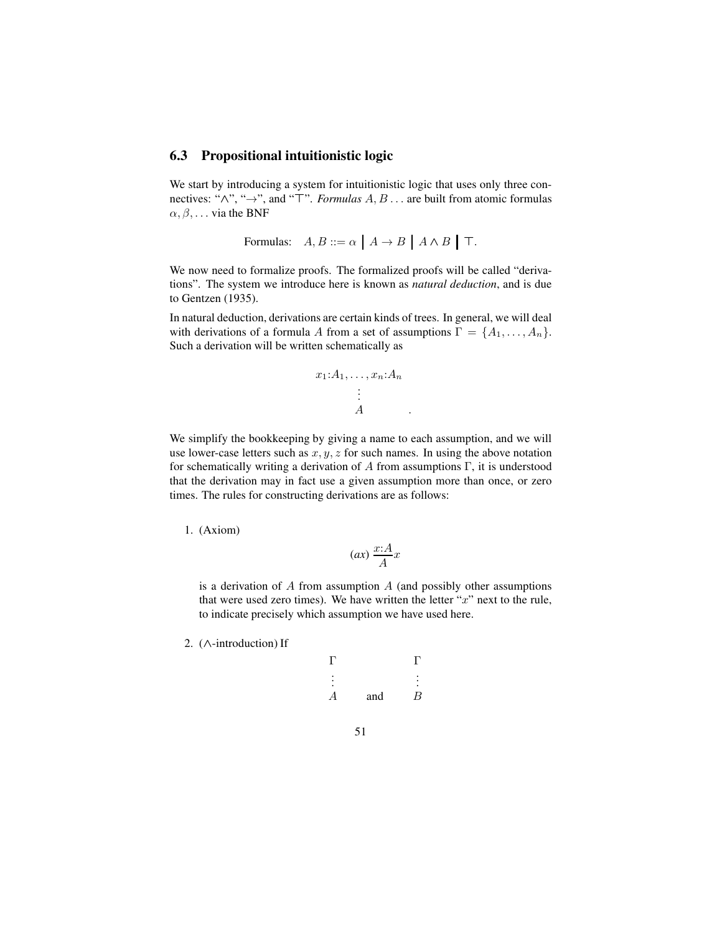## 6.3 Propositional intuitionistic logic

We start by introducing a system for intuitionistic logic that uses only three connectives: "∧", "→", and "⊤". *Formulas* A, B . . . are built from atomic formulas  $\alpha, \beta, \ldots$  via the BNF

Formulas: 
$$
A, B ::= \alpha \mid A \rightarrow B \mid A \land B \mid \top
$$
.

We now need to formalize proofs. The formalized proofs will be called "derivations". The system we introduce here is known as *natural deduction*, and is due to Gentzen (1935).

In natural deduction, derivations are certain kinds of trees. In general, we will deal with derivations of a formula A from a set of assumptions  $\Gamma = \{A_1, \ldots, A_n\}.$ Such a derivation will be written schematically as

$$
x_1: A_1, \ldots, x_n: A_n
$$

$$
\vdots
$$

$$
A
$$

We simplify the bookkeeping by giving a name to each assumption, and we will use lower-case letters such as  $x, y, z$  for such names. In using the above notation for schematically writing a derivation of A from assumptions  $\Gamma$ , it is understood that the derivation may in fact use a given assumption more than once, or zero times. The rules for constructing derivations are as follows:

1. (Axiom)

$$
(ax) \frac{x:A}{A}x
$$

is a derivation of  $A$  from assumption  $A$  (and possibly other assumptions that were used zero times). We have written the letter " $x$ " next to the rule, to indicate precisely which assumption we have used here.

2. (∧-introduction) If

| $\Gamma$ | $\Gamma$ |     |
|----------|----------|-----|
| $\vdots$ | $\vdots$ |     |
| $A$      | and      | $B$ |

51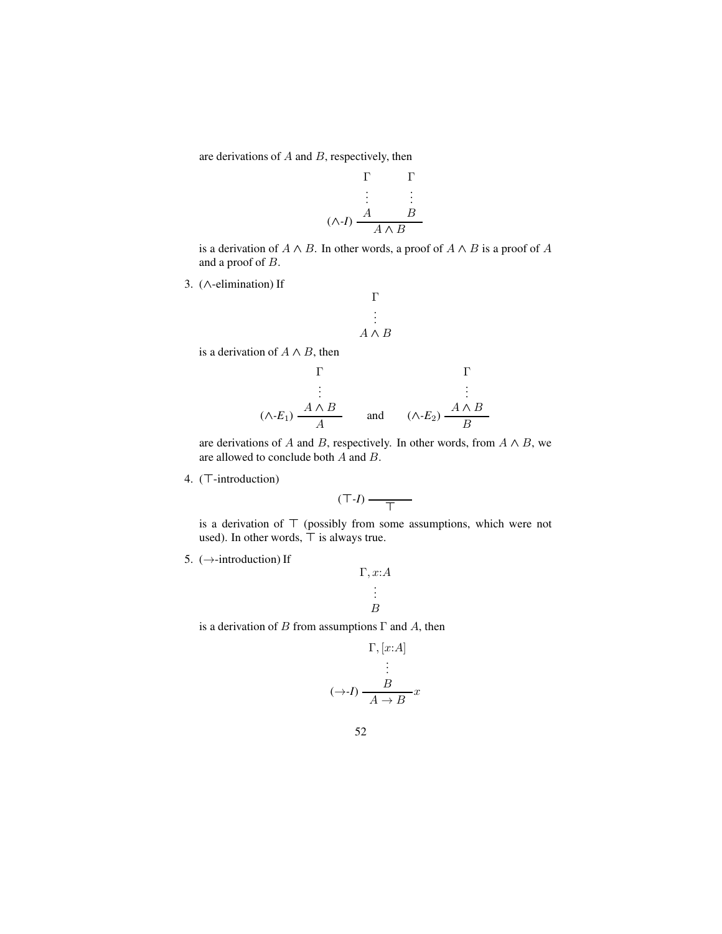are derivations of  $A$  and  $B$ , respectively, then

$$
\begin{array}{ccc}\n\Gamma & \Gamma \\
\vdots & \vdots \\
(\wedge \text{-}I) & \xrightarrow{\begin{array}{c}\nA \\
 \hline A \wedge B\n\end{array}}\n\end{array}
$$

is a derivation of  $A \wedge B$ . In other words, a proof of  $A \wedge B$  is a proof of A and a proof of B.

3. (∧-elimination) If

$$
\Gamma
$$
  

$$
\vdots
$$
  

$$
A \wedge B
$$

is a derivation of  $A \wedge B$ , then

$$
\begin{array}{ccc}\n\Gamma & \Gamma \\
\vdots & \vdots \\
(\wedge \text{-} E_1) \xrightarrow{A \wedge B} A & \text{and} \\
\end{array} \quad \text{and} \quad (\wedge \text{-} E_2) \xrightarrow{A \wedge B} B
$$

are derivations of A and B, respectively. In other words, from  $A \wedge B$ , we are allowed to conclude both A and B.

4. (⊤-introduction)

$$
(T-I)\frac{1}{T}
$$

is a derivation of ⊤ (possibly from some assumptions, which were not used). In other words, ⊤ is always true.

5.  $(\rightarrow$ -introduction) If

$$
\Gamma, x{:}A
$$

$$
\vdots
$$

$$
B
$$

is a derivation of B from assumptions  $\Gamma$  and A, then

$$
\Gamma, [x:A]
$$
  
\n
$$
\vdots
$$
  
\n
$$
(\rightarrow I) \frac{B}{A \rightarrow B} x
$$

52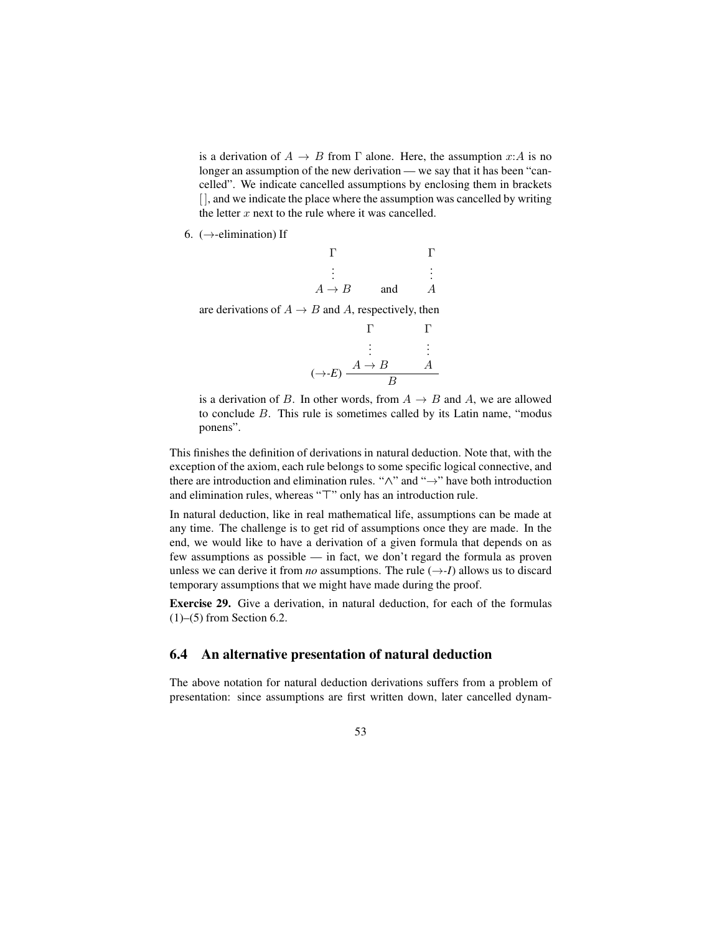is a derivation of  $A \rightarrow B$  from  $\Gamma$  alone. Here, the assumption x:A is no longer an assumption of the new derivation — we say that it has been "cancelled". We indicate cancelled assumptions by enclosing them in brackets [ ], and we indicate the place where the assumption was cancelled by writing the letter  $x$  next to the rule where it was cancelled.

6.  $(\rightarrow$ -elimination) If



(→*-E*)

is a derivation of *B*. In other words, from 
$$
A \rightarrow B
$$
 and *A*, we are allowed to conclude *B*. This rule is sometimes called by its Latin name, "modus ponens".

This finishes the definition of derivations in natural deduction. Note that, with the exception of the axiom, each rule belongs to some specific logical connective, and there are introduction and elimination rules. "∧" and "→" have both introduction and elimination rules, whereas "⊤" only has an introduction rule.

In natural deduction, like in real mathematical life, assumptions can be made at any time. The challenge is to get rid of assumptions once they are made. In the end, we would like to have a derivation of a given formula that depends on as few assumptions as possible — in fact, we don't regard the formula as proven unless we can derive it from *no* assumptions. The rule  $(\rightarrow -I)$  allows us to discard temporary assumptions that we might have made during the proof.

Exercise 29. Give a derivation, in natural deduction, for each of the formulas  $(1)$ – $(5)$  from Section 6.2.

## 6.4 An alternative presentation of natural deduction

The above notation for natural deduction derivations suffers from a problem of presentation: since assumptions are first written down, later cancelled dynam-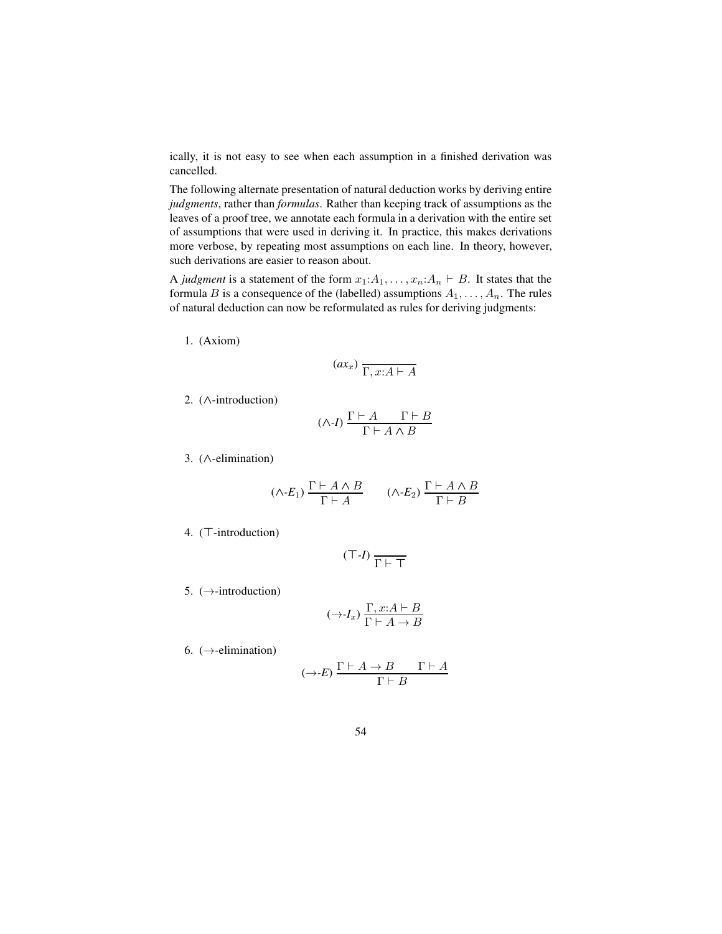ically, it is not easy to see when each assumption in a finished derivation was cancelled.

The following alternate presentation of natural deduction works by deriving entire *judgments*, rather than *formulas*. Rather than keeping track of assumptions as the leaves of a proof tree, we annotate each formula in a derivation with the entire set of assumptions that were used in deriving it. In practice, this makes derivations more verbose, by repeating most assumptions on each line. In theory, however, such derivations are easier to reason about.

A *judgment* is a statement of the form  $x_1:A_1,\ldots,x_n:A_n \vdash B$ . It states that the formula B is a consequence of the (labelled) assumptions  $A_1, \ldots, A_n$ . The rules of natural deduction can now be reformulated as rules for deriving judgments:

1. (Axiom)

$$
(ax_x)\ \frac{}{\Gamma, x:A\vdash A}
$$

2. (∧-introduction)

$$
(\wedge \text{-} I) \, \frac{\Gamma \vdash A \qquad \Gamma \vdash B}{\Gamma \vdash A \wedge B}
$$

3. (∧-elimination)

$$
(\wedge \text{-} E_1) \frac{\Gamma \vdash A \wedge B}{\Gamma \vdash A} \qquad (\wedge \text{-} E_2) \frac{\Gamma \vdash A \wedge B}{\Gamma \vdash B}
$$

4. (⊤-introduction)

$$
(\top \text{-} I) \frac{}{\Gamma \vdash \top}
$$

5.  $(\rightarrow$ -introduction)

$$
(\rightarrow I_x) \frac{\Gamma, x:A \vdash B}{\Gamma \vdash A \to B}
$$

6.  $(\rightarrow$ -elimination)

$$
(\rightarrow E) \frac{\Gamma \vdash A \to B \qquad \Gamma \vdash A}{\Gamma \vdash B}
$$

54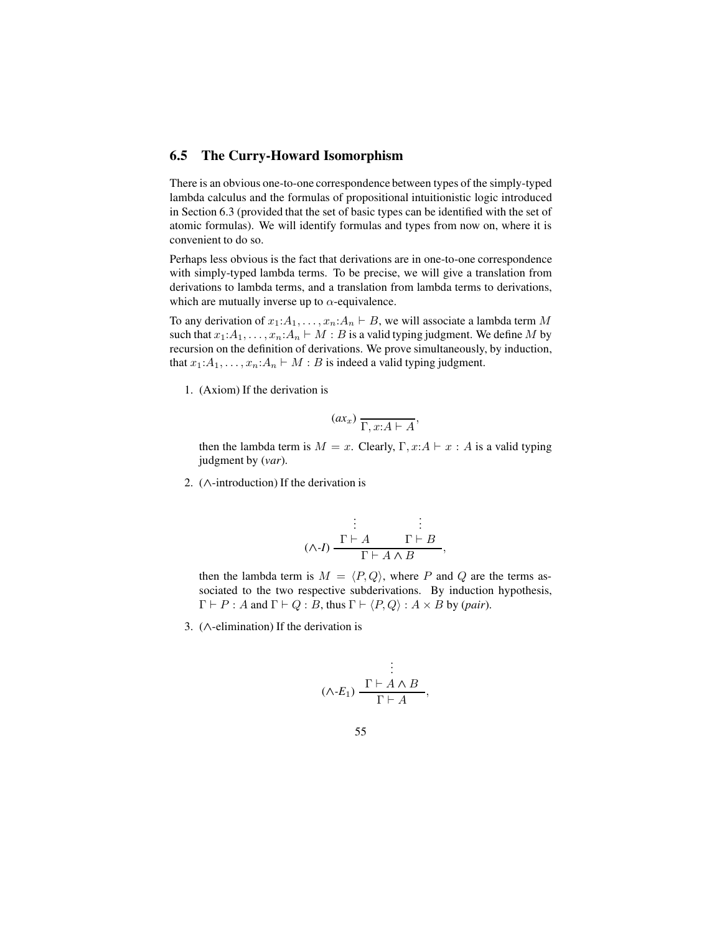## 6.5 The Curry-Howard Isomorphism

There is an obvious one-to-one correspondence between types of the simply-typed lambda calculus and the formulas of propositional intuitionistic logic introduced in Section 6.3 (provided that the set of basic types can be identified with the set of atomic formulas). We will identify formulas and types from now on, where it is convenient to do so.

Perhaps less obvious is the fact that derivations are in one-to-one correspondence with simply-typed lambda terms. To be precise, we will give a translation from derivations to lambda terms, and a translation from lambda terms to derivations, which are mutually inverse up to  $\alpha$ -equivalence.

To any derivation of  $x_1:A_1, \ldots, x_n:A_n \vdash B$ , we will associate a lambda term M such that  $x_1:A_1,\ldots,x_n:A_n \vdash M:B$  is a valid typing judgment. We define M by recursion on the definition of derivations. We prove simultaneously, by induction, that  $x_1:A_1,\ldots,x_n:A_n \vdash M:B$  is indeed a valid typing judgment.

1. (Axiom) If the derivation is

$$
(ax_x)\frac{}{\Gamma, x:A\vdash A},
$$

then the lambda term is  $M = x$ . Clearly,  $\Gamma, x:A \vdash x : A$  is a valid typing judgment by (*var*).

2. (∧-introduction) If the derivation is

$$
\begin{array}{c}\n\vdots & \vdots \\
(\wedge \text{-} I) \xrightarrow{\Gamma \vdash A} \qquad \Gamma \vdash B \\
\hline\n\Gamma \vdash A \wedge B\n\end{array}
$$

then the lambda term is  $M = \langle P, Q \rangle$ , where P and Q are the terms associated to the two respective subderivations. By induction hypothesis,  $\Gamma \vdash P : A$  and  $\Gamma \vdash Q : B$ , thus  $\Gamma \vdash \langle P, Q \rangle : A \times B$  by (*pair*).

3. (∧-elimination) If the derivation is

$$
\vdots
$$
  
( $\wedge$ - $E_1$ )  $\frac{\Gamma \vdash A \wedge B}{\Gamma \vdash A}$ ,

55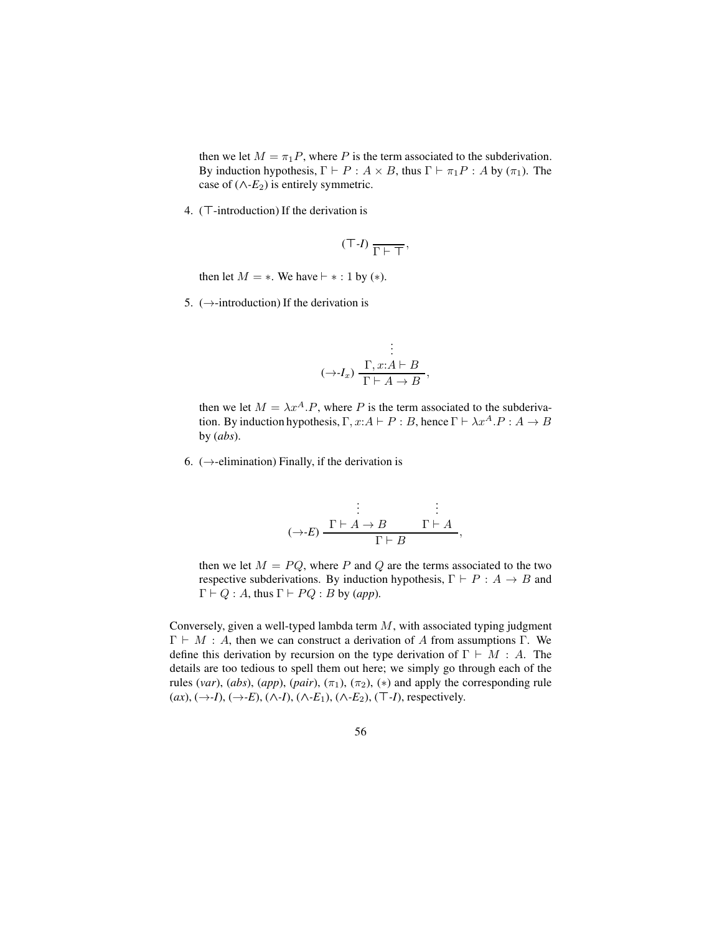then we let  $M = \pi_1 P$ , where P is the term associated to the subderivation. By induction hypothesis,  $\Gamma \vdash P : A \times B$ , thus  $\Gamma \vdash \pi_1 P : A$  by  $(\pi_1)$ . The case of  $(\wedge$ *-E*<sub>2</sub>) is entirely symmetric.

4. (⊤-introduction) If the derivation is

$$
(\top \text{-} I) \frac{}{\Gamma \vdash \top},
$$

then let  $M = *$ . We have  $\vdash * : 1$  by  $(*)$ .

5.  $(\rightarrow$ -introduction) If the derivation is

$$
\vdots
$$
  

$$
(\rightarrow I_x) \frac{\Gamma, x:A \vdash B}{\Gamma \vdash A \rightarrow B},
$$

then we let  $M = \lambda x^A P$ , where P is the term associated to the subderivation. By induction hypothesis,  $\Gamma$ ,  $x:A \vdash P : B$ , hence  $\Gamma \vdash \lambda x^A \cdot P : A \to B$ by (*abs*).

6. ( $\rightarrow$ -elimination) Finally, if the derivation is

$$
\vdots
$$
  

$$
(\rightarrow E) \frac{\Gamma \vdash A \rightarrow B \qquad \Gamma \vdash A}{\Gamma \vdash B},
$$

then we let  $M = PQ$ , where P and Q are the terms associated to the two respective subderivations. By induction hypothesis,  $\Gamma \vdash P : A \rightarrow B$  and  $\Gamma \vdash Q : A$ , thus  $\Gamma \vdash PQ : B$  by (*app*).

Conversely, given a well-typed lambda term M, with associated typing judgment  $Γ ⊢ M : A$ , then we can construct a derivation of A from assumptions Γ. We define this derivation by recursion on the type derivation of  $\Gamma \vdash M : A$ . The details are too tedious to spell them out here; we simply go through each of the rules (*var*), (*abs*), (*app*), (*pair*), ( $\pi$ <sub>1</sub>), ( $\pi$ <sub>2</sub>), (\*) and apply the corresponding rule  $(ax), (\rightarrow -I), (\rightarrow -E), (\land \neg I), (\land \neg E_1), (\land \neg E_2), (\top -I)$ , respectively.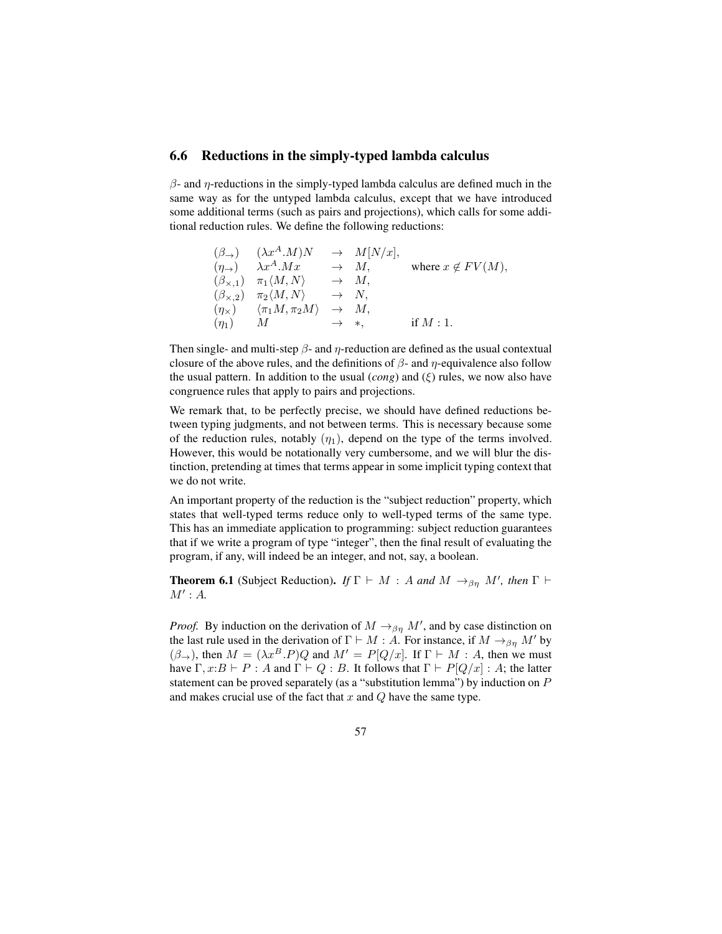#### 6.6 Reductions in the simply-typed lambda calculus

 $\beta$ - and  $\eta$ -reductions in the simply-typed lambda calculus are defined much in the same way as for the untyped lambda calculus, except that we have introduced some additional terms (such as pairs and projections), which calls for some additional reduction rules. We define the following reductions:

|                        | $(\beta_{\rightarrow}) \quad (\lambda x^A.M)N$            |                  | $\rightarrow$ $M[N/x],$ |                          |
|------------------------|-----------------------------------------------------------|------------------|-------------------------|--------------------------|
| $(\eta_{\rightarrow})$ | $\lambda x^{A}.Mx$                                        |                  | $\rightarrow$ M,        | where $x \notin FV(M)$ , |
|                        | $(\beta_{\times,1})$ $\pi_1 \langle M, N \rangle$         |                  | $\rightarrow$ M,        |                          |
|                        | $(\beta_{\times,2})$ $\pi_2 \langle M,N \rangle$          |                  | $\rightarrow$ N,        |                          |
|                        | $(\eta_{\times}) \qquad \langle \pi_1 M, \pi_2 M \rangle$ |                  | $\rightarrow$ M,        |                          |
| $(\eta_1)$             | M                                                         | $\rightarrow$ *. |                         | if $M:1$ .               |

Then single- and multi-step  $\beta$ - and  $\eta$ -reduction are defined as the usual contextual closure of the above rules, and the definitions of  $\beta$ - and  $\eta$ -equivalence also follow the usual pattern. In addition to the usual  $(cong)$  and  $(\xi)$  rules, we now also have congruence rules that apply to pairs and projections.

We remark that, to be perfectly precise, we should have defined reductions between typing judgments, and not between terms. This is necessary because some of the reduction rules, notably  $(\eta_1)$ , depend on the type of the terms involved. However, this would be notationally very cumbersome, and we will blur the distinction, pretending at times that terms appear in some implicit typing context that we do not write.

An important property of the reduction is the "subject reduction" property, which states that well-typed terms reduce only to well-typed terms of the same type. This has an immediate application to programming: subject reduction guarantees that if we write a program of type "integer", then the final result of evaluating the program, if any, will indeed be an integer, and not, say, a boolean.

**Theorem 6.1** (Subject Reduction). *If*  $\Gamma \vdash M : A$  *and*  $M \rightarrow_{\beta\eta} M'$ , *then*  $\Gamma \vdash$ M′ : A*.*

*Proof.* By induction on the derivation of  $M \to_{\beta\eta} M'$ , and by case distinction on the last rule used in the derivation of  $\Gamma \vdash M : A$ . For instance, if  $M \rightarrow_{\beta n} M'$  by ( $\beta \rightarrow$ ), then  $M = (\lambda x^B.P)Q$  and  $M' = P[Q/x]$ . If  $\Gamma \vdash M : A$ , then we must have  $\Gamma, x:B \vdash P : A$  and  $\Gamma \vdash Q : B$ . It follows that  $\Gamma \vdash P[Q/x] : A$ ; the latter statement can be proved separately (as a "substitution lemma") by induction on P and makes crucial use of the fact that  $x$  and  $Q$  have the same type.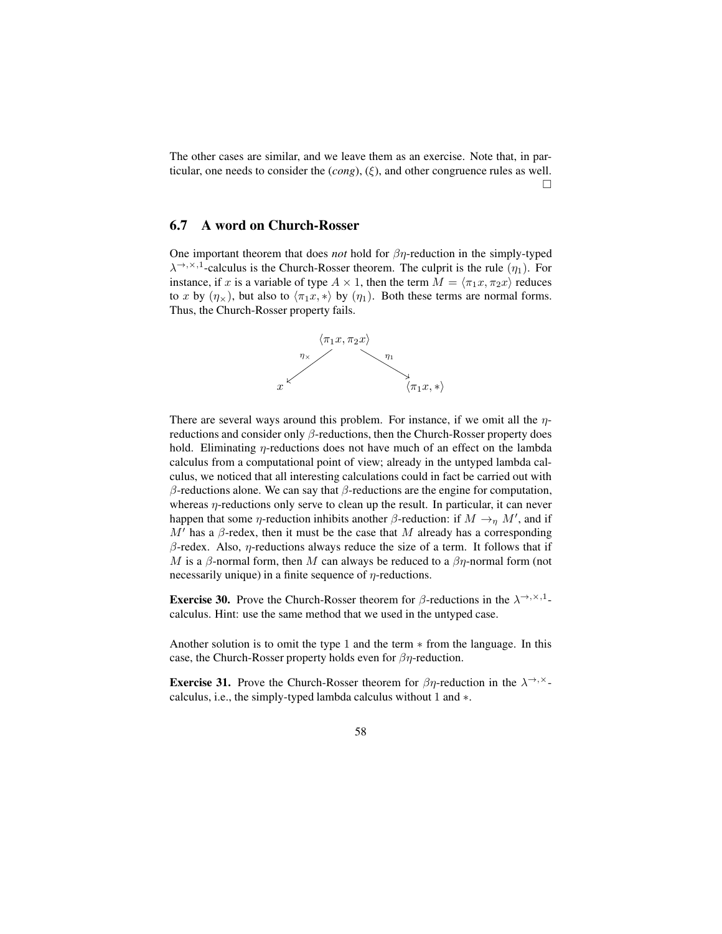The other cases are similar, and we leave them as an exercise. Note that, in particular, one needs to consider the  $(cong)$ ,  $(\xi)$ , and other congruence rules as well.  $\Box$ 

#### 6.7 A word on Church-Rosser

One important theorem that does *not* hold for βη-reduction in the simply-typed  $\lambda$ <sup>→, ×,1</sup>-calculus is the Church-Rosser theorem. The culprit is the rule  $(\eta_1)$ . For instance, if x is a variable of type  $A \times 1$ , then the term  $M = \langle \pi_1 x, \pi_2 x \rangle$  reduces to x by  $(\eta_{\times})$ , but also to  $\langle \pi_1 x, * \rangle$  by  $(\eta_1)$ . Both these terms are normal forms. Thus, the Church-Rosser property fails.



There are several ways around this problem. For instance, if we omit all the  $\eta$ reductions and consider only  $\beta$ -reductions, then the Church-Rosser property does hold. Eliminating  $\eta$ -reductions does not have much of an effect on the lambda calculus from a computational point of view; already in the untyped lambda calculus, we noticed that all interesting calculations could in fact be carried out with β-reductions alone. We can say that  $β$ -reductions are the engine for computation, whereas  $\eta$ -reductions only serve to clean up the result. In particular, it can never happen that some  $\eta$ -reduction inhibits another  $\beta$ -reduction: if  $M \to_{\eta} M'$ , and if  $M'$  has a  $\beta$ -redex, then it must be the case that M already has a corresponding β-redex. Also, *η*-reductions always reduce the size of a term. It follows that if M is a  $\beta$ -normal form, then M can always be reduced to a  $\beta\eta$ -normal form (not necessarily unique) in a finite sequence of  $\eta$ -reductions.

**Exercise 30.** Prove the Church-Rosser theorem for  $\beta$ -reductions in the  $\lambda^{\rightarrow}$ ,  $\times$ , 1. calculus. Hint: use the same method that we used in the untyped case.

Another solution is to omit the type 1 and the term ∗ from the language. In this case, the Church-Rosser property holds even for  $\beta\eta$ -reduction.

**Exercise 31.** Prove the Church-Rosser theorem for  $\beta\eta$ -reduction in the  $\lambda^{\rightarrow}$ . calculus, i.e., the simply-typed lambda calculus without 1 and ∗.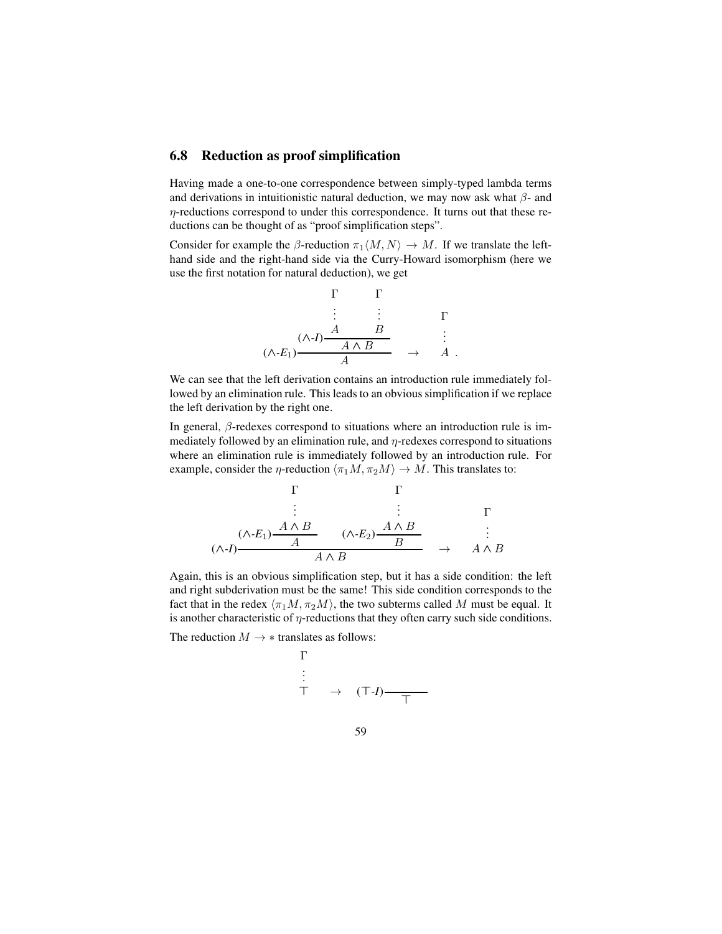#### 6.8 Reduction as proof simplification

Having made a one-to-one correspondence between simply-typed lambda terms and derivations in intuitionistic natural deduction, we may now ask what  $\beta$ - and  $\eta$ -reductions correspond to under this correspondence. It turns out that these reductions can be thought of as "proof simplification steps".

Consider for example the  $\beta$ -reduction  $\pi_1\langle M, N \rangle \to M$ . If we translate the lefthand side and the right-hand side via the Curry-Howard isomorphism (here we use the first notation for natural deduction), we get

$$
\begin{array}{ccc}\n & \Gamma & \Gamma \\
 & \vdots & \vdots & \Gamma \\
(\wedge \neg L) \xrightarrow{\underline{A} \wedge B} & & \vdots \\
 & \wedge \neg E_1) \xrightarrow{\underline{A} \wedge B} & & \rightarrow & \underline{A} \ .\n\end{array}
$$

We can see that the left derivation contains an introduction rule immediately followed by an elimination rule. This leads to an obvious simplification if we replace the left derivation by the right one.

In general,  $\beta$ -redexes correspond to situations where an introduction rule is immediately followed by an elimination rule, and  $\eta$ -redexes correspond to situations where an elimination rule is immediately followed by an introduction rule. For example, consider the *η*-reduction  $\langle \pi_1 M, \pi_2 M \rangle \to M$ . This translates to:

$$
\begin{array}{cccc}\n\Gamma & \Gamma \\
\vdots & \vdots & \Gamma \\
(\wedge \neg L) & \xrightarrow{A \wedge B} & (A \neg L) \wedge B \\
\hline\n(A \wedge B) & \xrightarrow{A \wedge B} & A \wedge B\n\end{array}
$$

Again, this is an obvious simplification step, but it has a side condition: the left and right subderivation must be the same! This side condition corresponds to the fact that in the redex  $\langle \pi_1 M, \pi_2 M \rangle$ , the two subterms called M must be equal. It is another characteristic of  $\eta$ -reductions that they often carry such side conditions.

The reduction  $M \to *$  translates as follows:

$$
\begin{array}{ccc}\n\Gamma & & \\
\vdots & & \\
T & \to & (T-I) \quad \text{or} \\
\end{array}
$$

59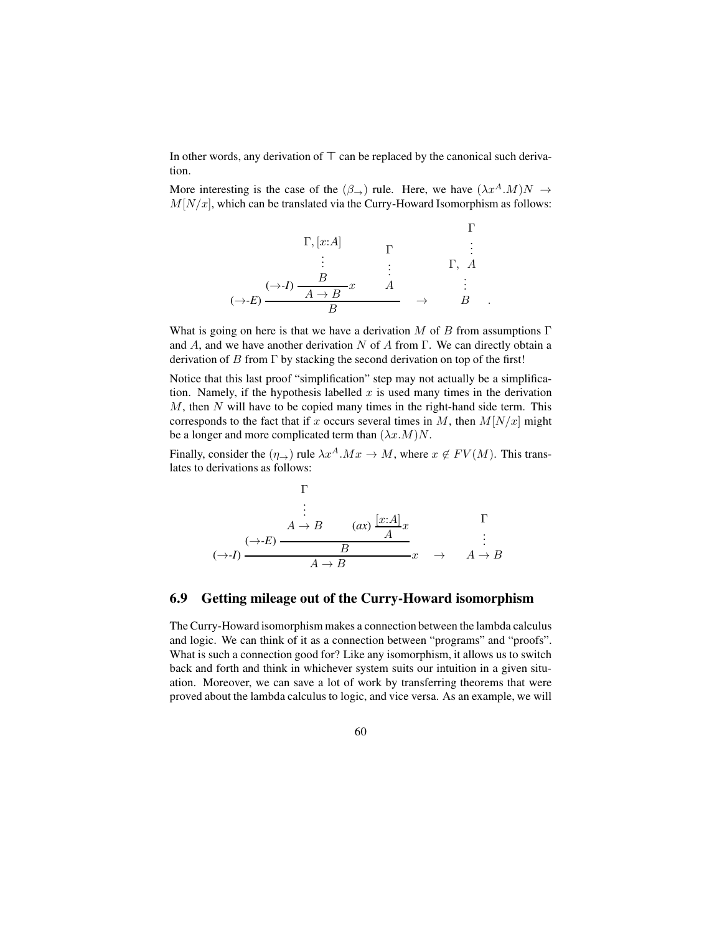In other words, any derivation of ⊤ can be replaced by the canonical such derivation.

More interesting is the case of the  $(\beta_{\rightarrow})$  rule. Here, we have  $(\lambda x^A \cdot M)N \rightarrow$  $M[N/x]$ , which can be translated via the Curry-Howard Isomorphism as follows:

$$
\Gamma, [x:A] \qquad \Gamma \qquad \vdots
$$
\n
$$
\vdots \qquad \Gamma, A
$$
\n
$$
(\rightarrow -E) \frac{( \rightarrow -I) \frac{B}{A \rightarrow B} x \qquad A}{B} \rightarrow B
$$

What is going on here is that we have a derivation  $M$  of  $B$  from assumptions  $\Gamma$ and A, and we have another derivation N of A from Γ. We can directly obtain a derivation of B from  $\Gamma$  by stacking the second derivation on top of the first!

Notice that this last proof "simplification" step may not actually be a simplification. Namely, if the hypothesis labelled  $x$  is used many times in the derivation  $M$ , then  $N$  will have to be copied many times in the right-hand side term. This corresponds to the fact that if x occurs several times in M, then  $M[N/x]$  might be a longer and more complicated term than  $(\lambda x.M)N$ .

Finally, consider the  $(\eta_{\rightarrow})$  rule  $\lambda x^A \cdot Mx \rightarrow M$ , where  $x \notin FV(M)$ . This translates to derivations as follows:

$$
\Gamma
$$
\n
$$
\vdots
$$
\n
$$
( \rightarrow -I) \frac{A \rightarrow B \quad (ax) \frac{[x:A]}{A}x}{B}x \rightarrow A \rightarrow B
$$
\n
$$
( \rightarrow -I) \frac{B}{A \rightarrow B}x \rightarrow A \rightarrow B
$$

## 6.9 Getting mileage out of the Curry-Howard isomorphism

The Curry-Howard isomorphism makes a connection between the lambda calculus and logic. We can think of it as a connection between "programs" and "proofs". What is such a connection good for? Like any isomorphism, it allows us to switch back and forth and think in whichever system suits our intuition in a given situation. Moreover, we can save a lot of work by transferring theorems that were proved about the lambda calculus to logic, and vice versa. As an example, we will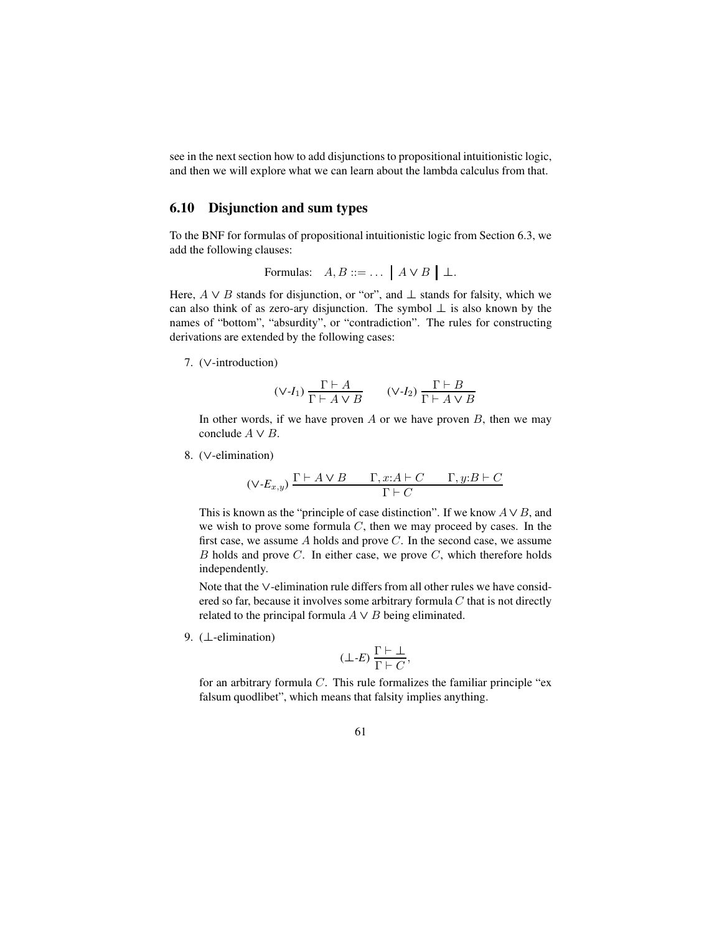see in the next section how to add disjunctions to propositional intuitionistic logic, and then we will explore what we can learn about the lambda calculus from that.

## 6.10 Disjunction and sum types

To the BNF for formulas of propositional intuitionistic logic from Section 6.3, we add the following clauses:

Formulas: 
$$
A, B ::= \dots | A \vee B | \bot
$$
.

Here,  $A \vee B$  stands for disjunction, or "or", and  $\perp$  stands for falsity, which we can also think of as zero-ary disjunction. The symbol  $\perp$  is also known by the names of "bottom", "absurdity", or "contradiction". The rules for constructing derivations are extended by the following cases:

7. (∨-introduction)

$$
(\vee I_1) \frac{\Gamma \vdash A}{\Gamma \vdash A \vee B} \qquad (\vee I_2) \frac{\Gamma \vdash B}{\Gamma \vdash A \vee B}
$$

In other words, if we have proven  $A$  or we have proven  $B$ , then we may conclude  $A \vee B$ .

8. (∨-elimination)

$$
(\vee E_{x,y}) \; \frac{\Gamma \vdash A \lor B \qquad \Gamma, x:A \vdash C \qquad \Gamma, y:B \vdash C}{\Gamma \vdash C}
$$

This is known as the "principle of case distinction". If we know  $A \vee B$ , and we wish to prove some formula  $C$ , then we may proceed by cases. In the first case, we assume A holds and prove  $C$ . In the second case, we assume  $B$  holds and prove  $C$ . In either case, we prove  $C$ , which therefore holds independently.

Note that the ∨-elimination rule differs from all other rules we have considered so far, because it involves some arbitrary formula  $C$  that is not directly related to the principal formula  $A \vee B$  being eliminated.

9. (⊥-elimination)

$$
(\perp E)\frac{\Gamma\vdash\perp}{\Gamma\vdash C},
$$

for an arbitrary formula  $C$ . This rule formalizes the familiar principle "exfalsum quodlibet", which means that falsity implies anything.

61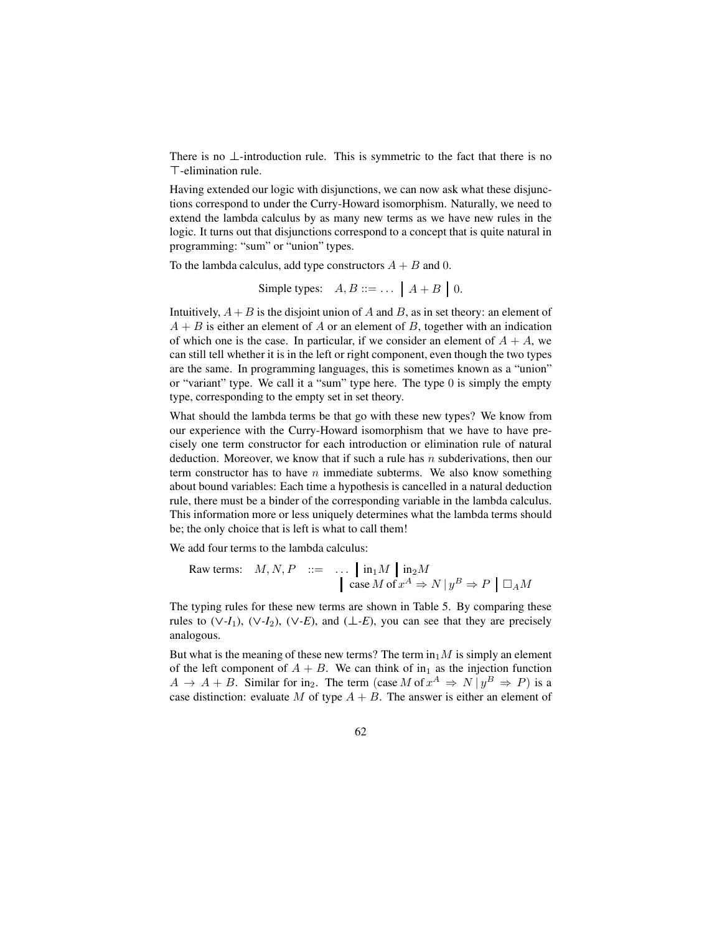There is no ⊥-introduction rule. This is symmetric to the fact that there is no ⊤-elimination rule.

Having extended our logic with disjunctions, we can now ask what these disjunctions correspond to under the Curry-Howard isomorphism. Naturally, we need to extend the lambda calculus by as many new terms as we have new rules in the logic. It turns out that disjunctions correspond to a concept that is quite natural in programming: "sum" or "union" types.

To the lambda calculus, add type constructors  $A + B$  and 0.

Simple types:  $A, B ::= \dots | A + B | 0$ .

Intuitively,  $A + B$  is the disjoint union of A and B, as in set theory: an element of  $A + B$  is either an element of A or an element of B, together with an indication of which one is the case. In particular, if we consider an element of  $A + A$ , we can still tell whether it is in the left or right component, even though the two types are the same. In programming languages, this is sometimes known as a "union" or "variant" type. We call it a "sum" type here. The type 0 is simply the empty type, corresponding to the empty set in set theory.

What should the lambda terms be that go with these new types? We know from our experience with the Curry-Howard isomorphism that we have to have precisely one term constructor for each introduction or elimination rule of natural deduction. Moreover, we know that if such a rule has  $n$  subderivations, then our term constructor has to have  $n$  immediate subterms. We also know something about bound variables: Each time a hypothesis is cancelled in a natural deduction rule, there must be a binder of the corresponding variable in the lambda calculus. This information more or less uniquely determines what the lambda terms should be; the only choice that is left is what to call them!

We add four terms to the lambda calculus:

$$
\begin{array}{ll}\n\text{Raw terms:} & M, N, P & ::= & \dots \mid \text{in}_1 M \mid \text{in}_2 M \\
& \mid \text{case } M \text{ of } x^A \Rightarrow N \mid y^B \Rightarrow P \mid \square_A M\n\end{array}
$$

The typing rules for these new terms are shown in Table 5. By comparing these rules to  $(\vee I_1)$ ,  $(\vee I_2)$ ,  $(\vee E)$ , and  $(\perp E)$ , you can see that they are precisely analogous.

But what is the meaning of these new terms? The term  $\text{in}_1 M$  is simply an element of the left component of  $A + B$ . We can think of in<sub>1</sub> as the injection function  $A \to A + B$ . Similar for in<sub>2</sub>. The term (case M of  $x^A \Rightarrow N | y^B \Rightarrow P$ ) is a case distinction: evaluate M of type  $A + B$ . The answer is either an element of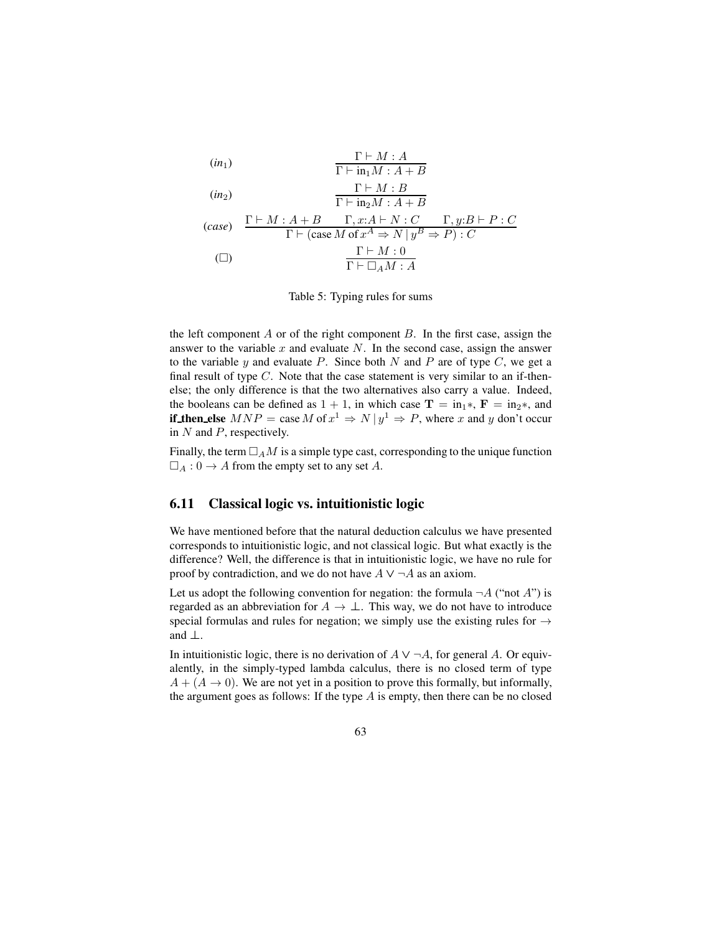$$
(in_1) \qquad \qquad \frac{\Gamma \vdash M : A}{\Gamma \vdash \text{in}_1 M : A + B}
$$

$$
(in_2) \qquad \qquad \frac{\Gamma \vdash M : B}{\Gamma \vdash in_2 M : A + B}
$$

$$
\begin{array}{ll}\n\text{(case)} & \frac{\Gamma \vdash M : A + B \quad \Gamma, x : A \vdash N : C \quad \Gamma, y : B \vdash P : C}{\Gamma \vdash (\text{case } M \text{ of } x^A \Rightarrow N \mid y^B \Rightarrow P) : C} \\
& \text{(C)} & \frac{\Gamma \vdash M : 0}{\Gamma \vdash \Box_A M : A}\n\end{array}
$$

Table 5: Typing rules for sums

the left component  $A$  or of the right component  $B$ . In the first case, assign the answer to the variable  $x$  and evaluate  $N$ . In the second case, assign the answer to the variable  $y$  and evaluate  $P$ . Since both  $N$  and  $P$  are of type  $C$ , we get a final result of type  $C$ . Note that the case statement is very similar to an if-thenelse; the only difference is that the two alternatives also carry a value. Indeed, the booleans can be defined as  $1 + 1$ , in which case  $T = in_1*, F = in_2*,$  and **if then else**  $MNP = \text{case } M \text{ of } x^1 \Rightarrow N \mid y^1 \Rightarrow P$ , where x and y don't occur in  $N$  and  $P$ , respectively.

Finally, the term  $\Box_A M$  is a simple type cast, corresponding to the unique function  $\square_A : 0 \to A$  from the empty set to any set A.

### 6.11 Classical logic vs. intuitionistic logic

We have mentioned before that the natural deduction calculus we have presented corresponds to intuitionistic logic, and not classical logic. But what exactly is the difference? Well, the difference is that in intuitionistic logic, we have no rule for proof by contradiction, and we do not have  $A \vee \neg A$  as an axiom.

Let us adopt the following convention for negation: the formula  $\neg A$  ("not A") is regarded as an abbreviation for  $A \to \bot$ . This way, we do not have to introduce special formulas and rules for negation; we simply use the existing rules for  $\rightarrow$ and  $\perp$ .

In intuitionistic logic, there is no derivation of  $A \vee \neg A$ , for general A. Or equivalently, in the simply-typed lambda calculus, there is no closed term of type  $A + (A \rightarrow 0)$ . We are not yet in a position to prove this formally, but informally, the argument goes as follows: If the type  $A$  is empty, then there can be no closed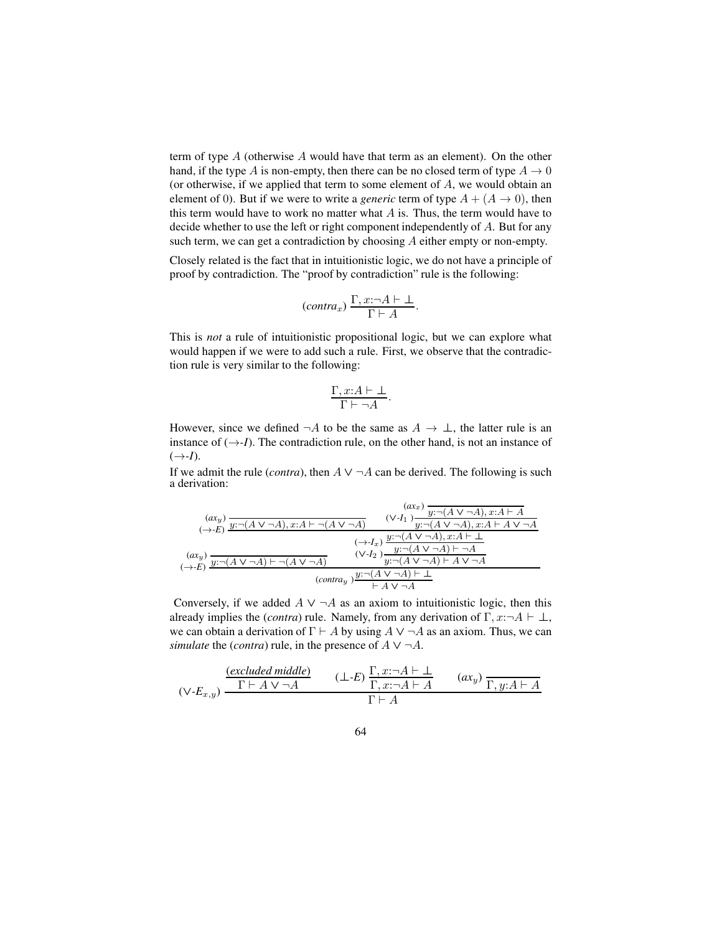term of type  $A$  (otherwise  $A$  would have that term as an element). On the other hand, if the type A is non-empty, then there can be no closed term of type  $A \rightarrow 0$ (or otherwise, if we applied that term to some element of A, we would obtain an element of 0). But if we were to write a *generic* term of type  $A + (A \rightarrow 0)$ , then this term would have to work no matter what  $A$  is. Thus, the term would have to decide whether to use the left or right component independently of A. But for any such term, we can get a contradiction by choosing A either empty or non-empty.

Closely related is the fact that in intuitionistic logic, we do not have a principle of proof by contradiction. The "proof by contradiction" rule is the following:

$$
(contra_x) \frac{\Gamma, x: \neg A \vdash \bot}{\Gamma \vdash A}.
$$

This is *not* a rule of intuitionistic propositional logic, but we can explore what would happen if we were to add such a rule. First, we observe that the contradiction rule is very similar to the following:

$$
\frac{\Gamma, x{:}A \vdash \bot}{\Gamma \vdash \neg A}.
$$

However, since we defined  $\neg A$  to be the same as  $A \rightarrow \bot$ , the latter rule is an instance of  $(\rightarrow -I)$ . The contradiction rule, on the other hand, is not an instance of  $(\rightarrow$ *-I*).

If we admit the rule (*contra*), then  $A ∨ \neg A$  can be derived. The following is such a derivation:

$$
(ax_y) \underbrace{\frac{(ax_x)}{y:(A\vee\neg A), x:A\vdash A} \quad (\vee I_1) \underbrace{\frac{(ax_x)}{y:(A\vee\neg A), x:A\vdash A}} \quad (\vee I_2) \underbrace{\frac{(ax_x)}{y:(A\vee\neg A), x:A\vdash A}} \quad (\vee I_3) \underbrace{\frac{(ax_x)}{y:(A\vee\neg A), x:A\vdash A}} \quad (\vee I_2) \underbrace{\frac{y:(A\vee\neg A), x:A\vdash \bot}{y:(A\vee\neg A)\vdash\neg A}} \quad (\vee I_3) \underbrace{\frac{y:(A\vee\neg A)\vdash A}{y:(A\vee\neg A)\vdash A}} \quad (\vee I_4) \underbrace{\frac{(ax_x)}{y:(A\vee\neg A)\vdash A}} \quad (\vee I_5) \underbrace{\frac{(ax_x)}{y:(A\vee\neg A)\vdash A}} \quad (\vee I_6) \underbrace{\frac{(ax_x)}{y:(A\vee\neg A)\vdash A}} \quad (\vee I_7) \underbrace{\frac{(ax_x)}{y:(A\vee\neg A)\vdash A}} \quad (\vee I_8) \underbrace{\frac{(ax_x)}{y:(A\vee\neg A)\vdash A}} \quad (\vee I_9) \underbrace{\frac{(ax_x)}{y:(A\vee\neg A)\vdash A}} \quad (\vee I_9) \underbrace{\frac{(ax_x)}{y:(A\vee\neg A)\vdash A}} \quad (\vee I_9) \underbrace{\frac{(ax_x)}{y:(A\vee\neg A)\vdash A}} \quad (\vee I_9) \underbrace{\frac{(ax_x)}{y:(A\vee\neg A)\vdash A}} \quad (\vee I_9) \underbrace{\frac{(ax_x)}{y:(A\vee\neg A)\vdash A}} \quad (\vee I_9) \underbrace{\frac{(ax_x)}{y:(A\vee\neg A)\vdash A}} \quad (\vee I_9) \underbrace{\frac{(ax_x)}{y:(A\vee\neg A)\vdash A}} \quad (\vee I_9) \underbrace{\frac{(ax_x)}{y:(A\vee\neg A)\vdash A}} \quad (\vee I_9) \underbrace{\frac{(ax_x)}{y:(A\vee\neg A)\vdash A}} \quad (\vee I_9) \underbrace{\frac{(ax_x)}{y:(A\vee\neg A)\vdash A}} \quad (\vee I_9) \underbrace{\frac{(ax_x)}{y:(A\vee\neg A)\vdash A}} \
$$

Conversely, if we added  $A \vee \neg A$  as an axiom to intuitionistic logic, then this already implies the *(contra)* rule. Namely, from any derivation of  $\Gamma, x : \neg A \vdash \bot$ , we can obtain a derivation of  $\Gamma \vdash A$  by using  $A \vee \neg A$  as an axiom. Thus, we can *simulate* the (*contra*) rule, in the presence of  $A \vee \neg A$ .

$$
(\vee E_{x,y}) \frac{\text{(excluded middle)}}{\Gamma \vdash A \lor \neg A} \qquad (\bot \neg E) \frac{\Gamma, x \neg A \vdash \bot}{\Gamma, x \neg A \vdash A} \qquad (ax_y) \frac{\Gamma, y \neg A \vdash A}{\Gamma, y \neg A \vdash A}
$$

64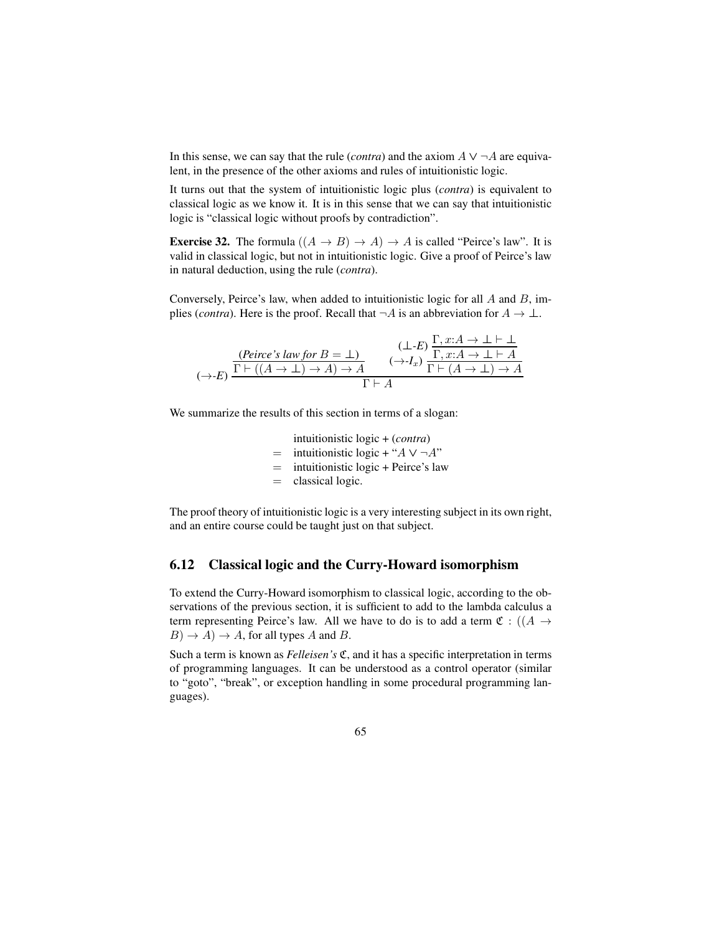In this sense, we can say that the rule (*contra*) and the axiom  $A \vee \neg A$  are equivalent, in the presence of the other axioms and rules of intuitionistic logic.

It turns out that the system of intuitionistic logic plus (*contra*) is equivalent to classical logic as we know it. It is in this sense that we can say that intuitionistic logic is "classical logic without proofs by contradiction".

**Exercise 32.** The formula  $((A \rightarrow B) \rightarrow A) \rightarrow A$  is called "Peirce's law". It is valid in classical logic, but not in intuitionistic logic. Give a proof of Peirce's law in natural deduction, using the rule (*contra*).

Conversely, Peirce's law, when added to intuitionistic logic for all  $A$  and  $B$ , implies (*contra*). Here is the proof. Recall that  $\neg A$  is an abbreviation for  $A \to \bot$ .

$$
\underbrace{(Peirce's law for B = \bot)}_{(\rightarrow -E)} \xrightarrow{\text{(1--}E)} \underbrace{\frac{(\bot - E)}{\Gamma, x:A \rightarrow \bot \vdash \bot}}_{\Gamma \vdash A} \underbrace{(\rightarrow -I_x)}_{\Gamma \vdash A} \xrightarrow{\text{(2--}E)} \frac{\bot}{\Gamma, x:A \rightarrow \bot \vdash A}
$$

We summarize the results of this section in terms of a slogan:

intuitionistic logic + (*contra*)  $=$  intuitionistic logic + " $A \vee \neg A$ "  $=$  intuitionistic logic + Peirce's law = classical logic.

The proof theory of intuitionistic logic is a very interesting subject in its own right, and an entire course could be taught just on that subject.

## 6.12 Classical logic and the Curry-Howard isomorphism

To extend the Curry-Howard isomorphism to classical logic, according to the observations of the previous section, it is sufficient to add to the lambda calculus a term representing Peirce's law. All we have to do is to add a term  $\mathfrak{C}$  :  $((A \rightarrow$  $B) \rightarrow A$   $\rightarrow A$ , for all types A and B.

Such a term is known as *Felleisen's*  $\mathfrak{C}$ , and it has a specific interpretation in terms of programming languages. It can be understood as a control operator (similar to "goto", "break", or exception handling in some procedural programming languages).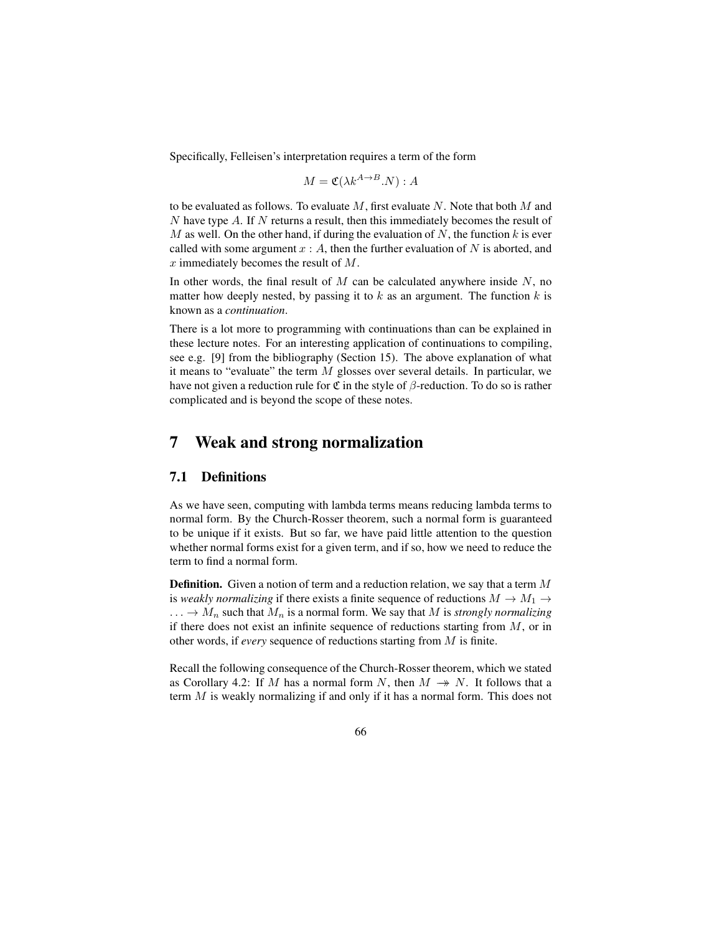Specifically, Felleisen's interpretation requires a term of the form

$$
M = \mathfrak{C}(\lambda k^{A \to B} . N) : A
$$

to be evaluated as follows. To evaluate  $M$ , first evaluate  $N$ . Note that both  $M$  and  $N$  have type  $A$ . If  $N$  returns a result, then this immediately becomes the result of M as well. On the other hand, if during the evaluation of  $N$ , the function  $k$  is ever called with some argument  $x : A$ , then the further evaluation of N is aborted, and  $x$  immediately becomes the result of  $M$ .

In other words, the final result of  $M$  can be calculated anywhere inside  $N$ , no matter how deeply nested, by passing it to  $k$  as an argument. The function  $k$  is known as a *continuation*.

There is a lot more to programming with continuations than can be explained in these lecture notes. For an interesting application of continuations to compiling, see e.g. [9] from the bibliography (Section 15). The above explanation of what it means to "evaluate" the term  $M$  glosses over several details. In particular, we have not given a reduction rule for C in the style of  $\beta$ -reduction. To do so is rather complicated and is beyond the scope of these notes.

# 7 Weak and strong normalization

#### 7.1 Definitions

As we have seen, computing with lambda terms means reducing lambda terms to normal form. By the Church-Rosser theorem, such a normal form is guaranteed to be unique if it exists. But so far, we have paid little attention to the question whether normal forms exist for a given term, and if so, how we need to reduce the term to find a normal form.

**Definition.** Given a notion of term and a reduction relation, we say that a term M is *weakly normalizing* if there exists a finite sequence of reductions  $M \to M_1 \to$  $\ldots \rightarrow M_n$  such that  $M_n$  is a normal form. We say that M is *strongly normalizing* if there does not exist an infinite sequence of reductions starting from  $M$ , or in other words, if *every* sequence of reductions starting from M is finite.

Recall the following consequence of the Church-Rosser theorem, which we stated as Corollary 4.2: If M has a normal form N, then  $M \rightarrow N$ . It follows that a term M is weakly normalizing if and only if it has a normal form. This does not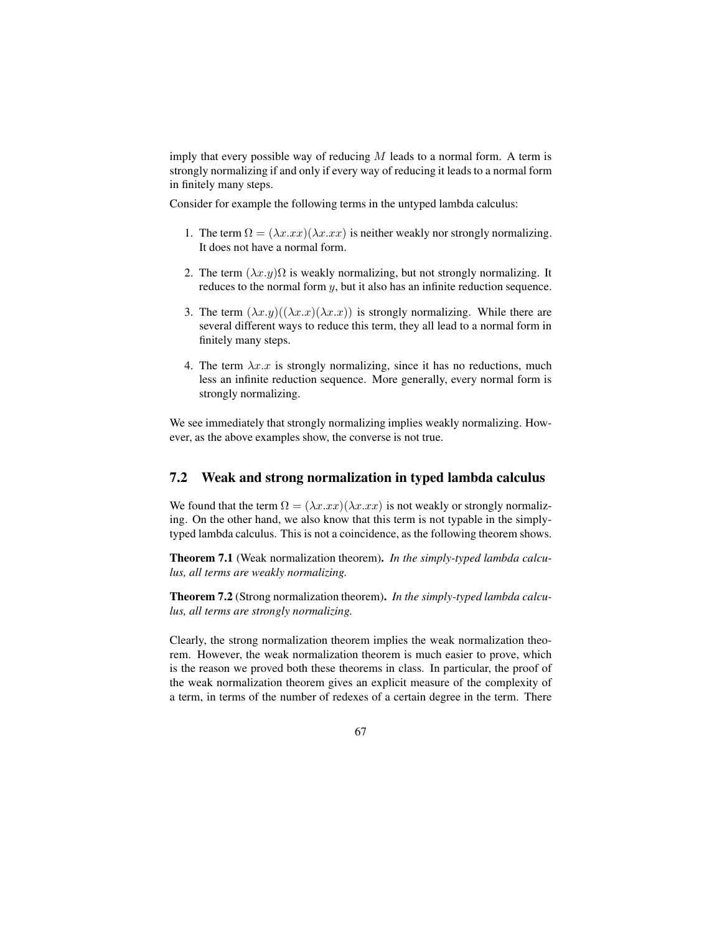imply that every possible way of reducing  $M$  leads to a normal form. A term is strongly normalizing if and only if every way of reducing it leads to a normal form in finitely many steps.

Consider for example the following terms in the untyped lambda calculus:

- 1. The term  $\Omega = (\lambda x . xx)(\lambda x . xx)$  is neither weakly nor strongly normalizing. It does not have a normal form.
- 2. The term  $(\lambda x.y)\Omega$  is weakly normalizing, but not strongly normalizing. It reduces to the normal form y, but it also has an infinite reduction sequence.
- 3. The term  $(\lambda x.y)((\lambda x.x)(\lambda x.x))$  is strongly normalizing. While there are several different ways to reduce this term, they all lead to a normal form in finitely many steps.
- 4. The term  $\lambda x.x$  is strongly normalizing, since it has no reductions, much less an infinite reduction sequence. More generally, every normal form is strongly normalizing.

We see immediately that strongly normalizing implies weakly normalizing. However, as the above examples show, the converse is not true.

#### 7.2 Weak and strong normalization in typed lambda calculus

We found that the term  $\Omega = (\lambda x . xx)(\lambda x . xx)$  is not weakly or strongly normalizing. On the other hand, we also know that this term is not typable in the simplytyped lambda calculus. This is not a coincidence, as the following theorem shows.

Theorem 7.1 (Weak normalization theorem). *In the simply-typed lambda calculus, all terms are weakly normalizing.*

Theorem 7.2 (Strong normalization theorem). *In the simply-typed lambda calculus, all terms are strongly normalizing.*

Clearly, the strong normalization theorem implies the weak normalization theorem. However, the weak normalization theorem is much easier to prove, which is the reason we proved both these theorems in class. In particular, the proof of the weak normalization theorem gives an explicit measure of the complexity of a term, in terms of the number of redexes of a certain degree in the term. There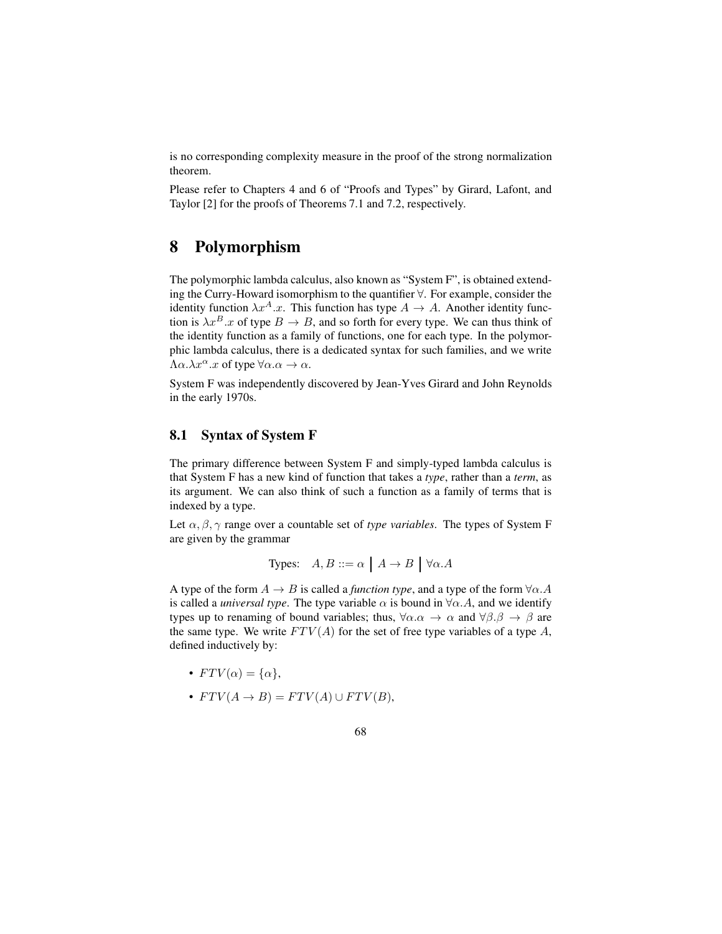is no corresponding complexity measure in the proof of the strong normalization theorem.

Please refer to Chapters 4 and 6 of "Proofs and Types" by Girard, Lafont, and Taylor [2] for the proofs of Theorems 7.1 and 7.2, respectively.

# 8 Polymorphism

The polymorphic lambda calculus, also known as "System F", is obtained extending the Curry-Howard isomorphism to the quantifier ∀. For example, consider the identity function  $\lambda x^A.x$ . This function has type  $A \to A$ . Another identity function is  $\lambda x^B.x$  of type  $B \to B$ , and so forth for every type. We can thus think of the identity function as a family of functions, one for each type. In the polymorphic lambda calculus, there is a dedicated syntax for such families, and we write  $\Lambda \alpha.\lambda x^{\alpha}.x$  of type  $\forall \alpha.\alpha \rightarrow \alpha$ .

System F was independently discovered by Jean-Yves Girard and John Reynolds in the early 1970s.

#### 8.1 Syntax of System F

The primary difference between System F and simply-typed lambda calculus is that System F has a new kind of function that takes a *type*, rather than a *term*, as its argument. We can also think of such a function as a family of terms that is indexed by a type.

Let  $\alpha, \beta, \gamma$  range over a countable set of *type variables*. The types of System F are given by the grammar

Types: 
$$
A, B ::= \alpha \mid A \rightarrow B \mid \forall \alpha.A
$$

 $\mathbb{R}^2$ 

 $\mathcal{L}$ 

A type of the form  $A \to B$  is called a *function type*, and a type of the form  $\forall \alpha.A$ is called a *universal type*. The type variable  $\alpha$  is bound in  $\forall \alpha.A$ , and we identify types up to renaming of bound variables; thus,  $\forall \alpha \cdot \alpha \rightarrow \alpha$  and  $\forall \beta \cdot \beta \rightarrow \beta$  are the same type. We write  $FTV(A)$  for the set of free type variables of a type A, defined inductively by:

- $FTV(\alpha) = {\alpha},$
- $FTV(A \rightarrow B) = FTV(A) \cup FTV(B),$ 
	- 68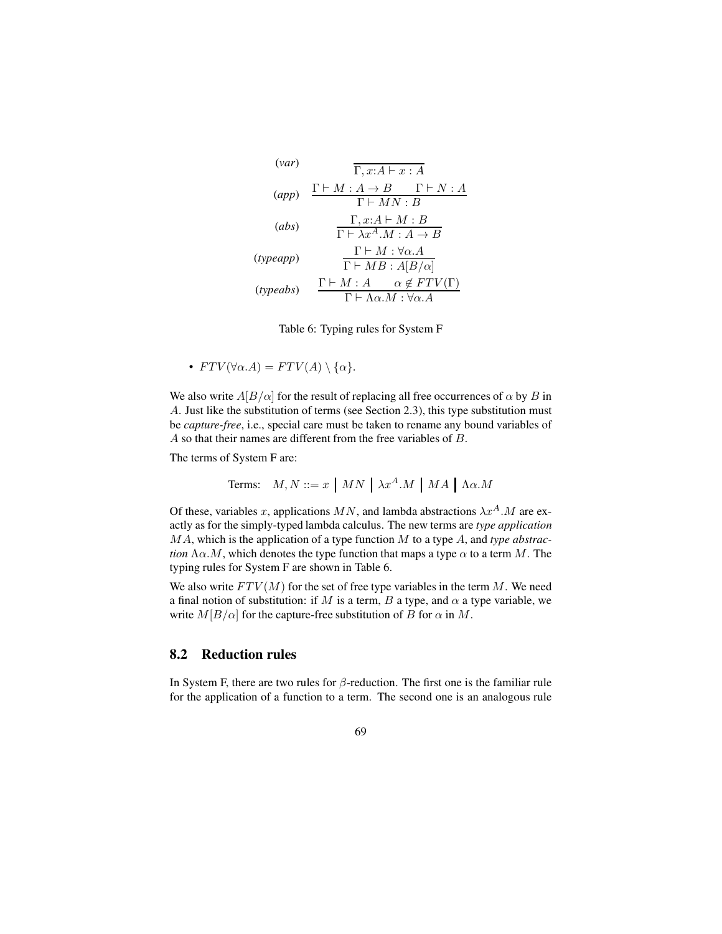(var)

\n
$$
\frac{\Gamma \vdash M : A \rightarrow B \quad \Gamma \vdash N : A}{\Gamma \vdash MN : B}
$$
\n(abs)

\n
$$
\frac{\Gamma \vdash M : A \rightarrow B \quad \Gamma \vdash N : A}{\Gamma \vdash MN : B}
$$
\n(typeapp)

\n
$$
\frac{\Gamma \vdash M : \forall \alpha A}{\Gamma \vdash MB : A[B/\alpha]}
$$
\n(typeabs)

\n
$$
\frac{\Gamma \vdash M : A \quad \alpha \notin \varGamma V(\Gamma)}{\Gamma \vdash \Lambda \alpha.M : \forall \alpha.A}
$$



•  $FTV(\forall \alpha.A) = FTV(A) \setminus {\alpha}.$ 

We also write  $A[B/\alpha]$  for the result of replacing all free occurrences of  $\alpha$  by B in A. Just like the substitution of terms (see Section 2.3), this type substitution must be *capture-free*, i.e., special care must be taken to rename any bound variables of A so that their names are different from the free variables of B.

The terms of System F are:

Terms: 
$$
M, N ::= x \mid MN \mid \lambda x^A.M \mid MA \mid \Lambda \alpha.M
$$

Of these, variables x, applications  $MN$ , and lambda abstractions  $\lambda x^A \cdot M$  are exactly as for the simply-typed lambda calculus. The new terms are *type application* MA, which is the application of a type function M to a type A, and *type abstraction*  $\Lambda \alpha$ .*M*, which denotes the type function that maps a type  $\alpha$  to a term M. The typing rules for System F are shown in Table 6.

We also write  $FTV(M)$  for the set of free type variables in the term M. We need a final notion of substitution: if M is a term, B a type, and  $\alpha$  a type variable, we write  $M[B/\alpha]$  for the capture-free substitution of B for  $\alpha$  in M.

## 8.2 Reduction rules

In System F, there are two rules for  $\beta$ -reduction. The first one is the familiar rule for the application of a function to a term. The second one is an analogous rule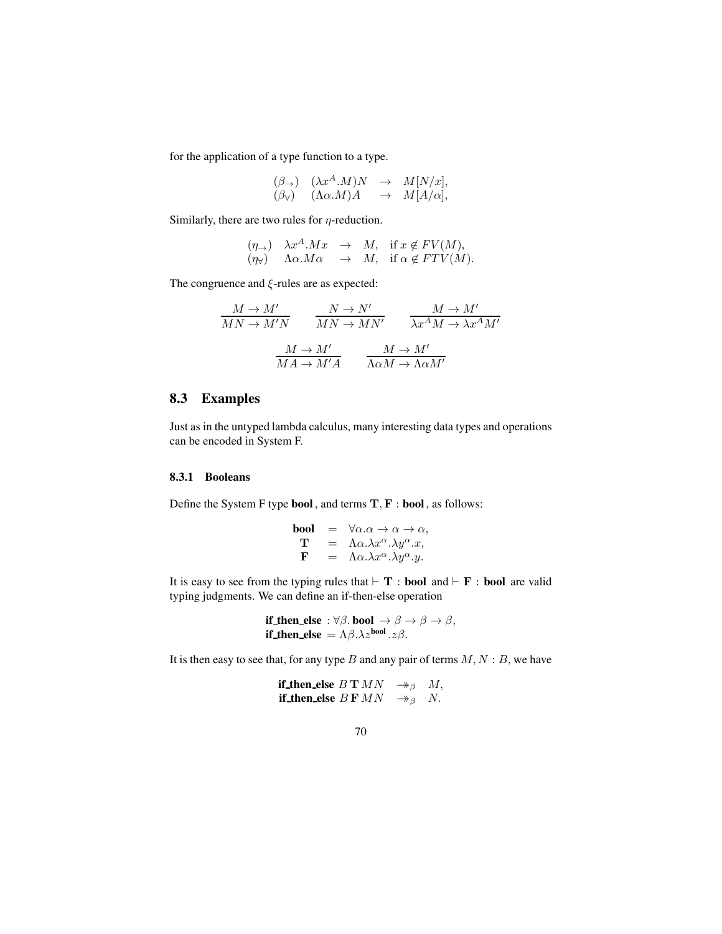for the application of a type function to a type.

$$
\begin{array}{rcl}\n(\beta_{\rightarrow}) & (\lambda x^{A}.M)N & \rightarrow & M[N/x], \\
(\beta_{\forall}) & (\Lambda \alpha.M)A & \rightarrow & M[A/\alpha],\n\end{array}
$$

Similarly, there are two rules for  $\eta$ -reduction.

$$
\begin{array}{rcl}\n(\eta_{\rightarrow}) & \lambda x^{A}.Mx & \rightarrow & M, & \text{if } x \notin FV(M), \\
(\eta_{\forall}) & \Lambda \alpha.M\alpha & \rightarrow & M, & \text{if } \alpha \notin FTV(M).\n\end{array}
$$

The congruence and  $\xi$ -rules are as expected:

$$
\frac{M \to M'}{MN \to M'N} \qquad \frac{N \to N'}{MN \to MN'} \qquad \frac{M \to M'}{\lambda x^A M \to \lambda x^A M'}
$$

$$
\frac{M \to M'}{MA \to M'A} \qquad \frac{M \to M'}{\Lambda \alpha M \to \Lambda \alpha M'}
$$

## 8.3 Examples

Just as in the untyped lambda calculus, many interesting data types and operations can be encoded in System F.

#### 8.3.1 Booleans

Define the System F type bool , and terms T, F : bool , as follows:

**bool** = 
$$
\forall \alpha . \alpha \rightarrow \alpha \rightarrow \alpha
$$
,  
\n**T** =  $\Lambda \alpha . \lambda x^{\alpha} . \lambda y^{\alpha} . x$ ,  
\n**F** =  $\Lambda \alpha . \lambda x^{\alpha} . \lambda y^{\alpha} . y$ .

It is easy to see from the typing rules that  $\vdash$  T : **bool** and  $\vdash$  **F** : **bool** are valid typing judgments. We can define an if-then-else operation

> if\_then\_else :  $\forall \beta$ . bool  $\rightarrow \beta \rightarrow \beta \rightarrow \beta$ , if then else  $= \Lambda \beta . \lambda z^{bool} . z \beta$ .

It is then easy to see that, for any type  $B$  and any pair of terms  $M, N : B$ , we have

if then else  $B T M N \rightarrow_{\beta} M$ , **if\_then\_else**  $B \mathbf{F} M N \rightarrow_B^{\mathcal{B}} N$ .

$$
70\,
$$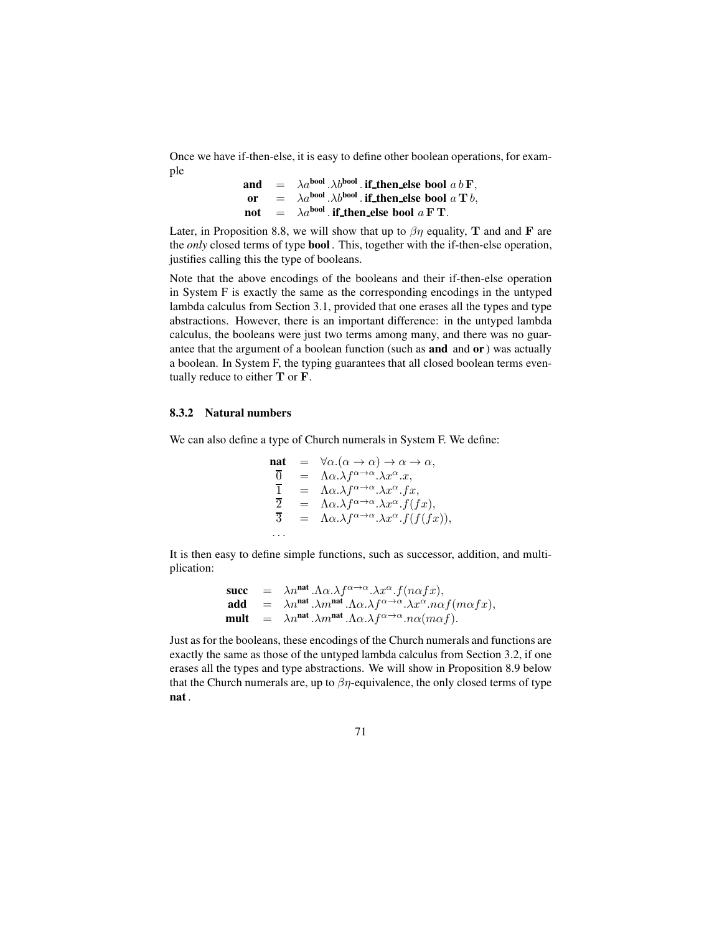Once we have if-then-else, it is easy to define other boolean operations, for example

| and  | $= \lambda a^{\text{bool}} \cdot \lambda b^{\text{bool}}$ . if then else bool $a b \mathbf{F}$ , |
|------|--------------------------------------------------------------------------------------------------|
| - or | $= \lambda a^{\text{bool}} \cdot \lambda b^{\text{bool}}$ if then else bool $a \mathbf{T} b$ ,   |
| not  | $= \lambda a^{\text{bool}}$ . if then else bool $a \, \text{F T}$ .                              |

Later, in Proposition 8.8, we will show that up to  $\beta\eta$  equality, T and and F are the *only* closed terms of type bool . This, together with the if-then-else operation, justifies calling this the type of booleans.

Note that the above encodings of the booleans and their if-then-else operation in System F is exactly the same as the corresponding encodings in the untyped lambda calculus from Section 3.1, provided that one erases all the types and type abstractions. However, there is an important difference: in the untyped lambda calculus, the booleans were just two terms among many, and there was no guarantee that the argument of a boolean function (such as and and or ) was actually a boolean. In System F, the typing guarantees that all closed boolean terms eventually reduce to either T or F.

#### 8.3.2 Natural numbers

We can also define a type of Church numerals in System F. We define:

nat =  $\forall \alpha . (\alpha \rightarrow \alpha) \rightarrow \alpha \rightarrow \alpha$ ,  $\overline{\frac{0}{1}}$  =  $\Lambda \alpha . \lambda f^{\alpha \to \alpha} . \lambda x^{\alpha} . x,$ <br>  $\overline{1}$  =  $\Lambda \alpha . \lambda f^{\alpha \to \alpha} . \lambda x^{\alpha} . f x$  $= \Lambda \alpha.\lambda f^{\alpha \to \alpha}.\lambda x^{\alpha}.fx,$  $\overline{\frac{2}{3}} = \Lambda \alpha . \lambda f^{\alpha \to \alpha} . \lambda x^{\alpha} . f(fx),$ <br>  $\overline{3} = \Lambda \alpha . \lambda f^{\alpha \to \alpha} . \lambda x^{\alpha} . f(f(fx)).$  $= \Lambda \alpha.\lambda f^{\alpha \to \alpha}.\lambda x^{\alpha}.f(f(fx)),$ . . .

It is then easy to define simple functions, such as successor, addition, and multiplication:

$$
\begin{array}{rcl}\n\textbf{succ} & = & \lambda n^{\textbf{nat}} \cdot \Lambda \alpha \cdot \lambda f^{\alpha \to \alpha} \cdot \lambda x^{\alpha} \cdot f(n \alpha f x), \\
\textbf{add} & = & \lambda n^{\textbf{nat}} \cdot \lambda m^{\textbf{nat}} \cdot \Lambda \alpha \cdot \lambda f^{\alpha \to \alpha} \cdot \lambda x^{\alpha} \cdot n \alpha f(m \alpha f x), \\
\textbf{mult} & = & \lambda n^{\textbf{nat}} \cdot \lambda m^{\textbf{nat}} \cdot \Lambda \alpha \cdot \lambda f^{\alpha \to \alpha} \cdot n \alpha (m \alpha f).\n\end{array}
$$

Just as for the booleans, these encodings of the Church numerals and functions are exactly the same as those of the untyped lambda calculus from Section 3.2, if one erases all the types and type abstractions. We will show in Proposition 8.9 below that the Church numerals are, up to  $\beta\eta$ -equivalence, the only closed terms of type nat.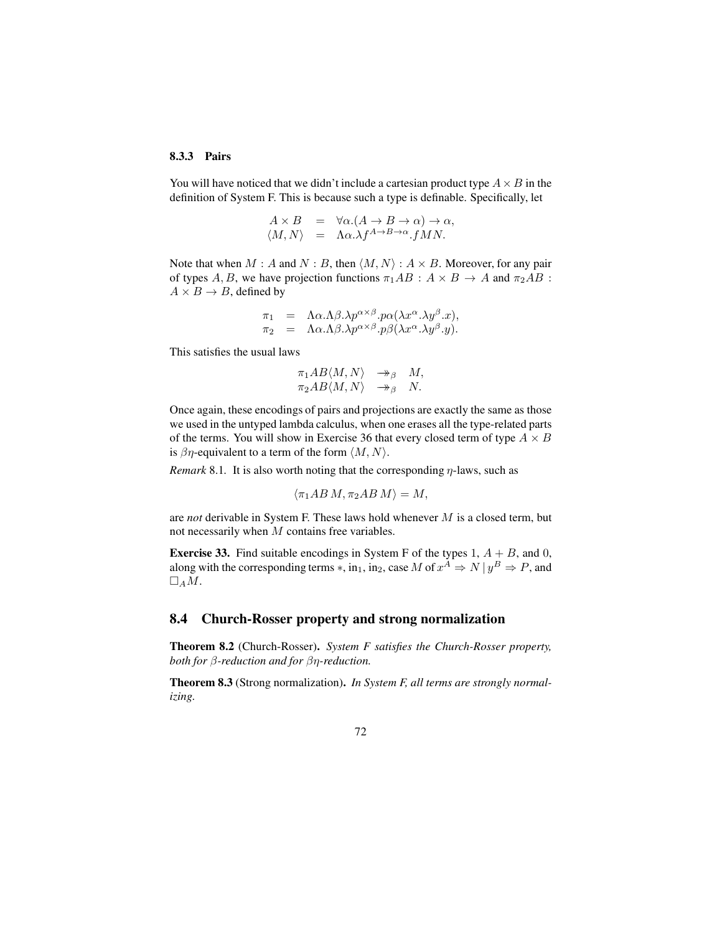#### 8.3.3 Pairs

You will have noticed that we didn't include a cartesian product type  $A \times B$  in the definition of System F. This is because such a type is definable. Specifically, let

$$
\begin{array}{rcl} A\times B&=&\forall \alpha.(A\rightarrow B\rightarrow \alpha)\rightarrow \alpha,\\ \langle M,N\rangle&=&\Lambda \alpha.\lambda f^{A\rightarrow B\rightarrow \alpha}.fMN. \end{array}
$$

Note that when  $M : A$  and  $N : B$ , then  $\langle M, N \rangle : A \times B$ . Moreover, for any pair of types A, B, we have projection functions  $\pi_1 AB : A \times B \to A$  and  $\pi_2 AB$ :  $A \times B \rightarrow B$ , defined by

$$
\begin{array}{rcl}\n\pi_1 & = & \Lambda \alpha . \Lambda \beta . \lambda p^{\alpha \times \beta} . p\alpha (\lambda x^\alpha . \lambda y^\beta . x), \\
\pi_2 & = & \Lambda \alpha . \Lambda \beta . \lambda p^{\alpha \times \beta} . p\beta (\lambda x^\alpha . \lambda y^\beta . y).\n\end{array}
$$

This satisfies the usual laws

$$
\begin{array}{ccc}\n\pi_1 AB \langle M, N \rangle & \twoheadrightarrow_{\beta} & M, \\
\pi_2 AB \langle M, N \rangle & \twoheadrightarrow_{\beta} & N.\n\end{array}
$$

Once again, these encodings of pairs and projections are exactly the same as those we used in the untyped lambda calculus, when one erases all the type-related parts of the terms. You will show in Exercise 36 that every closed term of type  $A \times B$ is  $\beta \eta$ -equivalent to a term of the form  $\langle M, N \rangle$ .

*Remark* 8.1. It is also worth noting that the corresponding  $\eta$ -laws, such as

$$
\langle \pi_1 AB \, M, \pi_2 AB \, M \rangle = M,
$$

are *not* derivable in System F. These laws hold whenever M is a closed term, but not necessarily when M contains free variables.

**Exercise 33.** Find suitable encodings in System F of the types 1,  $A + B$ , and 0, along with the corresponding terms  $*,$  in<sub>1</sub>, in<sub>2</sub>, case M of  $x^A \Rightarrow N \, | \, y^B \Rightarrow P$ , and  $\square_A M$ .

### 8.4 Church-Rosser property and strong normalization

Theorem 8.2 (Church-Rosser). *System F satisfies the Church-Rosser property, both for* β*-reduction and for* βη*-reduction.*

Theorem 8.3 (Strong normalization). *In System F, all terms are strongly normalizing.*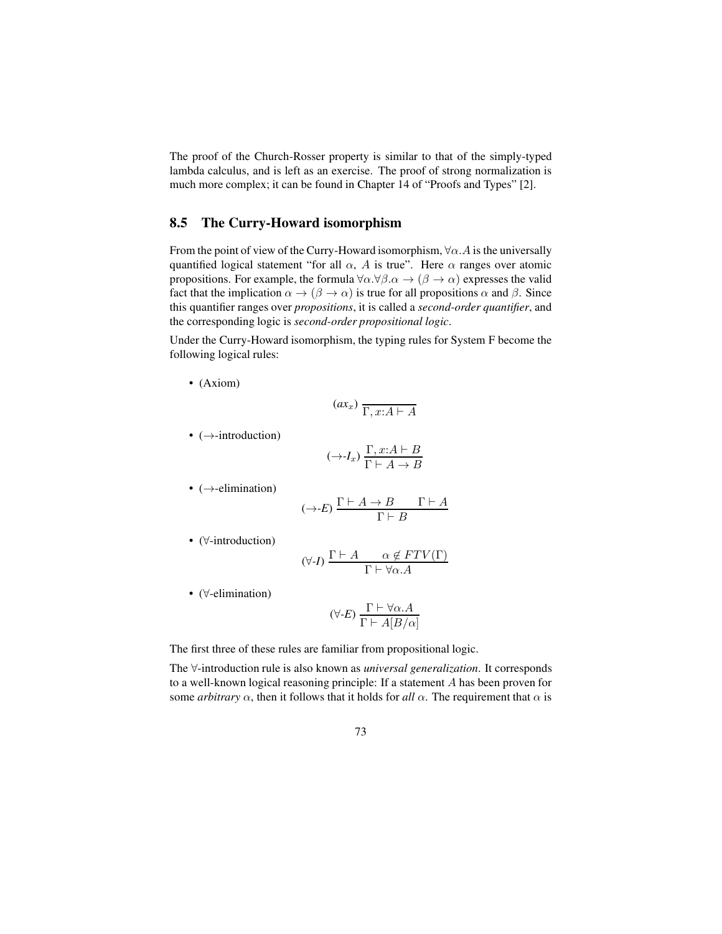The proof of the Church-Rosser property is similar to that of the simply-typed lambda calculus, and is left as an exercise. The proof of strong normalization is much more complex; it can be found in Chapter 14 of "Proofs and Types" [2].

## 8.5 The Curry-Howard isomorphism

From the point of view of the Curry-Howard isomorphism,  $\forall \alpha$ . A is the universally quantified logical statement "for all  $\alpha$ , A is true". Here  $\alpha$  ranges over atomic propositions. For example, the formula  $\forall \alpha \cdot \forall \beta \cdot \alpha \rightarrow (\beta \rightarrow \alpha)$  expresses the valid fact that the implication  $\alpha \to (\beta \to \alpha)$  is true for all propositions  $\alpha$  and  $\beta$ . Since this quantifier ranges over *propositions*, it is called a *second-order quantifier*, and the corresponding logic is *second-order propositional logic*.

Under the Curry-Howard isomorphism, the typing rules for System F become the following logical rules:

• (Axiom)

$$
(ax_x)\ \frac{}{\Gamma, x:A\vdash A}
$$

•  $(\rightarrow$ -introduction)

$$
(\rightarrow I_x) \frac{\Gamma, x:A \vdash B}{\Gamma \vdash A \to B}
$$

•  $(\rightarrow$ -elimination)

$$
(\rightarrow\text{-}E)\ \frac{\Gamma\vdash A\rightarrow B\qquad \Gamma\vdash A}{\Gamma\vdash B}
$$

• (∀-introduction)

$$
(\forall\text{-}I)\ \frac{\Gamma\vdash A\qquad \alpha\not\in\mathit{FTV}(\Gamma)}{\Gamma\vdash\forall\alpha.A}
$$

• (∀-elimination)

$$
(\forall E)\ \frac{\Gamma \vdash \forall \alpha A}{\Gamma \vdash A[B/\alpha]}
$$

The first three of these rules are familiar from propositional logic.

The ∀-introduction rule is also known as *universal generalization*. It corresponds to a well-known logical reasoning principle: If a statement A has been proven for some *arbitrary*  $\alpha$ , then it follows that it holds for *all*  $\alpha$ . The requirement that  $\alpha$  is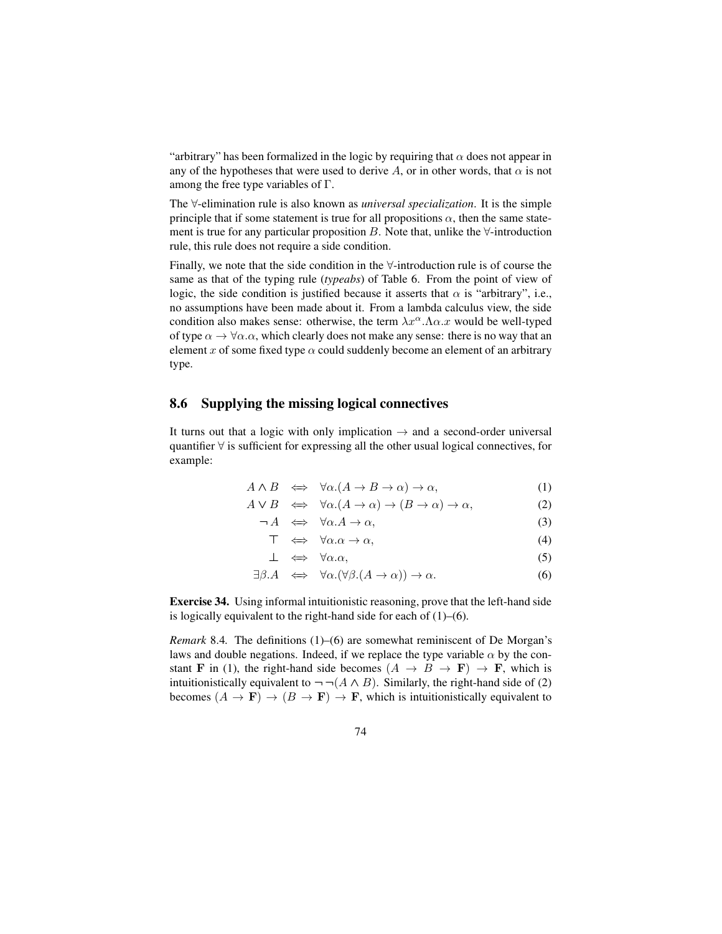"arbitrary" has been formalized in the logic by requiring that  $\alpha$  does not appear in any of the hypotheses that were used to derive A, or in other words, that  $\alpha$  is not among the free type variables of Γ.

The ∀-elimination rule is also known as *universal specialization*. It is the simple principle that if some statement is true for all propositions  $\alpha$ , then the same statement is true for any particular proposition  $B$ . Note that, unlike the  $\forall$ -introduction rule, this rule does not require a side condition.

Finally, we note that the side condition in the ∀-introduction rule is of course the same as that of the typing rule (*typeabs*) of Table 6. From the point of view of logic, the side condition is justified because it asserts that  $\alpha$  is "arbitrary", i.e., no assumptions have been made about it. From a lambda calculus view, the side condition also makes sense: otherwise, the term  $\lambda x^{\alpha}.\Lambda \alpha.x$  would be well-typed of type  $\alpha \to \forall \alpha \cdot \alpha$ , which clearly does not make any sense: there is no way that an element x of some fixed type  $\alpha$  could suddenly become an element of an arbitrary type.

#### 8.6 Supplying the missing logical connectives

It turns out that a logic with only implication  $\rightarrow$  and a second-order universal quantifier ∀ is sufficient for expressing all the other usual logical connectives, for example:

$$
A \wedge B \iff \forall \alpha. (A \to B \to \alpha) \to \alpha,\tag{1}
$$

$$
A \lor B \iff \forall \alpha. (A \to \alpha) \to (B \to \alpha) \to \alpha,\tag{2}
$$

$$
\neg A \iff \forall \alpha . A \to \alpha,\tag{3}
$$

$$
\top \iff \forall \alpha . \alpha \to \alpha,\tag{4}
$$

$$
\perp \iff \forall \alpha.\alpha,
$$
 (5)

$$
\exists \beta. A \iff \forall \alpha. (\forall \beta. (A \to \alpha)) \to \alpha. \tag{6}
$$

Exercise 34. Using informal intuitionistic reasoning, prove that the left-hand side is logically equivalent to the right-hand side for each of (1)–(6).

*Remark* 8.4*.* The definitions (1)–(6) are somewhat reminiscent of De Morgan's laws and double negations. Indeed, if we replace the type variable  $\alpha$  by the constant F in (1), the right-hand side becomes  $(A \rightarrow B \rightarrow F) \rightarrow F$ , which is intuitionistically equivalent to  $\neg \neg (A \land B)$ . Similarly, the right-hand side of (2) becomes  $(A \to \mathbf{F}) \to (B \to \mathbf{F}) \to \mathbf{F}$ , which is intuitionistically equivalent to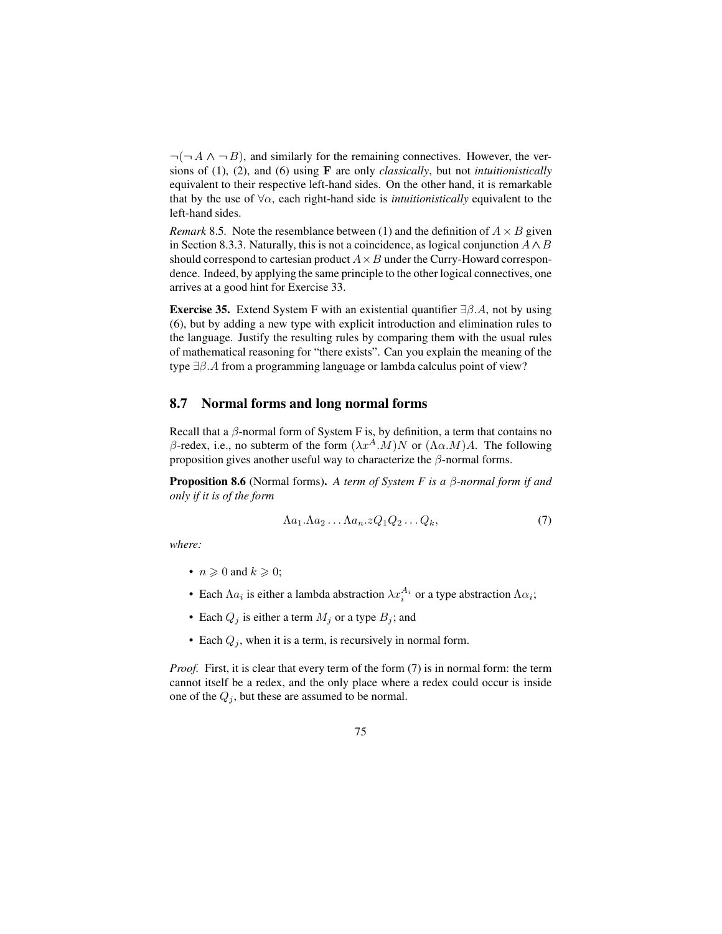$\neg(\neg A \land \neg B)$ , and similarly for the remaining connectives. However, the versions of (1), (2), and (6) using F are only *classically*, but not *intuitionistically* equivalent to their respective left-hand sides. On the other hand, it is remarkable that by the use of  $\forall \alpha$ , each right-hand side is *intuitionistically* equivalent to the left-hand sides.

*Remark* 8.5. Note the resemblance between (1) and the definition of  $A \times B$  given in Section 8.3.3. Naturally, this is not a coincidence, as logical conjunction  $A \wedge B$ should correspond to cartesian product  $A \times B$  under the Curry-Howard correspondence. Indeed, by applying the same principle to the other logical connectives, one arrives at a good hint for Exercise 33.

**Exercise 35.** Extend System F with an existential quantifier  $\exists \beta.A$ , not by using (6), but by adding a new type with explicit introduction and elimination rules to the language. Justify the resulting rules by comparing them with the usual rules of mathematical reasoning for "there exists". Can you explain the meaning of the type ∃β.A from a programming language or lambda calculus point of view?

## 8.7 Normal forms and long normal forms

Recall that a  $\beta$ -normal form of System F is, by definition, a term that contains no β-redex, i.e., no subterm of the form  $(λx^A.M)N$  or  $(Λα.M)A$ . The following proposition gives another useful way to characterize the  $\beta$ -normal forms.

Proposition 8.6 (Normal forms). *A term of System F is a* β*-normal form if and only if it is of the form*

$$
\Lambda a_1 \Lambda a_2 \ldots \Lambda a_n \, z Q_1 Q_2 \ldots Q_k,\tag{7}
$$

*where:*

- $n \geqslant 0$  and  $k \geqslant 0$ ;
- Each  $\Lambda a_i$  is either a lambda abstraction  $\lambda x_i^{A_i}$  or a type abstraction  $\Lambda \alpha_i$ ;
- Each  $Q_i$  is either a term  $M_i$  or a type  $B_i$ ; and
- Each  $Q_j$ , when it is a term, is recursively in normal form.

*Proof.* First, it is clear that every term of the form (7) is in normal form: the term cannot itself be a redex, and the only place where a redex could occur is inside one of the  $Q_j$ , but these are assumed to be normal.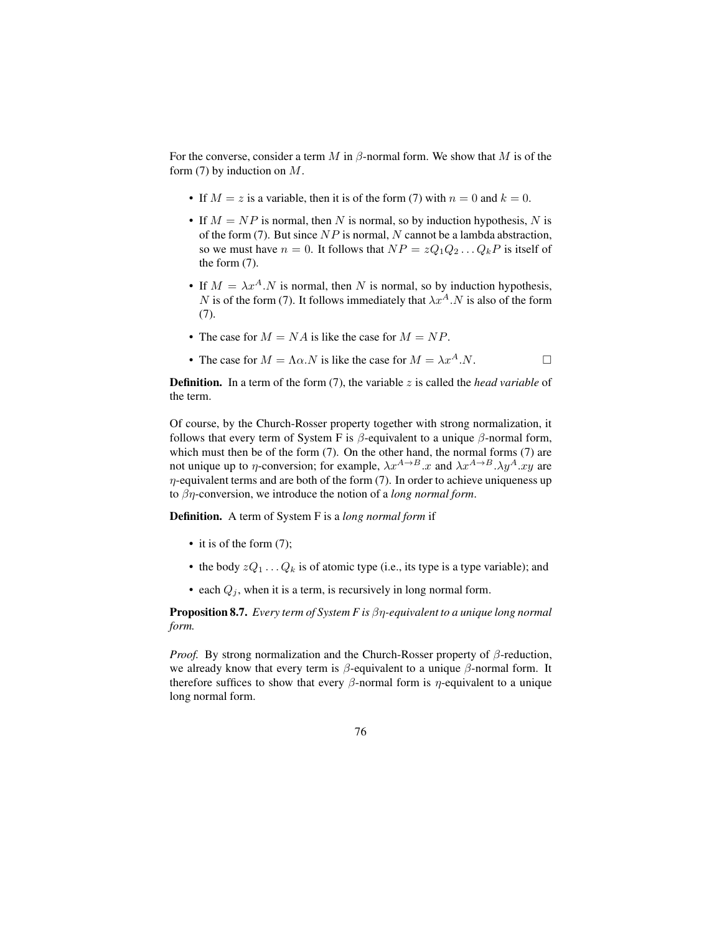For the converse, consider a term M in  $\beta$ -normal form. We show that M is of the form  $(7)$  by induction on M.

- If  $M = z$  is a variable, then it is of the form (7) with  $n = 0$  and  $k = 0$ .
- If  $M = NP$  is normal, then N is normal, so by induction hypothesis, N is of the form (7). But since  $NP$  is normal, N cannot be a lambda abstraction, so we must have  $n = 0$ . It follows that  $NP = zQ_1Q_2 \dots Q_kP$  is itself of the form (7).
- If  $M = \lambda x^A N$  is normal, then N is normal, so by induction hypothesis, N is of the form (7). It follows immediately that  $\lambda x^A$ . N is also of the form (7).
- The case for  $M = NA$  is like the case for  $M = NP$ .
- The case for  $M = \Lambda \alpha N$  is like the case for  $M = \lambda x^A N$ .

**Definition.** In a term of the form (7), the variable z is called the *head variable* of the term.

Of course, by the Church-Rosser property together with strong normalization, it follows that every term of System F is  $\beta$ -equivalent to a unique  $\beta$ -normal form, which must then be of the form (7). On the other hand, the normal forms (7) are not unique up to  $\eta$ -conversion; for example,  $\lambda x^{A\rightarrow B}$ .x and  $\lambda x^{A\rightarrow B}$ . $\lambda y^A$ .xy are  $\eta$ -equivalent terms and are both of the form (7). In order to achieve uniqueness up to βη-conversion, we introduce the notion of a *long normal form*.

Definition. A term of System F is a *long normal form* if

- it is of the form (7);
- the body  $zQ_1 \ldots Q_k$  is of atomic type (i.e., its type is a type variable); and
- each  $Q_j$ , when it is a term, is recursively in long normal form.

Proposition 8.7. *Every term of System F is* βη*-equivalent to a unique long normal form.*

*Proof.* By strong normalization and the Church-Rosser property of  $\beta$ -reduction, we already know that every term is  $\beta$ -equivalent to a unique  $\beta$ -normal form. It therefore suffices to show that every  $\beta$ -normal form is  $\eta$ -equivalent to a unique long normal form.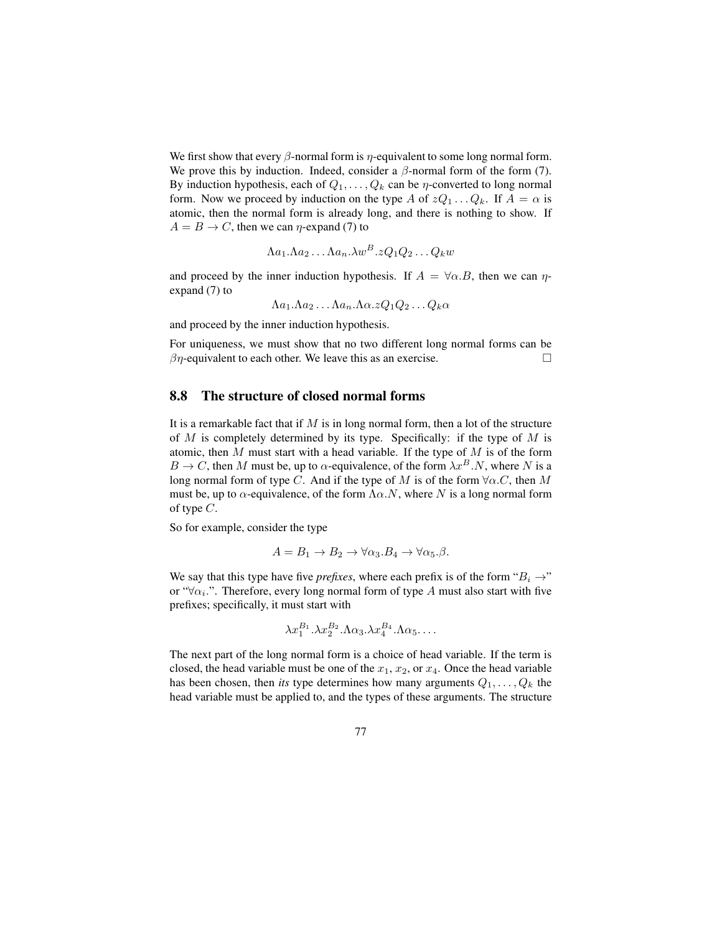We first show that every  $\beta$ -normal form is  $\eta$ -equivalent to some long normal form. We prove this by induction. Indeed, consider a  $\beta$ -normal form of the form (7). By induction hypothesis, each of  $Q_1, \ldots, Q_k$  can be  $\eta$ -converted to long normal form. Now we proceed by induction on the type A of  $zQ_1 \dots Q_k$ . If  $A = \alpha$  is atomic, then the normal form is already long, and there is nothing to show. If  $A = B \rightarrow C$ , then we can  $\eta$ -expand (7) to

$$
\Lambda a_1.\Lambda a_2 \ldots \Lambda a_n.\lambda w^B.zQ_1Q_2 \ldots Q_k w
$$

and proceed by the inner induction hypothesis. If  $A = \forall \alpha.B$ , then we can  $\eta$ expand (7) to

$$
\Lambda a_1.\Lambda a_2 \ldots \Lambda a_n.\Lambda \alpha.zQ_1Q_2 \ldots Q_k \alpha
$$

and proceed by the inner induction hypothesis.

For uniqueness, we must show that no two different long normal forms can be  $\beta$ η-equivalent to each other. We leave this as an exercise.

## 8.8 The structure of closed normal forms

It is a remarkable fact that if  $M$  is in long normal form, then a lot of the structure of M is completely determined by its type. Specifically: if the type of M is atomic, then  $M$  must start with a head variable. If the type of  $M$  is of the form  $B \to C$ , then M must be, up to  $\alpha$ -equivalence, of the form  $\lambda x^B N$ , where N is a long normal form of type C. And if the type of M is of the form  $\forall \alpha$ .C, then M must be, up to  $\alpha$ -equivalence, of the form  $\Lambda \alpha$ . N, where N is a long normal form of type  $C$ .

So for example, consider the type

$$
A = B_1 \to B_2 \to \forall \alpha_3 . B_4 \to \forall \alpha_5 . \beta.
$$

We say that this type have five *prefixes*, where each prefix is of the form " $B_i \rightarrow$ " or " $\forall \alpha_i$ .". Therefore, every long normal form of type A must also start with five prefixes; specifically, it must start with

$$
\lambda x_1^{B_1}.\lambda x_2^{B_2}.\Lambda \alpha_3.\lambda x_4^{B_4}.\Lambda \alpha_5.\ldots
$$

The next part of the long normal form is a choice of head variable. If the term is closed, the head variable must be one of the  $x_1, x_2,$  or  $x_4$ . Once the head variable has been chosen, then *its* type determines how many arguments  $Q_1, \ldots, Q_k$  the head variable must be applied to, and the types of these arguments. The structure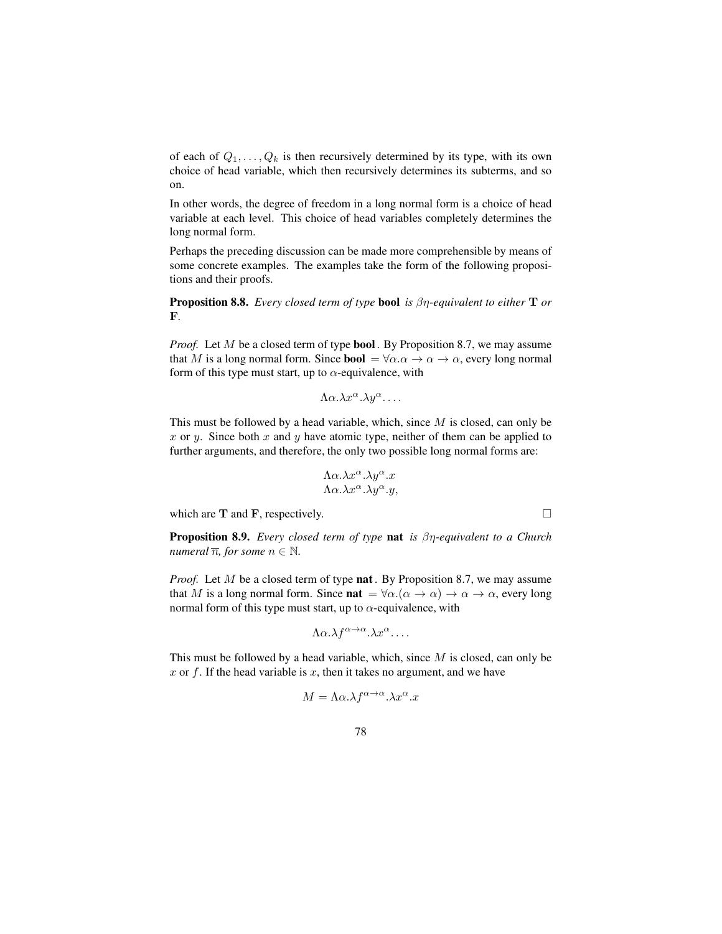of each of  $Q_1, \ldots, Q_k$  is then recursively determined by its type, with its own choice of head variable, which then recursively determines its subterms, and so on.

In other words, the degree of freedom in a long normal form is a choice of head variable at each level. This choice of head variables completely determines the long normal form.

Perhaps the preceding discussion can be made more comprehensible by means of some concrete examples. The examples take the form of the following propositions and their proofs.

Proposition 8.8. *Every closed term of type* bool *is* βη*-equivalent to either* T *or* F*.*

*Proof.* Let M be a closed term of type **bool**. By Proposition 8.7, we may assume that M is a long normal form. Since **bool** =  $\forall \alpha \cdot \alpha \rightarrow \alpha$ , every long normal form of this type must start, up to  $\alpha$ -equivalence, with

$$
\Lambda \alpha . \lambda x^{\alpha} . \lambda y^{\alpha} . \ldots
$$

This must be followed by a head variable, which, since  $M$  is closed, can only be x or y. Since both x and y have atomic type, neither of them can be applied to further arguments, and therefore, the only two possible long normal forms are:

$$
\Lambda \alpha . \lambda x^{\alpha} . \lambda y^{\alpha} . x
$$

$$
\Lambda \alpha . \lambda x^{\alpha} . \lambda y^{\alpha} . y,
$$

which are  $T$  and  $F$ , respectively.

Proposition 8.9. *Every closed term of type* nat *is* βη*-equivalent to a Church numeral*  $\overline{n}$ *, for some*  $n \in \mathbb{N}$ *.* 

*Proof.* Let M be a closed term of type **nat**. By Proposition 8.7, we may assume that M is a long normal form. Since **nat**  $= \forall \alpha . (\alpha \rightarrow \alpha) \rightarrow \alpha \rightarrow \alpha$ , every long normal form of this type must start, up to  $\alpha$ -equivalence, with

$$
\Lambda \alpha . \lambda f^{\alpha \to \alpha} . \lambda x^{\alpha} . \ldots
$$

This must be followed by a head variable, which, since  $M$  is closed, can only be x or f. If the head variable is x, then it takes no argument, and we have

$$
M = \Lambda \alpha . \lambda f^{\alpha \to \alpha} . \lambda x^{\alpha} . x
$$

78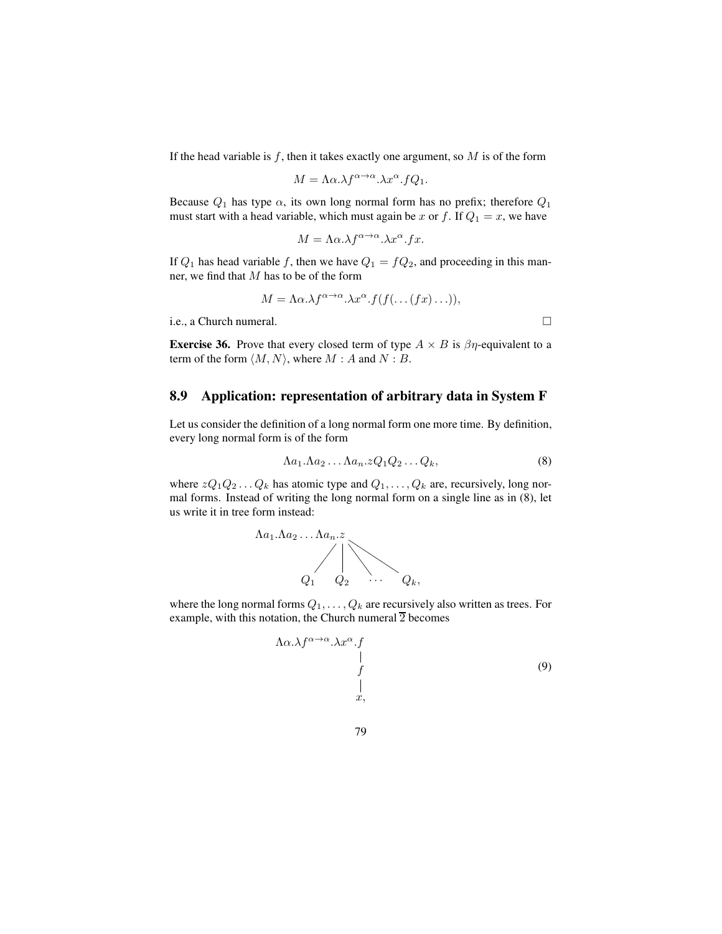If the head variable is  $f$ , then it takes exactly one argument, so  $M$  is of the form

$$
M=\Lambda \alpha.\lambda f^{\alpha\rightarrow\alpha}.\lambda x^\alpha.fQ_1.
$$

Because  $Q_1$  has type  $\alpha$ , its own long normal form has no prefix; therefore  $Q_1$ must start with a head variable, which must again be x or f. If  $Q_1 = x$ , we have

$$
M = \Lambda \alpha \cdot \lambda f^{\alpha \to \alpha} \cdot \lambda x^{\alpha} . fx.
$$

If  $Q_1$  has head variable f, then we have  $Q_1 = fQ_2$ , and proceeding in this manner, we find that M has to be of the form

$$
M = \Lambda \alpha \cdot \lambda f^{\alpha \to \alpha} \cdot \lambda x^{\alpha} \cdot f(f(\ldots(fx) \ldots)),
$$

i.e., a Church numeral.

**Exercise 36.** Prove that every closed term of type  $A \times B$  is  $\beta \eta$ -equivalent to a term of the form  $\langle M, N \rangle$ , where  $M : A$  and  $N : B$ .

## 8.9 Application: representation of arbitrary data in System F

Let us consider the definition of a long normal form one more time. By definition, every long normal form is of the form

$$
\Lambda a_1 \Lambda a_2 \ldots \Lambda a_n \, z Q_1 Q_2 \ldots Q_k,\tag{8}
$$

where  $zQ_1Q_2 \ldots Q_k$  has atomic type and  $Q_1, \ldots, Q_k$  are, recursively, long normal forms. Instead of writing the long normal form on a single line as in (8), let us write it in tree form instead:



where the long normal forms  $Q_1, \ldots, Q_k$  are recursively also written as trees. For example, with this notation, the Church numeral  $\overline{2}$  becomes

$$
\Lambda \alpha . \lambda f^{\alpha \to \alpha} . \lambda x^{\alpha} . f
$$
\n
$$
\downarrow
$$
\n
$$
\downarrow
$$
\n
$$
\downarrow
$$
\n
$$
\downarrow
$$
\n
$$
\downarrow
$$
\n
$$
\downarrow
$$
\n
$$
\downarrow
$$
\n
$$
\tag{9}
$$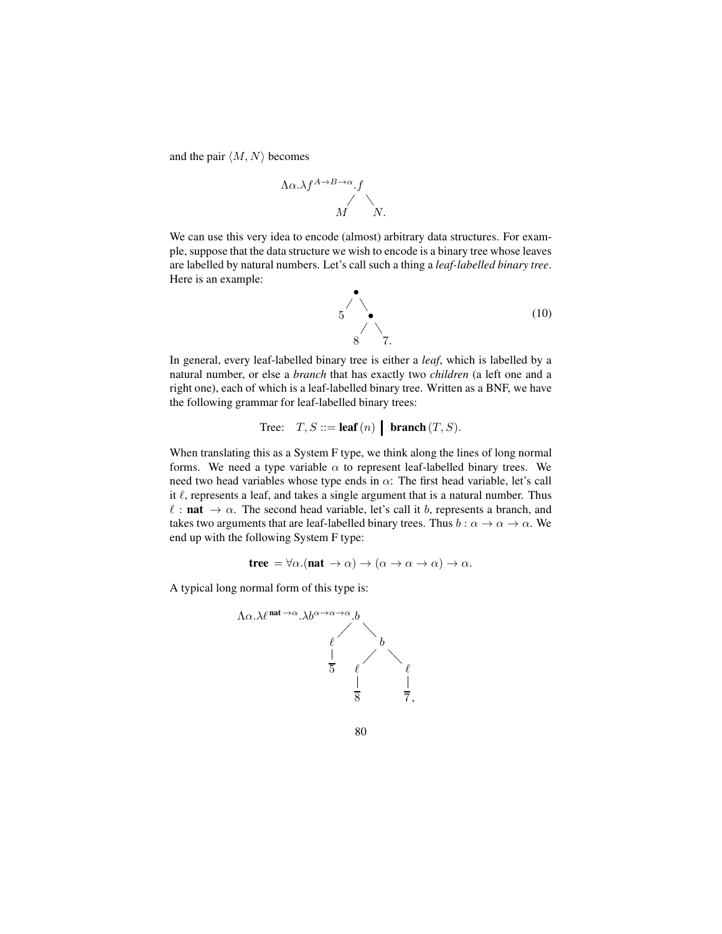and the pair  $\langle M, N \rangle$  becomes

$$
\Lambda \alpha . \lambda f^{A \to B \to \alpha} . f \wedge M
$$

We can use this very idea to encode (almost) arbitrary data structures. For example, suppose that the data structure we wish to encode is a binary tree whose leaves are labelled by natural numbers. Let's call such a thing a *leaf-labelled binary tree*. Here is an example:

$$
\begin{array}{c}\n5 \\
8 \\
7\n\end{array}
$$
\n(10)

In general, every leaf-labelled binary tree is either a *leaf*, which is labelled by a natural number, or else a *branch* that has exactly two *children* (a left one and a right one), each of which is a leaf-labelled binary tree. Written as a BNF, we have the following grammar for leaf-labelled binary trees:

$$
Tree: T, S ::= leaf(n) | branch(T, S).
$$

 $\mathbf{r}$ 

When translating this as a System F type, we think along the lines of long normal forms. We need a type variable  $\alpha$  to represent leaf-labelled binary trees. We need two head variables whose type ends in  $\alpha$ : The first head variable, let's call it  $\ell$ , represents a leaf, and takes a single argument that is a natural number. Thus  $\ell$ : **nat**  $\rightarrow \alpha$ . The second head variable, let's call it b, represents a branch, and takes two arguments that are leaf-labelled binary trees. Thus  $b : \alpha \to \alpha \to \alpha$ . We end up with the following System F type:

$$
tree = \forall \alpha. (nat \rightarrow \alpha) \rightarrow (\alpha \rightarrow \alpha \rightarrow \alpha) \rightarrow \alpha.
$$

A typical long normal form of this type is:

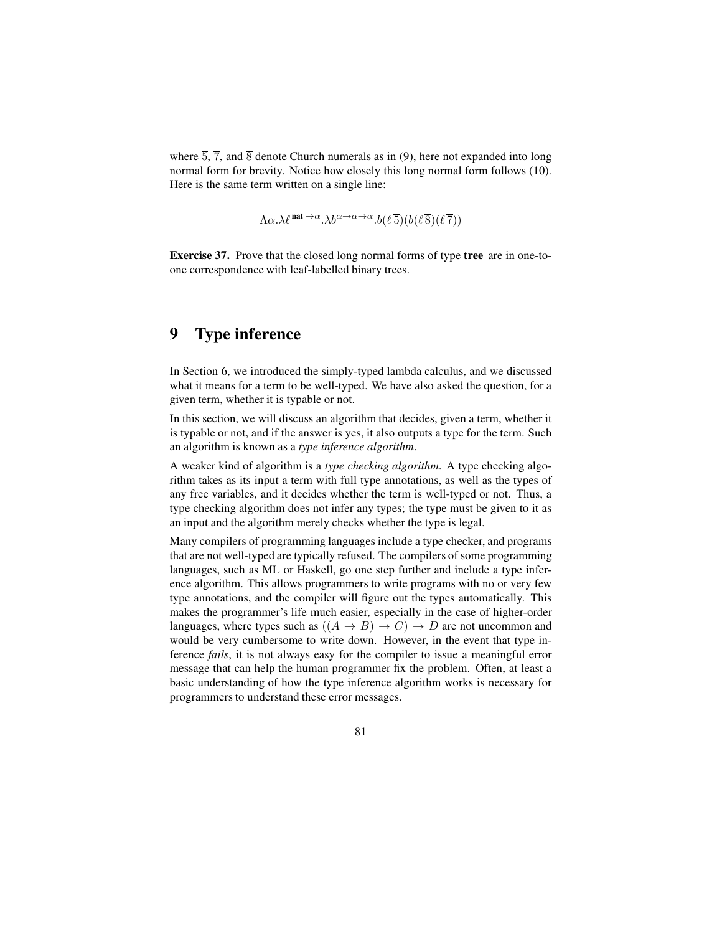where  $\overline{5}$ ,  $\overline{7}$ , and  $\overline{8}$  denote Church numerals as in (9), here not expanded into long normal form for brevity. Notice how closely this long normal form follows (10). Here is the same term written on a single line:

$$
\Lambda \alpha.\lambda \ell^{\text{nat}\to\alpha}.\lambda b^{\alpha\to\alpha\to\alpha}.b(\ell\,\overline{5})(b(\ell\,\overline{8})(\ell\,\overline{7}))
$$

Exercise 37. Prove that the closed long normal forms of type tree are in one-toone correspondence with leaf-labelled binary trees.

## 9 Type inference

In Section 6, we introduced the simply-typed lambda calculus, and we discussed what it means for a term to be well-typed. We have also asked the question, for a given term, whether it is typable or not.

In this section, we will discuss an algorithm that decides, given a term, whether it is typable or not, and if the answer is yes, it also outputs a type for the term. Such an algorithm is known as a *type inference algorithm*.

A weaker kind of algorithm is a *type checking algorithm*. A type checking algorithm takes as its input a term with full type annotations, as well as the types of any free variables, and it decides whether the term is well-typed or not. Thus, a type checking algorithm does not infer any types; the type must be given to it as an input and the algorithm merely checks whether the type is legal.

Many compilers of programming languages include a type checker, and programs that are not well-typed are typically refused. The compilers of some programming languages, such as ML or Haskell, go one step further and include a type inference algorithm. This allows programmers to write programs with no or very few type annotations, and the compiler will figure out the types automatically. This makes the programmer's life much easier, especially in the case of higher-order languages, where types such as  $((A \rightarrow B) \rightarrow C) \rightarrow D$  are not uncommon and would be very cumbersome to write down. However, in the event that type inference *fails*, it is not always easy for the compiler to issue a meaningful error message that can help the human programmer fix the problem. Often, at least a basic understanding of how the type inference algorithm works is necessary for programmers to understand these error messages.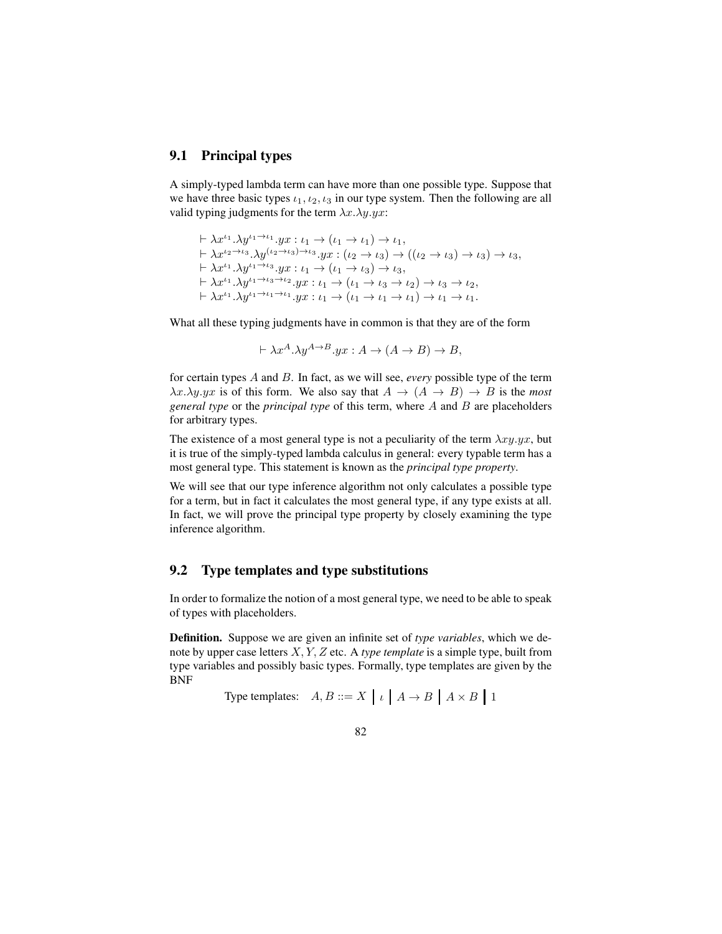## 9.1 Principal types

A simply-typed lambda term can have more than one possible type. Suppose that we have three basic types  $\iota_1, \iota_2, \iota_3$  in our type system. Then the following are all valid typing judgments for the term  $\lambda x.\lambda y.yx$ :

```
\vdash \lambda x^{\iota_1}.\lambda y^{\iota_1 \to \iota_1}.yx : \iota_1 \to (\iota_1 \to \iota_1) \to \iota_1,\vdash \lambda x^{\iota_2 \to \iota_3}.\lambda y^{(\iota_2 \to \iota_3) \to \iota_3}.yx : (\iota_2 \to \iota_3) \to ((\iota_2 \to \iota_3) \to \iota_3) \to \iota_3,\vdash \lambda x^{\iota_1}.\lambda y^{\iota_1 \to \iota_3}.yx : \iota_1 \to (\iota_1 \to \iota_3) \to \iota_3,\vdash \lambda x^{\iota_1}.\lambda y^{\iota_1 \to \iota_3 \to \iota_2}.yx : \iota_1 \to (\iota_1 \to \iota_3 \to \iota_2) \to \iota_3 \to \iota_2,\vdash \lambda x^{\iota_1}.\lambda y^{\iota_1 \to \iota_1 \to \iota_1}.yx : \iota_1 \to (\iota_1 \to \iota_1 \to \iota_1) \to \iota_1 \to \iota_1.
```
What all these typing judgments have in common is that they are of the form

 $\vdash \lambda x^A \cdot \lambda y^{A \to B} \cdot yx : A \to (A \to B) \to B$ ,

for certain types A and B. In fact, as we will see, *every* possible type of the term  $\lambda x.\lambda y.yx$  is of this form. We also say that  $A \to (A \to B) \to B$  is the *most general type* or the *principal type* of this term, where A and B are placeholders for arbitrary types.

The existence of a most general type is not a peculiarity of the term  $\lambda xy.yx$ , but it is true of the simply-typed lambda calculus in general: every typable term has a most general type. This statement is known as the *principal type property*.

We will see that our type inference algorithm not only calculates a possible type for a term, but in fact it calculates the most general type, if any type exists at all. In fact, we will prove the principal type property by closely examining the type inference algorithm.

## 9.2 Type templates and type substitutions

In order to formalize the notion of a most general type, we need to be able to speak of types with placeholders.

Definition. Suppose we are given an infinite set of *type variables*, which we denote by upper case letters X, Y, Z etc. A *type template* is a simple type, built from type variables and possibly basic types. Formally, type templates are given by the BNF

Type templates:  $A, B ::= X \mid \iota \mid A \rightarrow B \mid A \times B \mid 1$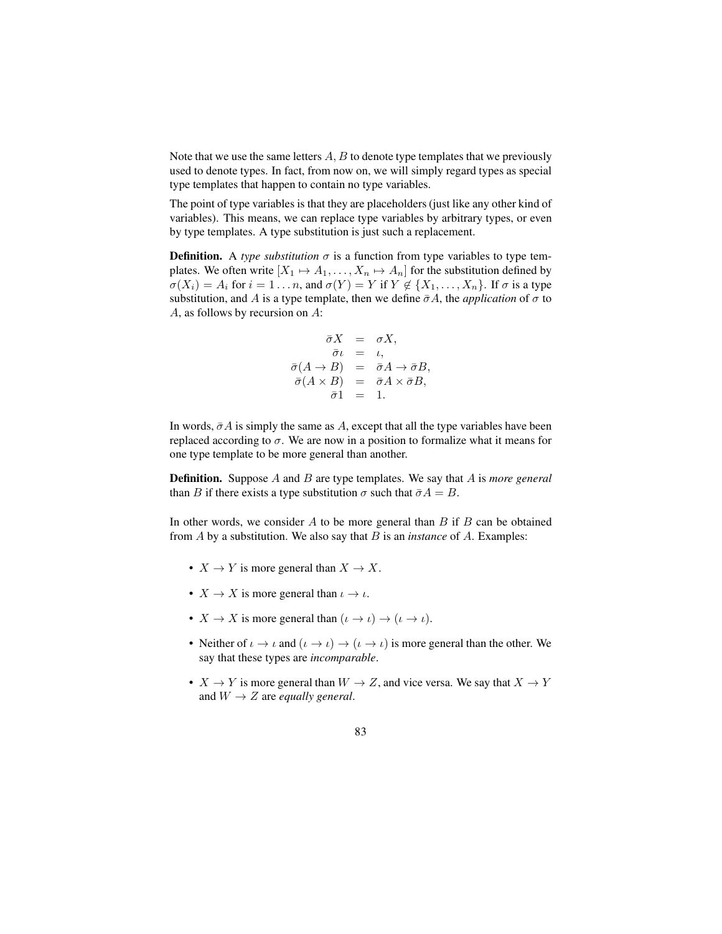Note that we use the same letters  $A, B$  to denote type templates that we previously used to denote types. In fact, from now on, we will simply regard types as special type templates that happen to contain no type variables.

The point of type variables is that they are placeholders (just like any other kind of variables). This means, we can replace type variables by arbitrary types, or even by type templates. A type substitution is just such a replacement.

**Definition.** A *type substitution*  $\sigma$  is a function from type variables to type templates. We often write  $[X_1 \mapsto A_1, \ldots, X_n \mapsto A_n]$  for the substitution defined by  $\sigma(X_i) = A_i$  for  $i = 1 \dots n$ , and  $\sigma(Y) = Y$  if  $Y \notin \{X_1, \dots, X_n\}$ . If  $\sigma$  is a type substitution, and A is a type template, then we define  $\bar{\sigma}A$ , the *application* of  $\sigma$  to A, as follows by recursion on A:

$$
\begin{array}{rcl}\n\bar{\sigma}X &=& \sigma X, \\
\bar{\sigma}\iota &=& \iota, \\
\bar{\sigma}(A \to B) &=& \bar{\sigma}A \to \bar{\sigma}B, \\
\bar{\sigma}(A \times B) &=& \bar{\sigma}A \times \bar{\sigma}B, \\
\bar{\sigma}1 &=& 1.\n\end{array}
$$

In words,  $\bar{\sigma}A$  is simply the same as A, except that all the type variables have been replaced according to  $\sigma$ . We are now in a position to formalize what it means for one type template to be more general than another.

Definition. Suppose A and B are type templates. We say that A is *more general* than B if there exists a type substitution  $\sigma$  such that  $\bar{\sigma}A = B$ .

In other words, we consider A to be more general than  $B$  if  $B$  can be obtained from A by a substitution. We also say that B is an *instance* of A. Examples:

- $X \to Y$  is more general than  $X \to X$ .
- $X \to X$  is more general than  $\iota \to \iota$ .
- $X \to X$  is more general than  $(\iota \to \iota) \to (\iota \to \iota)$ .
- Neither of  $\iota \to \iota$  and  $(\iota \to \iota) \to (\iota \to \iota)$  is more general than the other. We say that these types are *incomparable*.
- $X \to Y$  is more general than  $W \to Z$ , and vice versa. We say that  $X \to Y$ and  $W \rightarrow Z$  are *equally general*.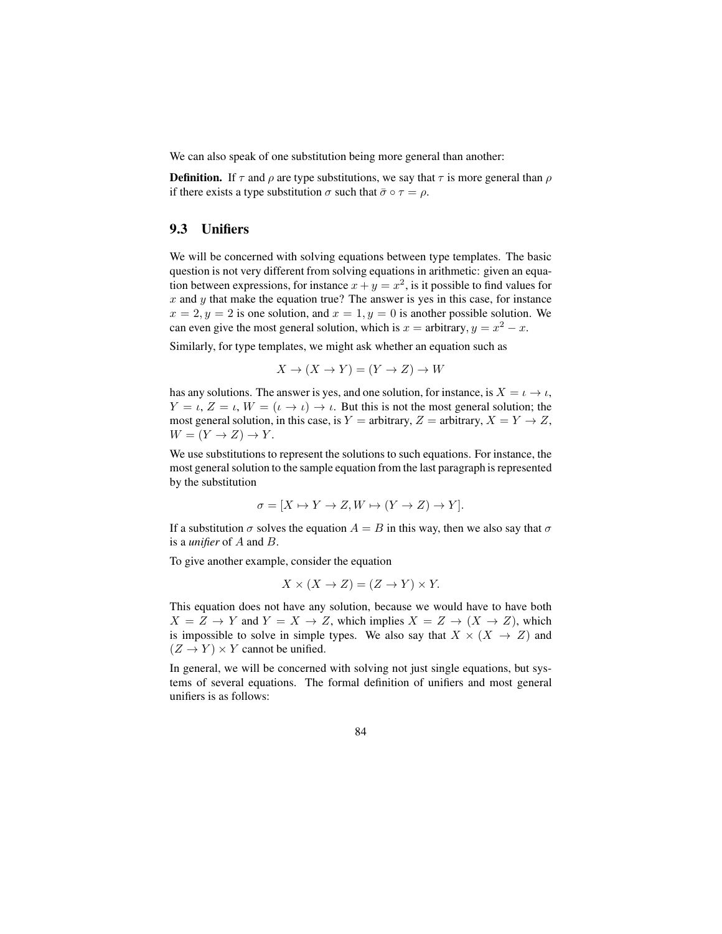We can also speak of one substitution being more general than another:

**Definition.** If  $\tau$  and  $\rho$  are type substitutions, we say that  $\tau$  is more general than  $\rho$ if there exists a type substitution  $\sigma$  such that  $\bar{\sigma} \circ \tau = \rho$ .

### 9.3 Unifiers

We will be concerned with solving equations between type templates. The basic question is not very different from solving equations in arithmetic: given an equation between expressions, for instance  $x + y = x^2$ , is it possible to find values for  $x$  and  $y$  that make the equation true? The answer is yes in this case, for instance  $x = 2, y = 2$  is one solution, and  $x = 1, y = 0$  is another possible solution. We can even give the most general solution, which is  $x =$  arbitrary,  $y = x^2 - x$ .

Similarly, for type templates, we might ask whether an equation such as

$$
X \to (X \to Y) = (Y \to Z) \to W
$$

has any solutions. The answer is yes, and one solution, for instance, is  $X = \iota \to \iota$ ,  $Y = \iota$ ,  $Z = \iota$ ,  $W = (\iota \to \iota) \to \iota$ . But this is not the most general solution; the most general solution, in this case, is  $Y =$  arbitrary,  $Z =$  arbitrary,  $X = Y \rightarrow Z$ ,  $W = (Y \rightarrow Z) \rightarrow Y$ .

We use substitutions to represent the solutions to such equations. For instance, the most general solution to the sample equation from the last paragraph is represented by the substitution

$$
\sigma = [X \mapsto Y \to Z, W \mapsto (Y \to Z) \to Y].
$$

If a substitution  $\sigma$  solves the equation  $A = B$  in this way, then we also say that  $\sigma$ is a *unifier* of A and B.

To give another example, consider the equation

$$
X \times (X \to Z) = (Z \to Y) \times Y.
$$

This equation does not have any solution, because we would have to have both  $X = Z \rightarrow Y$  and  $Y = X \rightarrow Z$ , which implies  $X = Z \rightarrow (X \rightarrow Z)$ , which is impossible to solve in simple types. We also say that  $X \times (X \rightarrow Z)$  and  $(Z \rightarrow Y) \times Y$  cannot be unified.

In general, we will be concerned with solving not just single equations, but systems of several equations. The formal definition of unifiers and most general unifiers is as follows: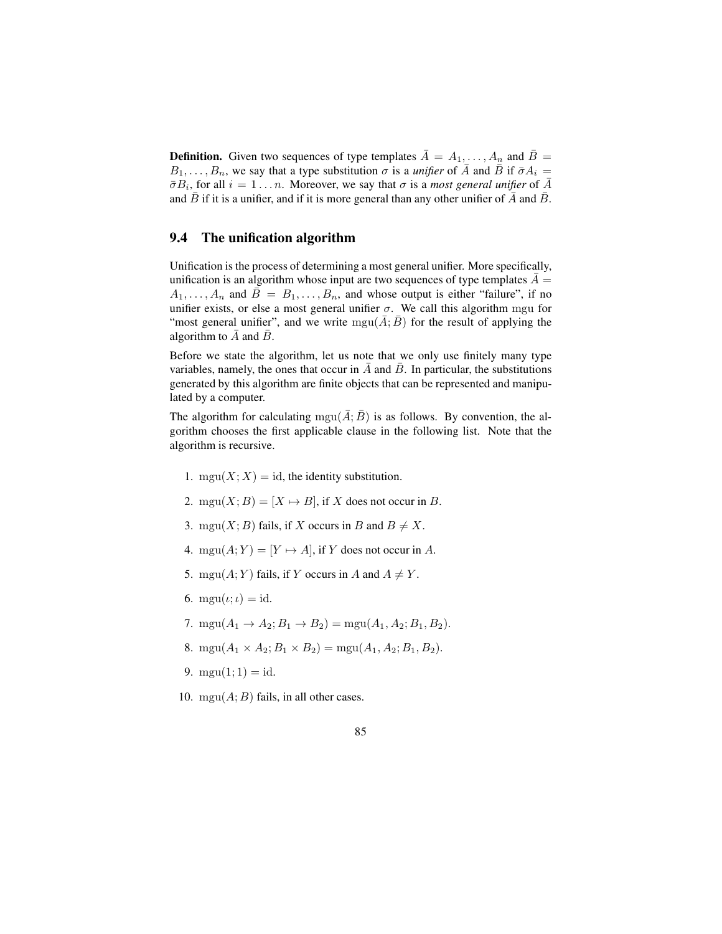**Definition.** Given two sequences of type templates  $\overline{A} = A_1, \ldots, A_n$  and  $\overline{B} =$  $B_1, \ldots, B_n$ , we say that a type substitution  $\sigma$  is a *unifier* of  $\bar{A}$  and  $\bar{B}$  if  $\bar{\sigma}A_i =$  $\bar{\sigma}B_i$ , for all  $i = 1...n$ . Moreover, we say that  $\sigma$  is a *most general unifier* of  $\bar{A}$ and  $B$  if it is a unifier, and if it is more general than any other unifier of  $A$  and  $B$ .

#### 9.4 The unification algorithm

Unification is the process of determining a most general unifier. More specifically, unification is an algorithm whose input are two sequences of type templates  $\overline{A} =$  $A_1, \ldots, A_n$  and  $\overline{B} = B_1, \ldots, B_n$ , and whose output is either "failure", if no unifier exists, or else a most general unifier  $\sigma$ . We call this algorithm mgu for "most general unifier", and we write  $mgu(\overline{A}; \overline{B})$  for the result of applying the algorithm to  $\overline{A}$  and  $\overline{B}$ .

Before we state the algorithm, let us note that we only use finitely many type variables, namely, the ones that occur in  $\overline{A}$  and  $\overline{B}$ . In particular, the substitutions generated by this algorithm are finite objects that can be represented and manipulated by a computer.

The algorithm for calculating  $mgu(\bar{A}; \bar{B})$  is as follows. By convention, the algorithm chooses the first applicable clause in the following list. Note that the algorithm is recursive.

- 1. mgu $(X; X) = id$ , the identity substitution.
- 2. mgu $(X; B) = [X \mapsto B]$ , if X does not occur in B.
- 3. mgu(X; B) fails, if X occurs in B and  $B \neq X$ .
- 4. mgu $(A; Y) = [Y \mapsto A]$ , if Y does not occur in A.
- 5. mgu $(A; Y)$  fails, if Y occurs in A and  $A \neq Y$ .
- 6. mgu $(\iota; \iota) = id$ .
- 7. mgu $(A_1 \rightarrow A_2; B_1 \rightarrow B_2) = \text{mgu}(A_1, A_2; B_1, B_2)$ .
- 8. mgu $(A_1 \times A_2; B_1 \times B_2) = \text{mgu}(A_1, A_2; B_1, B_2).$
- 9. mgu $(1; 1) = id$ .
- 10. mgu $(A; B)$  fails, in all other cases.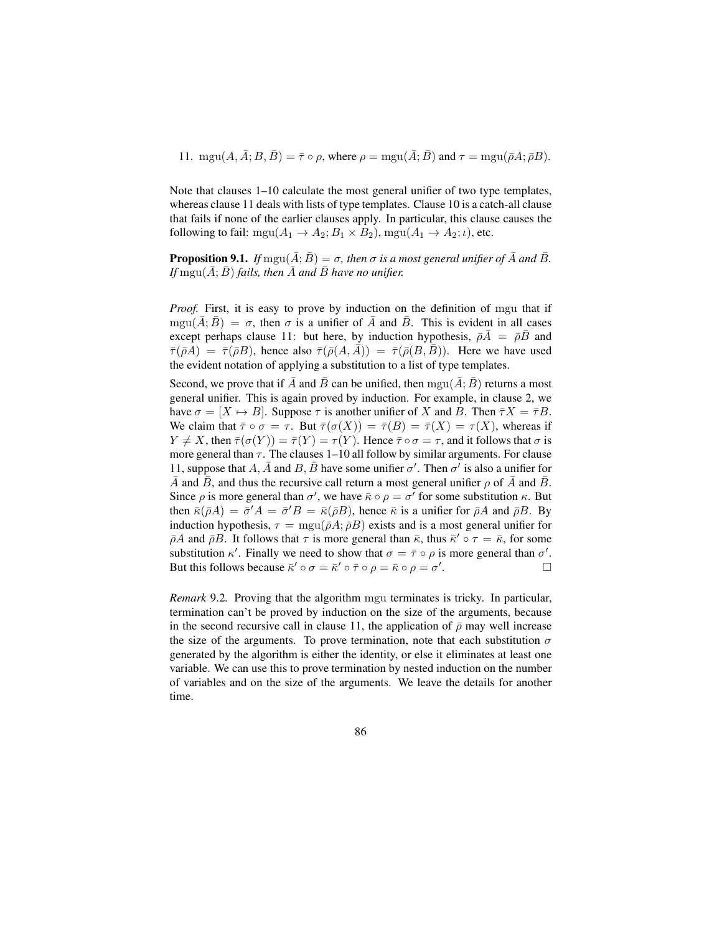11. mgu $(A, \overline{A}; B, \overline{B}) = \overline{\tau} \circ \rho$ , where  $\rho = \text{mgu}(\overline{A}; \overline{B})$  and  $\tau = \text{mgu}(\overline{\rho}A; \overline{\rho}B)$ .

Note that clauses 1–10 calculate the most general unifier of two type templates, whereas clause 11 deals with lists of type templates. Clause 10 is a catch-all clause that fails if none of the earlier clauses apply. In particular, this clause causes the following to fail:  $mgu(A_1 \rightarrow A_2; B_1 \times B_2)$ ,  $mgu(A_1 \rightarrow A_2; \iota)$ , etc.

**Proposition 9.1.** *If*  $mgu(\overline{A}; \overline{B}) = \sigma$ , then  $\sigma$  is a most general unifier of  $\overline{A}$  and  $\overline{B}$ . *If* mgu $(\bar{A}; \bar{B})$  *fails, then*  $\bar{A}$  *and*  $\bar{B}$  *have no unifier.* 

*Proof.* First, it is easy to prove by induction on the definition of mgu that if  $mgu(\overline{A};\overline{B}) = \sigma$ , then  $\sigma$  is a unifier of  $\overline{A}$  and  $\overline{B}$ . This is evident in all cases except perhaps clause 11: but here, by induction hypothesis,  $\bar{\rho}A = \bar{\rho}B$  and  $\bar{\tau}(\bar{\rho}A) = \bar{\tau}(\bar{\rho}B)$ , hence also  $\bar{\tau}(\bar{\rho}(A, \bar{A})) = \bar{\tau}(\bar{\rho}(B, \bar{B}))$ . Here we have used the evident notation of applying a substitution to a list of type templates.

Second, we prove that if  $\overline{A}$  and  $\overline{B}$  can be unified, then  $mgu(\overline{A}; \overline{B})$  returns a most general unifier. This is again proved by induction. For example, in clause 2, we have  $\sigma = [X \mapsto B]$ . Suppose  $\tau$  is another unifier of X and B. Then  $\bar{\tau}X = \bar{\tau}B$ . We claim that  $\overline{\tau} \circ \sigma = \tau$ . But  $\overline{\tau}(\sigma(X)) = \overline{\tau}(B) = \overline{\tau}(X) = \tau(X)$ , whereas if  $Y \neq X$ , then  $\bar{\tau}(\sigma(Y)) = \bar{\tau}(Y) = \tau(Y)$ . Hence  $\bar{\tau} \circ \sigma = \tau$ , and it follows that  $\sigma$  is more general than  $\tau$ . The clauses 1–10 all follow by similar arguments. For clause 11, suppose that  $A, \overline{A}$  and  $B, \overline{B}$  have some unifier  $\sigma'$ . Then  $\sigma'$  is also a unifier for A and B, and thus the recursive call return a most general unifier  $\rho$  of A and B. Since  $\rho$  is more general than  $\sigma'$ , we have  $\bar{\kappa} \circ \rho = \sigma'$  for some substitution  $\kappa$ . But then  $\bar{\kappa}(\bar{\rho}A) = \bar{\sigma}'A = \bar{\sigma}'B = \bar{\kappa}(\bar{\rho}B)$ , hence  $\bar{\kappa}$  is a unifier for  $\bar{\rho}A$  and  $\bar{\rho}B$ . By induction hypothesis,  $\tau = \text{mgu}(\bar{\rho}A; \bar{\rho}B)$  exists and is a most general unifier for  $\bar{\rho}A$  and  $\bar{\rho}B$ . It follows that  $\tau$  is more general than  $\bar{\kappa}$ , thus  $\bar{\kappa}' \circ \tau = \bar{\kappa}$ , for some substitution  $\kappa'$ . Finally we need to show that  $\sigma = \bar{\tau} \circ \rho$  is more general than  $\sigma'$ . But this follows because  $\bar{\kappa}' \circ \sigma = \bar{\kappa}' \circ \bar{\tau} \circ \rho = \bar{\kappa} \circ \rho = \sigma'$ . — Первый профессиональный профессиональный профессиональный профессиональный профессиональный профессиональн<br>В профессиональный профессиональный профессиональный профессиональный профессиональный профессиональный профес

*Remark* 9.2*.* Proving that the algorithm mgu terminates is tricky. In particular, termination can't be proved by induction on the size of the arguments, because in the second recursive call in clause 11, the application of  $\bar{\rho}$  may well increase the size of the arguments. To prove termination, note that each substitution  $\sigma$ generated by the algorithm is either the identity, or else it eliminates at least one variable. We can use this to prove termination by nested induction on the number of variables and on the size of the arguments. We leave the details for another time.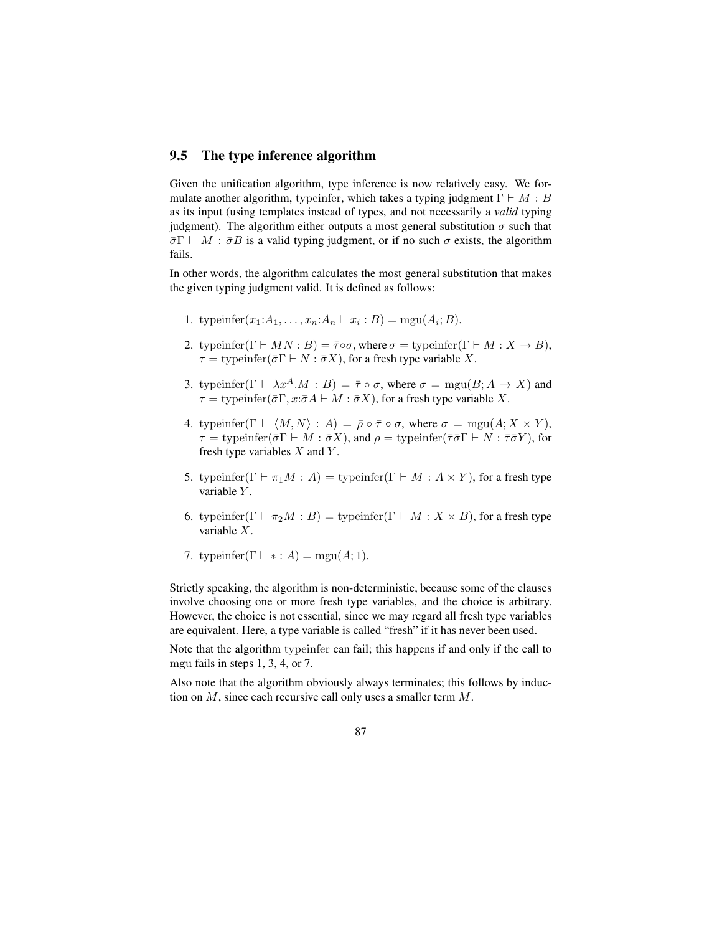#### 9.5 The type inference algorithm

Given the unification algorithm, type inference is now relatively easy. We formulate another algorithm, typeinfer, which takes a typing judgment  $\Gamma \vdash M : B$ as its input (using templates instead of types, and not necessarily a *valid* typing judgment). The algorithm either outputs a most general substitution  $\sigma$  such that  $\bar{\sigma}\Gamma \vdash M : \bar{\sigma}B$  is a valid typing judgment, or if no such  $\sigma$  exists, the algorithm fails.

In other words, the algorithm calculates the most general substitution that makes the given typing judgment valid. It is defined as follows:

- 1. typeinfer $(x_1: A_1, ..., x_n: A_n \vdash x_i : B) = \text{mgu}(A_i; B)$ .
- 2. typeinfer(Γ  $\vdash MN : B$ ) =  $\bar{\tau} \circ \sigma$ , where  $\sigma =$  typeinfer(Γ  $\vdash M : X \to B$ ),  $\tau =$  typeinfer( $\bar{\sigma} \Gamma \vdash N : \bar{\sigma} X$ ), for a fresh type variable X.
- 3. typeinfer( $\Gamma \vdash \lambda x^A \cdot M : B$ ) =  $\overline{\tau} \circ \sigma$ , where  $\sigma = \text{mgu}(B; A \rightarrow X)$  and  $\tau =$  typeinfer $(\bar{\sigma} \Gamma, x : \bar{\sigma} A \vdash M : \bar{\sigma} X)$ , for a fresh type variable X.
- 4. typeinfer( $\Gamma \vdash \langle M, N \rangle : A$ ) =  $\overline{\rho} \circ \overline{\tau} \circ \sigma$ , where  $\sigma = \text{mgu}(A; X \times Y)$ ,  $\tau =$  typeinfer( $\bar{\sigma} \Gamma \vdash M : \bar{\sigma} X$ ), and  $\rho =$  typeinfer( $\bar{\tau} \bar{\sigma} \Gamma \vdash N : \bar{\tau} \bar{\sigma} Y$ ), for fresh type variables  $X$  and  $Y$ .
- 5. typeinfer(Γ  $\vdash \pi_1 M : A$ ) = typeinfer(Γ  $\vdash M : A \times Y$ ), for a fresh type variable Y.
- 6. typeinfer( $\Gamma \vdash \pi_2 M : B$ ) = typeinfer( $\Gamma \vdash M : X \times B$ ), for a fresh type variable X.
- 7. typeinfer( $\Gamma \vdash * : A$ ) = mgu( $A; 1$ ).

Strictly speaking, the algorithm is non-deterministic, because some of the clauses involve choosing one or more fresh type variables, and the choice is arbitrary. However, the choice is not essential, since we may regard all fresh type variables are equivalent. Here, a type variable is called "fresh" if it has never been used.

Note that the algorithm typeinfer can fail; this happens if and only if the call to mgu fails in steps 1, 3, 4, or 7.

Also note that the algorithm obviously always terminates; this follows by induction on M, since each recursive call only uses a smaller term M.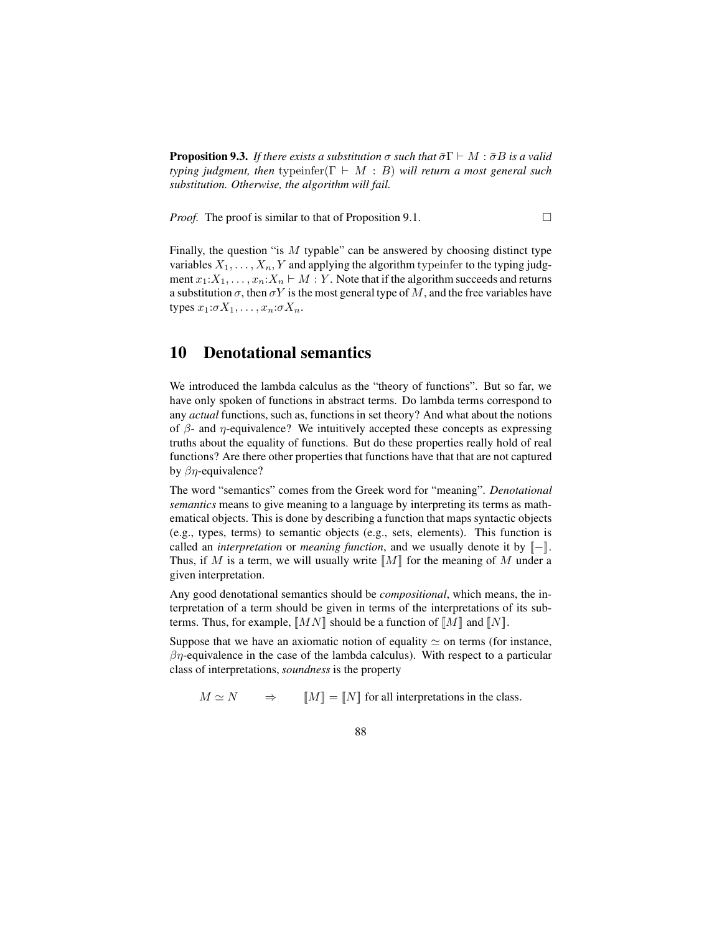**Proposition 9.3.** *If there exists a substitution*  $\sigma$  *such that*  $\bar{\sigma} \Gamma \vdash M : \bar{\sigma} B$  *is a valid typing judgment, then* typeinfer( $\Gamma \vdash M : B$ ) *will return a most general such substitution. Otherwise, the algorithm will fail.*

*Proof.* The proof is similar to that of Proposition 9.1.

Finally, the question "is  $M$  typable" can be answered by choosing distinct type variables  $X_1, \ldots, X_n, Y$  and applying the algorithm typeinfer to the typing judgment  $x_1: X_1, \ldots, x_n: X_n \vdash M : Y$ . Note that if the algorithm succeeds and returns a substitution  $\sigma$ , then  $\sigma Y$  is the most general type of M, and the free variables have types  $x_1:\sigma X_1,\ldots,x_n:\sigma X_n$ .

# 10 Denotational semantics

We introduced the lambda calculus as the "theory of functions". But so far, we have only spoken of functions in abstract terms. Do lambda terms correspond to any *actual* functions, such as, functions in set theory? And what about the notions of  $\beta$ - and  $\eta$ -equivalence? We intuitively accepted these concepts as expressing truths about the equality of functions. But do these properties really hold of real functions? Are there other properties that functions have that that are not captured by  $\beta\eta$ -equivalence?

The word "semantics" comes from the Greek word for "meaning". *Denotational semantics* means to give meaning to a language by interpreting its terms as mathematical objects. This is done by describing a function that maps syntactic objects (e.g., types, terms) to semantic objects (e.g., sets, elements). This function is called an *interpretation* or *meaning function*, and we usually denote it by  $[-]$ . Thus, if M is a term, we will usually write  $\llbracket M \rrbracket$  for the meaning of M under a given interpretation.

Any good denotational semantics should be *compositional*, which means, the interpretation of a term should be given in terms of the interpretations of its subterms. Thus, for example,  $[M N]$  should be a function of  $[M]$  and  $[N]$ .

Suppose that we have an axiomatic notion of equality  $\simeq$  on terms (for instance,  $\beta$ η-equivalence in the case of the lambda calculus). With respect to a particular class of interpretations, *soundness* is the property

 $M \simeq N \Rightarrow$   $[M] = [N]$  for all interpretations in the class.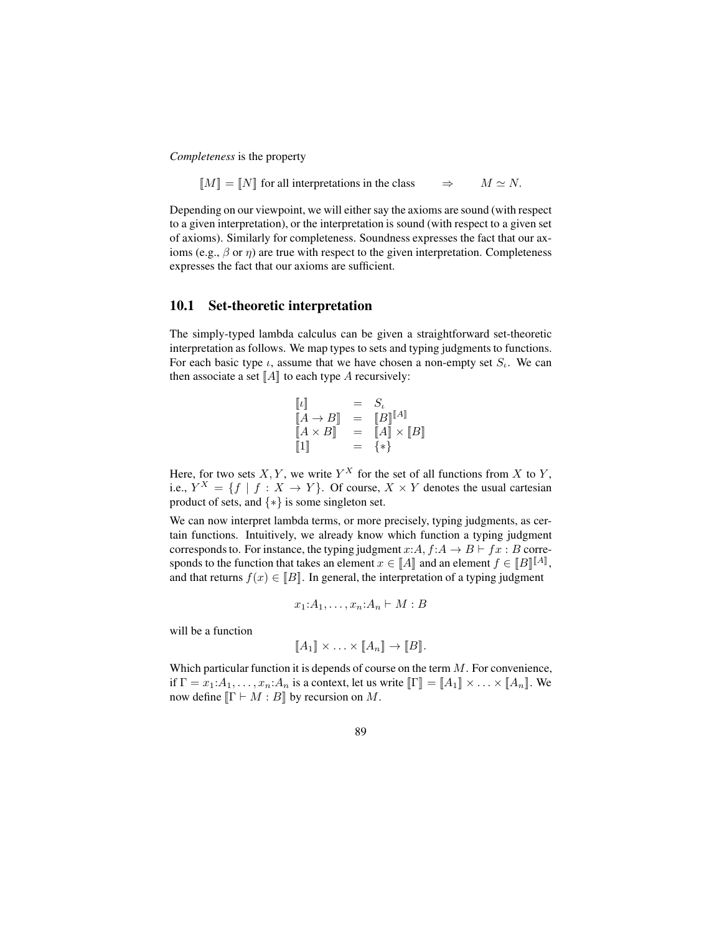*Completeness* is the property

 $[M] = [N]$  for all interpretations in the class  $\Rightarrow M \simeq N$ .

Depending on our viewpoint, we will either say the axioms are sound (with respect to a given interpretation), or the interpretation is sound (with respect to a given set of axioms). Similarly for completeness. Soundness expresses the fact that our axioms (e.g.,  $\beta$  or  $\eta$ ) are true with respect to the given interpretation. Completeness expresses the fact that our axioms are sufficient.

#### 10.1 Set-theoretic interpretation

The simply-typed lambda calculus can be given a straightforward set-theoretic interpretation as follows. We map types to sets and typing judgments to functions. For each basic type  $\iota$ , assume that we have chosen a non-empty set  $S_{\iota}$ . We can then associate a set  $\llbracket A \rrbracket$  to each type A recursively:

$$
\begin{array}{ccc} \llbracket \iota \rrbracket & = & S_{\iota} \\ \llbracket A \rightarrow B \rrbracket & = & \llbracket B \rrbracket \llbracket A \rrbracket \\ \llbracket A \times B \rrbracket & = & \llbracket A \rrbracket \times \llbracket B \rrbracket \\ \llbracket 1 \rrbracket & = & \{ * \} \end{array}
$$

Here, for two sets  $X, Y$ , we write  $Y^X$  for the set of all functions from X to Y, i.e.,  $Y^X = \{f \mid f : X \to Y\}$ . Of course,  $X \times Y$  denotes the usual cartesian product of sets, and  $\{*\}$  is some singleton set.

We can now interpret lambda terms, or more precisely, typing judgments, as certain functions. Intuitively, we already know which function a typing judgment corresponds to. For instance, the typing judgment  $x:A, f:A \to B \vdash fx : B$  corresponds to the function that takes an element  $x\in \llbracket A\rrbracket$  and an element  $f\in \llbracket B\rrbracket ^{\llbracket A\rrbracket},$ and that returns  $f(x) \in [B]$ . In general, the interpretation of a typing judgment

$$
x_1:A_1,\ldots,x_n:A_n\vdash M:B
$$

will be a function

$$
[\![A_1]\!] \times \ldots \times [\![A_n]\!] \to [\![B]\!].
$$

Which particular function it is depends of course on the term  $M$ . For convenience, if  $\Gamma = x_1:A_1,\ldots,x_n:A_n$  is a context, let us write  $\llbracket \Gamma \rrbracket = \llbracket A_1 \rrbracket \times \ldots \times \llbracket A_n \rrbracket$ . We now define  $[\![ \Gamma \vdash M : B ]\!]$  by recursion on M.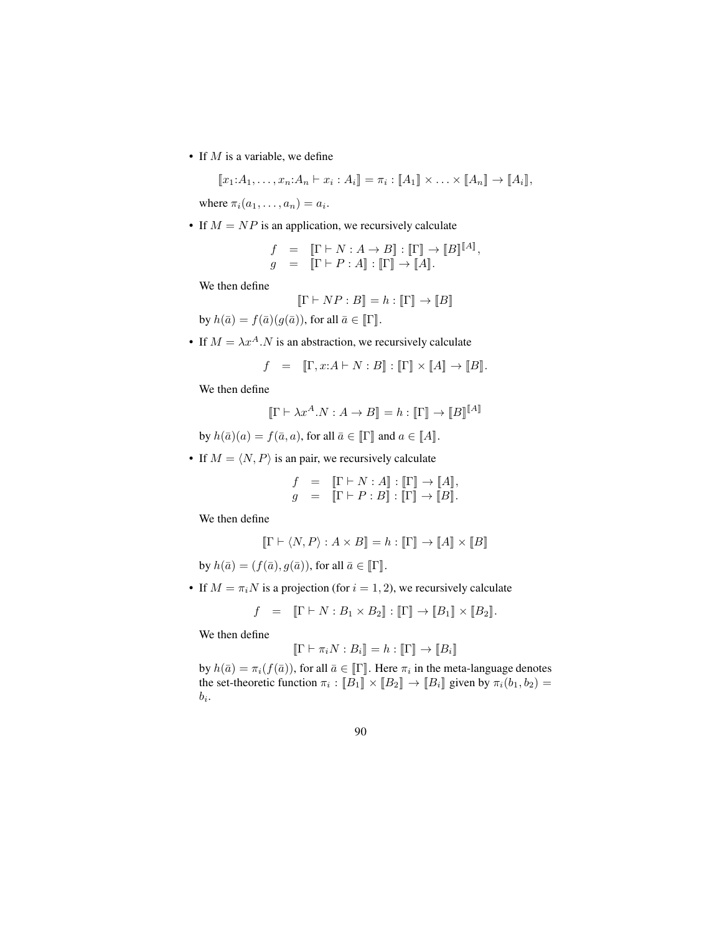• If  $M$  is a variable, we define

$$
\llbracket x_1:A_1,\ldots,x_n:A_n\vdash x_i:A_i\rrbracket = \pi_i:\llbracket A_1\rrbracket\times\ldots\times\llbracket A_n\rrbracket\rightarrow\llbracket A_i\rrbracket,
$$

where  $\pi_i(a_1,\ldots,a_n)=a_i$ .

• If  $M = NP$  is an application, we recursively calculate

$$
\begin{array}{rcl} f & = & \left[\!\left[ \Gamma \vdash N : A \to B \right]\!\right] : \left[\!\left[ \Gamma \right]\!\right] \to \left[\!\left[ B \right]\!\right]^{\llbracket A \rrbracket}, \\ g & = & \left[\!\left[ \Gamma \vdash P : A \right]\!\right] : \left[\!\left[ \Gamma \right]\!\right] \to \left[\!\left[ A \right]\!\right]. \end{array}
$$

We then define

$$
[\![\Gamma \vdash NP : B]\!] = h : [\![\Gamma]\!] \to [\![B]\!]
$$

by  $h(\bar{a}) = f(\bar{a})(g(\bar{a}))$ , for all  $\bar{a} \in [\Gamma]$ .

• If  $M = \lambda x^A \cdot N$  is an abstraction, we recursively calculate

$$
f = [\![\Gamma, x : A \vdash N : B]\!] : [\![\Gamma]\!] \times [\![A]\!] \to [\![B]\!].
$$

We then define

$$
[\![\Gamma \vdash \lambda x^A . N : A \to B]\!] = h : [\![\Gamma]\!] \to [\![B]\!]^{[\![A]\!]}
$$

by  $h(\bar{a})(a) = f(\bar{a}, a)$ , for all  $\bar{a} \in [\![\Gamma]\!]$  and  $a \in [\![A]\!]$ .

• If  $M = \langle N, P \rangle$  is an pair, we recursively calculate

$$
\begin{array}{lll} f & = & \left[\! \left[ \Gamma \vdash N : A \right]\! \right] : \left[\! \left[ \Gamma \right]\! \right] \to \left[\! \left[ A \right]\! \right], \\ g & = & \left[\! \left[ \Gamma \vdash P : B \right]\! \right] : \left[\! \left[ \Gamma \right]\! \right] \to \left[\! \left[ B \right]\! \right]. \end{array}
$$

We then define

$$
\llbracket \Gamma \vdash \langle N, P \rangle : A \times B \rrbracket = h : \llbracket \Gamma \rrbracket \to \llbracket A \rrbracket \times \llbracket B \rrbracket
$$

by  $h(\bar{a}) = (f(\bar{a}), g(\bar{a}))$ , for all  $\bar{a} \in [\![\Gamma]\!]$ .

• If  $M = \pi_i N$  is a projection (for  $i = 1, 2$ ), we recursively calculate

 $f = [\Gamma \vdash N : B_1 \times B_2] : [\Gamma] \rightarrow [B_1] \times [B_2].$ 

We then define

$$
[\![\Gamma \vdash \pi_i N : B_i]\!] = h : [\![\Gamma]\!] \to [\![B_i]\!]
$$

by  $h(\bar{a}) = \pi_i(f(\bar{a}))$ , for all  $\bar{a} \in [\![\Gamma]\!]$ . Here  $\pi_i$  in the meta-language denotes the set-theoretic function  $\pi_i : [B_1] \times [B_2] \rightarrow [B_i]$  given by  $\pi_i(b_1, b_2) =$  $b_i$ .

90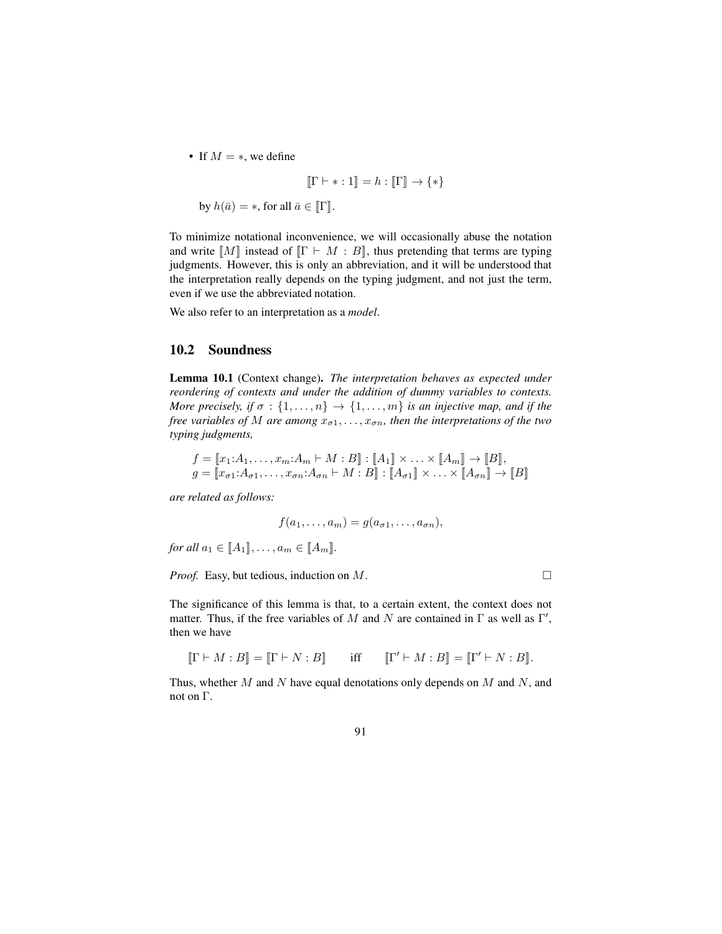• If  $M = *$ , we define

$$
[\![\Gamma \vdash * : 1]\!] = h : [\![\Gamma]\!] \to \{*\}
$$

by  $h(\bar{a}) = *$ , for all  $\bar{a} \in [\![\Gamma]\!]$ .

To minimize notational inconvenience, we will occasionally abuse the notation and write  $[M]$  instead of  $[\Gamma \vdash M : B]$ , thus pretending that terms are typing judgments. However, this is only an abbreviation, and it will be understood that the interpretation really depends on the typing judgment, and not just the term, even if we use the abbreviated notation.

We also refer to an interpretation as a *model*.

### 10.2 Soundness

Lemma 10.1 (Context change). *The interpretation behaves as expected under reordering of contexts and under the addition of dummy variables to contexts. More precisely, if*  $\sigma : \{1, \ldots, n\} \rightarrow \{1, \ldots, m\}$  *is an injective map, and if the free variables of* M *are among*  $x_{\sigma 1}, \ldots, x_{\sigma n}$ , then the interpretations of the two *typing judgments,*

$$
f = [x_1: A_1, \dots, x_m: A_m \vdash M : B] : [A_1] \times \dots \times [A_m] \to [B],
$$
  

$$
g = [x_{\sigma 1}: A_{\sigma 1}, \dots, x_{\sigma n}: A_{\sigma n} \vdash M : B] : [A_{\sigma 1}] \times \dots \times [A_{\sigma n}] \to [B]
$$

*are related as follows:*

$$
f(a_1,\ldots,a_m)=g(a_{\sigma 1},\ldots,a_{\sigma n}),
$$

*for all*  $a_1 \in [A_1], \ldots, a_m \in [A_m]$ *.* 

*Proof.* Easy, but tedious, induction on *M*. □

The significance of this lemma is that, to a certain extent, the context does not matter. Thus, if the free variables of M and N are contained in  $\Gamma$  as well as  $\Gamma'$ , then we have

$$
[\![ \Gamma \vdash M : B ]\!] = [\![ \Gamma \vdash N : B ]\!] \qquad \text{iff} \qquad [\![ \Gamma' \vdash M : B ]\!] = [\![ \Gamma' \vdash N : B ]\!].
$$

Thus, whether  $M$  and  $N$  have equal denotations only depends on  $M$  and  $N$ , and not on Γ.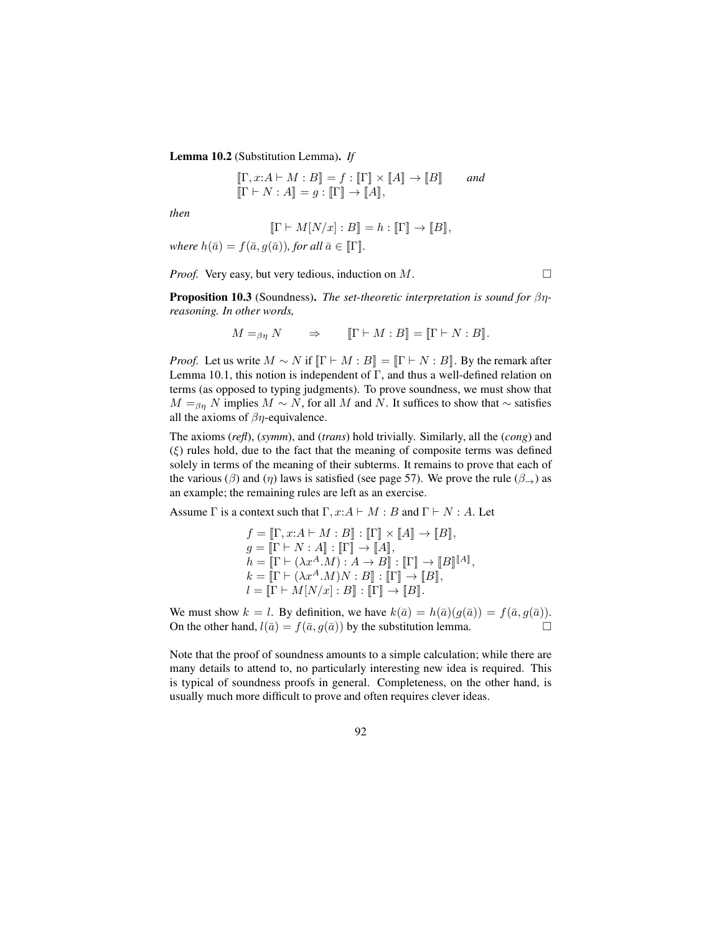Lemma 10.2 (Substitution Lemma). *If*

$$
[\![\Gamma, x : A \vdash M : B]\!] = f : [\![\Gamma]\!] \times [\![A]\!] \to [\![B]\!] \quad \text{and} \quad [\![\Gamma \vdash N : A]\!] = g : [\![\Gamma]\!] \to [\![A]\!],
$$

*then*

$$
[\![\Gamma \vdash M[N/x] : B]\!] = h : [\![\Gamma]\!] \to [\![B]\!],
$$

*where*  $h(\bar{a}) = f(\bar{a}, g(\bar{a}))$ *, for all*  $\bar{a} \in [\Gamma]$ *.* 

*Proof.* Very easy, but very tedious, induction on  $M$ .

Proposition 10.3 (Soundness). *The set-theoretic interpretation is sound for* βη*reasoning. In other words,*

$$
M =_{\beta\eta} N \qquad \Rightarrow \qquad [\![\Gamma \vdash M : B]\!] = [\![\Gamma \vdash N : B]\!].
$$

*Proof.* Let us write  $M \sim N$  if  $[\Gamma \vdash M : B] = [\Gamma \vdash N : B]$ . By the remark after Lemma 10.1, this notion is independent of  $\Gamma$ , and thus a well-defined relation on terms (as opposed to typing judgments). To prove soundness, we must show that  $M =_{\beta n} N$  implies  $M \sim N$ , for all M and N. It suffices to show that ∼ satisfies all the axioms of  $\beta\eta$ -equivalence.

The axioms (*refl*), (*symm*), and (*trans*) hold trivially. Similarly, all the (*cong*) and (ξ) rules hold, due to the fact that the meaning of composite terms was defined solely in terms of the meaning of their subterms. It remains to prove that each of the various ( $\beta$ ) and ( $\eta$ ) laws is satisfied (see page 57). We prove the rule ( $\beta_{\rightarrow}$ ) as an example; the remaining rules are left as an exercise.

Assume  $\Gamma$  is a context such that  $\Gamma, x:A \vdash M : B$  and  $\Gamma \vdash N : A$ . Let

$$
f = [\Gamma, x:A \vdash M : B] : [\Gamma] \times [A] \to [B],
$$
  
\n
$$
g = [\Gamma \vdash N : A] : [\Gamma] \to [A],
$$
  
\n
$$
h = [\Gamma \vdash (\lambda x^A \cdot M) : A \to B] : [\Gamma] \to [B]^{[A]},
$$
  
\n
$$
k = [\Gamma \vdash (\lambda x^A \cdot M)N : B] : [\Gamma] \to [B],
$$
  
\n
$$
l = [\Gamma \vdash M[N/x] : B] : [\Gamma] \to [B].
$$

We must show  $k = l$ . By definition, we have  $k(\bar{a}) = h(\bar{a})(g(\bar{a})) = f(\bar{a}, g(\bar{a}))$ . On the other hand,  $l(\bar{a}) = f(\bar{a}, g(\bar{a}))$  by the substitution lemma.

Note that the proof of soundness amounts to a simple calculation; while there are many details to attend to, no particularly interesting new idea is required. This is typical of soundness proofs in general. Completeness, on the other hand, is usually much more difficult to prove and often requires clever ideas.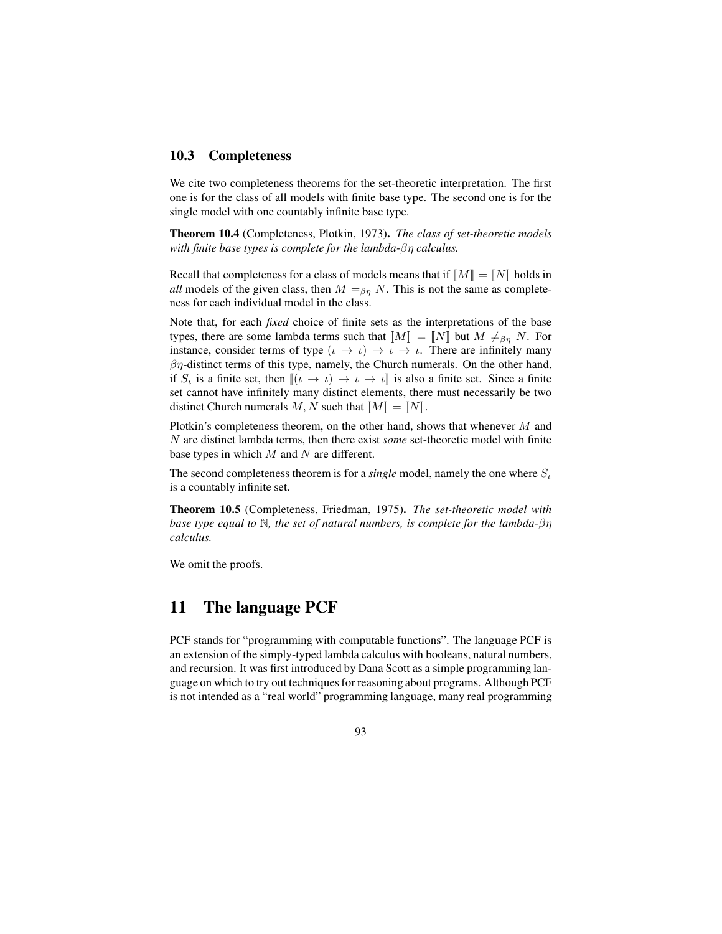#### 10.3 Completeness

We cite two completeness theorems for the set-theoretic interpretation. The first one is for the class of all models with finite base type. The second one is for the single model with one countably infinite base type.

Theorem 10.4 (Completeness, Plotkin, 1973). *The class of set-theoretic models with finite base types is complete for the lambda-*βη *calculus.*

Recall that completeness for a class of models means that if  $[M] = [N]$  holds in *all* models of the given class, then  $M =_{\beta\eta} N$ . This is not the same as completeness for each individual model in the class.

Note that, for each *fixed* choice of finite sets as the interpretations of the base types, there are some lambda terms such that  $[M] = [N]$  but  $M \neq_{\beta\eta} N$ . For instance, consider terms of type  $(\iota \to \iota) \to \iota \to \iota$ . There are infinitely many  $\beta$ η-distinct terms of this type, namely, the Church numerals. On the other hand, if  $S_{\iota}$  is a finite set, then  $[(\iota \to \iota) \to \iota \to \iota]$  is also a finite set. Since a finite set cannot have infinitely many distinct elements, there must necessarily be two distinct Church numerals  $M, N$  such that  $\llbracket M \rrbracket = \llbracket N \rrbracket$ .

Plotkin's completeness theorem, on the other hand, shows that whenever  $M$  and N are distinct lambda terms, then there exist *some* set-theoretic model with finite base types in which  $M$  and  $N$  are different.

The second completeness theorem is for a *single* model, namely the one where  $S<sub>i</sub>$ is a countably infinite set.

Theorem 10.5 (Completeness, Friedman, 1975). *The set-theoretic model with base type equal to* N*, the set of natural numbers, is complete for the lambda-*βη *calculus.*

We omit the proofs.

# 11 The language PCF

PCF stands for "programming with computable functions". The language PCF is an extension of the simply-typed lambda calculus with booleans, natural numbers, and recursion. It was first introduced by Dana Scott as a simple programming language on which to try out techniques for reasoning about programs. Although PCF is not intended as a "real world" programming language, many real programming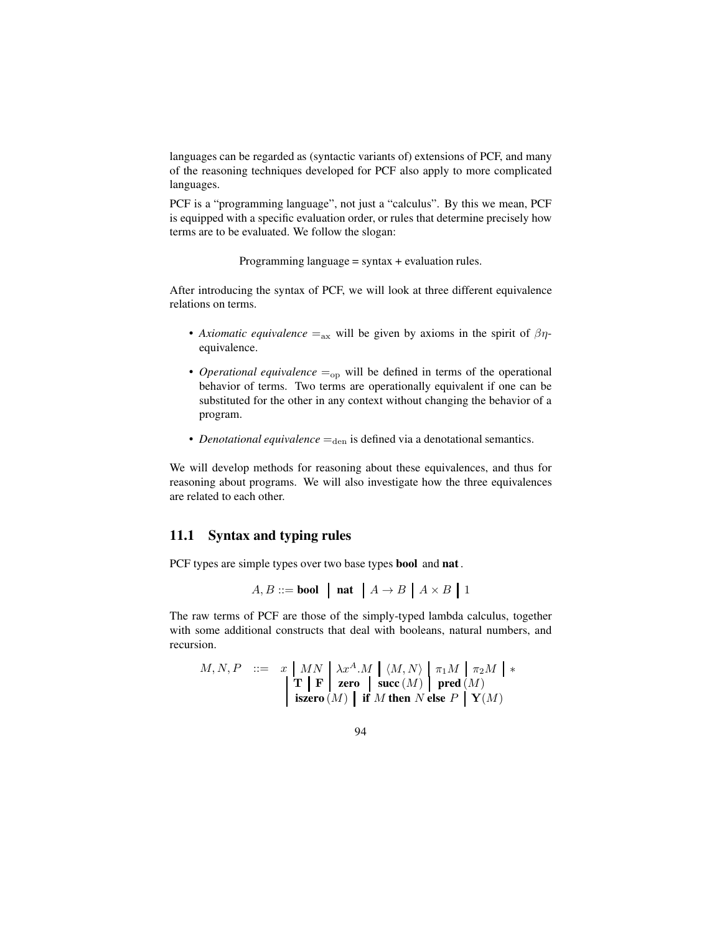languages can be regarded as (syntactic variants of) extensions of PCF, and many of the reasoning techniques developed for PCF also apply to more complicated languages.

PCF is a "programming language", not just a "calculus". By this we mean, PCF is equipped with a specific evaluation order, or rules that determine precisely how terms are to be evaluated. We follow the slogan:

Programming language = syntax + evaluation rules.

After introducing the syntax of PCF, we will look at three different equivalence relations on terms.

- *Axiomatic equivalence*  $=_{ax}$  will be given by axioms in the spirit of  $\beta\eta$ equivalence.
- *Operational equivalence*  $=_{op}$  will be defined in terms of the operational behavior of terms. Two terms are operationally equivalent if one can be substituted for the other in any context without changing the behavior of a program.
- *Denotational equivalence*  $=_{den}$  is defined via a denotational semantics.

We will develop methods for reasoning about these equivalences, and thus for reasoning about programs. We will also investigate how the three equivalences are related to each other.

#### 11.1 Syntax and typing rules

PCF types are simple types over two base types **bool** and **nat**.

$$
A, B ::= \textbf{bool} \mid \textbf{nat} \mid A \rightarrow B \mid A \times B \mid 1
$$

The raw terms of PCF are those of the simply-typed lambda calculus, together with some additional constructs that deal with booleans, natural numbers, and recursion.

M, N, P ::= x MN λx<sup>A</sup>.M hM, Ni π1M π2M ∗ T F zero succ (M) pred (M) iszero (M) if M then N else P Y(M)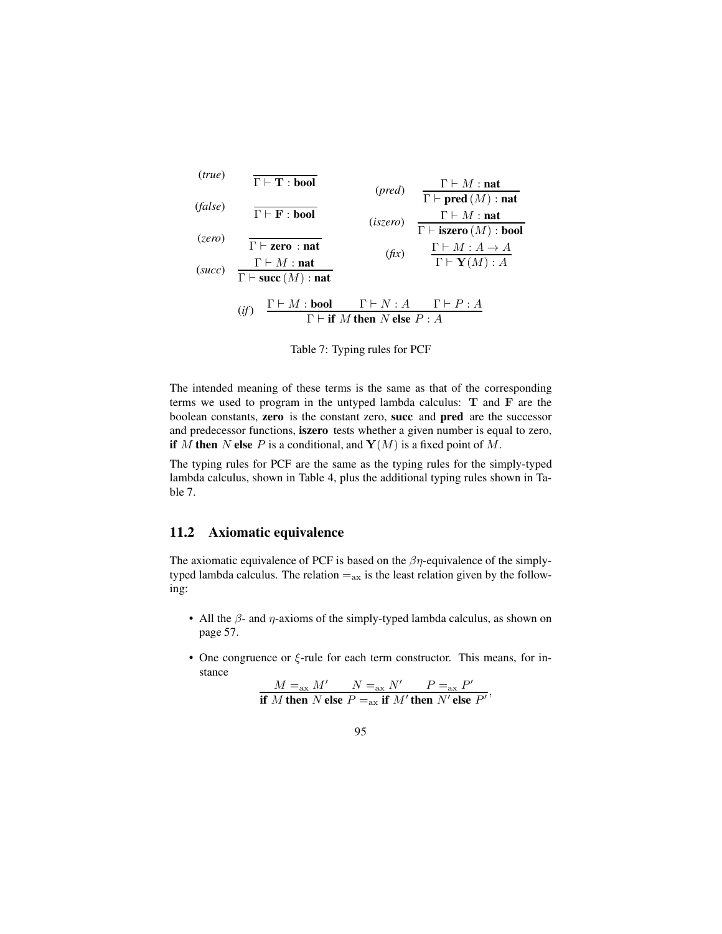$$
(true)
$$
\n
$$
\overline{\Gamma \vdash T : bool}
$$
\n
$$
(false)
$$
\n
$$
\overline{\Gamma \vdash F : bool}
$$
\n
$$
(zero)
$$
\n
$$
\overline{\Gamma \vdash zero : nat}
$$
\n
$$
(succ)
$$
\n
$$
\overline{\Gamma \vdash succ \cap M : nat}
$$
\n
$$
(succ)
$$
\n
$$
\overline{\Gamma \vdash succ (M) : nat}
$$
\n
$$
(if)
$$
\n
$$
\overline{\Gamma \vdash M : \mathbf{act}}
$$
\n
$$
(if)
$$
\n
$$
\overline{\Gamma \vdash M : bool}
$$
\n
$$
\Gamma \vdash N : A \rightarrow A
$$
\n
$$
\overline{\Gamma \vdash Y (M) : A}
$$
\n
$$
(if)
$$
\n
$$
\overline{\Gamma \vdash M : bool}
$$
\n
$$
\Gamma \vdash N : A
$$
\n
$$
\Gamma \vdash P : A
$$
\n
$$
\Gamma \vdash \mathbf{if} M \mathbf{then} N \mathbf{else} P : A
$$

Table 7: Typing rules for PCF

The intended meaning of these terms is the same as that of the corresponding terms we used to program in the untyped lambda calculus: T and F are the boolean constants, zero is the constant zero, succ and pred are the successor and predecessor functions, iszero tests whether a given number is equal to zero, if M then N else P is a conditional, and  $Y(M)$  is a fixed point of M.

The typing rules for PCF are the same as the typing rules for the simply-typed lambda calculus, shown in Table 4, plus the additional typing rules shown in Table 7.

#### 11.2 Axiomatic equivalence

The axiomatic equivalence of PCF is based on the  $\beta\eta$ -equivalence of the simplytyped lambda calculus. The relation  $=_{ax}$  is the least relation given by the following:

- All the  $\beta$  and  $\eta$ -axioms of the simply-typed lambda calculus, as shown on page 57.
- One congruence or  $\xi$ -rule for each term constructor. This means, for instance

 $M =_{\text{ax}} M'$   $N =_{\text{ax}} N'$   $P =_{\text{ax}} P'$ if M then N else  $P =_{ax}$  if M' then N' else  $P'$ ,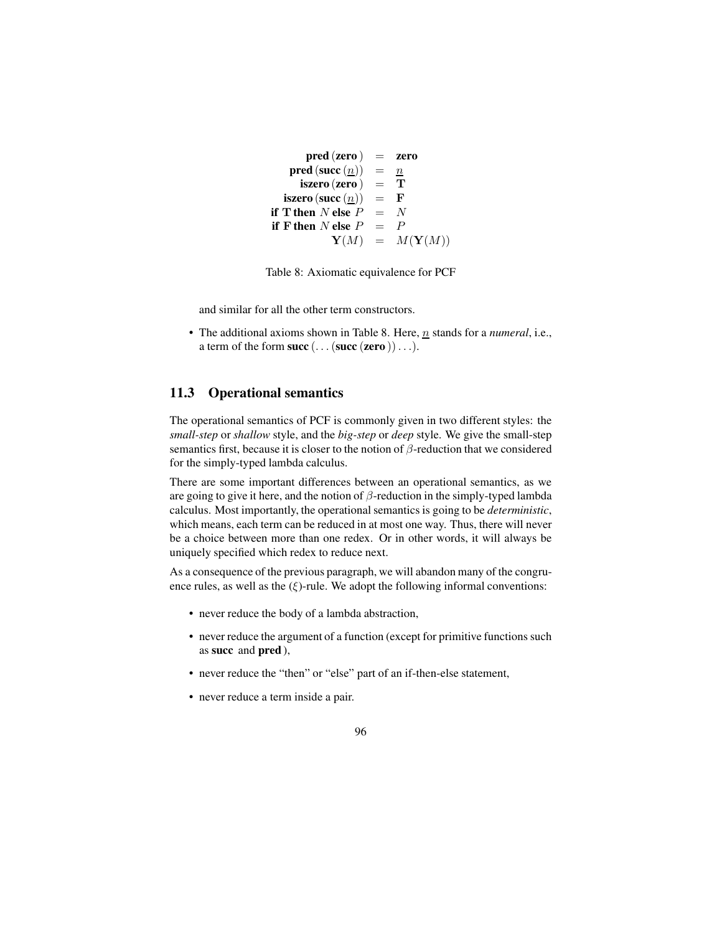```
\text{pred}(zero) = zeropred (succ (n)) = niszero (zero ) = T
  iszero (succ (n)) = F
if T then N else P = Nif F then N else P = P\mathbf{Y}(M) = M(\mathbf{Y}(M))
```
Table 8: Axiomatic equivalence for PCF

and similar for all the other term constructors.

• The additional axioms shown in Table 8. Here, n stands for a *numeral*, i.e., a term of the form succ  $(\dots (\text{succ (zero)})) \dots)$ .

## 11.3 Operational semantics

The operational semantics of PCF is commonly given in two different styles: the *small-step* or *shallow* style, and the *big-step* or *deep* style. We give the small-step semantics first, because it is closer to the notion of  $\beta$ -reduction that we considered for the simply-typed lambda calculus.

There are some important differences between an operational semantics, as we are going to give it here, and the notion of  $\beta$ -reduction in the simply-typed lambda calculus. Most importantly, the operational semantics is going to be *deterministic*, which means, each term can be reduced in at most one way. Thus, there will never be a choice between more than one redex. Or in other words, it will always be uniquely specified which redex to reduce next.

As a consequence of the previous paragraph, we will abandon many of the congruence rules, as well as the  $(\xi)$ -rule. We adopt the following informal conventions:

- never reduce the body of a lambda abstraction,
- never reduce the argument of a function (except for primitive functions such as succ and pred ),
- never reduce the "then" or "else" part of an if-then-else statement,
- never reduce a term inside a pair.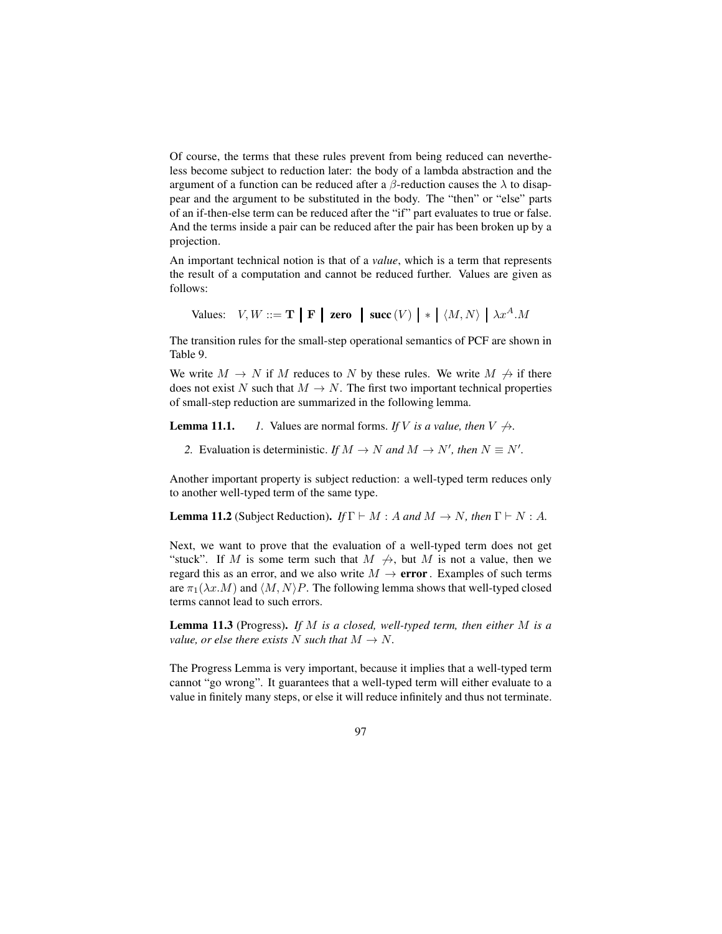Of course, the terms that these rules prevent from being reduced can nevertheless become subject to reduction later: the body of a lambda abstraction and the argument of a function can be reduced after a  $\beta$ -reduction causes the  $\lambda$  to disappear and the argument to be substituted in the body. The "then" or "else" parts of an if-then-else term can be reduced after the "if" part evaluates to true or false. And the terms inside a pair can be reduced after the pair has been broken up by a projection.

An important technical notion is that of a *value*, which is a term that represents the result of a computation and cannot be reduced further. Values are given as follows:

Values:  $V, W ::= \mathbf{T} | \mathbf{F} | \mathbf{zero} | \mathbf{succ}(V) | * | \langle M, N \rangle | \lambda x^A \cdot M$ 

The transition rules for the small-step operational semantics of PCF are shown in Table 9.

We write  $M \to N$  if M reduces to N by these rules. We write  $M \to \infty$  if there does not exist N such that  $M \to N$ . The first two important technical properties of small-step reduction are summarized in the following lemma.

**Lemma 11.1.** *1.* Values are normal forms. *If V is a value, then*  $V \nrightarrow$ .

2. Evaluation is deterministic. *If*  $M \to N$  *and*  $M \to N'$ *, then*  $N \equiv N'$ *.* 

Another important property is subject reduction: a well-typed term reduces only to another well-typed term of the same type.

**Lemma 11.2** (Subject Reduction). *If*  $\Gamma \vdash M : A$  *and*  $M \rightarrow N$ *, then*  $\Gamma \vdash N : A$ *.* 

Next, we want to prove that the evaluation of a well-typed term does not get "stuck". If M is some term such that  $M \nrightarrow$ , but M is not a value, then we regard this as an error, and we also write  $M \to$  error. Examples of such terms are  $\pi_1(\lambda x.M)$  and  $\langle M, N \rangle P$ . The following lemma shows that well-typed closed terms cannot lead to such errors.

Lemma 11.3 (Progress). *If* M *is a closed, well-typed term, then either* M *is a value, or else there exists* N *such that*  $M \rightarrow N$ .

The Progress Lemma is very important, because it implies that a well-typed term cannot "go wrong". It guarantees that a well-typed term will either evaluate to a value in finitely many steps, or else it will reduce infinitely and thus not terminate.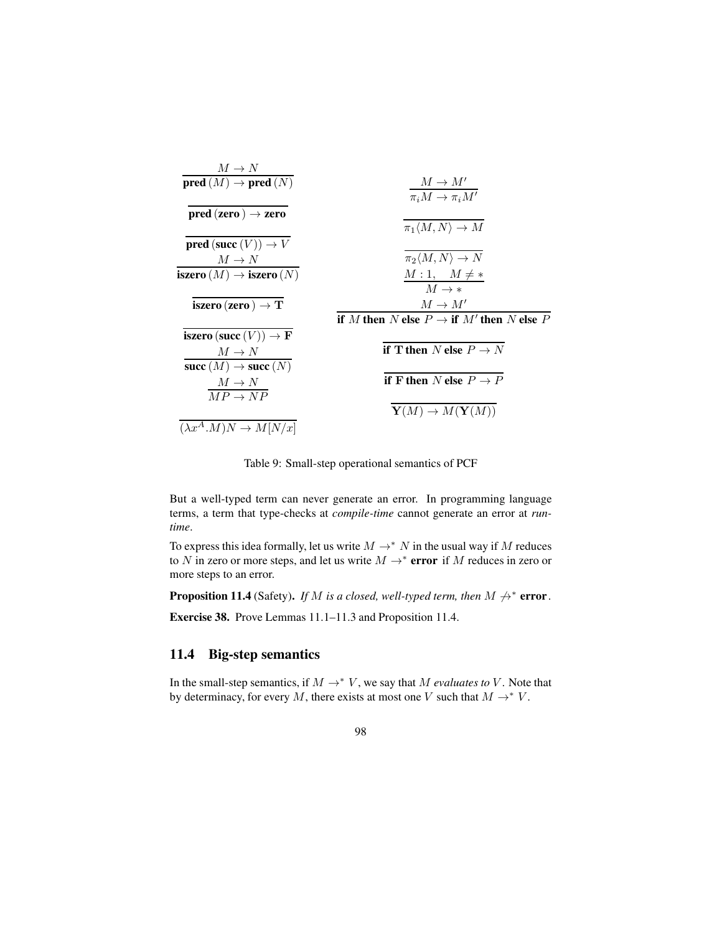| $M \to N$                                   |                                                      |
|---------------------------------------------|------------------------------------------------------|
| $pred(M) \rightarrow pred(N)$               | $M \to M'$                                           |
|                                             | $\pi_i M \to \pi_i M'$                               |
| $pred (zero) \rightarrow zero$              |                                                      |
|                                             | $\pi_1\langle M,N\rangle \to M$                      |
| <b>pred</b> (succ $(V)$ ) $\rightarrow$ $V$ |                                                      |
| $M \to N$                                   | $\pi_2\langle M,N\rangle\to N$                       |
| iszero $(M) \rightarrow$ iszero $(N)$       | $M:1, M \neq *$                                      |
|                                             | $M \rightarrow *$                                    |
| iszero (zero ) $\rightarrow$ T              | $M \to M'$                                           |
|                                             | if M then N else $P \rightarrow$ if M' then N else P |
| iszero (succ $(V)$ ) $\rightarrow$ F        |                                                      |
| $M \to N$                                   | if T then N else $P \to N$                           |
| succ $(M) \rightarrow$ succ $(N)$           |                                                      |
| $M \to N$                                   | if F then N else $P \rightarrow P$                   |
| $MP \rightarrow NP$                         |                                                      |
|                                             | $\mathbf{Y}(M) \to M(\mathbf{Y}(M))$                 |
| $(\lambda x^A \cdot M)N \to M[N/x]$         |                                                      |

Table 9: Small-step operational semantics of PCF

But a well-typed term can never generate an error. In programming language terms, a term that type-checks at *compile-time* cannot generate an error at *runtime*.

To express this idea formally, let us write  $M \to N$  in the usual way if M reduces to N in zero or more steps, and let us write  $M \to^*$  error if M reduces in zero or more steps to an error.

**Proposition 11.4** (Safety). If M is a closed, well-typed term, then  $M \nrightarrow^* \text{error}$ .

Exercise 38. Prove Lemmas 11.1–11.3 and Proposition 11.4.

## 11.4 Big-step semantics

In the small-step semantics, if  $M \to^* V$ , we say that M *evaluates to* V. Note that by determinacy, for every M, there exists at most one V such that  $M \to^* V$ .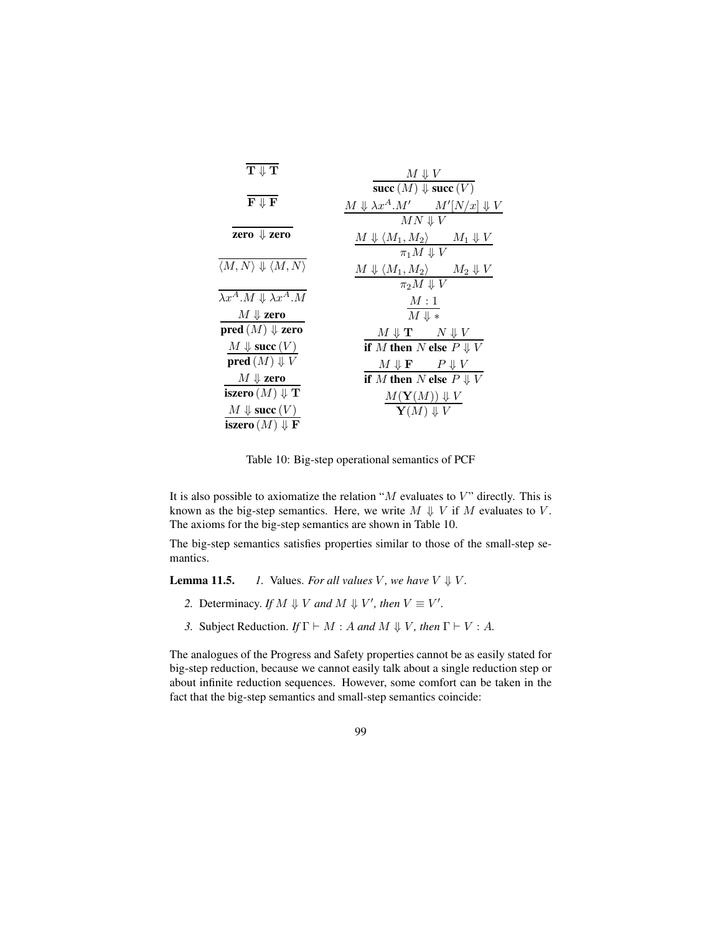| $\mathbf{T} \Downarrow \mathbf{T}$                     | $M \Downarrow V$                                           |
|--------------------------------------------------------|------------------------------------------------------------|
|                                                        | succ $(M) \Downarrow$ succ $(V)$                           |
| $F \Downarrow F$                                       | $M \Downarrow \lambda x^A.M'$ $M'[N/x] \Downarrow V$       |
|                                                        | $MN \Downarrow V$                                          |
| zero $\Downarrow$ zero                                 | $M \Downarrow \langle M_1, M_2 \rangle$ $M_1 \Downarrow V$ |
|                                                        | $\pi_1 M \Downarrow V$                                     |
| $\langle M, N \rangle \Downarrow \langle M, N \rangle$ | $M \Downarrow \langle M_1, M_2 \rangle$ $M_2 \Downarrow V$ |
|                                                        | $\pi_2 M \Downarrow V$                                     |
| $\lambda x^A.M \Downarrow \lambda x^A.M$               | M:1                                                        |
| $M \Downarrow$ zero                                    | $M \Downarrow *$                                           |
| $\mathbf{pred}\left(M\right) \Downarrow \mathbf{zero}$ | $M \Downarrow \mathbf{T}$ $N \Downarrow V$                 |
| $M \Downarrow$ succ $(V)$                              | if M then N else $P \Downarrow V$                          |
| $pred(M) \Downarrow V$                                 | $M \Downarrow \mathbf{F}$ $P \Downarrow V$                 |
| $M \Downarrow$ zero                                    | if M then N else $P \Downarrow V$                          |
| iszero $(M)\Downarrow T$                               | $M(\mathbf{Y}(M)) \Downarrow V$                            |
| $M \Downarrow$ succ $(V)$                              | $\mathbf{Y}(M) \Downarrow V$                               |
| iszero $(M)\Downarrow$ F                               |                                                            |

Table 10: Big-step operational semantics of PCF

It is also possible to axiomatize the relation " $M$  evaluates to  $V$ " directly. This is known as the big-step semantics. Here, we write  $M \Downarrow V$  if M evaluates to V. The axioms for the big-step semantics are shown in Table 10.

The big-step semantics satisfies properties similar to those of the small-step semantics.

**Lemma 11.5.** *1.* Values. *For all values V*, *we have*  $V \Downarrow V$ .

- 2. Determinacy. *If*  $M \Downarrow V$  *and*  $M \Downarrow V'$ *, then*  $V \equiv V'$ *.*
- *3.* Subject Reduction. *If*  $\Gamma \vdash M : A$  *and*  $M \Downarrow V$ *, then*  $\Gamma \vdash V : A$ *.*

The analogues of the Progress and Safety properties cannot be as easily stated for big-step reduction, because we cannot easily talk about a single reduction step or about infinite reduction sequences. However, some comfort can be taken in the fact that the big-step semantics and small-step semantics coincide: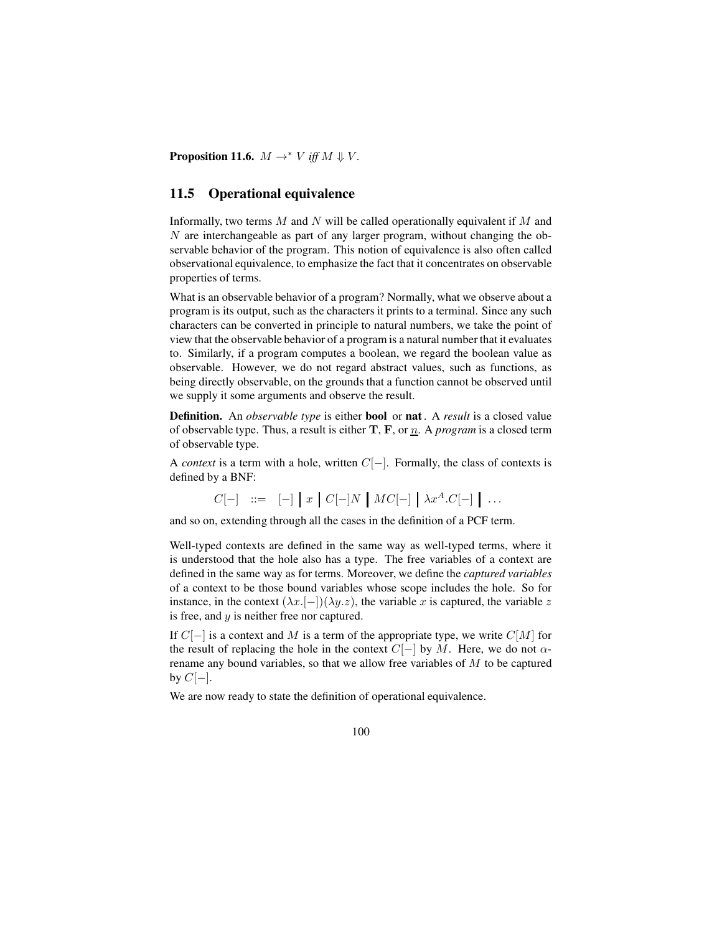**Proposition 11.6.**  $M \rightarrow^* V$  *iff*  $M \Downarrow V$ *.* 

## 11.5 Operational equivalence

Informally, two terms  $M$  and  $N$  will be called operationally equivalent if  $M$  and N are interchangeable as part of any larger program, without changing the observable behavior of the program. This notion of equivalence is also often called observational equivalence, to emphasize the fact that it concentrates on observable properties of terms.

What is an observable behavior of a program? Normally, what we observe about a program is its output, such as the characters it prints to a terminal. Since any such characters can be converted in principle to natural numbers, we take the point of view that the observable behavior of a program is a natural number that it evaluates to. Similarly, if a program computes a boolean, we regard the boolean value as observable. However, we do not regard abstract values, such as functions, as being directly observable, on the grounds that a function cannot be observed until we supply it some arguments and observe the result.

Definition. An *observable type* is either bool or nat. A *result* is a closed value of observable type. Thus, a result is either  $T$ ,  $F$ , or  $n$ . A *program* is a closed term of observable type.

A *context* is a term with a hole, written C[−]. Formally, the class of contexts is defined by a BNF:

 $C[-]$  ::=  $[-] \mid x \mid C[-]N \mid MC[-] \mid \lambda x^A.C[-] \mid \ldots$ 

and so on, extending through all the cases in the definition of a PCF term.

Well-typed contexts are defined in the same way as well-typed terms, where it is understood that the hole also has a type. The free variables of a context are defined in the same way as for terms. Moreover, we define the *captured variables* of a context to be those bound variables whose scope includes the hole. So for instance, in the context  $(\lambda x.[-]) (\lambda y. z)$ , the variable x is captured, the variable z is free, and  $y$  is neither free nor captured.

If  $C[-]$  is a context and M is a term of the appropriate type, we write  $C[M]$  for the result of replacing the hole in the context  $C[-]$  by M. Here, we do not  $\alpha$ rename any bound variables, so that we allow free variables of  $M$  to be captured by  $C[-]$ .

We are now ready to state the definition of operational equivalence.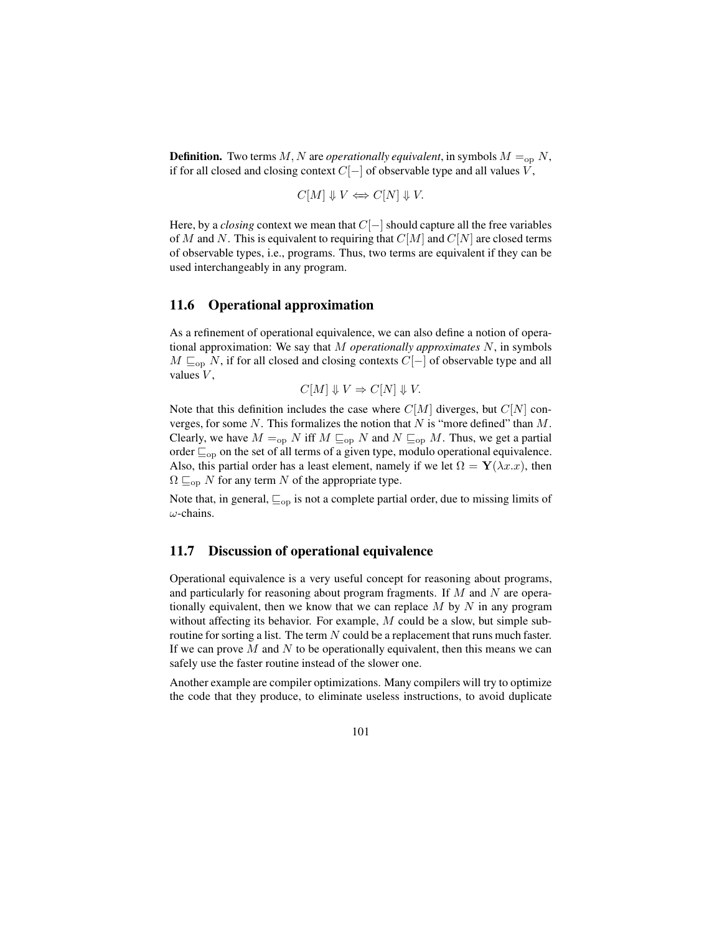**Definition.** Two terms  $M$ ,  $N$  are *operationally equivalent*, in symbols  $M =_{op} N$ , if for all closed and closing context  $C[-]$  of observable type and all values  $V$ ,

$$
C[M] \Downarrow V \Longleftrightarrow C[N] \Downarrow V.
$$

Here, by a *closing* context we mean that  $C[-]$  should capture all the free variables of M and N. This is equivalent to requiring that  $C[M]$  and  $C[N]$  are closed terms of observable types, i.e., programs. Thus, two terms are equivalent if they can be used interchangeably in any program.

### 11.6 Operational approximation

As a refinement of operational equivalence, we can also define a notion of operational approximation: We say that M *operationally approximates* N, in symbols  $M \sqsubseteq_{\text{op}} N$ , if for all closed and closing contexts  $C[-]$  of observable type and all values  $V$ ,

 $C[M] \Downarrow V \Rightarrow C[N] \Downarrow V.$ 

Note that this definition includes the case where  $C[M]$  diverges, but  $C[N]$  converges, for some  $N$ . This formalizes the notion that  $N$  is "more defined" than  $M$ . Clearly, we have  $M =_{op} N$  iff  $M \sqsubseteq_{op} N$  and  $N \sqsubseteq_{op} M$ . Thus, we get a partial order  $\sqsubseteq_{\text{op}}$  on the set of all terms of a given type, modulo operational equivalence. Also, this partial order has a least element, namely if we let  $\Omega = \mathbf{Y}(\lambda x.x)$ , then  $\Omega \sqsubseteq_{\text{op}} N$  for any term N of the appropriate type.

Note that, in general,  $\subseteq_{\text{op}}$  is not a complete partial order, due to missing limits of  $\omega$ -chains.

#### 11.7 Discussion of operational equivalence

Operational equivalence is a very useful concept for reasoning about programs, and particularly for reasoning about program fragments. If  $M$  and  $N$  are operationally equivalent, then we know that we can replace  $M$  by  $N$  in any program without affecting its behavior. For example, M could be a slow, but simple subroutine for sorting a list. The term  $N$  could be a replacement that runs much faster. If we can prove  $M$  and  $N$  to be operationally equivalent, then this means we can safely use the faster routine instead of the slower one.

Another example are compiler optimizations. Many compilers will try to optimize the code that they produce, to eliminate useless instructions, to avoid duplicate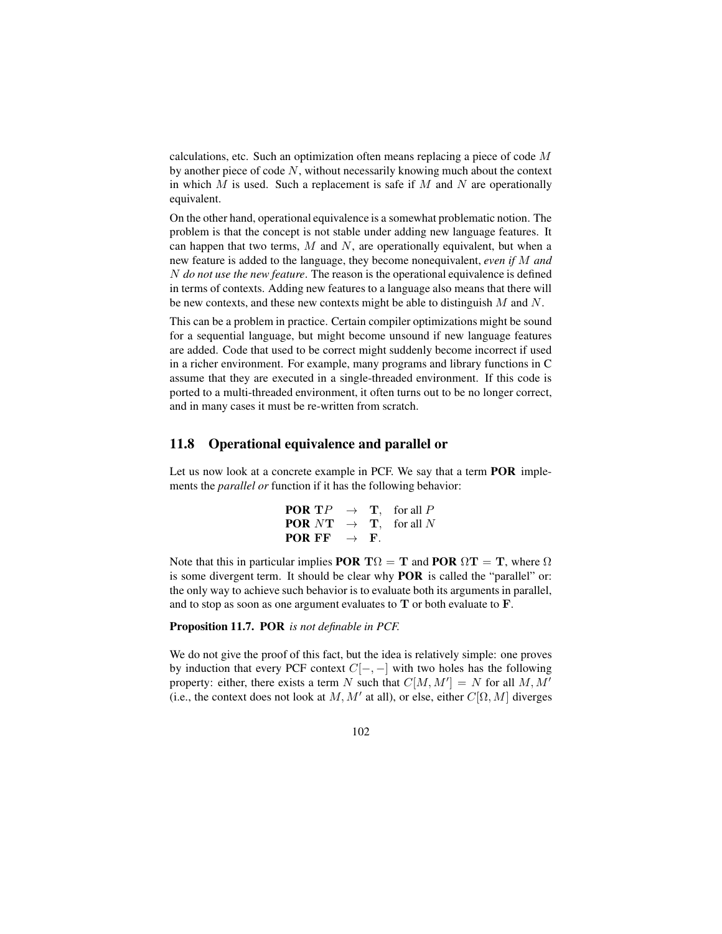calculations, etc. Such an optimization often means replacing a piece of code M by another piece of code  $N$ , without necessarily knowing much about the context in which  $M$  is used. Such a replacement is safe if  $M$  and  $N$  are operationally equivalent.

On the other hand, operational equivalence is a somewhat problematic notion. The problem is that the concept is not stable under adding new language features. It can happen that two terms,  $M$  and  $N$ , are operationally equivalent, but when a new feature is added to the language, they become nonequivalent, *even if* M *and* N *do not use the new feature*. The reason is the operational equivalence is defined in terms of contexts. Adding new features to a language also means that there will be new contexts, and these new contexts might be able to distinguish M and N.

This can be a problem in practice. Certain compiler optimizations might be sound for a sequential language, but might become unsound if new language features are added. Code that used to be correct might suddenly become incorrect if used in a richer environment. For example, many programs and library functions in C assume that they are executed in a single-threaded environment. If this code is ported to a multi-threaded environment, it often turns out to be no longer correct, and in many cases it must be re-written from scratch.

#### 11.8 Operational equivalence and parallel or

Let us now look at a concrete example in PCF. We say that a term **POR** implements the *parallel or* function if it has the following behavior:

**POR** 
$$
\text{TP} \rightarrow \text{T}
$$
, for all *P*  
\n**POR**  $N\text{T} \rightarrow \text{T}$ , for all *N*  
\n**POR**  $\text{FF} \rightarrow \text{F}$ .

Note that this in particular implies POR  $T\Omega = T$  and POR  $\Omega T = T$ , where  $\Omega$ is some divergent term. It should be clear why POR is called the "parallel" or: the only way to achieve such behavior is to evaluate both its arguments in parallel, and to stop as soon as one argument evaluates to T or both evaluate to F.

#### Proposition 11.7. POR *is not definable in PCF.*

We do not give the proof of this fact, but the idea is relatively simple: one proves by induction that every PCF context  $C[-, -]$  with two holes has the following property: either, there exists a term N such that  $C[M, M'] = N$  for all  $M, M'$ (i.e., the context does not look at M, M' at all), or else, either  $C[\Omega, M]$  diverges

102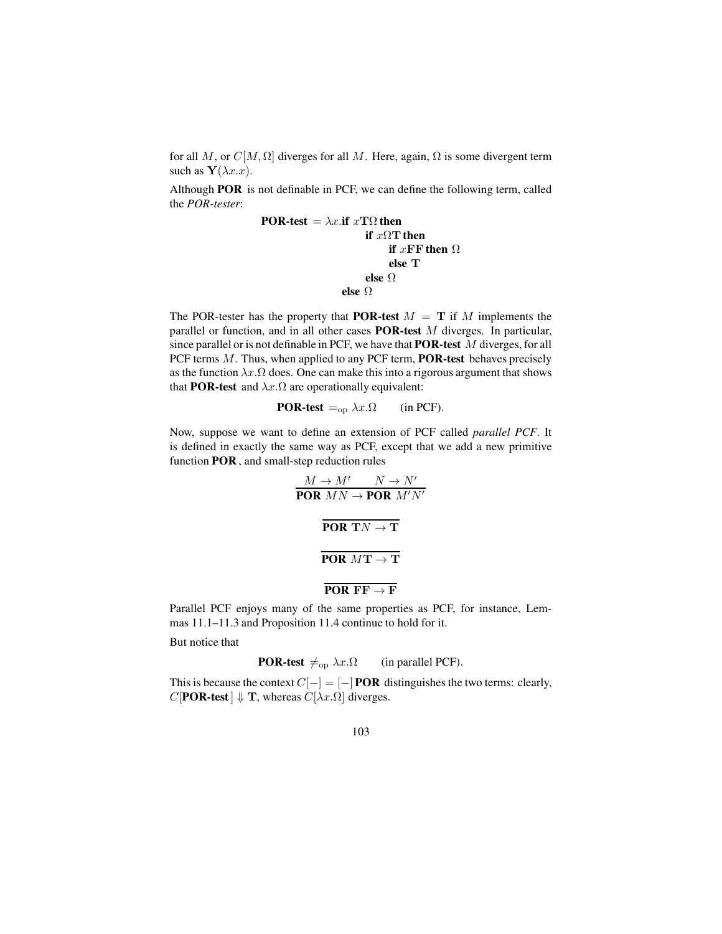for all M, or  $C[M, \Omega]$  diverges for all M. Here, again,  $\Omega$  is some divergent term such as  $Y(\lambda x.x)$ .

Although POR is not definable in PCF, we can define the following term, called the *POR-tester*:

**POR-test** = 
$$
\lambda x
$$
.**if**  $x \Omega \Upsilon$  **then**

\n**if**  $x \Omega \Upsilon$  **then**

\n**if**  $x \Gamma F$  **then**  $\Omega$ 

\n**else**  $\Omega$ 

\n**else**  $\Omega$ 

The POR-tester has the property that **POR-test**  $M = T$  if M implements the parallel or function, and in all other cases POR-test M diverges. In particular, since parallel or is not definable in PCF, we have that POR-test M diverges, for all PCF terms M. Thus, when applied to any PCF term, **POR-test** behaves precisely as the function  $\lambda x.\Omega$  does. One can make this into a rigorous argument that shows that POR-test and  $\lambda x.\Omega$  are operationally equivalent:

**POR-test** =<sub>op</sub> 
$$
\lambda x.\Omega
$$
 (in PCF).

Now, suppose we want to define an extension of PCF called *parallel PCF*. It is defined in exactly the same way as PCF, except that we add a new primitive function POR , and small-step reduction rules

$$
\frac{M \rightarrow M' \qquad N \rightarrow N'}{\text{FOR } MN \rightarrow \text{FOR } M'N'}
$$
\n
$$
\overline{\text{FOR } TN \rightarrow T}
$$
\n
$$
\overline{\text{FOR } MT \rightarrow T}
$$
\n
$$
\overline{\text{FOR } MT \rightarrow T}
$$
\n
$$
\overline{\text{FOR } FF \rightarrow F}
$$

Parallel PCF enjoys many of the same properties as PCF, for instance, Lemmas 11.1–11.3 and Proposition 11.4 continue to hold for it.

But notice that

**POR-test** 
$$
\neq_{\text{op}} \lambda x.\Omega
$$
 (in parallel PCF).

This is because the context  $C[-] = [-]$  **POR** distinguishes the two terms: clearly,  $C[\text{POR-test}] \Downarrow T$ , whereas  $C[\lambda x.\Omega]$  diverges.

103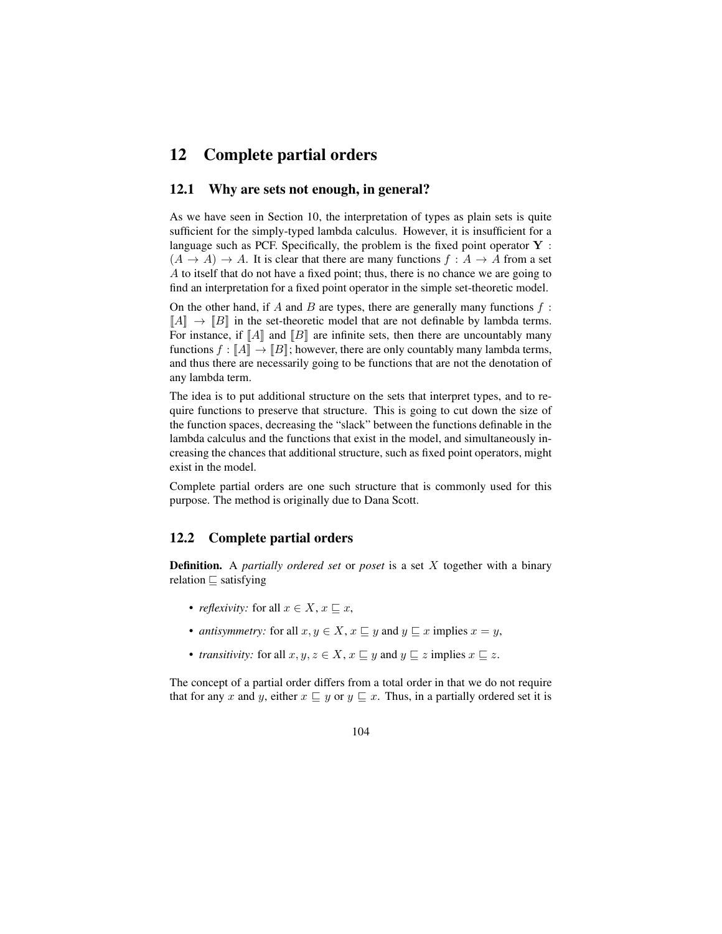## 12 Complete partial orders

#### 12.1 Why are sets not enough, in general?

As we have seen in Section 10, the interpretation of types as plain sets is quite sufficient for the simply-typed lambda calculus. However, it is insufficient for a language such as PCF. Specifically, the problem is the fixed point operator  $Y$ :  $(A \rightarrow A) \rightarrow A$ . It is clear that there are many functions  $f : A \rightarrow A$  from a set A to itself that do not have a fixed point; thus, there is no chance we are going to find an interpretation for a fixed point operator in the simple set-theoretic model.

On the other hand, if A and B are types, there are generally many functions  $f$ :  $\llbracket A \rrbracket \rightarrow \llbracket B \rrbracket$  in the set-theoretic model that are not definable by lambda terms. For instance, if  $\llbracket A \rrbracket$  and  $\llbracket B \rrbracket$  are infinite sets, then there are uncountably many functions  $f : [A] \to [B]$ ; however, there are only countably many lambda terms, and thus there are necessarily going to be functions that are not the denotation of any lambda term.

The idea is to put additional structure on the sets that interpret types, and to require functions to preserve that structure. This is going to cut down the size of the function spaces, decreasing the "slack" between the functions definable in the lambda calculus and the functions that exist in the model, and simultaneously increasing the chances that additional structure, such as fixed point operators, might exist in the model.

Complete partial orders are one such structure that is commonly used for this purpose. The method is originally due to Dana Scott.

#### 12.2 Complete partial orders

Definition. A *partially ordered set* or *poset* is a set X together with a binary relation ⊑ satisfying

- *reflexivity:* for all  $x \in X$ ,  $x \sqsubseteq x$ ,
- *antisymmetry:* for all  $x, y \in X$ ,  $x \sqsubseteq y$  and  $y \sqsubseteq x$  implies  $x = y$ ,
- *transitivity:* for all  $x, y, z \in X$ ,  $x \sqsubseteq y$  and  $y \sqsubseteq z$  implies  $x \sqsubseteq z$ .

The concept of a partial order differs from a total order in that we do not require that for any x and y, either  $x \subseteq y$  or  $y \subseteq x$ . Thus, in a partially ordered set it is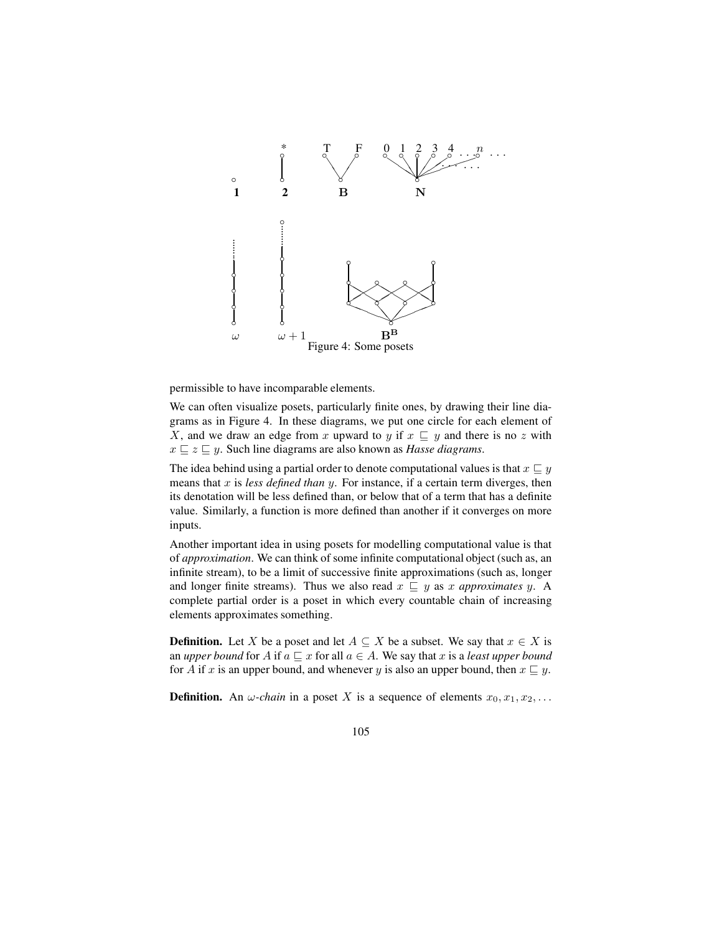

permissible to have incomparable elements.

We can often visualize posets, particularly finite ones, by drawing their line diagrams as in Figure 4. In these diagrams, we put one circle for each element of X, and we draw an edge from x upward to y if  $x \subseteq y$  and there is no z with x ⊑ z ⊑ y. Such line diagrams are also known as *Hasse diagrams*.

The idea behind using a partial order to denote computational values is that  $x \sqsubseteq y$ means that x is *less defined than* y. For instance, if a certain term diverges, then its denotation will be less defined than, or below that of a term that has a definite value. Similarly, a function is more defined than another if it converges on more inputs.

Another important idea in using posets for modelling computational value is that of *approximation*. We can think of some infinite computational object (such as, an infinite stream), to be a limit of successive finite approximations (such as, longer and longer finite streams). Thus we also read  $x \subseteq y$  as x *approximates* y. A complete partial order is a poset in which every countable chain of increasing elements approximates something.

**Definition.** Let X be a poset and let  $A \subseteq X$  be a subset. We say that  $x \in X$  is an *upper bound* for A if  $a \subseteq x$  for all  $a \in A$ . We say that x is a *least upper bound* for A if x is an upper bound, and whenever y is also an upper bound, then  $x \subseteq y$ .

**Definition.** An  $\omega$ -*chain* in a poset X is a sequence of elements  $x_0, x_1, x_2, \ldots$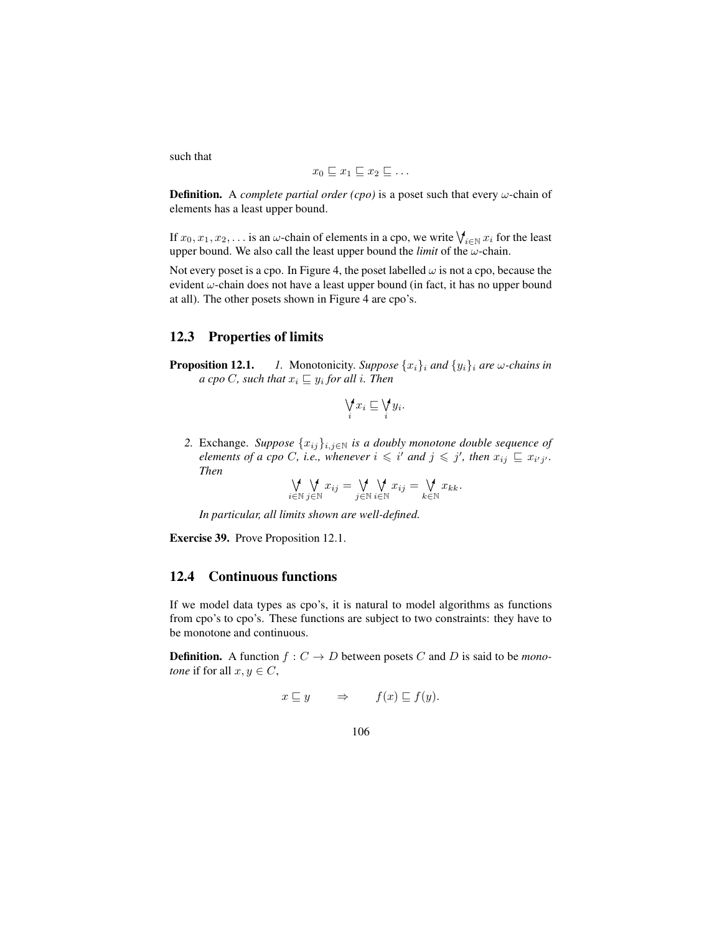such that

$$
x_0 \sqsubseteq x_1 \sqsubseteq x_2 \sqsubseteq \ldots
$$

**Definition.** A *complete partial order (cpo)* is a poset such that every  $\omega$ -chain of elements has a least upper bound.

If  $x_0, x_1, x_2, \ldots$  is an  $\omega$ -chain of elements in a cpo, we write  $\bigvee_{i\in\mathbb{N}} x_i$  for the least upper bound. We also call the least upper bound the *limit* of the ω-chain.

Not every poset is a cpo. In Figure 4, the poset labelled  $\omega$  is not a cpo, because the evident  $\omega$ -chain does not have a least upper bound (in fact, it has no upper bound at all). The other posets shown in Figure 4 are cpo's.

## 12.3 Properties of limits

**Proposition 12.1.** *1.* Monotonicity. *Suppose*  $\{x_i\}_i$  *and*  $\{y_i\}_i$  *are*  $\omega$ *-chains in*  $a$  cpo  $C$ , such that  $x_i \sqsubseteq y_i$  for all  $i.$  Then

$$
\bigvee_i x_i \sqsubseteq \bigvee_i y_i.
$$

2. Exchange. *Suppose*  $\{x_{ij}\}_{i,j\in\mathbb{N}}$  *is a doubly monotone double sequence of elements of a cpo C, i.e., whenever*  $i \leq i'$  and  $j \leq j'$ , then  $x_{ij} \sqsubseteq x_{i'j'}$ . *Then*

$$
\bigvee_{i\in\mathbb{N}}\bigvee_{j\in\mathbb{N}}x_{ij}=\bigvee_{j\in\mathbb{N}}\bigvee_{i\in\mathbb{N}}x_{ij}=\bigvee_{k\in\mathbb{N}}x_{kk}.
$$

*In particular, all limits shown are well-defined.*

Exercise 39. Prove Proposition 12.1.

### 12.4 Continuous functions

If we model data types as cpo's, it is natural to model algorithms as functions from cpo's to cpo's. These functions are subject to two constraints: they have to be monotone and continuous.

**Definition.** A function  $f: C \to D$  between posets C and D is said to be *monotone* if for all  $x, y \in C$ ,

$$
x \sqsubseteq y \qquad \Rightarrow \qquad f(x) \sqsubseteq f(y).
$$

106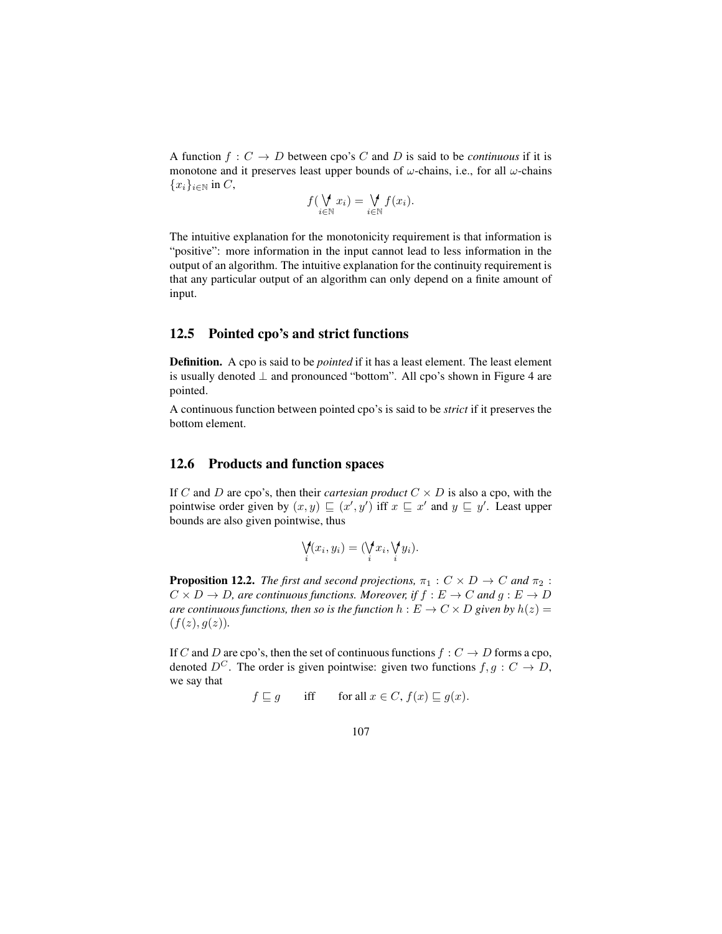A function  $f: C \to D$  between cpo's C and D is said to be *continuous* if it is monotone and it preserves least upper bounds of  $\omega$ -chains, i.e., for all  $\omega$ -chains  ${x_i}_{i\in\mathbb{N}}$  in  $C$ ,

$$
f(\bigvee_{i\in\mathbb{N}} x_i) = \bigvee_{i\in\mathbb{N}} f(x_i).
$$

The intuitive explanation for the monotonicity requirement is that information is "positive": more information in the input cannot lead to less information in the output of an algorithm. The intuitive explanation for the continuity requirement is that any particular output of an algorithm can only depend on a finite amount of input.

### 12.5 Pointed cpo's and strict functions

Definition. A cpo is said to be *pointed* if it has a least element. The least element is usually denoted  $\perp$  and pronounced "bottom". All cpo's shown in Figure 4 are pointed.

A continuous function between pointed cpo's is said to be *strict* if it preserves the bottom element.

### 12.6 Products and function spaces

If C and D are cpo's, then their *cartesian product*  $C \times D$  is also a cpo, with the pointwise order given by  $(x, y) \sqsubseteq (x', y')$  iff  $x \sqsubseteq x'$  and  $y \sqsubseteq y'$ . Least upper bounds are also given pointwise, thus

$$
\bigvee_i (x_i, y_i) = (\bigvee_i x_i, \bigvee_i y_i).
$$

**Proposition 12.2.** *The first and second projections,*  $\pi_1 : C \times D \rightarrow C$  *and*  $\pi_2 :$  $C \times D \to D$ , are continuous functions. Moreover, if  $f : E \to C$  and  $g : E \to D$ *are continuous functions, then so is the function*  $h : E \to C \times D$  *given by*  $h(z) =$  $(f(z), g(z))$ .

If C and D are cpo's, then the set of continuous functions  $f : C \to D$  forms a cpo, denoted  $D^C$ . The order is given pointwise: given two functions  $f, g: C \to D$ , we say that

 $f \sqsubseteq q$  iff for all  $x \in C$ ,  $f(x) \sqsubseteq q(x)$ .

$$
107\\
$$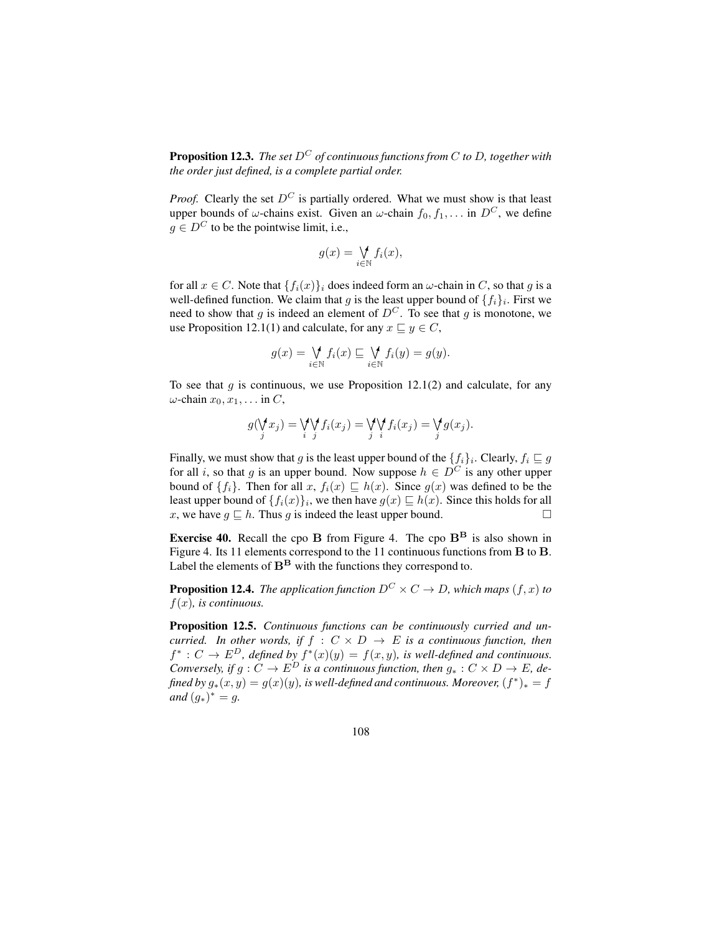**Proposition 12.3.** *The set*  $D^C$  *of continuous functions from*  $C$  *to*  $D$ *, together with the order just defined, is a complete partial order.*

*Proof.* Clearly the set  $D^C$  is partially ordered. What we must show is that least upper bounds of  $\omega$ -chains exist. Given an  $\omega$ -chain  $f_0, f_1, \ldots$  in  $D^C$ , we define  $g \in D^C$  to be the pointwise limit, i.e.,

$$
g(x) = \bigvee_{i \in \mathbb{N}} f_i(x),
$$

for all  $x \in C$ . Note that  $\{f_i(x)\}\$ i does indeed form an  $\omega$ -chain in C, so that g is a well-defined function. We claim that g is the least upper bound of  $\{f_i\}_i$ . First we need to show that g is indeed an element of  $D^C$ . To see that g is monotone, we use Proposition 12.1(1) and calculate, for any  $x \sqsubseteq y \in C$ ,

$$
g(x) = \bigvee_{i \in \mathbb{N}} f_i(x) \sqsubseteq \bigvee_{i \in \mathbb{N}} f_i(y) = g(y).
$$

To see that  $g$  is continuous, we use Proposition 12.1(2) and calculate, for any  $\omega$ -chain  $x_0, x_1, \ldots$  in  $C$ ,

$$
g(\bigvee_j x_j) = \bigvee_i \bigvee_j f_i(x_j) = \bigvee_j \bigvee_i f_i(x_j) = \bigvee_j g(x_j).
$$

Finally, we must show that g is the least upper bound of the  $\{f_i\}_i$ . Clearly,  $f_i \sqsubseteq g$ for all i, so that g is an upper bound. Now suppose  $h \in D^C$  is any other upper bound of  $\{f_i\}$ . Then for all x,  $f_i(x) \sqsubseteq h(x)$ . Since  $g(x)$  was defined to be the least upper bound of  $\{f_i(x)\}\$ i, we then have  $g(x) \sqsubseteq h(x)$ . Since this holds for all x, we have  $g \sqsubseteq h$ . Thus g is indeed the least upper bound.

**Exercise 40.** Recall the cpo B from Figure 4. The cpo  $B^B$  is also shown in Figure 4. Its 11 elements correspond to the 11 continuous functions from B to B. Label the elements of  $B^B$  with the functions they correspond to.

**Proposition 12.4.** *The application function*  $D^C \times C \rightarrow D$ *, which maps* (*f, x*) *to* f(x)*, is continuous.*

Proposition 12.5. *Continuous functions can be continuously curried and uncurried. In other words, if*  $f : C \times D \rightarrow E$  *is a continuous function, then*  $f^*: C \to E^D$ , defined by  $f^*(x)(y) = f(x, y)$ , is well-defined and continuous. *Conversely, if*  $g: C \to E^D$  *is a continuous function, then*  $g_*: C \times D \to E$ *, de*fined by  $g_*(x, y) = g(x)(y)$ , is well-defined and continuous. Moreover,  $(f^*)_*=f$ *and*  $(g_*)^* = g$ *.* 

108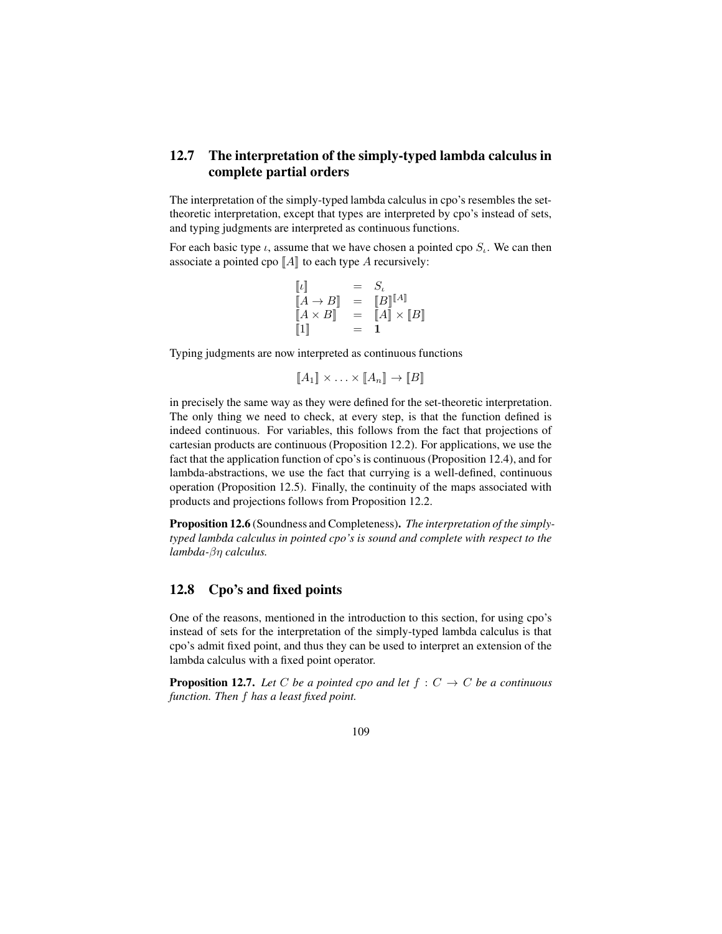## 12.7 The interpretation of the simply-typed lambda calculus in complete partial orders

The interpretation of the simply-typed lambda calculus in cpo's resembles the settheoretic interpretation, except that types are interpreted by cpo's instead of sets, and typing judgments are interpreted as continuous functions.

For each basic type  $\iota$ , assume that we have chosen a pointed cpo  $S_{\iota}$ . We can then associate a pointed cpo  $\llbracket A \rrbracket$  to each type A recursively:

$$
\begin{array}{ccc} \llbracket \iota \rrbracket & = & S_{\iota} \\ \llbracket A \rightarrow B \rrbracket & = & \llbracket B \rrbracket \llbracket \iota \rrbracket \\ \llbracket A \times B \rrbracket & = & \llbracket A \rrbracket \times \llbracket B \rrbracket \\ \llbracket 1 \rrbracket & = & 1 \end{array}
$$

Typing judgments are now interpreted as continuous functions

$$
\llbracket A_1 \rrbracket \times \ldots \times \llbracket A_n \rrbracket \to \llbracket B \rrbracket
$$

in precisely the same way as they were defined for the set-theoretic interpretation. The only thing we need to check, at every step, is that the function defined is indeed continuous. For variables, this follows from the fact that projections of cartesian products are continuous (Proposition 12.2). For applications, we use the fact that the application function of cpo's is continuous (Proposition 12.4), and for lambda-abstractions, we use the fact that currying is a well-defined, continuous operation (Proposition 12.5). Finally, the continuity of the maps associated with products and projections follows from Proposition 12.2.

Proposition 12.6 (Soundness and Completeness). *The interpretation of the simplytyped lambda calculus in pointed cpo's is sound and complete with respect to the lambda-*βη *calculus.*

## 12.8 Cpo's and fixed points

One of the reasons, mentioned in the introduction to this section, for using cpo's instead of sets for the interpretation of the simply-typed lambda calculus is that cpo's admit fixed point, and thus they can be used to interpret an extension of the lambda calculus with a fixed point operator.

**Proposition 12.7.** Let C be a pointed cpo and let  $f : C \to C$  be a continuous *function. Then* f *has a least fixed point.*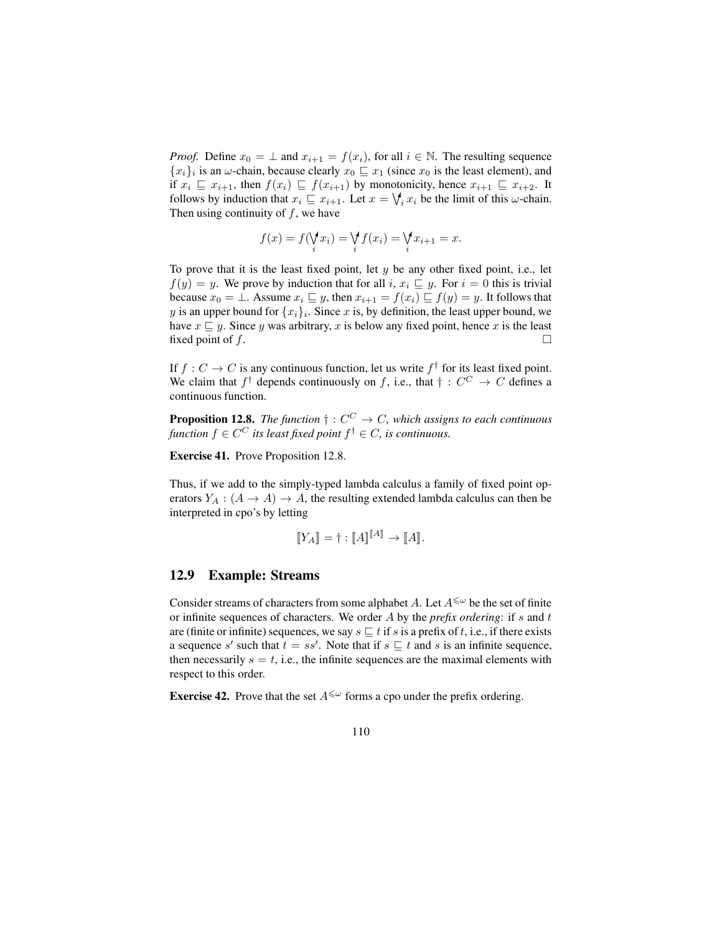*Proof.* Define  $x_0 = \perp$  and  $x_{i+1} = f(x_i)$ , for all  $i \in \mathbb{N}$ . The resulting sequence  ${x_i}_i$  is an  $\omega$ -chain, because clearly  $x_0 \sqsubseteq x_1$  (since  $x_0$  is the least element), and if  $x_i \subseteq x_{i+1}$ , then  $f(x_i) \subseteq f(x_{i+1})$  by monotonicity, hence  $x_{i+1} \subseteq x_{i+2}$ . It follows by induction that  $x_i \subseteq x_{i+1}$ . Let  $x = \bigvee_i x_i$  be the limit of this  $\omega$ -chain. Then using continuity of  $f$ , we have

$$
f(x) = f(\bigvee_i x_i) = \bigvee_i f(x_i) = \bigvee_i x_{i+1} = x.
$$

To prove that it is the least fixed point, let  $y$  be any other fixed point, i.e., let  $f(y) = y$ . We prove by induction that for all i,  $x_i \sqsubseteq y$ . For  $i = 0$  this is trivial because  $x_0 = \bot$ . Assume  $x_i \sqsubseteq y$ , then  $x_{i+1} = f(x_i) \sqsubseteq f(y) = y$ . It follows that y is an upper bound for  $\{x_i\}_i$ . Since x is, by definition, the least upper bound, we have  $x \sqsubseteq y$ . Since y was arbitrary, x is below any fixed point, hence x is the least fixed point of f.

If  $f: C \to C$  is any continuous function, let us write  $f^{\dagger}$  for its least fixed point. We claim that  $f^{\dagger}$  depends continuously on f, i.e., that  $\dagger : C^C \rightarrow C$  defines a continuous function.

**Proposition 12.8.** The function  $\dagger : C^C \to C$ , which assigns to each continuous  $f$ *iunction*  $f \in C^C$  *its least fixed point*  $f^{\dagger} \in C$ *, is continuous.* 

Exercise 41. Prove Proposition 12.8.

Thus, if we add to the simply-typed lambda calculus a family of fixed point operators  $Y_A : (A \rightarrow A) \rightarrow A$ , the resulting extended lambda calculus can then be interpreted in cpo's by letting

$$
[\![Y_A]\!] = \dagger : [\![A]\!]^{[\![A]\!]} \to [\![A]\!].
$$

#### 12.9 Example: Streams

Consider streams of characters from some alphabet A. Let  $A^{\leq \omega}$  be the set of finite or infinite sequences of characters. We order A by the *prefix ordering*: if s and t are (finite or infinite) sequences, we say  $s \nightharpoonup t$  if s is a prefix of t, i.e., if there exists a sequence s' such that  $t = ss'$ . Note that if  $s \sqsubseteq t$  and s is an infinite sequence, then necessarily  $s = t$ , i.e., the infinite sequences are the maximal elements with respect to this order.

**Exercise 42.** Prove that the set  $A^{\leq \omega}$  forms a cpo under the prefix ordering.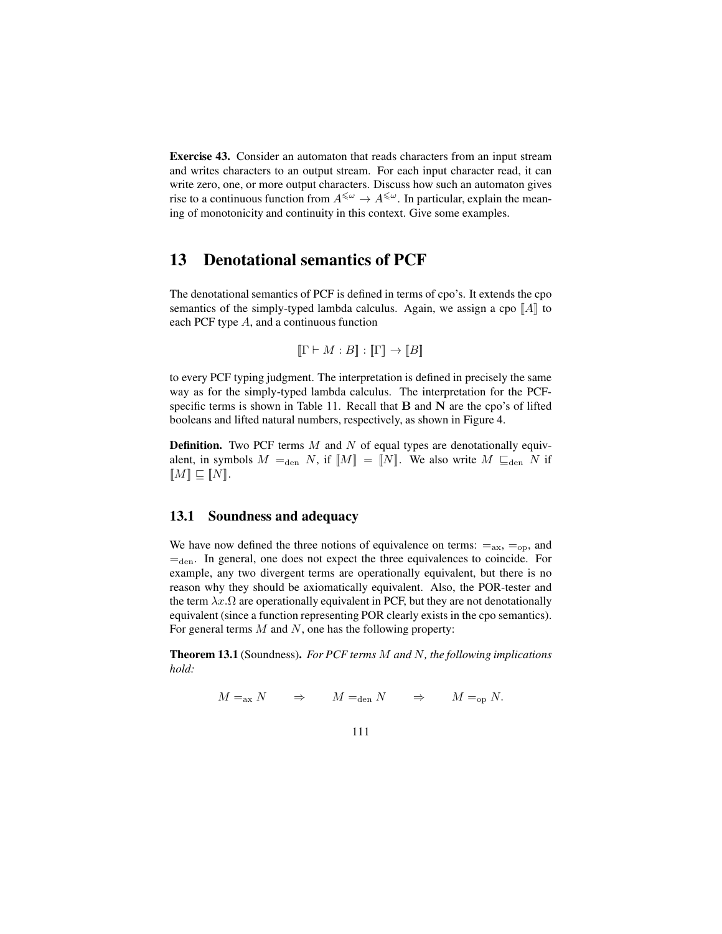Exercise 43. Consider an automaton that reads characters from an input stream and writes characters to an output stream. For each input character read, it can write zero, one, or more output characters. Discuss how such an automaton gives rise to a continuous function from  $A^{\leq \omega} \to A^{\leq \omega}$ . In particular, explain the meaning of monotonicity and continuity in this context. Give some examples.

## 13 Denotational semantics of PCF

The denotational semantics of PCF is defined in terms of cpo's. It extends the cpo semantics of the simply-typed lambda calculus. Again, we assign a cpo  $\llbracket A \rrbracket$  to each PCF type A, and a continuous function

$$
[\![\Gamma \vdash M : B]\!] : [\![\Gamma]\!] \to [\![B]\!]
$$

to every PCF typing judgment. The interpretation is defined in precisely the same way as for the simply-typed lambda calculus. The interpretation for the PCFspecific terms is shown in Table 11. Recall that  $B$  and  $N$  are the cpo's of lifted booleans and lifted natural numbers, respectively, as shown in Figure 4.

**Definition.** Two PCF terms  $M$  and  $N$  of equal types are denotationally equivalent, in symbols  $M =_{den} N$ , if  $[M] = [N]$ . We also write  $M \sqsubseteq_{den} N$  if  $[M] \sqsubseteq [N]$ .

#### 13.1 Soundness and adequacy

We have now defined the three notions of equivalence on terms:  $=_{ax}$ ,  $=_{\text{op}}$ , and  $=$ den. In general, one does not expect the three equivalences to coincide. For example, any two divergent terms are operationally equivalent, but there is no reason why they should be axiomatically equivalent. Also, the POR-tester and the term  $\lambda x.\Omega$  are operationally equivalent in PCF, but they are not denotationally equivalent (since a function representing POR clearly exists in the cpo semantics). For general terms  $M$  and  $N$ , one has the following property:

Theorem 13.1 (Soundness). *For PCF terms* M *and* N*, the following implications hold:*

$$
M =_{\text{ax}} N \qquad \Rightarrow \qquad M =_{\text{den}} N \qquad \Rightarrow \qquad M =_{\text{op}} N.
$$

111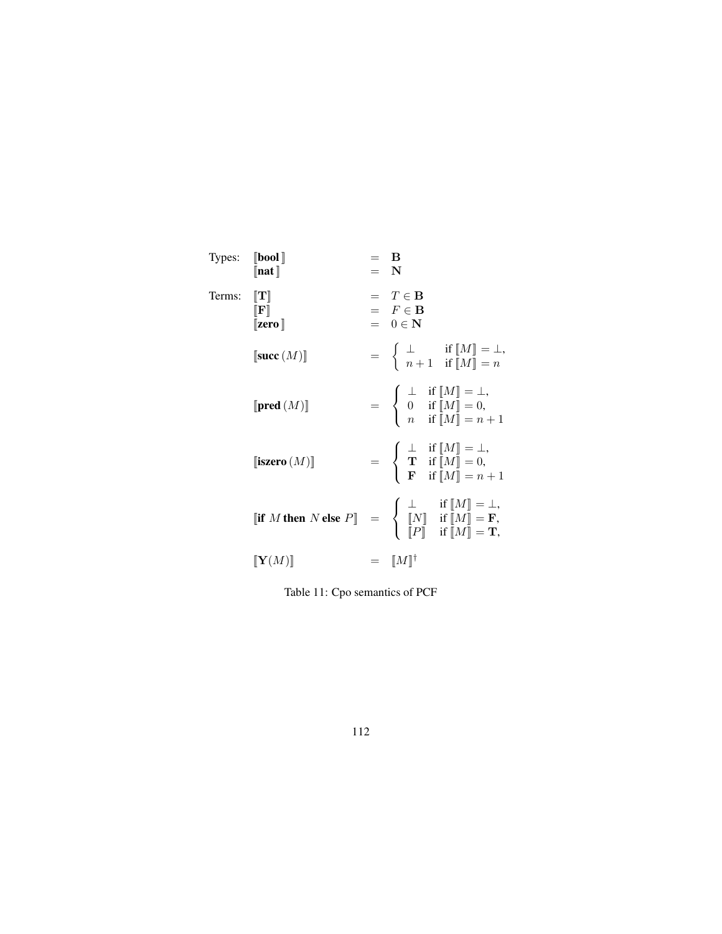| Types: <b>[bool</b> ]∣ | $\llbracket$ nat $\rrbracket$                         | $=$ B<br>$=$ N                                                                                                                                                                                                                                                                                             |
|------------------------|-------------------------------------------------------|------------------------------------------------------------------------------------------------------------------------------------------------------------------------------------------------------------------------------------------------------------------------------------------------------------|
| Terms:                 | $\Vert \mathbf{T} \Vert$<br>$\mathbb{F}$ .<br>∥zero ∥ | $=$ $T \in \mathbf{B}$<br>$=$ $F \in \mathbf{B}$<br>$= 0 \in \mathbb{N}$                                                                                                                                                                                                                                   |
|                        | $\llbracket \textbf{succ}\left(M\right) \rrbracket$   | $= \begin{cases} \perp & \text{if } \llbracket M \rrbracket = \perp, \\ n+1 & \text{if } \llbracket M \rrbracket = n \end{cases}$                                                                                                                                                                          |
|                        | $\llbracket \mathbf{pred}\left( M\right) \rrbracket$  | $\begin{array}{lll} = & \left\{ \begin{array}{ll} \bot & \text{if } \llbracket M \rrbracket = \bot, \ 0 & \text{if } \llbracket M \rrbracket = 0, \ n & \text{if } \llbracket M \rrbracket = n+1. \end{array} \right. \end{array}$                                                                         |
|                        | $\left[\textbf{iszero}\left(M\right)\right]$          | $\begin{array}{lll} = & \left\{ \begin{array}{ll} \bot & \text{if } \llbracket M \rrbracket = \bot, \ \mathbf{T} & \text{if } \llbracket M \rrbracket = 0, \ \mathbf{F} & \text{if } \llbracket M \rrbracket = n+1. \end{array} \right. \end{array}$                                                       |
|                        | [if $M$ then $N$ else $P$ ]                           | $\begin{array}{ll} \hline = & \left\{ \begin{array}{ll} \bot & \hbox{if} \; \llbracket M \rrbracket = \bot, \ \llbracket N \rrbracket & \hbox{if} \; \llbracket M \rrbracket = \mathbf{F}, \ \llbracket P \rrbracket & \hbox{if} \; \llbracket M \rrbracket = \mathbf{T}, \end{array} \right. \end{array}$ |
|                        | $\  \mathbf{Y}(M) \ $                                 | $=$ $\lbrack\!\lbrack M\rbrack\!\rbrack^{\dagger}$                                                                                                                                                                                                                                                         |

|  | Table 11: Cpo semantics of PCF |
|--|--------------------------------|
|--|--------------------------------|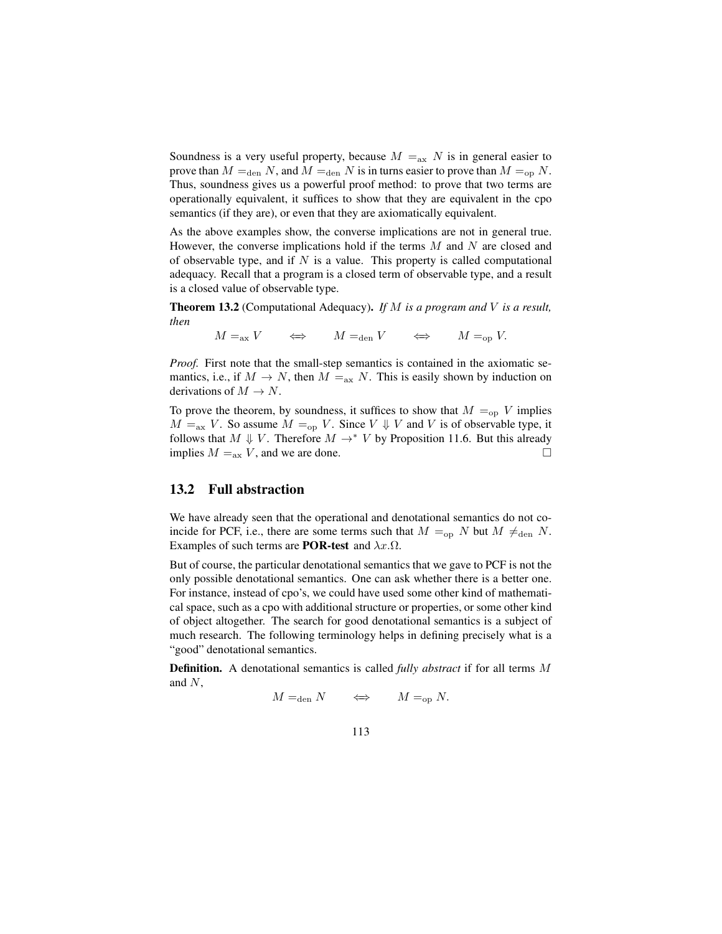Soundness is a very useful property, because  $M =_{\text{ax}} N$  is in general easier to prove than  $M =_{\text{den}} N$ , and  $M =_{\text{den}} N$  is in turns easier to prove than  $M =_{\text{op}} N$ . Thus, soundness gives us a powerful proof method: to prove that two terms are operationally equivalent, it suffices to show that they are equivalent in the cpo semantics (if they are), or even that they are axiomatically equivalent.

As the above examples show, the converse implications are not in general true. However, the converse implications hold if the terms  $M$  and  $N$  are closed and of observable type, and if  $N$  is a value. This property is called computational adequacy. Recall that a program is a closed term of observable type, and a result is a closed value of observable type.

Theorem 13.2 (Computational Adequacy). *If* M *is a program and* V *is a result, then*

 $M =_{\text{ax}} V \qquad \Longleftrightarrow \qquad M =_{\text{den}} V \qquad \Longleftrightarrow \qquad M =_{\text{op}} V.$ 

*Proof.* First note that the small-step semantics is contained in the axiomatic semantics, i.e., if  $M \to N$ , then  $M =_{\text{ax}} N$ . This is easily shown by induction on derivations of  $M \to N$ .

To prove the theorem, by soundness, it suffices to show that  $M =_{op} V$  implies  $M =_{\text{ax}} V$ . So assume  $M =_{\text{op}} V$ . Since  $V \Downarrow V$  and V is of observable type, it follows that  $M \Downarrow V$ . Therefore  $M \rightarrow^* V$  by Proposition 11.6. But this already implies  $M =_{ax} V$ , and we are done.

### 13.2 Full abstraction

We have already seen that the operational and denotational semantics do not coincide for PCF, i.e., there are some terms such that  $M =_{op} N$  but  $M \neq_{op} N$ . Examples of such terms are **POR-test** and  $\lambda x.\Omega$ .

But of course, the particular denotational semantics that we gave to PCF is not the only possible denotational semantics. One can ask whether there is a better one. For instance, instead of cpo's, we could have used some other kind of mathematical space, such as a cpo with additional structure or properties, or some other kind of object altogether. The search for good denotational semantics is a subject of much research. The following terminology helps in defining precisely what is a "good" denotational semantics.

Definition. A denotational semantics is called *fully abstract* if for all terms M and N,

$$
M =_{\text{den}} N \qquad \Longleftrightarrow \qquad M =_{\text{op}} N.
$$

113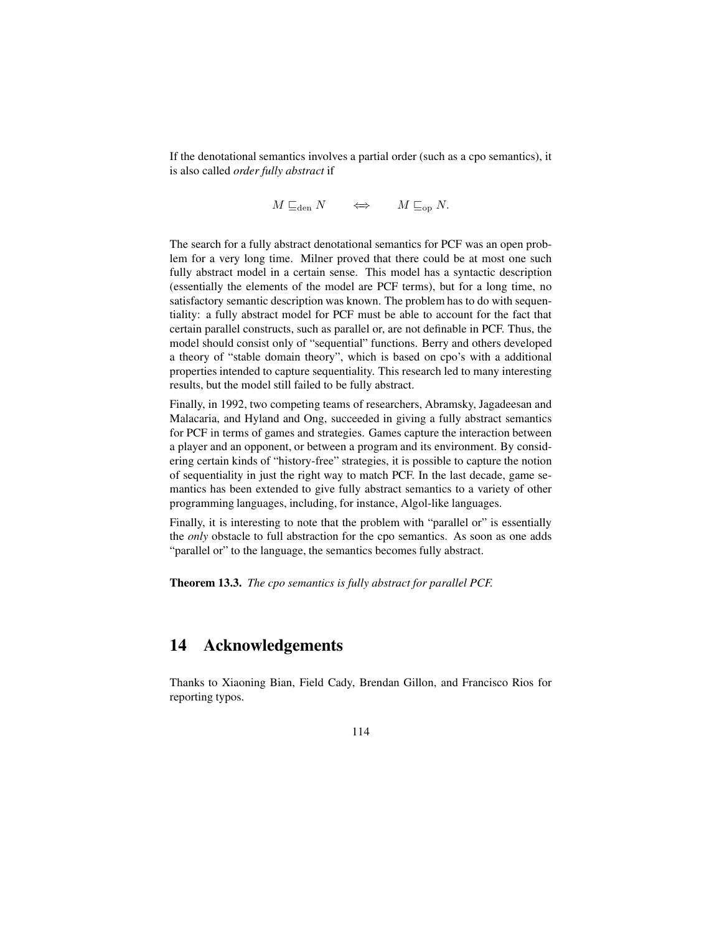If the denotational semantics involves a partial order (such as a cpo semantics), it is also called *order fully abstract* if

 $M \sqsubseteq_{\text{den}} N \qquad \Longleftrightarrow \qquad M \sqsubseteq_{\text{op}} N.$ 

The search for a fully abstract denotational semantics for PCF was an open problem for a very long time. Milner proved that there could be at most one such fully abstract model in a certain sense. This model has a syntactic description (essentially the elements of the model are PCF terms), but for a long time, no satisfactory semantic description was known. The problem has to do with sequentiality: a fully abstract model for PCF must be able to account for the fact that certain parallel constructs, such as parallel or, are not definable in PCF. Thus, the model should consist only of "sequential" functions. Berry and others developed a theory of "stable domain theory", which is based on cpo's with a additional properties intended to capture sequentiality. This research led to many interesting results, but the model still failed to be fully abstract.

Finally, in 1992, two competing teams of researchers, Abramsky, Jagadeesan and Malacaria, and Hyland and Ong, succeeded in giving a fully abstract semantics for PCF in terms of games and strategies. Games capture the interaction between a player and an opponent, or between a program and its environment. By considering certain kinds of "history-free" strategies, it is possible to capture the notion of sequentiality in just the right way to match PCF. In the last decade, game semantics has been extended to give fully abstract semantics to a variety of other programming languages, including, for instance, Algol-like languages.

Finally, it is interesting to note that the problem with "parallel or" is essentially the *only* obstacle to full abstraction for the cpo semantics. As soon as one adds "parallel or" to the language, the semantics becomes fully abstract.

Theorem 13.3. *The cpo semantics is fully abstract for parallel PCF.*

## 14 Acknowledgements

Thanks to Xiaoning Bian, Field Cady, Brendan Gillon, and Francisco Rios for reporting typos.